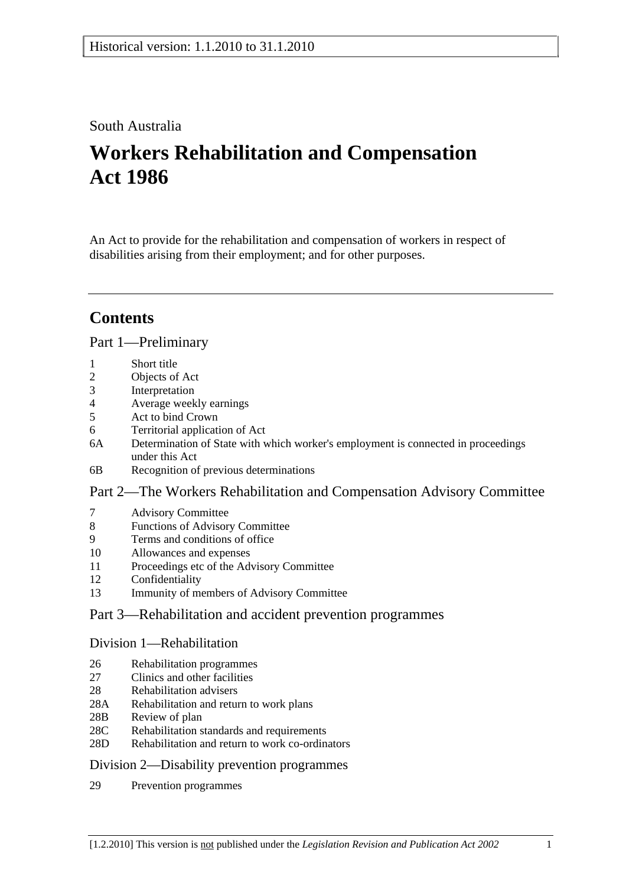### South Australia

# **Workers Rehabilitation and Compensation Act 1986**

An Act to provide for the rehabilitation and compensation of workers in respect of disabilities arising from their employment; and for other purposes.

## **Contents**

### Part 1—Preliminary

- 1 Short title
- 2 Objects of Act
- 3 Interpretation
- 4 Average weekly earnings
- 5 Act to bind Crown
- 6 Territorial application of Act
- 6A Determination of State with which worker's employment is connected in proceedings under this Act
- 6B Recognition of previous determinations

### Part 2—The Workers Rehabilitation and Compensation Advisory Committee

- 7 Advisory Committee
- 8 Functions of Advisory Committee
- 9 Terms and conditions of office
- 10 Allowances and expenses
- 11 Proceedings etc of the Advisory Committee
- 12 Confidentiality
- 13 Immunity of members of Advisory Committee

### Part 3—Rehabilitation and accident prevention programmes

### Division 1—Rehabilitation

- 26 Rehabilitation programmes
- 27 Clinics and other facilities
- 28 Rehabilitation advisers
- 28A Rehabilitation and return to work plans
- 28B Review of plan
- 28C Rehabilitation standards and requirements
- 28D Rehabilitation and return to work co-ordinators

### Division 2—Disability prevention programmes

29 Prevention programmes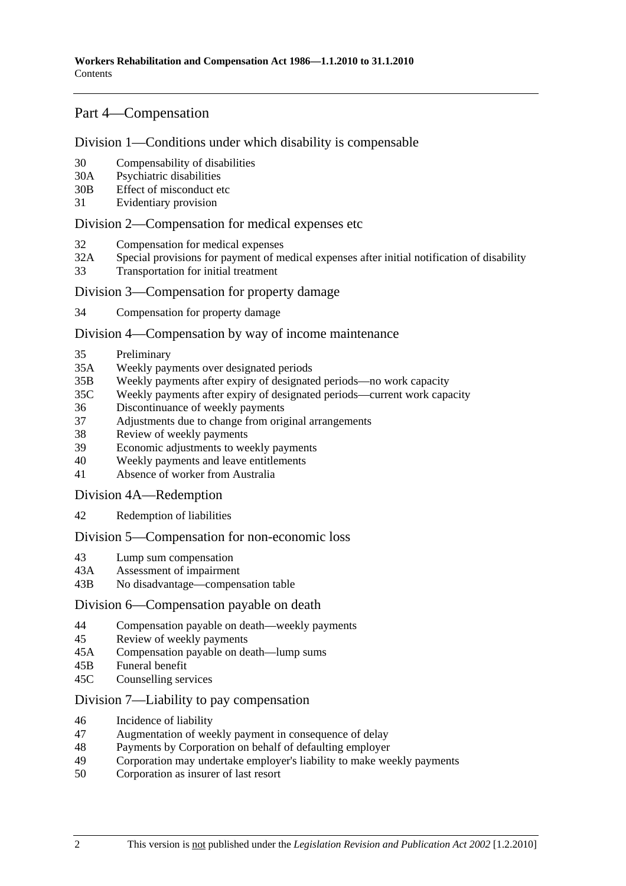### Part 4—Compensation

### Division 1—Conditions under which disability is compensable

- 30 Compensability of disabilities
- 30A Psychiatric disabilities
- 30B Effect of misconduct etc
- 31 Evidentiary provision

### Division 2—Compensation for medical expenses etc

- 32 Compensation for medical expenses
- 32A Special provisions for payment of medical expenses after initial notification of disability
- 33 Transportation for initial treatment

### Division 3—Compensation for property damage

34 Compensation for property damage

### Division 4—Compensation by way of income maintenance

- 35 Preliminary
- 35A Weekly payments over designated periods
- 35B Weekly payments after expiry of designated periods—no work capacity
- 35C Weekly payments after expiry of designated periods—current work capacity
- 36 Discontinuance of weekly payments
- 37 Adjustments due to change from original arrangements
- 38 Review of weekly payments
- 39 Economic adjustments to weekly payments
- 40 Weekly payments and leave entitlements
- 41 Absence of worker from Australia

### Division 4A—Redemption

42 Redemption of liabilities

### Division 5—Compensation for non-economic loss

- 43 Lump sum compensation
- 43A Assessment of impairment
- 43B No disadvantage—compensation table

### Division 6—Compensation payable on death

- 44 Compensation payable on death—weekly payments
- 45 Review of weekly payments
- 45A Compensation payable on death—lump sums
- 45B Funeral benefit
- 45C Counselling services

### Division 7—Liability to pay compensation

- 46 Incidence of liability
- 47 Augmentation of weekly payment in consequence of delay
- 48 Payments by Corporation on behalf of defaulting employer
- 49 Corporation may undertake employer's liability to make weekly payments
- 50 Corporation as insurer of last resort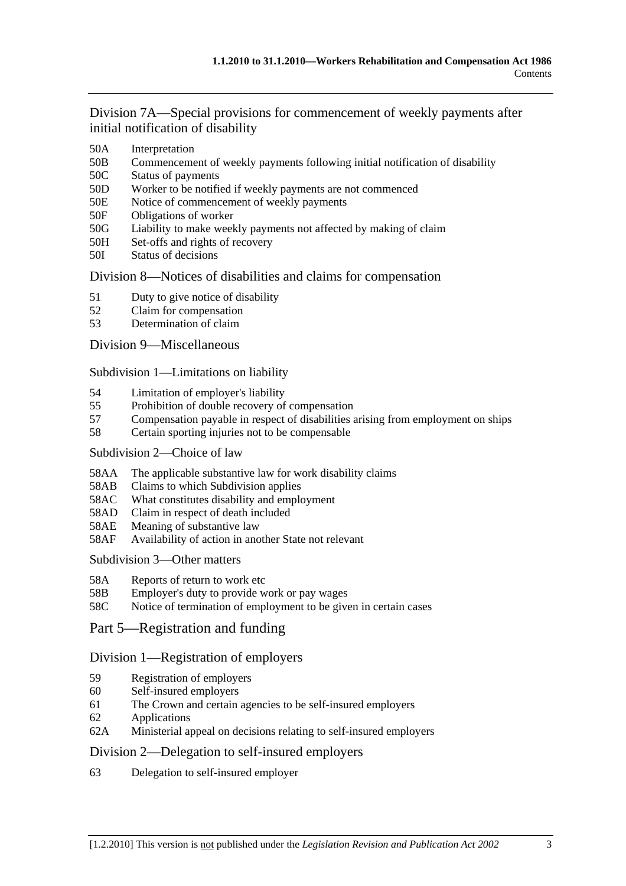Division 7A—Special provisions for commencement of weekly payments after initial notification of disability

- 50A Interpretation
- 50B Commencement of weekly payments following initial notification of disability
- 50C Status of payments
- 50D Worker to be notified if weekly payments are not commenced
- 50E Notice of commencement of weekly payments
- 50F Obligations of worker
- 50G Liability to make weekly payments not affected by making of claim
- 50H Set-offs and rights of recovery
- 50I Status of decisions

### Division 8—Notices of disabilities and claims for compensation

- 51 Duty to give notice of disability
- 52 Claim for compensation
- 53 Determination of claim

### Division 9—Miscellaneous

Subdivision 1—Limitations on liability

- 54 Limitation of employer's liability
- 55 Prohibition of double recovery of compensation
- 57 Compensation payable in respect of disabilities arising from employment on ships
- 58 Certain sporting injuries not to be compensable

### Subdivision 2—Choice of law

- 58AA The applicable substantive law for work disability claims
- 58AB Claims to which Subdivision applies
- 58AC What constitutes disability and employment
- 58AD Claim in respect of death included
- 58AE Meaning of substantive law
- 58AF Availability of action in another State not relevant

Subdivision 3—Other matters

- 58A Reports of return to work etc
- 58B Employer's duty to provide work or pay wages
- 58C Notice of termination of employment to be given in certain cases
- Part 5—Registration and funding

### Division 1—Registration of employers

- 59 Registration of employers
- 60 Self-insured employers
- 61 The Crown and certain agencies to be self-insured employers
- 62 Applications
- 62A Ministerial appeal on decisions relating to self-insured employers

### Division 2—Delegation to self-insured employers

63 Delegation to self-insured employer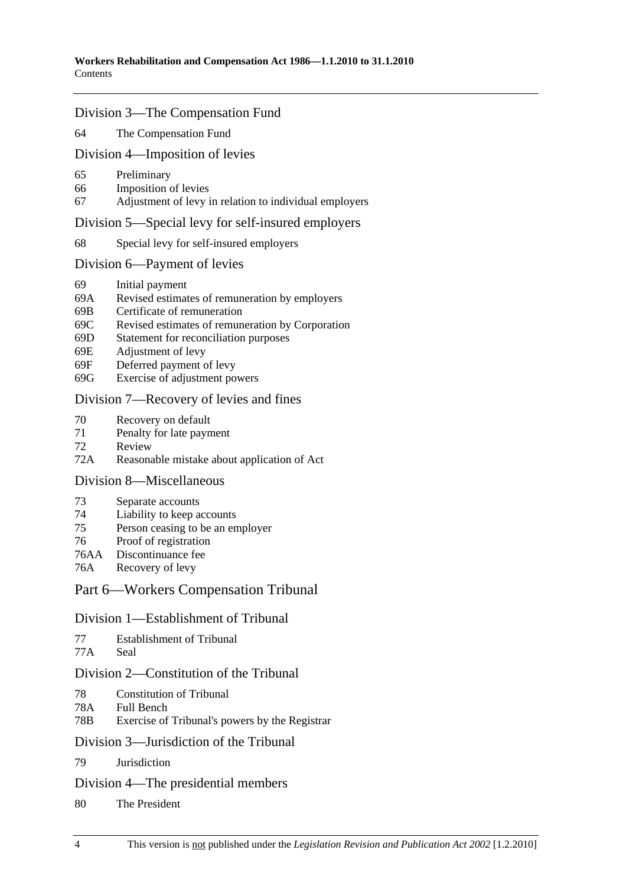#### Division 3—The Compensation Fund

64 The Compensation Fund

#### Division 4—Imposition of levies

- 65 Preliminary
- 66 Imposition of levies
- 67 Adjustment of levy in relation to individual employers

#### Division 5—Special levy for self-insured employers

68 Special levy for self-insured employers

#### Division 6—Payment of levies

- 69 Initial payment
- 69A Revised estimates of remuneration by employers
- 69B Certificate of remuneration
- 69C Revised estimates of remuneration by Corporation
- 69D Statement for reconciliation purposes
- 69E Adjustment of levy
- 69F Deferred payment of levy
- 69G Exercise of adjustment powers

### Division 7—Recovery of levies and fines

- 70 Recovery on default
- 71 Penalty for late payment
- 72 Review
- 72A Reasonable mistake about application of Act

### Division 8—Miscellaneous

- 73 Separate accounts
- 74 Liability to keep accounts
- 75 Person ceasing to be an employer
- 76 Proof of registration
- 76AA Discontinuance fee
- 76A Recovery of levy

#### Part 6—Workers Compensation Tribunal

#### Division 1—Establishment of Tribunal

```
77 Establishment of Tribunal
```
77A Seal

### Division 2—Constitution of the Tribunal

- 78 Constitution of Tribunal
- 78A Full Bench
- 78B Exercise of Tribunal's powers by the Registrar

#### Division 3—Jurisdiction of the Tribunal

79 Jurisdiction

#### Division 4—The presidential members

80 The President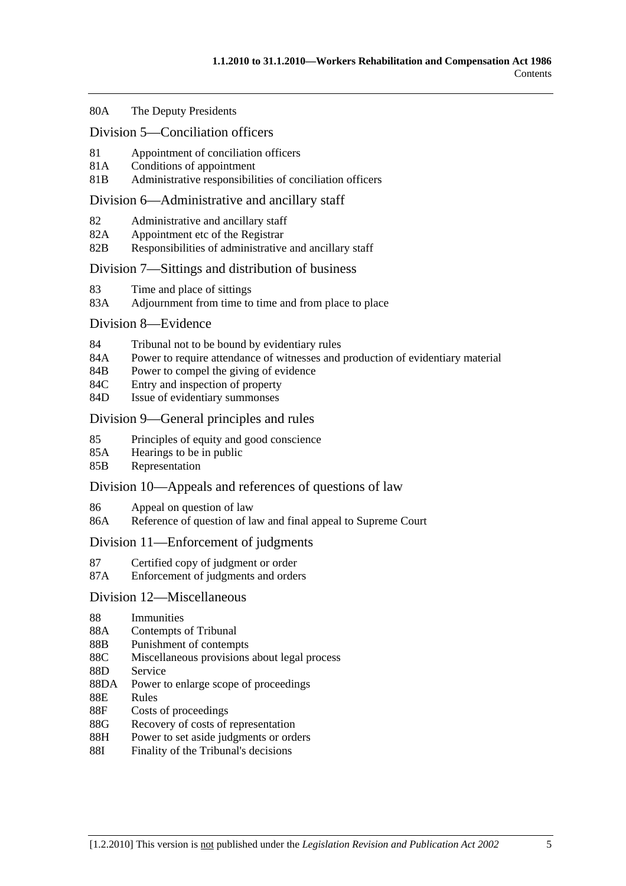#### 80A The Deputy Presidents

#### Division 5—Conciliation officers

- 81 Appointment of conciliation officers
- 81A Conditions of appointment
- 81B Administrative responsibilities of conciliation officers

#### Division 6—Administrative and ancillary staff

- 82 Administrative and ancillary staff
- 82A Appointment etc of the Registrar
- 82B Responsibilities of administrative and ancillary staff

### Division 7—Sittings and distribution of business

- 83 Time and place of sittings
- 83A Adjournment from time to time and from place to place

#### Division 8—Evidence

- 84 Tribunal not to be bound by evidentiary rules
- 84A Power to require attendance of witnesses and production of evidentiary material
- 84B Power to compel the giving of evidence
- 84C Entry and inspection of property
- 84D Issue of evidentiary summonses

### Division 9—General principles and rules

- 85 Principles of equity and good conscience
- 85A Hearings to be in public
- 85B Representation

### Division 10—Appeals and references of questions of law

- 86 Appeal on question of law
- 86A Reference of question of law and final appeal to Supreme Court

### Division 11—Enforcement of judgments

- 87 Certified copy of judgment or order
- 87A Enforcement of judgments and orders

### Division 12—Miscellaneous

- 88 Immunities
- 88A Contempts of Tribunal
- 88B Punishment of contempts
- 88C Miscellaneous provisions about legal process
- 88D Service
- 88DA Power to enlarge scope of proceedings
- 88E Rules
- 88F Costs of proceedings
- 88G Recovery of costs of representation
- 88H Power to set aside judgments or orders
- 88I Finality of the Tribunal's decisions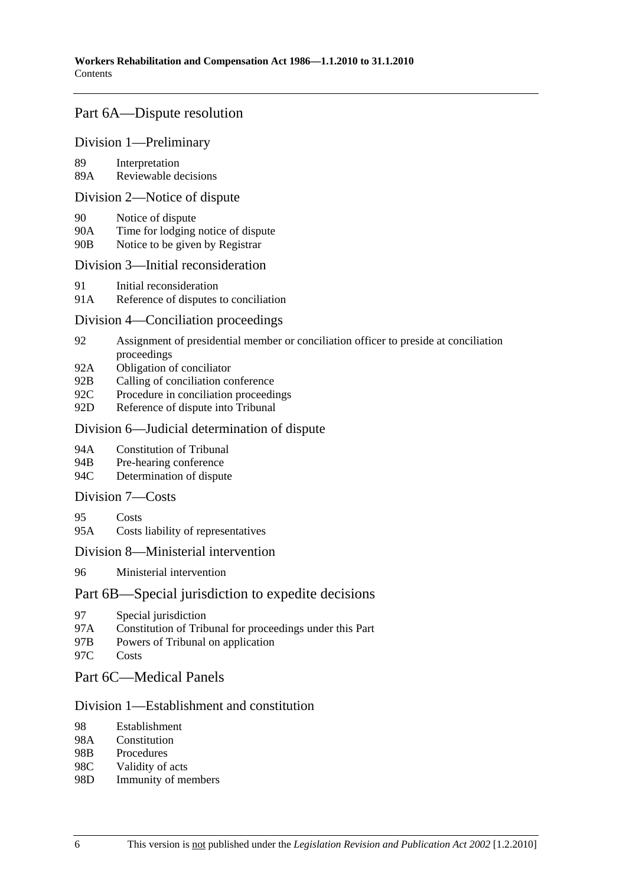### Part 6A—Dispute resolution

### Division 1—Preliminary

89 Interpretation

89A Reviewable decisions

### Division 2—Notice of dispute

- 90 Notice of dispute
- 90A Time for lodging notice of dispute
- 90B Notice to be given by Registrar

### Division 3—Initial reconsideration

- 91 Initial reconsideration
- 91A Reference of disputes to conciliation

### Division 4—Conciliation proceedings

- 92 Assignment of presidential member or conciliation officer to preside at conciliation proceedings
- 92A Obligation of conciliator
- 92B Calling of conciliation conference
- 92C Procedure in conciliation proceedings
- 92D Reference of dispute into Tribunal

### Division 6—Judicial determination of dispute

- 94A Constitution of Tribunal
- 94B Pre-hearing conference
- 94C Determination of dispute

### Division 7—Costs

- 95 Costs
- 95A Costs liability of representatives

### Division 8—Ministerial intervention

96 Ministerial intervention

### Part 6B—Special jurisdiction to expedite decisions

- 97 Special jurisdiction
- 97A Constitution of Tribunal for proceedings under this Part
- 97B Powers of Tribunal on application
- 97C Costs

### Part 6C—Medical Panels

### Division 1—Establishment and constitution

- 98 Establishment
- 98A Constitution
- 98B Procedures
- 98C Validity of acts
- 98D Immunity of members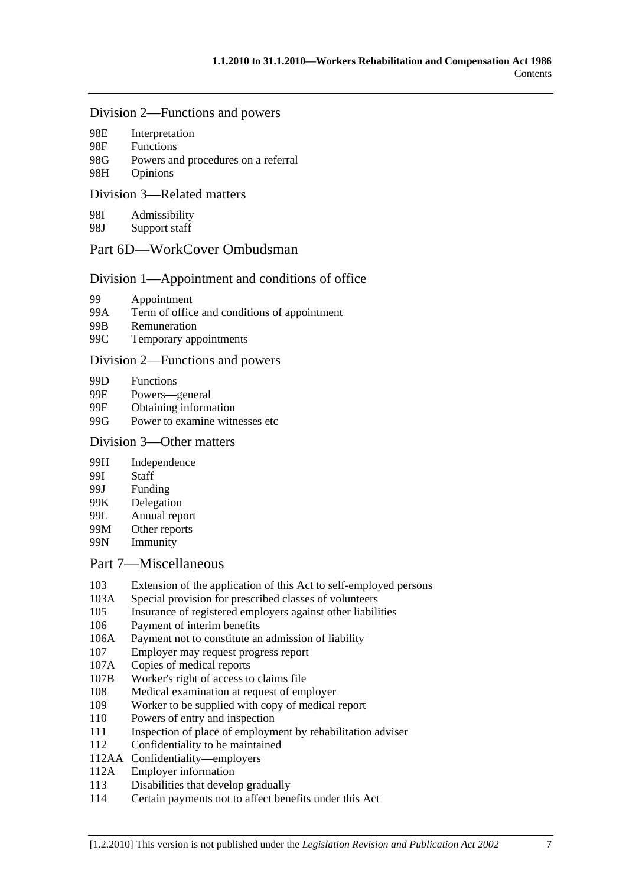#### Division 2—Functions and powers

| 98E | Interpretation   |  |
|-----|------------------|--|
| 98F | <b>Functions</b> |  |
|     |                  |  |

- 98G Powers and procedures on a referral
- 98H Opinions

### Division 3—Related matters

98I Admissibility

98J Support staff

### Part 6D—WorkCover Ombudsman

### Division 1—Appointment and conditions of office

- 99 Appointment
- 99A Term of office and conditions of appointment
- 99B Remuneration
- 99C Temporary appointments

### Division 2—Functions and powers

- 99D Functions
- 99E Powers—general
- 99F Obtaining information
- 99G Power to examine witnesses etc

### Division 3—Other matters

- 99H Independence
- 99I Staff
- 99J Funding
- 99K Delegation
- 99L Annual report
- 99M Other reports
- 99N Immunity

### Part 7—Miscellaneous

- 103 Extension of the application of this Act to self-employed persons
- 103A Special provision for prescribed classes of volunteers
- 105 Insurance of registered employers against other liabilities
- 106 Payment of interim benefits
- 106A Payment not to constitute an admission of liability
- 107 Employer may request progress report
- 107A Copies of medical reports
- 107B Worker's right of access to claims file
- 108 Medical examination at request of employer
- 109 Worker to be supplied with copy of medical report
- 110 Powers of entry and inspection
- 111 Inspection of place of employment by rehabilitation adviser
- 112 Confidentiality to be maintained
- 112AA Confidentiality—employers
- 112A Employer information
- 113 Disabilities that develop gradually
- 114 Certain payments not to affect benefits under this Act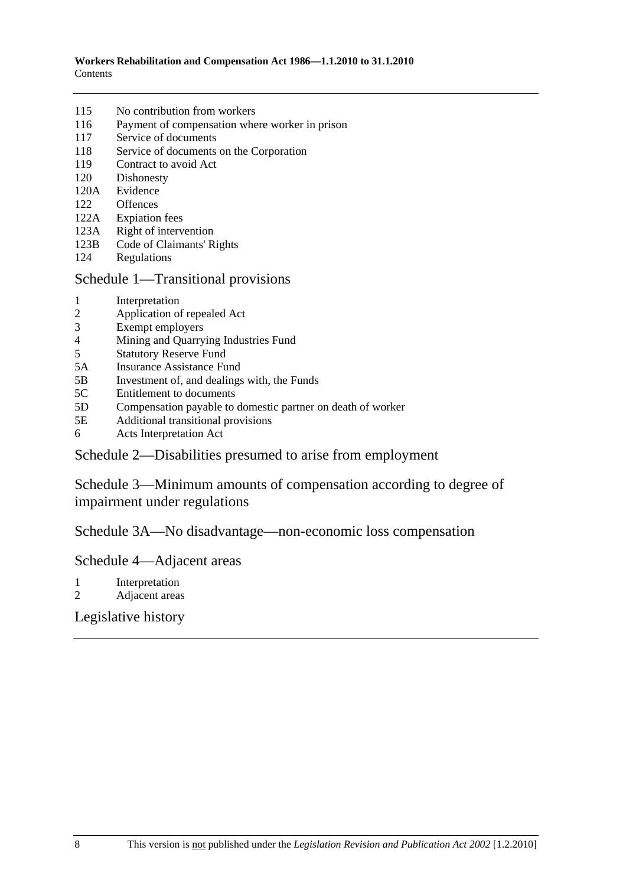| 115 | No contribution from workers |  |
|-----|------------------------------|--|
|-----|------------------------------|--|

- 116 Payment of compensation where worker in prison
- 117 Service of documents
- 118 Service of documents on the Corporation
- 119 Contract to avoid Act
- 120 Dishonesty
- 120A Evidence
- 122 Offences
- 122A Expiation fees
- 123A Right of intervention
- 123B Code of Claimants' Rights
- 124 Regulations

### Schedule 1—Transitional provisions

- 1 Interpretation
- 2 Application of repealed Act
- 3 Exempt employers
- 4 Mining and Quarrying Industries Fund<br>5 Statutory Reserve Fund
- 5 Statutory Reserve Fund
- 5A Insurance Assistance Fund
- 5B Investment of, and dealings with, the Funds
- 5C Entitlement to documents
- 5D Compensation payable to domestic partner on death of worker
- 5E Additional transitional provisions
- 6 Acts Interpretation Act

### Schedule 2—Disabilities presumed to arise from employment

Schedule 3—Minimum amounts of compensation according to degree of impairment under regulations

Schedule 3A—No disadvantage—non-economic loss compensation

### Schedule 4—Adjacent areas

- 1 Interpretation
- 2 Adjacent areas

### Legislative history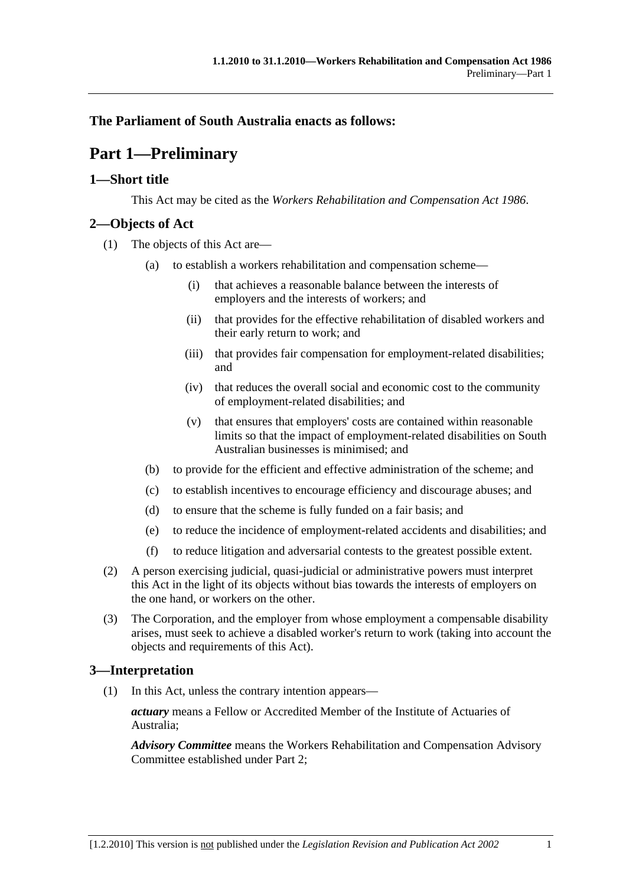### **The Parliament of South Australia enacts as follows:**

## **Part 1—Preliminary**

### **1—Short title**

This Act may be cited as the *Workers Rehabilitation and Compensation Act 1986*.

### **2—Objects of Act**

- (1) The objects of this Act are—
	- (a) to establish a workers rehabilitation and compensation scheme—
		- (i) that achieves a reasonable balance between the interests of employers and the interests of workers; and
		- (ii) that provides for the effective rehabilitation of disabled workers and their early return to work; and
		- (iii) that provides fair compensation for employment-related disabilities; and
		- (iv) that reduces the overall social and economic cost to the community of employment-related disabilities; and
		- (v) that ensures that employers' costs are contained within reasonable limits so that the impact of employment-related disabilities on South Australian businesses is minimised; and
	- (b) to provide for the efficient and effective administration of the scheme; and
	- (c) to establish incentives to encourage efficiency and discourage abuses; and
	- (d) to ensure that the scheme is fully funded on a fair basis; and
	- (e) to reduce the incidence of employment-related accidents and disabilities; and
	- (f) to reduce litigation and adversarial contests to the greatest possible extent.
- (2) A person exercising judicial, quasi-judicial or administrative powers must interpret this Act in the light of its objects without bias towards the interests of employers on the one hand, or workers on the other.
- (3) The Corporation, and the employer from whose employment a compensable disability arises, must seek to achieve a disabled worker's return to work (taking into account the objects and requirements of this Act).

### **3—Interpretation**

(1) In this Act, unless the contrary intention appears—

*actuary* means a Fellow or Accredited Member of the Institute of Actuaries of Australia;

*Advisory Committee* means the Workers Rehabilitation and Compensation Advisory Committee established under Part 2;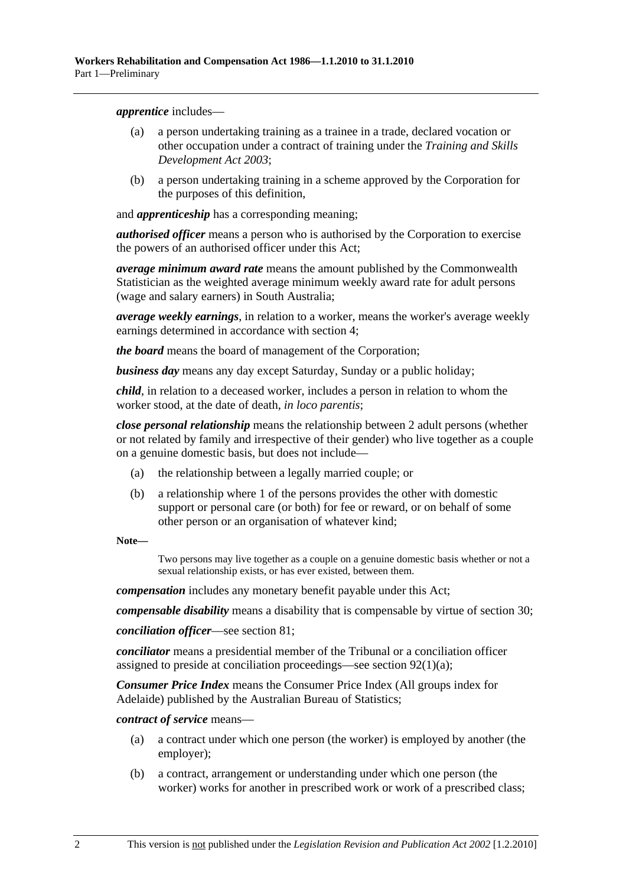*apprentice* includes—

- (a) a person undertaking training as a trainee in a trade, declared vocation or other occupation under a contract of training under the *Training and Skills Development Act 2003*;
- (b) a person undertaking training in a scheme approved by the Corporation for the purposes of this definition,

and *apprenticeship* has a corresponding meaning;

*authorised officer* means a person who is authorised by the Corporation to exercise the powers of an authorised officer under this Act;

*average minimum award rate* means the amount published by the Commonwealth Statistician as the weighted average minimum weekly award rate for adult persons (wage and salary earners) in South Australia;

*average weekly earnings*, in relation to a worker, means the worker's average weekly earnings determined in accordance with section 4;

*the board* means the board of management of the Corporation;

*business day* means any day except Saturday, Sunday or a public holiday;

*child*, in relation to a deceased worker, includes a person in relation to whom the worker stood, at the date of death, *in loco parentis*;

*close personal relationship* means the relationship between 2 adult persons (whether or not related by family and irrespective of their gender) who live together as a couple on a genuine domestic basis, but does not include—

- (a) the relationship between a legally married couple; or
- (b) a relationship where 1 of the persons provides the other with domestic support or personal care (or both) for fee or reward, or on behalf of some other person or an organisation of whatever kind;

**Note—** 

Two persons may live together as a couple on a genuine domestic basis whether or not a sexual relationship exists, or has ever existed, between them.

*compensation* includes any monetary benefit payable under this Act;

*compensable disability* means a disability that is compensable by virtue of section 30;

*conciliation officer*—see section 81;

*conciliator* means a presidential member of the Tribunal or a conciliation officer assigned to preside at conciliation proceedings—see section 92(1)(a);

*Consumer Price Index* means the Consumer Price Index (All groups index for Adelaide) published by the Australian Bureau of Statistics;

*contract of service* means—

- (a) a contract under which one person (the worker) is employed by another (the employer);
- (b) a contract, arrangement or understanding under which one person (the worker) works for another in prescribed work or work of a prescribed class;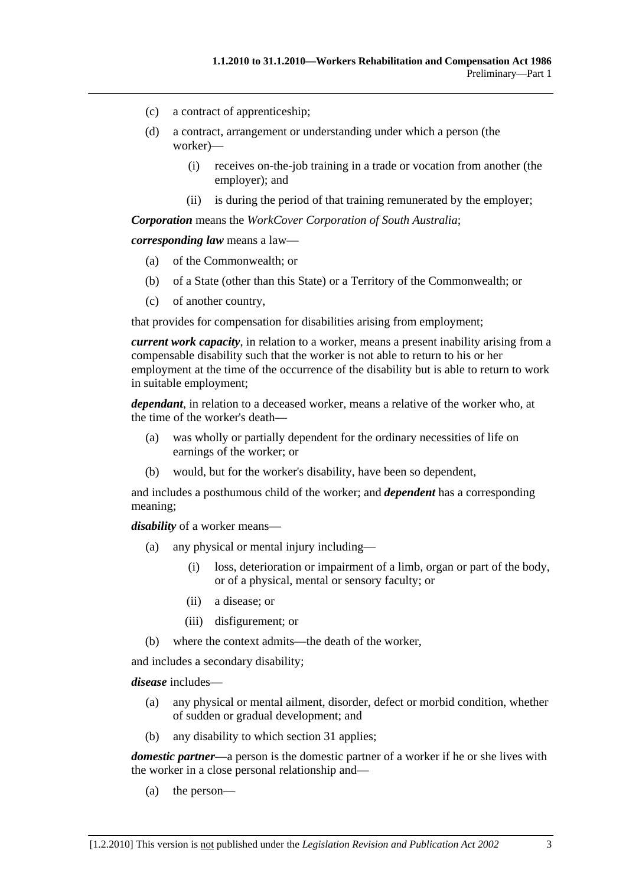- (c) a contract of apprenticeship;
- (d) a contract, arrangement or understanding under which a person (the worker)—
	- (i) receives on-the-job training in a trade or vocation from another (the employer); and
	- (ii) is during the period of that training remunerated by the employer;

*Corporation* means the *WorkCover Corporation of South Australia*;

*corresponding law* means a law—

- (a) of the Commonwealth; or
- (b) of a State (other than this State) or a Territory of the Commonwealth; or
- (c) of another country,

that provides for compensation for disabilities arising from employment;

*current work capacity*, in relation to a worker, means a present inability arising from a compensable disability such that the worker is not able to return to his or her employment at the time of the occurrence of the disability but is able to return to work in suitable employment;

*dependant*, in relation to a deceased worker, means a relative of the worker who, at the time of the worker's death—

- (a) was wholly or partially dependent for the ordinary necessities of life on earnings of the worker; or
- (b) would, but for the worker's disability, have been so dependent,

and includes a posthumous child of the worker; and *dependent* has a corresponding meaning;

*disability* of a worker means—

- (a) any physical or mental injury including—
	- (i) loss, deterioration or impairment of a limb, organ or part of the body, or of a physical, mental or sensory faculty; or
	- (ii) a disease; or
	- (iii) disfigurement; or
- (b) where the context admits—the death of the worker,

and includes a secondary disability;

*disease* includes—

- (a) any physical or mental ailment, disorder, defect or morbid condition, whether of sudden or gradual development; and
- (b) any disability to which section 31 applies;

*domestic partner*—a person is the domestic partner of a worker if he or she lives with the worker in a close personal relationship and—

(a) the person—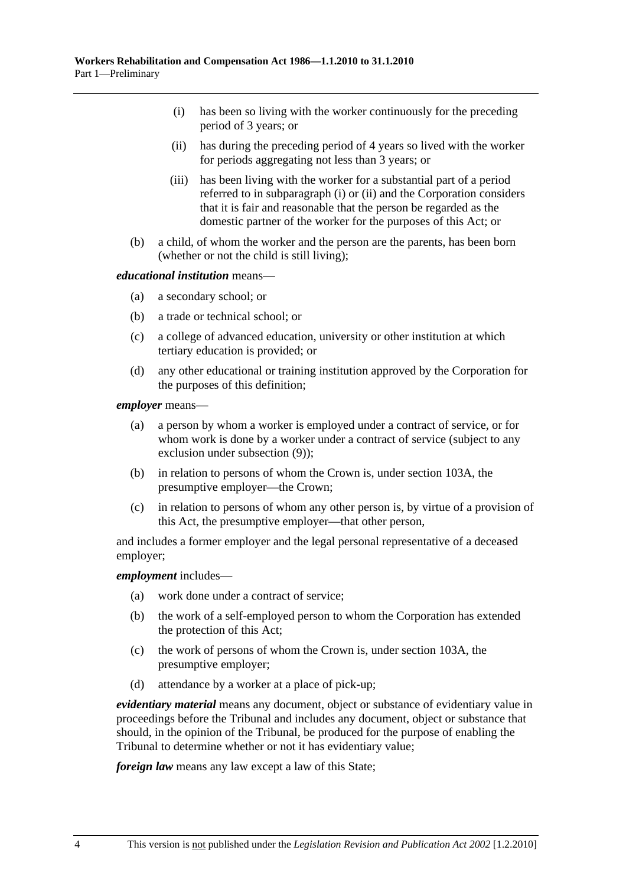- (i) has been so living with the worker continuously for the preceding period of 3 years; or
- (ii) has during the preceding period of 4 years so lived with the worker for periods aggregating not less than 3 years; or
- (iii) has been living with the worker for a substantial part of a period referred to in subparagraph (i) or (ii) and the Corporation considers that it is fair and reasonable that the person be regarded as the domestic partner of the worker for the purposes of this Act; or
- (b) a child, of whom the worker and the person are the parents, has been born (whether or not the child is still living);

#### *educational institution* means—

- (a) a secondary school; or
- (b) a trade or technical school; or
- (c) a college of advanced education, university or other institution at which tertiary education is provided; or
- (d) any other educational or training institution approved by the Corporation for the purposes of this definition;

*employer* means—

- (a) a person by whom a worker is employed under a contract of service, or for whom work is done by a worker under a contract of service (subject to any exclusion under subsection (9));
- (b) in relation to persons of whom the Crown is, under section 103A, the presumptive employer—the Crown;
- (c) in relation to persons of whom any other person is, by virtue of a provision of this Act, the presumptive employer—that other person,

and includes a former employer and the legal personal representative of a deceased employer;

#### *employment* includes—

- (a) work done under a contract of service;
- (b) the work of a self-employed person to whom the Corporation has extended the protection of this Act;
- (c) the work of persons of whom the Crown is, under section 103A, the presumptive employer;
- (d) attendance by a worker at a place of pick-up;

*evidentiary material* means any document, object or substance of evidentiary value in proceedings before the Tribunal and includes any document, object or substance that should, in the opinion of the Tribunal, be produced for the purpose of enabling the Tribunal to determine whether or not it has evidentiary value;

*foreign law* means any law except a law of this State;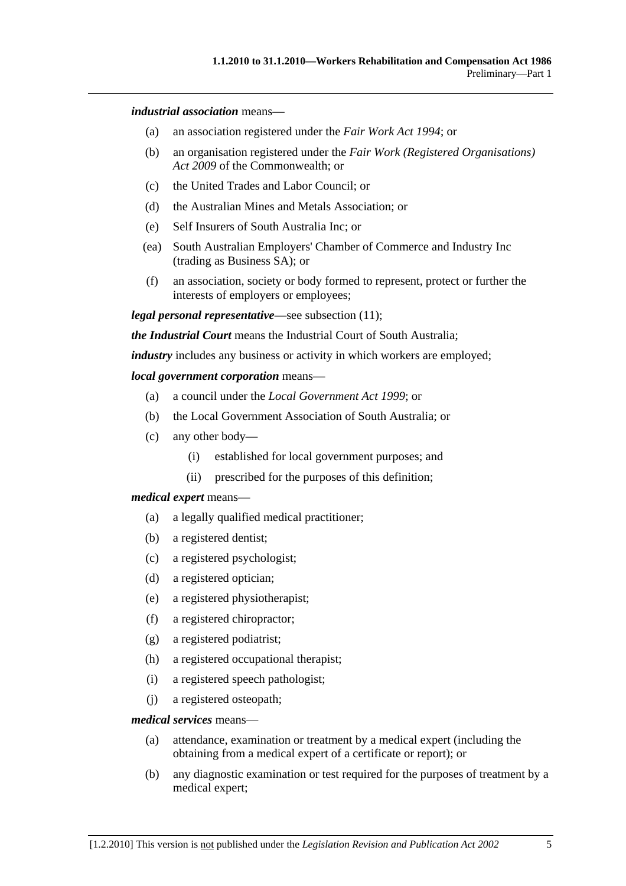#### *industrial association* means—

- (a) an association registered under the *Fair Work Act 1994*; or
- (b) an organisation registered under the *Fair Work (Registered Organisations) Act 2009* of the Commonwealth; or
- (c) the United Trades and Labor Council; or
- (d) the Australian Mines and Metals Association; or
- (e) Self Insurers of South Australia Inc; or
- (ea) South Australian Employers' Chamber of Commerce and Industry Inc (trading as Business SA); or
- (f) an association, society or body formed to represent, protect or further the interests of employers or employees;

*legal personal representative*—see subsection (11);

*the Industrial Court* means the Industrial Court of South Australia;

*industry* includes any business or activity in which workers are employed;

#### *local government corporation* means—

- (a) a council under the *Local Government Act 1999*; or
- (b) the Local Government Association of South Australia; or
- (c) any other body—
	- (i) established for local government purposes; and
	- (ii) prescribed for the purposes of this definition;

#### *medical expert* means—

- (a) a legally qualified medical practitioner;
- (b) a registered dentist;
- (c) a registered psychologist;
- (d) a registered optician;
- (e) a registered physiotherapist;
- (f) a registered chiropractor;
- (g) a registered podiatrist;
- (h) a registered occupational therapist;
- (i) a registered speech pathologist;
- (j) a registered osteopath;

#### *medical services* means—

- (a) attendance, examination or treatment by a medical expert (including the obtaining from a medical expert of a certificate or report); or
- (b) any diagnostic examination or test required for the purposes of treatment by a medical expert;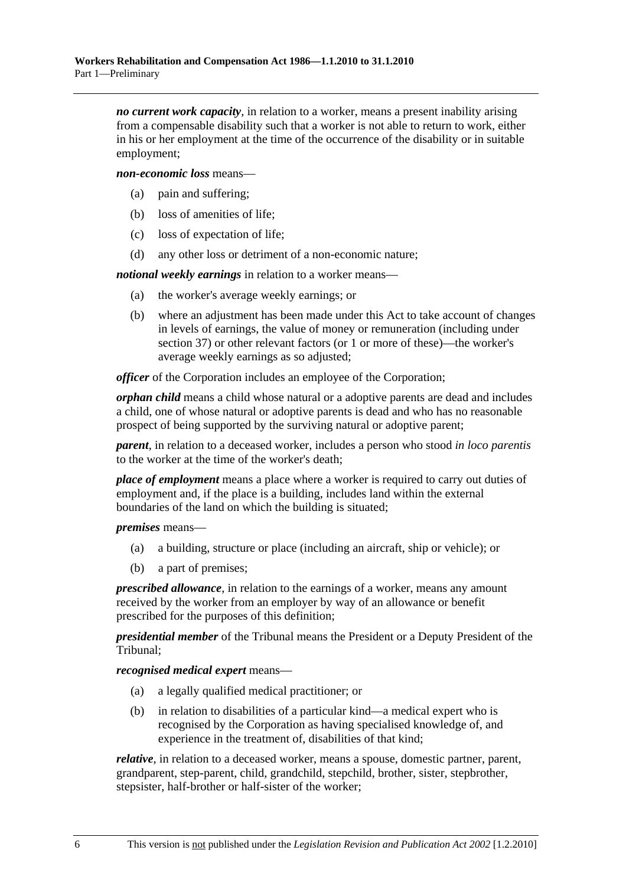*no current work capacity*, in relation to a worker, means a present inability arising from a compensable disability such that a worker is not able to return to work, either in his or her employment at the time of the occurrence of the disability or in suitable employment;

*non-economic loss* means—

- (a) pain and suffering;
- (b) loss of amenities of life;
- (c) loss of expectation of life;
- (d) any other loss or detriment of a non-economic nature;

*notional weekly earnings* in relation to a worker means—

- (a) the worker's average weekly earnings; or
- (b) where an adjustment has been made under this Act to take account of changes in levels of earnings, the value of money or remuneration (including under section 37) or other relevant factors (or 1 or more of these)—the worker's average weekly earnings as so adjusted;

*officer* of the Corporation includes an employee of the Corporation;

*orphan child* means a child whose natural or a adoptive parents are dead and includes a child, one of whose natural or adoptive parents is dead and who has no reasonable prospect of being supported by the surviving natural or adoptive parent;

*parent*, in relation to a deceased worker, includes a person who stood *in loco parentis* to the worker at the time of the worker's death;

*place of employment* means a place where a worker is required to carry out duties of employment and, if the place is a building, includes land within the external boundaries of the land on which the building is situated;

*premises* means—

- (a) a building, structure or place (including an aircraft, ship or vehicle); or
- (b) a part of premises;

*prescribed allowance*, in relation to the earnings of a worker, means any amount received by the worker from an employer by way of an allowance or benefit prescribed for the purposes of this definition;

*presidential member* of the Tribunal means the President or a Deputy President of the Tribunal;

*recognised medical expert* means—

- (a) a legally qualified medical practitioner; or
- (b) in relation to disabilities of a particular kind—a medical expert who is recognised by the Corporation as having specialised knowledge of, and experience in the treatment of, disabilities of that kind;

*relative*, in relation to a deceased worker, means a spouse, domestic partner, parent, grandparent, step-parent, child, grandchild, stepchild, brother, sister, stepbrother, stepsister, half-brother or half-sister of the worker;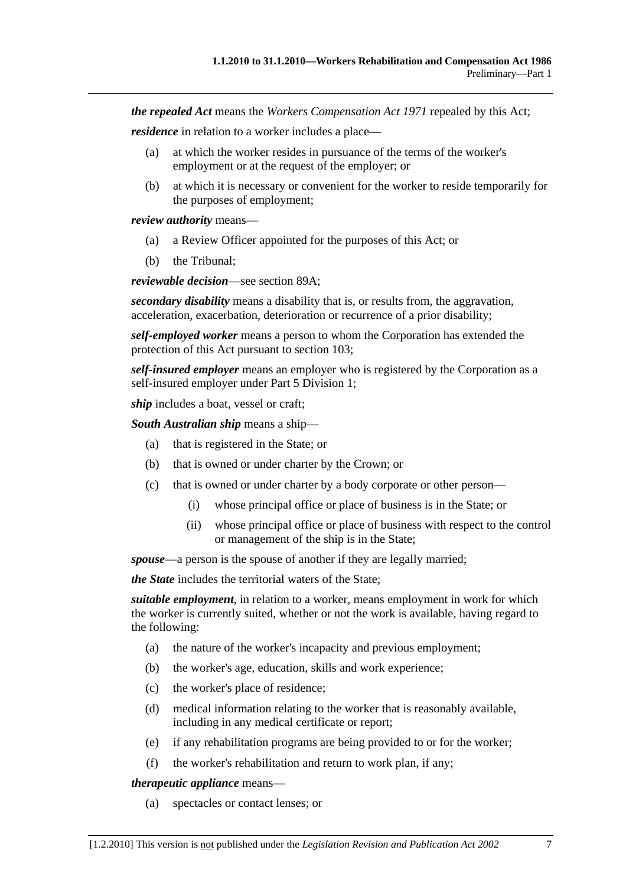*the repealed Act* means the *Workers Compensation Act 1971* repealed by this Act;

*residence* in relation to a worker includes a place—

- (a) at which the worker resides in pursuance of the terms of the worker's employment or at the request of the employer; or
- (b) at which it is necessary or convenient for the worker to reside temporarily for the purposes of employment;

*review authority* means—

- (a) a Review Officer appointed for the purposes of this Act; or
- (b) the Tribunal;

*reviewable decision*—see section 89A;

*secondary disability* means a disability that is, or results from, the aggravation, acceleration, exacerbation, deterioration or recurrence of a prior disability;

*self-employed worker* means a person to whom the Corporation has extended the protection of this Act pursuant to section 103;

*self-insured employer* means an employer who is registered by the Corporation as a self-insured employer under Part 5 Division 1;

*ship* includes a boat, vessel or craft;

*South Australian ship* means a ship—

- (a) that is registered in the State; or
- (b) that is owned or under charter by the Crown; or
- (c) that is owned or under charter by a body corporate or other person—
	- (i) whose principal office or place of business is in the State; or
	- (ii) whose principal office or place of business with respect to the control or management of the ship is in the State;

*spouse*—a person is the spouse of another if they are legally married;

*the State* includes the territorial waters of the State;

*suitable employment*, in relation to a worker, means employment in work for which the worker is currently suited, whether or not the work is available, having regard to the following:

- (a) the nature of the worker's incapacity and previous employment;
- (b) the worker's age, education, skills and work experience;
- (c) the worker's place of residence;
- (d) medical information relating to the worker that is reasonably available, including in any medical certificate or report;
- (e) if any rehabilitation programs are being provided to or for the worker;
- (f) the worker's rehabilitation and return to work plan, if any;

*therapeutic appliance* means—

(a) spectacles or contact lenses; or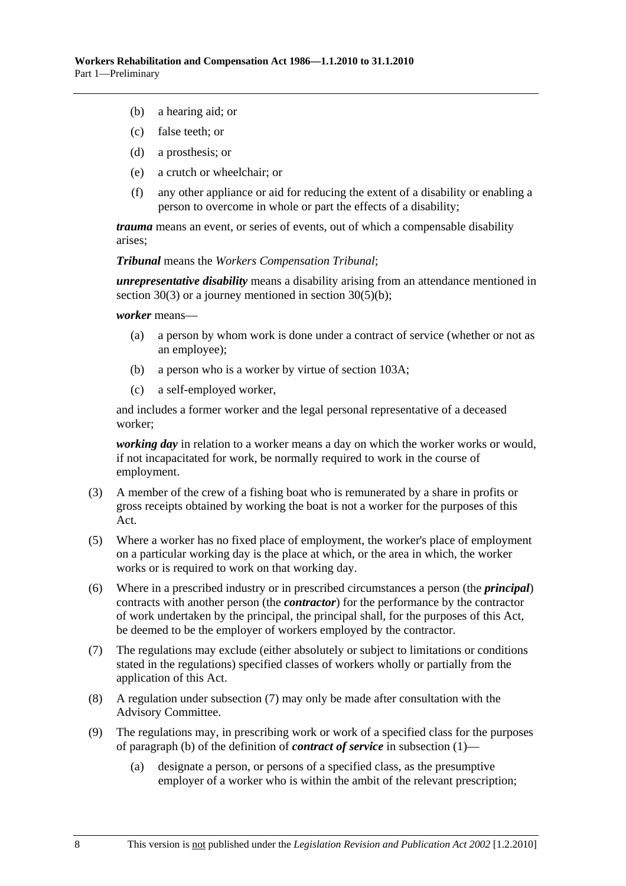- (b) a hearing aid; or
- (c) false teeth; or
- (d) a prosthesis; or
- (e) a crutch or wheelchair; or
- (f) any other appliance or aid for reducing the extent of a disability or enabling a person to overcome in whole or part the effects of a disability;

*trauma* means an event, or series of events, out of which a compensable disability arises;

*Tribunal* means the *Workers Compensation Tribunal*;

*unrepresentative disability* means a disability arising from an attendance mentioned in section 30(3) or a journey mentioned in section 30(5)(b);

*worker* means—

- (a) a person by whom work is done under a contract of service (whether or not as an employee);
- (b) a person who is a worker by virtue of section 103A;
- (c) a self-employed worker,

and includes a former worker and the legal personal representative of a deceased worker;

*working day* in relation to a worker means a day on which the worker works or would, if not incapacitated for work, be normally required to work in the course of employment.

- (3) A member of the crew of a fishing boat who is remunerated by a share in profits or gross receipts obtained by working the boat is not a worker for the purposes of this Act.
- (5) Where a worker has no fixed place of employment, the worker's place of employment on a particular working day is the place at which, or the area in which, the worker works or is required to work on that working day.
- (6) Where in a prescribed industry or in prescribed circumstances a person (the *principal*) contracts with another person (the *contractor*) for the performance by the contractor of work undertaken by the principal, the principal shall, for the purposes of this Act, be deemed to be the employer of workers employed by the contractor.
- (7) The regulations may exclude (either absolutely or subject to limitations or conditions stated in the regulations) specified classes of workers wholly or partially from the application of this Act.
- (8) A regulation under subsection (7) may only be made after consultation with the Advisory Committee.
- (9) The regulations may, in prescribing work or work of a specified class for the purposes of paragraph (b) of the definition of *contract of service* in subsection (1)—
	- (a) designate a person, or persons of a specified class, as the presumptive employer of a worker who is within the ambit of the relevant prescription;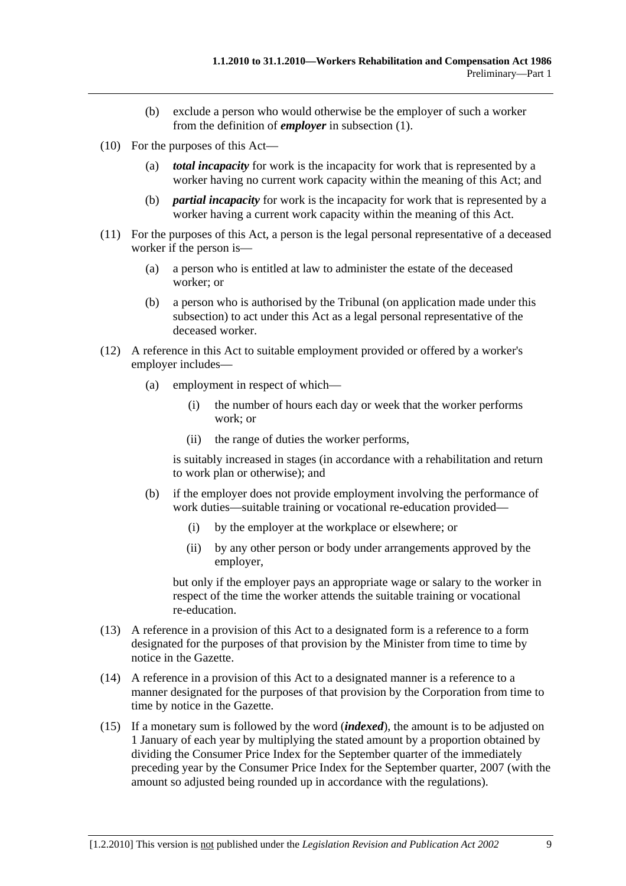- (b) exclude a person who would otherwise be the employer of such a worker from the definition of *employer* in subsection (1).
- (10) For the purposes of this Act—
	- (a) *total incapacity* for work is the incapacity for work that is represented by a worker having no current work capacity within the meaning of this Act; and
	- (b) *partial incapacity* for work is the incapacity for work that is represented by a worker having a current work capacity within the meaning of this Act.
- (11) For the purposes of this Act, a person is the legal personal representative of a deceased worker if the person is—
	- (a) a person who is entitled at law to administer the estate of the deceased worker; or
	- (b) a person who is authorised by the Tribunal (on application made under this subsection) to act under this Act as a legal personal representative of the deceased worker.
- (12) A reference in this Act to suitable employment provided or offered by a worker's employer includes—
	- (a) employment in respect of which—
		- (i) the number of hours each day or week that the worker performs work; or
		- (ii) the range of duties the worker performs,

is suitably increased in stages (in accordance with a rehabilitation and return to work plan or otherwise); and

- (b) if the employer does not provide employment involving the performance of work duties—suitable training or vocational re-education provided—
	- (i) by the employer at the workplace or elsewhere; or
	- (ii) by any other person or body under arrangements approved by the employer,

but only if the employer pays an appropriate wage or salary to the worker in respect of the time the worker attends the suitable training or vocational re-education.

- (13) A reference in a provision of this Act to a designated form is a reference to a form designated for the purposes of that provision by the Minister from time to time by notice in the Gazette.
- (14) A reference in a provision of this Act to a designated manner is a reference to a manner designated for the purposes of that provision by the Corporation from time to time by notice in the Gazette.
- (15) If a monetary sum is followed by the word (*indexed*), the amount is to be adjusted on 1 January of each year by multiplying the stated amount by a proportion obtained by dividing the Consumer Price Index for the September quarter of the immediately preceding year by the Consumer Price Index for the September quarter, 2007 (with the amount so adjusted being rounded up in accordance with the regulations).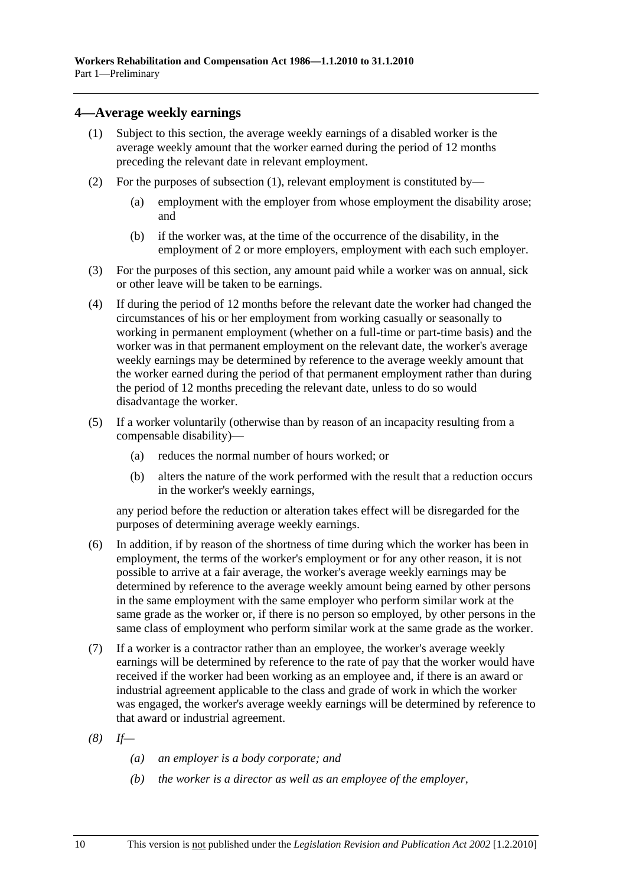### **4—Average weekly earnings**

- (1) Subject to this section, the average weekly earnings of a disabled worker is the average weekly amount that the worker earned during the period of 12 months preceding the relevant date in relevant employment.
- (2) For the purposes of subsection (1), relevant employment is constituted by—
	- (a) employment with the employer from whose employment the disability arose; and
	- (b) if the worker was, at the time of the occurrence of the disability, in the employment of 2 or more employers, employment with each such employer.
- (3) For the purposes of this section, any amount paid while a worker was on annual, sick or other leave will be taken to be earnings.
- (4) If during the period of 12 months before the relevant date the worker had changed the circumstances of his or her employment from working casually or seasonally to working in permanent employment (whether on a full-time or part-time basis) and the worker was in that permanent employment on the relevant date, the worker's average weekly earnings may be determined by reference to the average weekly amount that the worker earned during the period of that permanent employment rather than during the period of 12 months preceding the relevant date, unless to do so would disadvantage the worker.
- (5) If a worker voluntarily (otherwise than by reason of an incapacity resulting from a compensable disability)—
	- (a) reduces the normal number of hours worked; or
	- (b) alters the nature of the work performed with the result that a reduction occurs in the worker's weekly earnings,

any period before the reduction or alteration takes effect will be disregarded for the purposes of determining average weekly earnings.

- (6) In addition, if by reason of the shortness of time during which the worker has been in employment, the terms of the worker's employment or for any other reason, it is not possible to arrive at a fair average, the worker's average weekly earnings may be determined by reference to the average weekly amount being earned by other persons in the same employment with the same employer who perform similar work at the same grade as the worker or, if there is no person so employed, by other persons in the same class of employment who perform similar work at the same grade as the worker.
- (7) If a worker is a contractor rather than an employee, the worker's average weekly earnings will be determined by reference to the rate of pay that the worker would have received if the worker had been working as an employee and, if there is an award or industrial agreement applicable to the class and grade of work in which the worker was engaged, the worker's average weekly earnings will be determined by reference to that award or industrial agreement.
- *(8) If—* 
	- *(a) an employer is a body corporate; and*
	- *(b) the worker is a director as well as an employee of the employer,*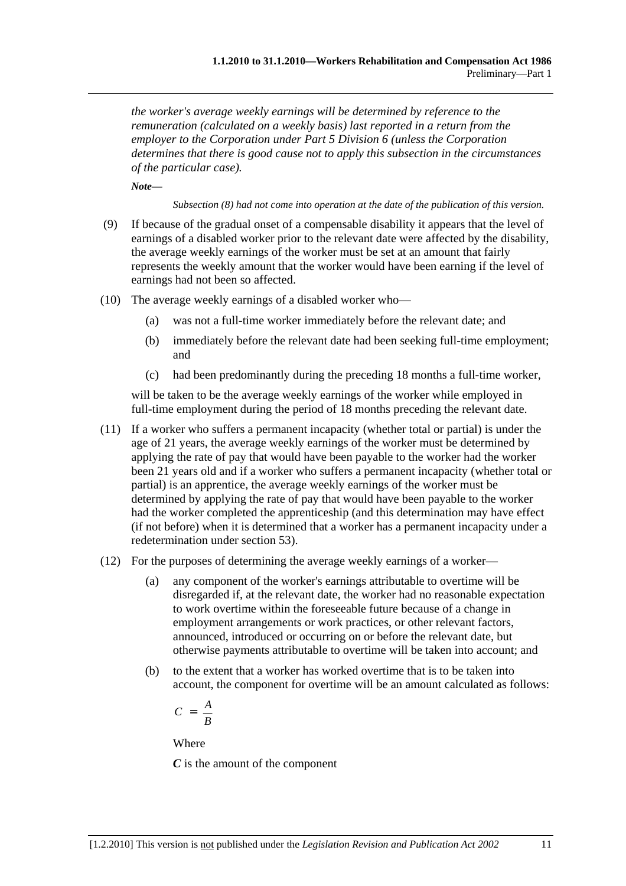*the worker's average weekly earnings will be determined by reference to the remuneration (calculated on a weekly basis) last reported in a return from the employer to the Corporation under Part 5 Division 6 (unless the Corporation determines that there is good cause not to apply this subsection in the circumstances of the particular case).* 

*Note—* 

*Subsection (8) had not come into operation at the date of the publication of this version.* 

- (9) If because of the gradual onset of a compensable disability it appears that the level of earnings of a disabled worker prior to the relevant date were affected by the disability, the average weekly earnings of the worker must be set at an amount that fairly represents the weekly amount that the worker would have been earning if the level of earnings had not been so affected.
- (10) The average weekly earnings of a disabled worker who—
	- (a) was not a full-time worker immediately before the relevant date; and
	- (b) immediately before the relevant date had been seeking full-time employment; and
	- (c) had been predominantly during the preceding 18 months a full-time worker,

will be taken to be the average weekly earnings of the worker while employed in full-time employment during the period of 18 months preceding the relevant date.

- (11) If a worker who suffers a permanent incapacity (whether total or partial) is under the age of 21 years, the average weekly earnings of the worker must be determined by applying the rate of pay that would have been payable to the worker had the worker been 21 years old and if a worker who suffers a permanent incapacity (whether total or partial) is an apprentice, the average weekly earnings of the worker must be determined by applying the rate of pay that would have been payable to the worker had the worker completed the apprenticeship (and this determination may have effect (if not before) when it is determined that a worker has a permanent incapacity under a redetermination under section 53).
- (12) For the purposes of determining the average weekly earnings of a worker—
	- (a) any component of the worker's earnings attributable to overtime will be disregarded if, at the relevant date, the worker had no reasonable expectation to work overtime within the foreseeable future because of a change in employment arrangements or work practices, or other relevant factors, announced, introduced or occurring on or before the relevant date, but otherwise payments attributable to overtime will be taken into account; and
	- (b) to the extent that a worker has worked overtime that is to be taken into account, the component for overtime will be an amount calculated as follows:

$$
C = \frac{A}{B}
$$

Where

*C* is the amount of the component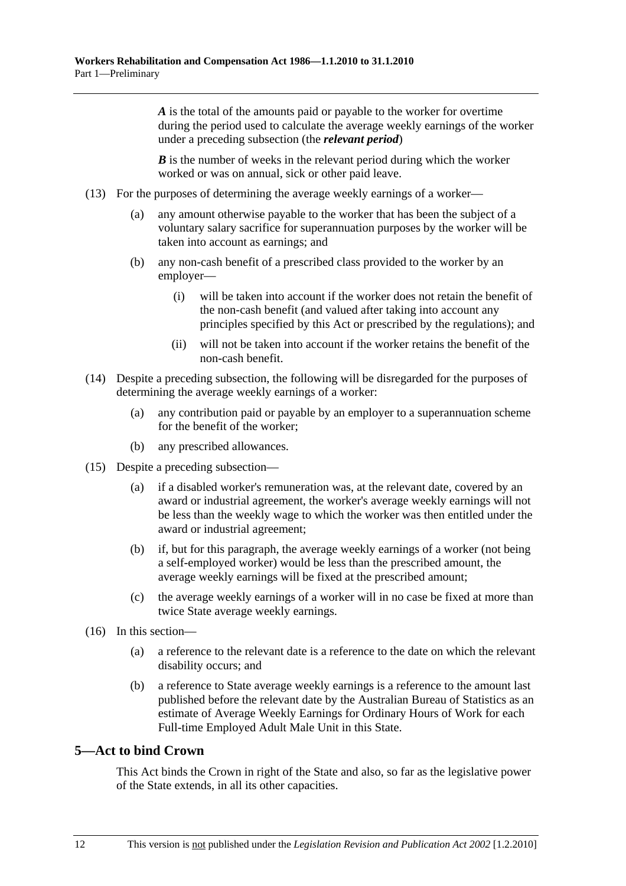*A* is the total of the amounts paid or payable to the worker for overtime during the period used to calculate the average weekly earnings of the worker under a preceding subsection (the *relevant period*)

*B* is the number of weeks in the relevant period during which the worker worked or was on annual, sick or other paid leave.

- (13) For the purposes of determining the average weekly earnings of a worker—
	- (a) any amount otherwise payable to the worker that has been the subject of a voluntary salary sacrifice for superannuation purposes by the worker will be taken into account as earnings; and
	- (b) any non-cash benefit of a prescribed class provided to the worker by an employer—
		- (i) will be taken into account if the worker does not retain the benefit of the non-cash benefit (and valued after taking into account any principles specified by this Act or prescribed by the regulations); and
		- (ii) will not be taken into account if the worker retains the benefit of the non-cash benefit.
- (14) Despite a preceding subsection, the following will be disregarded for the purposes of determining the average weekly earnings of a worker:
	- (a) any contribution paid or payable by an employer to a superannuation scheme for the benefit of the worker;
	- (b) any prescribed allowances.
- (15) Despite a preceding subsection—
	- (a) if a disabled worker's remuneration was, at the relevant date, covered by an award or industrial agreement, the worker's average weekly earnings will not be less than the weekly wage to which the worker was then entitled under the award or industrial agreement;
	- (b) if, but for this paragraph, the average weekly earnings of a worker (not being a self-employed worker) would be less than the prescribed amount, the average weekly earnings will be fixed at the prescribed amount;
	- (c) the average weekly earnings of a worker will in no case be fixed at more than twice State average weekly earnings.
- (16) In this section—
	- (a) a reference to the relevant date is a reference to the date on which the relevant disability occurs; and
	- (b) a reference to State average weekly earnings is a reference to the amount last published before the relevant date by the Australian Bureau of Statistics as an estimate of Average Weekly Earnings for Ordinary Hours of Work for each Full-time Employed Adult Male Unit in this State.

### **5—Act to bind Crown**

This Act binds the Crown in right of the State and also, so far as the legislative power of the State extends, in all its other capacities.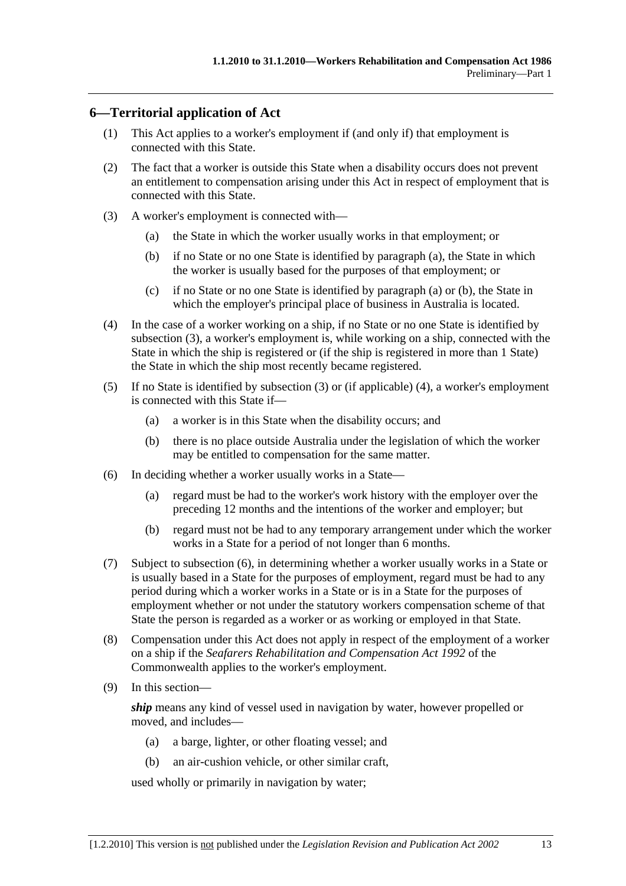### **6—Territorial application of Act**

- (1) This Act applies to a worker's employment if (and only if) that employment is connected with this State.
- (2) The fact that a worker is outside this State when a disability occurs does not prevent an entitlement to compensation arising under this Act in respect of employment that is connected with this State.
- (3) A worker's employment is connected with—
	- (a) the State in which the worker usually works in that employment; or
	- (b) if no State or no one State is identified by paragraph (a), the State in which the worker is usually based for the purposes of that employment; or
	- (c) if no State or no one State is identified by paragraph (a) or (b), the State in which the employer's principal place of business in Australia is located.
- (4) In the case of a worker working on a ship, if no State or no one State is identified by subsection (3), a worker's employment is, while working on a ship, connected with the State in which the ship is registered or (if the ship is registered in more than 1 State) the State in which the ship most recently became registered.
- (5) If no State is identified by subsection (3) or (if applicable) (4), a worker's employment is connected with this State if—
	- (a) a worker is in this State when the disability occurs; and
	- (b) there is no place outside Australia under the legislation of which the worker may be entitled to compensation for the same matter.
- (6) In deciding whether a worker usually works in a State—
	- (a) regard must be had to the worker's work history with the employer over the preceding 12 months and the intentions of the worker and employer; but
	- (b) regard must not be had to any temporary arrangement under which the worker works in a State for a period of not longer than 6 months.
- (7) Subject to subsection (6), in determining whether a worker usually works in a State or is usually based in a State for the purposes of employment, regard must be had to any period during which a worker works in a State or is in a State for the purposes of employment whether or not under the statutory workers compensation scheme of that State the person is regarded as a worker or as working or employed in that State.
- (8) Compensation under this Act does not apply in respect of the employment of a worker on a ship if the *Seafarers Rehabilitation and Compensation Act 1992* of the Commonwealth applies to the worker's employment.
- (9) In this section—

*ship* means any kind of vessel used in navigation by water, however propelled or moved, and includes—

- (a) a barge, lighter, or other floating vessel; and
- (b) an air-cushion vehicle, or other similar craft,

used wholly or primarily in navigation by water;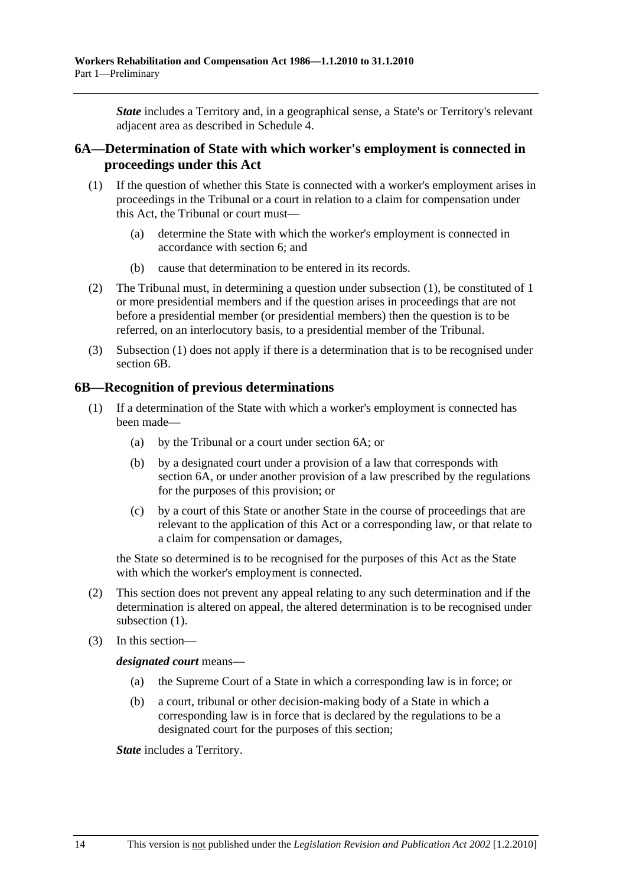*State* includes a Territory and, in a geographical sense, a State's or Territory's relevant adjacent area as described in Schedule 4.

### **6A—Determination of State with which worker's employment is connected in proceedings under this Act**

- (1) If the question of whether this State is connected with a worker's employment arises in proceedings in the Tribunal or a court in relation to a claim for compensation under this Act, the Tribunal or court must—
	- (a) determine the State with which the worker's employment is connected in accordance with section 6; and
	- (b) cause that determination to be entered in its records.
- (2) The Tribunal must, in determining a question under subsection (1), be constituted of 1 or more presidential members and if the question arises in proceedings that are not before a presidential member (or presidential members) then the question is to be referred, on an interlocutory basis, to a presidential member of the Tribunal.
- (3) Subsection (1) does not apply if there is a determination that is to be recognised under section 6B.

### **6B—Recognition of previous determinations**

- (1) If a determination of the State with which a worker's employment is connected has been made—
	- (a) by the Tribunal or a court under section 6A; or
	- (b) by a designated court under a provision of a law that corresponds with section 6A, or under another provision of a law prescribed by the regulations for the purposes of this provision; or
	- (c) by a court of this State or another State in the course of proceedings that are relevant to the application of this Act or a corresponding law, or that relate to a claim for compensation or damages,

the State so determined is to be recognised for the purposes of this Act as the State with which the worker's employment is connected.

- (2) This section does not prevent any appeal relating to any such determination and if the determination is altered on appeal, the altered determination is to be recognised under subsection  $(1)$ .
- (3) In this section—

*designated court* means—

- (a) the Supreme Court of a State in which a corresponding law is in force; or
- (b) a court, tribunal or other decision-making body of a State in which a corresponding law is in force that is declared by the regulations to be a designated court for the purposes of this section;

*State* includes a Territory.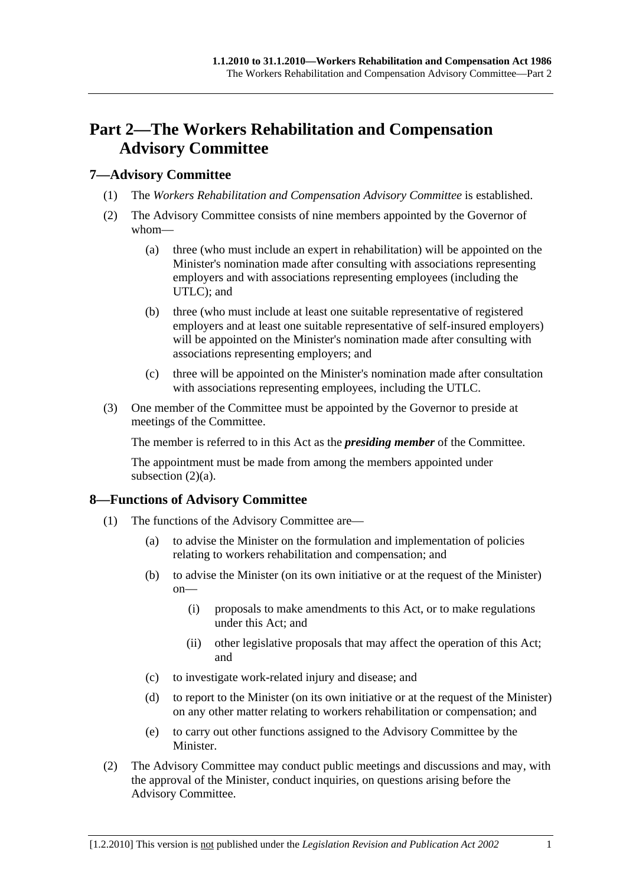## **Part 2—The Workers Rehabilitation and Compensation Advisory Committee**

### **7—Advisory Committee**

- (1) The *Workers Rehabilitation and Compensation Advisory Committee* is established.
- (2) The Advisory Committee consists of nine members appointed by the Governor of whom—
	- (a) three (who must include an expert in rehabilitation) will be appointed on the Minister's nomination made after consulting with associations representing employers and with associations representing employees (including the UTLC); and
	- (b) three (who must include at least one suitable representative of registered employers and at least one suitable representative of self-insured employers) will be appointed on the Minister's nomination made after consulting with associations representing employers; and
	- (c) three will be appointed on the Minister's nomination made after consultation with associations representing employees, including the UTLC.
- (3) One member of the Committee must be appointed by the Governor to preside at meetings of the Committee.

The member is referred to in this Act as the *presiding member* of the Committee.

The appointment must be made from among the members appointed under subsection  $(2)(a)$ .

### **8—Functions of Advisory Committee**

- (1) The functions of the Advisory Committee are—
	- (a) to advise the Minister on the formulation and implementation of policies relating to workers rehabilitation and compensation; and
	- (b) to advise the Minister (on its own initiative or at the request of the Minister) on—
		- (i) proposals to make amendments to this Act, or to make regulations under this Act; and
		- (ii) other legislative proposals that may affect the operation of this Act; and
	- (c) to investigate work-related injury and disease; and
	- (d) to report to the Minister (on its own initiative or at the request of the Minister) on any other matter relating to workers rehabilitation or compensation; and
	- (e) to carry out other functions assigned to the Advisory Committee by the Minister.
- (2) The Advisory Committee may conduct public meetings and discussions and may, with the approval of the Minister, conduct inquiries, on questions arising before the Advisory Committee.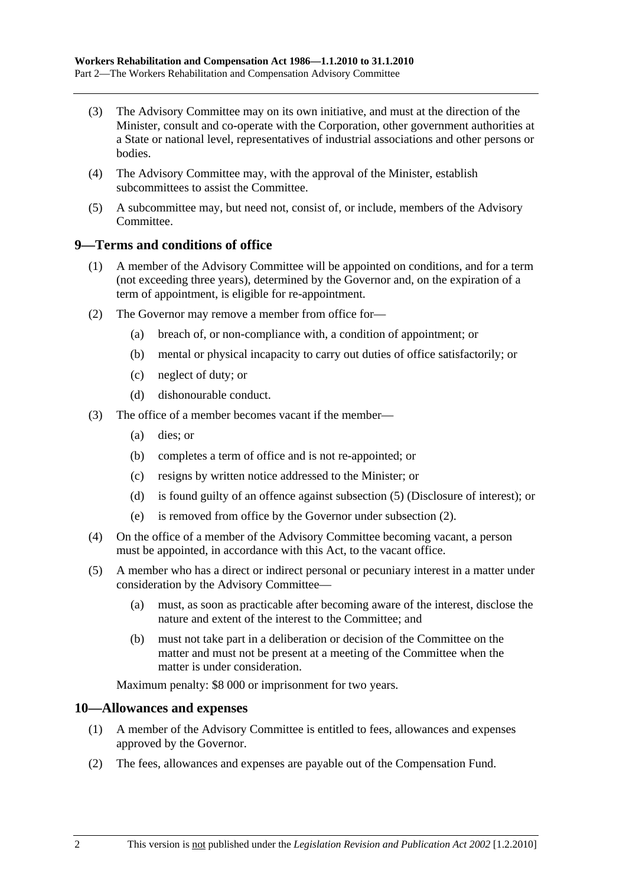- (3) The Advisory Committee may on its own initiative, and must at the direction of the Minister, consult and co-operate with the Corporation, other government authorities at a State or national level, representatives of industrial associations and other persons or bodies.
- (4) The Advisory Committee may, with the approval of the Minister, establish subcommittees to assist the Committee.
- (5) A subcommittee may, but need not, consist of, or include, members of the Advisory Committee.

### **9—Terms and conditions of office**

- (1) A member of the Advisory Committee will be appointed on conditions, and for a term (not exceeding three years), determined by the Governor and, on the expiration of a term of appointment, is eligible for re-appointment.
- (2) The Governor may remove a member from office for—
	- (a) breach of, or non-compliance with, a condition of appointment; or
	- (b) mental or physical incapacity to carry out duties of office satisfactorily; or
	- (c) neglect of duty; or
	- (d) dishonourable conduct.
- (3) The office of a member becomes vacant if the member—
	- (a) dies; or
	- (b) completes a term of office and is not re-appointed; or
	- (c) resigns by written notice addressed to the Minister; or
	- (d) is found guilty of an offence against subsection (5) (Disclosure of interest); or
	- (e) is removed from office by the Governor under subsection (2).
- (4) On the office of a member of the Advisory Committee becoming vacant, a person must be appointed, in accordance with this Act, to the vacant office.
- (5) A member who has a direct or indirect personal or pecuniary interest in a matter under consideration by the Advisory Committee—
	- (a) must, as soon as practicable after becoming aware of the interest, disclose the nature and extent of the interest to the Committee; and
	- (b) must not take part in a deliberation or decision of the Committee on the matter and must not be present at a meeting of the Committee when the matter is under consideration.

Maximum penalty: \$8 000 or imprisonment for two years.

### **10—Allowances and expenses**

- (1) A member of the Advisory Committee is entitled to fees, allowances and expenses approved by the Governor.
- (2) The fees, allowances and expenses are payable out of the Compensation Fund.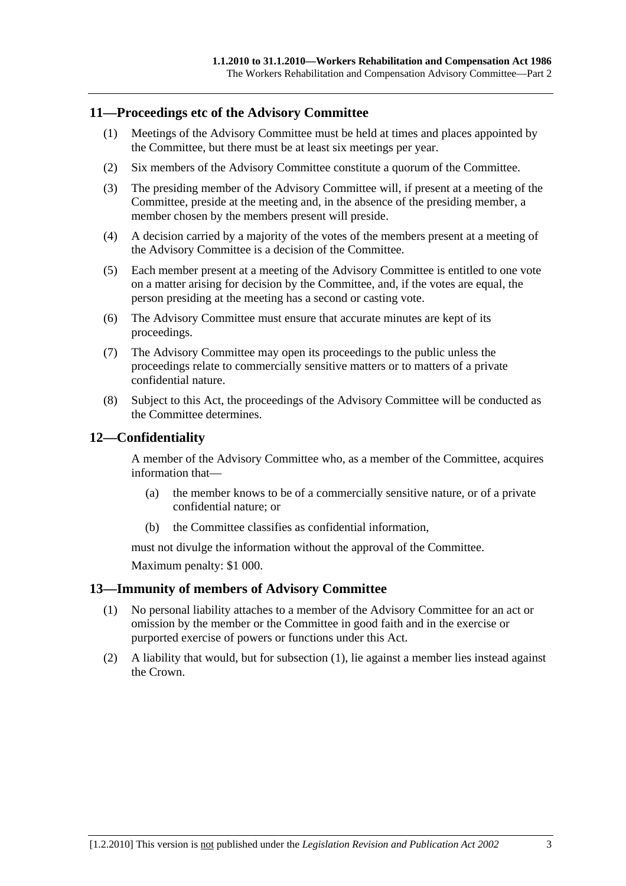### **11—Proceedings etc of the Advisory Committee**

- (1) Meetings of the Advisory Committee must be held at times and places appointed by the Committee, but there must be at least six meetings per year.
- (2) Six members of the Advisory Committee constitute a quorum of the Committee.
- (3) The presiding member of the Advisory Committee will, if present at a meeting of the Committee, preside at the meeting and, in the absence of the presiding member, a member chosen by the members present will preside.
- (4) A decision carried by a majority of the votes of the members present at a meeting of the Advisory Committee is a decision of the Committee.
- (5) Each member present at a meeting of the Advisory Committee is entitled to one vote on a matter arising for decision by the Committee, and, if the votes are equal, the person presiding at the meeting has a second or casting vote.
- (6) The Advisory Committee must ensure that accurate minutes are kept of its proceedings.
- (7) The Advisory Committee may open its proceedings to the public unless the proceedings relate to commercially sensitive matters or to matters of a private confidential nature.
- (8) Subject to this Act, the proceedings of the Advisory Committee will be conducted as the Committee determines.

### **12—Confidentiality**

A member of the Advisory Committee who, as a member of the Committee, acquires information that—

- (a) the member knows to be of a commercially sensitive nature, or of a private confidential nature; or
- (b) the Committee classifies as confidential information,

must not divulge the information without the approval of the Committee.

Maximum penalty: \$1 000.

### **13—Immunity of members of Advisory Committee**

- (1) No personal liability attaches to a member of the Advisory Committee for an act or omission by the member or the Committee in good faith and in the exercise or purported exercise of powers or functions under this Act.
- (2) A liability that would, but for subsection (1), lie against a member lies instead against the Crown.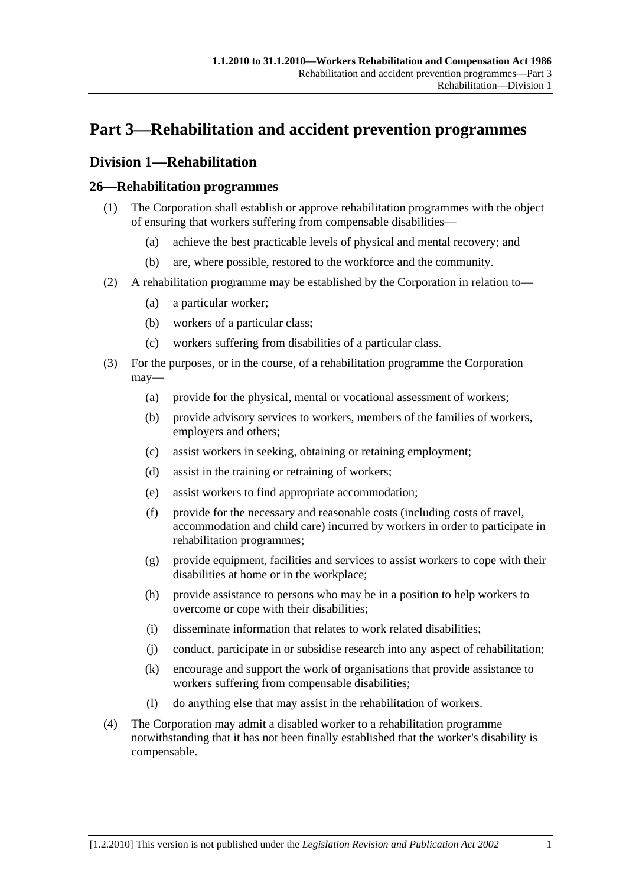## **Part 3—Rehabilitation and accident prevention programmes**

### **Division 1—Rehabilitation**

### **26—Rehabilitation programmes**

- (1) The Corporation shall establish or approve rehabilitation programmes with the object of ensuring that workers suffering from compensable disabilities—
	- (a) achieve the best practicable levels of physical and mental recovery; and
	- (b) are, where possible, restored to the workforce and the community.
- (2) A rehabilitation programme may be established by the Corporation in relation to—
	- (a) a particular worker;
	- (b) workers of a particular class;
	- (c) workers suffering from disabilities of a particular class.
- (3) For the purposes, or in the course, of a rehabilitation programme the Corporation may—
	- (a) provide for the physical, mental or vocational assessment of workers;
	- (b) provide advisory services to workers, members of the families of workers, employers and others;
	- (c) assist workers in seeking, obtaining or retaining employment;
	- (d) assist in the training or retraining of workers;
	- (e) assist workers to find appropriate accommodation;
	- (f) provide for the necessary and reasonable costs (including costs of travel, accommodation and child care) incurred by workers in order to participate in rehabilitation programmes;
	- (g) provide equipment, facilities and services to assist workers to cope with their disabilities at home or in the workplace;
	- (h) provide assistance to persons who may be in a position to help workers to overcome or cope with their disabilities;
	- (i) disseminate information that relates to work related disabilities;
	- (j) conduct, participate in or subsidise research into any aspect of rehabilitation;
	- (k) encourage and support the work of organisations that provide assistance to workers suffering from compensable disabilities;
	- (l) do anything else that may assist in the rehabilitation of workers.
- (4) The Corporation may admit a disabled worker to a rehabilitation programme notwithstanding that it has not been finally established that the worker's disability is compensable.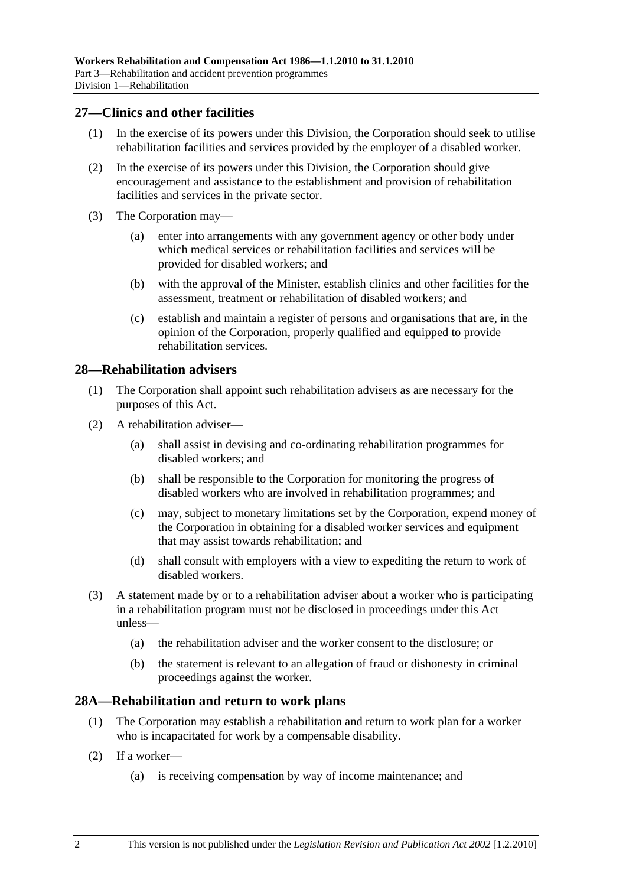### **27—Clinics and other facilities**

- (1) In the exercise of its powers under this Division, the Corporation should seek to utilise rehabilitation facilities and services provided by the employer of a disabled worker.
- (2) In the exercise of its powers under this Division, the Corporation should give encouragement and assistance to the establishment and provision of rehabilitation facilities and services in the private sector.
- (3) The Corporation may—
	- (a) enter into arrangements with any government agency or other body under which medical services or rehabilitation facilities and services will be provided for disabled workers; and
	- (b) with the approval of the Minister, establish clinics and other facilities for the assessment, treatment or rehabilitation of disabled workers; and
	- (c) establish and maintain a register of persons and organisations that are, in the opinion of the Corporation, properly qualified and equipped to provide rehabilitation services.

### **28—Rehabilitation advisers**

- (1) The Corporation shall appoint such rehabilitation advisers as are necessary for the purposes of this Act.
- (2) A rehabilitation adviser—
	- (a) shall assist in devising and co-ordinating rehabilitation programmes for disabled workers; and
	- (b) shall be responsible to the Corporation for monitoring the progress of disabled workers who are involved in rehabilitation programmes; and
	- (c) may, subject to monetary limitations set by the Corporation, expend money of the Corporation in obtaining for a disabled worker services and equipment that may assist towards rehabilitation; and
	- (d) shall consult with employers with a view to expediting the return to work of disabled workers.
- (3) A statement made by or to a rehabilitation adviser about a worker who is participating in a rehabilitation program must not be disclosed in proceedings under this Act unless—
	- (a) the rehabilitation adviser and the worker consent to the disclosure; or
	- (b) the statement is relevant to an allegation of fraud or dishonesty in criminal proceedings against the worker.

### **28A—Rehabilitation and return to work plans**

- (1) The Corporation may establish a rehabilitation and return to work plan for a worker who is incapacitated for work by a compensable disability.
- (2) If a worker—
	- (a) is receiving compensation by way of income maintenance; and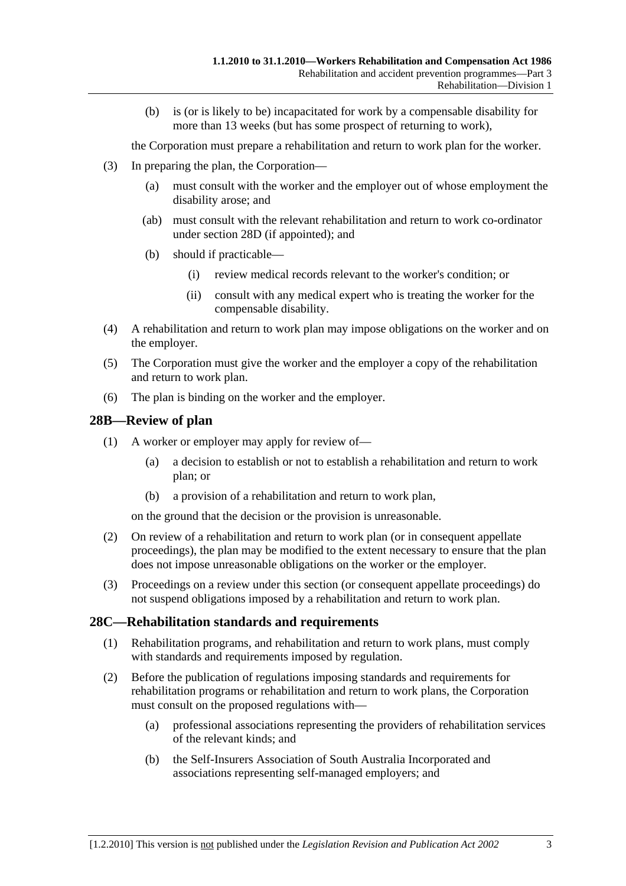(b) is (or is likely to be) incapacitated for work by a compensable disability for more than 13 weeks (but has some prospect of returning to work),

the Corporation must prepare a rehabilitation and return to work plan for the worker.

- (3) In preparing the plan, the Corporation—
	- (a) must consult with the worker and the employer out of whose employment the disability arose; and
	- (ab) must consult with the relevant rehabilitation and return to work co-ordinator under section 28D (if appointed); and
	- (b) should if practicable—
		- (i) review medical records relevant to the worker's condition; or
		- (ii) consult with any medical expert who is treating the worker for the compensable disability.
- (4) A rehabilitation and return to work plan may impose obligations on the worker and on the employer.
- (5) The Corporation must give the worker and the employer a copy of the rehabilitation and return to work plan.
- (6) The plan is binding on the worker and the employer.

### **28B—Review of plan**

- (1) A worker or employer may apply for review of—
	- (a) a decision to establish or not to establish a rehabilitation and return to work plan; or
	- (b) a provision of a rehabilitation and return to work plan,

on the ground that the decision or the provision is unreasonable.

- (2) On review of a rehabilitation and return to work plan (or in consequent appellate proceedings), the plan may be modified to the extent necessary to ensure that the plan does not impose unreasonable obligations on the worker or the employer.
- (3) Proceedings on a review under this section (or consequent appellate proceedings) do not suspend obligations imposed by a rehabilitation and return to work plan.

### **28C—Rehabilitation standards and requirements**

- (1) Rehabilitation programs, and rehabilitation and return to work plans, must comply with standards and requirements imposed by regulation.
- (2) Before the publication of regulations imposing standards and requirements for rehabilitation programs or rehabilitation and return to work plans, the Corporation must consult on the proposed regulations with—
	- (a) professional associations representing the providers of rehabilitation services of the relevant kinds; and
	- (b) the Self-Insurers Association of South Australia Incorporated and associations representing self-managed employers; and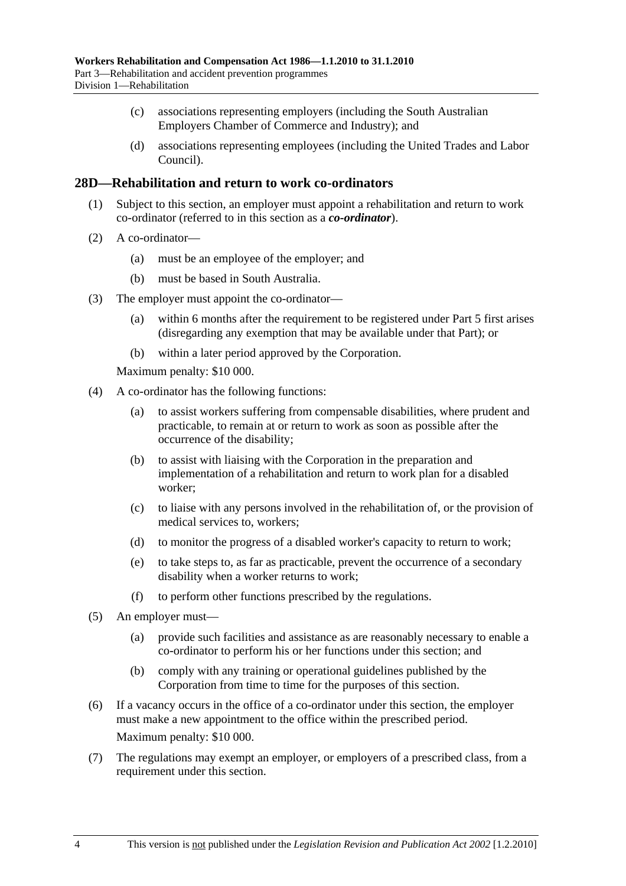- (c) associations representing employers (including the South Australian Employers Chamber of Commerce and Industry); and
- (d) associations representing employees (including the United Trades and Labor Council).

### **28D—Rehabilitation and return to work co-ordinators**

- (1) Subject to this section, an employer must appoint a rehabilitation and return to work co-ordinator (referred to in this section as a *co-ordinator*).
- (2) A co-ordinator—
	- (a) must be an employee of the employer; and
	- (b) must be based in South Australia.
- (3) The employer must appoint the co-ordinator—
	- (a) within 6 months after the requirement to be registered under Part 5 first arises (disregarding any exemption that may be available under that Part); or
	- (b) within a later period approved by the Corporation.

Maximum penalty: \$10 000.

- (4) A co-ordinator has the following functions:
	- (a) to assist workers suffering from compensable disabilities, where prudent and practicable, to remain at or return to work as soon as possible after the occurrence of the disability;
	- (b) to assist with liaising with the Corporation in the preparation and implementation of a rehabilitation and return to work plan for a disabled worker;
	- (c) to liaise with any persons involved in the rehabilitation of, or the provision of medical services to, workers;
	- (d) to monitor the progress of a disabled worker's capacity to return to work;
	- (e) to take steps to, as far as practicable, prevent the occurrence of a secondary disability when a worker returns to work;
	- (f) to perform other functions prescribed by the regulations.
- (5) An employer must—
	- (a) provide such facilities and assistance as are reasonably necessary to enable a co-ordinator to perform his or her functions under this section; and
	- (b) comply with any training or operational guidelines published by the Corporation from time to time for the purposes of this section.
- (6) If a vacancy occurs in the office of a co-ordinator under this section, the employer must make a new appointment to the office within the prescribed period. Maximum penalty: \$10 000.
- (7) The regulations may exempt an employer, or employers of a prescribed class, from a requirement under this section.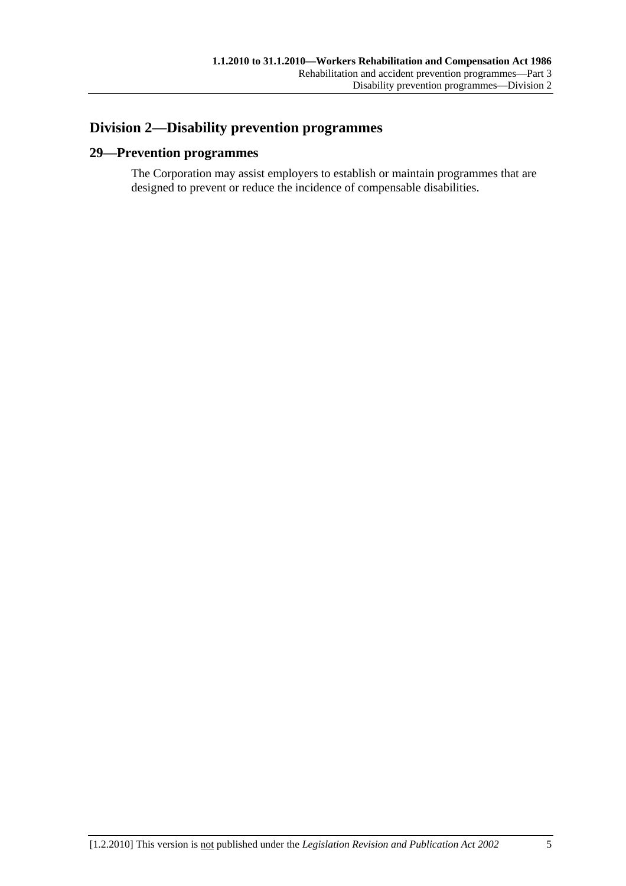## **Division 2—Disability prevention programmes**

### **29—Prevention programmes**

The Corporation may assist employers to establish or maintain programmes that are designed to prevent or reduce the incidence of compensable disabilities.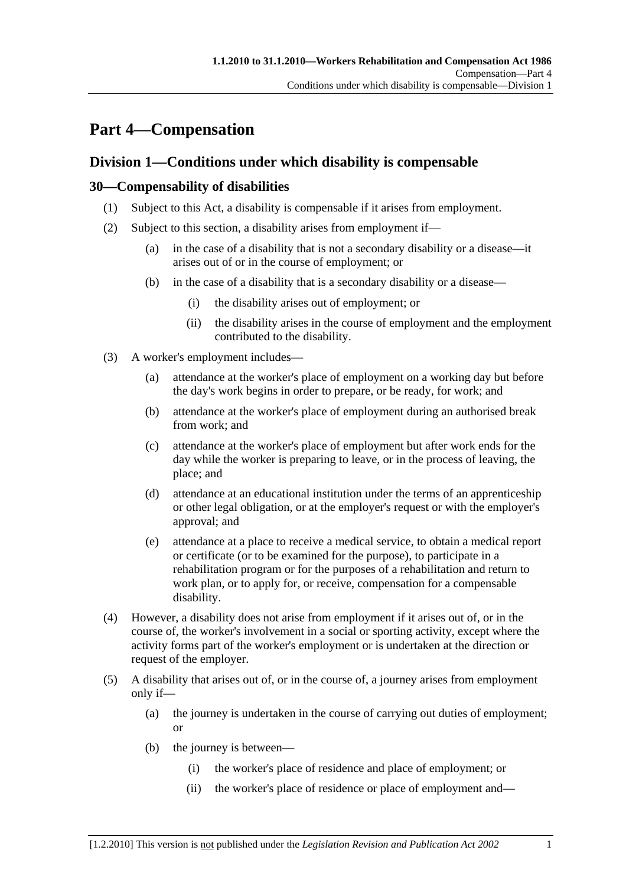## **Part 4—Compensation**

### **Division 1—Conditions under which disability is compensable**

### **30—Compensability of disabilities**

- (1) Subject to this Act, a disability is compensable if it arises from employment.
- (2) Subject to this section, a disability arises from employment if—
	- (a) in the case of a disability that is not a secondary disability or a disease—it arises out of or in the course of employment; or
	- (b) in the case of a disability that is a secondary disability or a disease—
		- (i) the disability arises out of employment; or
		- (ii) the disability arises in the course of employment and the employment contributed to the disability.
- (3) A worker's employment includes—
	- (a) attendance at the worker's place of employment on a working day but before the day's work begins in order to prepare, or be ready, for work; and
	- (b) attendance at the worker's place of employment during an authorised break from work; and
	- (c) attendance at the worker's place of employment but after work ends for the day while the worker is preparing to leave, or in the process of leaving, the place; and
	- (d) attendance at an educational institution under the terms of an apprenticeship or other legal obligation, or at the employer's request or with the employer's approval; and
	- (e) attendance at a place to receive a medical service, to obtain a medical report or certificate (or to be examined for the purpose), to participate in a rehabilitation program or for the purposes of a rehabilitation and return to work plan, or to apply for, or receive, compensation for a compensable disability.
- (4) However, a disability does not arise from employment if it arises out of, or in the course of, the worker's involvement in a social or sporting activity, except where the activity forms part of the worker's employment or is undertaken at the direction or request of the employer.
- (5) A disability that arises out of, or in the course of, a journey arises from employment only if—
	- (a) the journey is undertaken in the course of carrying out duties of employment; or
	- (b) the journey is between—
		- (i) the worker's place of residence and place of employment; or
		- (ii) the worker's place of residence or place of employment and—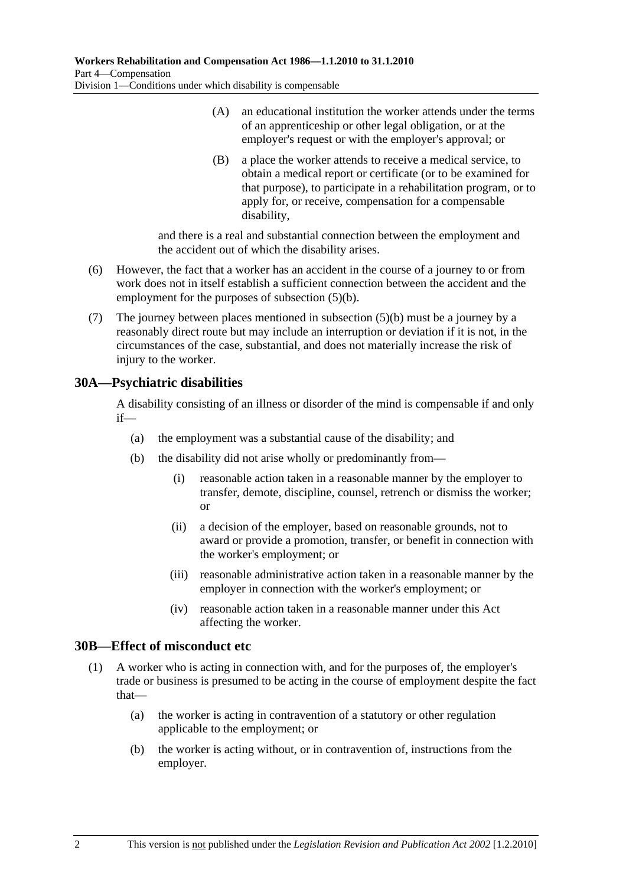- (A) an educational institution the worker attends under the terms of an apprenticeship or other legal obligation, or at the employer's request or with the employer's approval; or
- (B) a place the worker attends to receive a medical service, to obtain a medical report or certificate (or to be examined for that purpose), to participate in a rehabilitation program, or to apply for, or receive, compensation for a compensable disability,

and there is a real and substantial connection between the employment and the accident out of which the disability arises.

- (6) However, the fact that a worker has an accident in the course of a journey to or from work does not in itself establish a sufficient connection between the accident and the employment for the purposes of subsection (5)(b).
- (7) The journey between places mentioned in subsection (5)(b) must be a journey by a reasonably direct route but may include an interruption or deviation if it is not, in the circumstances of the case, substantial, and does not materially increase the risk of injury to the worker.

### **30A—Psychiatric disabilities**

A disability consisting of an illness or disorder of the mind is compensable if and only if—

- (a) the employment was a substantial cause of the disability; and
- (b) the disability did not arise wholly or predominantly from—
	- (i) reasonable action taken in a reasonable manner by the employer to transfer, demote, discipline, counsel, retrench or dismiss the worker; or
	- (ii) a decision of the employer, based on reasonable grounds, not to award or provide a promotion, transfer, or benefit in connection with the worker's employment; or
	- (iii) reasonable administrative action taken in a reasonable manner by the employer in connection with the worker's employment; or
	- (iv) reasonable action taken in a reasonable manner under this Act affecting the worker.

### **30B—Effect of misconduct etc**

- (1) A worker who is acting in connection with, and for the purposes of, the employer's trade or business is presumed to be acting in the course of employment despite the fact that—
	- (a) the worker is acting in contravention of a statutory or other regulation applicable to the employment; or
	- (b) the worker is acting without, or in contravention of, instructions from the employer.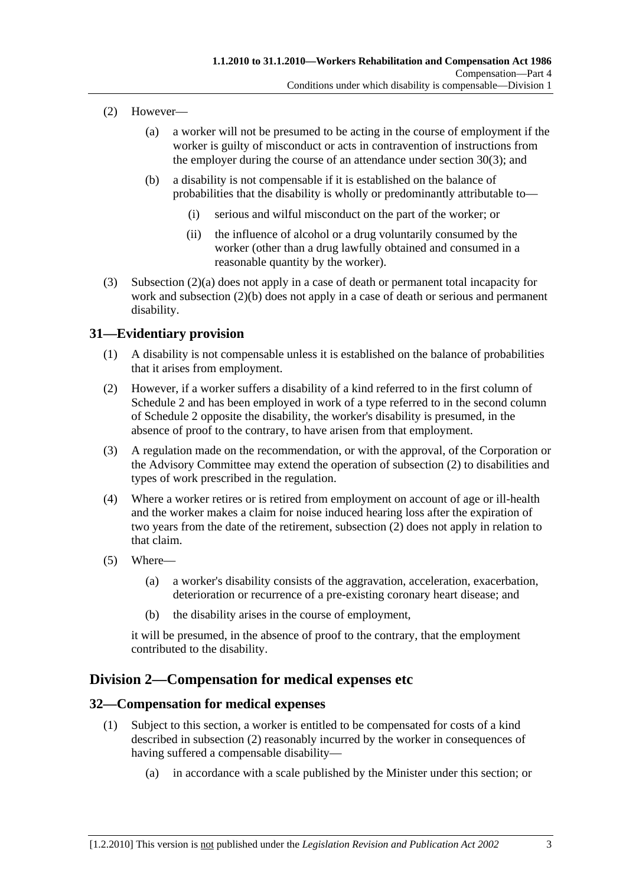- (2) However—
	- (a) a worker will not be presumed to be acting in the course of employment if the worker is guilty of misconduct or acts in contravention of instructions from the employer during the course of an attendance under section 30(3); and
	- (b) a disability is not compensable if it is established on the balance of probabilities that the disability is wholly or predominantly attributable to—
		- (i) serious and wilful misconduct on the part of the worker; or
		- (ii) the influence of alcohol or a drug voluntarily consumed by the worker (other than a drug lawfully obtained and consumed in a reasonable quantity by the worker).
- (3) Subsection (2)(a) does not apply in a case of death or permanent total incapacity for work and subsection (2)(b) does not apply in a case of death or serious and permanent disability.

### **31—Evidentiary provision**

- (1) A disability is not compensable unless it is established on the balance of probabilities that it arises from employment.
- (2) However, if a worker suffers a disability of a kind referred to in the first column of Schedule 2 and has been employed in work of a type referred to in the second column of Schedule 2 opposite the disability, the worker's disability is presumed, in the absence of proof to the contrary, to have arisen from that employment.
- (3) A regulation made on the recommendation, or with the approval, of the Corporation or the Advisory Committee may extend the operation of subsection (2) to disabilities and types of work prescribed in the regulation.
- (4) Where a worker retires or is retired from employment on account of age or ill-health and the worker makes a claim for noise induced hearing loss after the expiration of two years from the date of the retirement, subsection (2) does not apply in relation to that claim.
- (5) Where—
	- (a) a worker's disability consists of the aggravation, acceleration, exacerbation, deterioration or recurrence of a pre-existing coronary heart disease; and
	- (b) the disability arises in the course of employment,

it will be presumed, in the absence of proof to the contrary, that the employment contributed to the disability.

### **Division 2—Compensation for medical expenses etc**

### **32—Compensation for medical expenses**

- (1) Subject to this section, a worker is entitled to be compensated for costs of a kind described in subsection (2) reasonably incurred by the worker in consequences of having suffered a compensable disability—
	- (a) in accordance with a scale published by the Minister under this section; or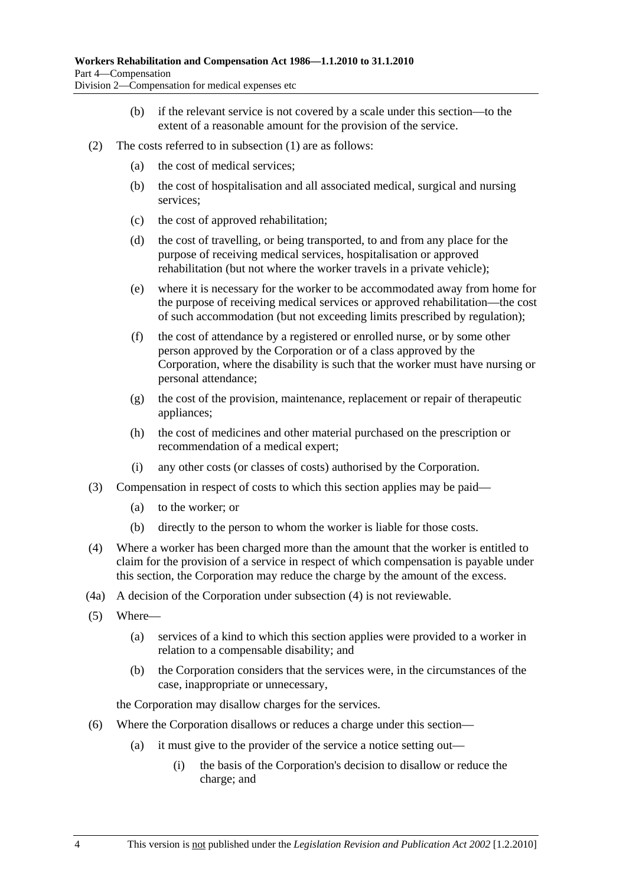- (b) if the relevant service is not covered by a scale under this section—to the extent of a reasonable amount for the provision of the service.
- (2) The costs referred to in subsection (1) are as follows:
	- (a) the cost of medical services;
	- (b) the cost of hospitalisation and all associated medical, surgical and nursing services;
	- (c) the cost of approved rehabilitation;
	- (d) the cost of travelling, or being transported, to and from any place for the purpose of receiving medical services, hospitalisation or approved rehabilitation (but not where the worker travels in a private vehicle);
	- (e) where it is necessary for the worker to be accommodated away from home for the purpose of receiving medical services or approved rehabilitation—the cost of such accommodation (but not exceeding limits prescribed by regulation);
	- (f) the cost of attendance by a registered or enrolled nurse, or by some other person approved by the Corporation or of a class approved by the Corporation, where the disability is such that the worker must have nursing or personal attendance;
	- (g) the cost of the provision, maintenance, replacement or repair of therapeutic appliances;
	- (h) the cost of medicines and other material purchased on the prescription or recommendation of a medical expert;
	- (i) any other costs (or classes of costs) authorised by the Corporation.
- (3) Compensation in respect of costs to which this section applies may be paid—
	- (a) to the worker; or
	- (b) directly to the person to whom the worker is liable for those costs.
- (4) Where a worker has been charged more than the amount that the worker is entitled to claim for the provision of a service in respect of which compensation is payable under this section, the Corporation may reduce the charge by the amount of the excess.
- (4a) A decision of the Corporation under subsection (4) is not reviewable.
- (5) Where—
	- (a) services of a kind to which this section applies were provided to a worker in relation to a compensable disability; and
	- (b) the Corporation considers that the services were, in the circumstances of the case, inappropriate or unnecessary,

the Corporation may disallow charges for the services.

- (6) Where the Corporation disallows or reduces a charge under this section—
	- (a) it must give to the provider of the service a notice setting out—
		- (i) the basis of the Corporation's decision to disallow or reduce the charge; and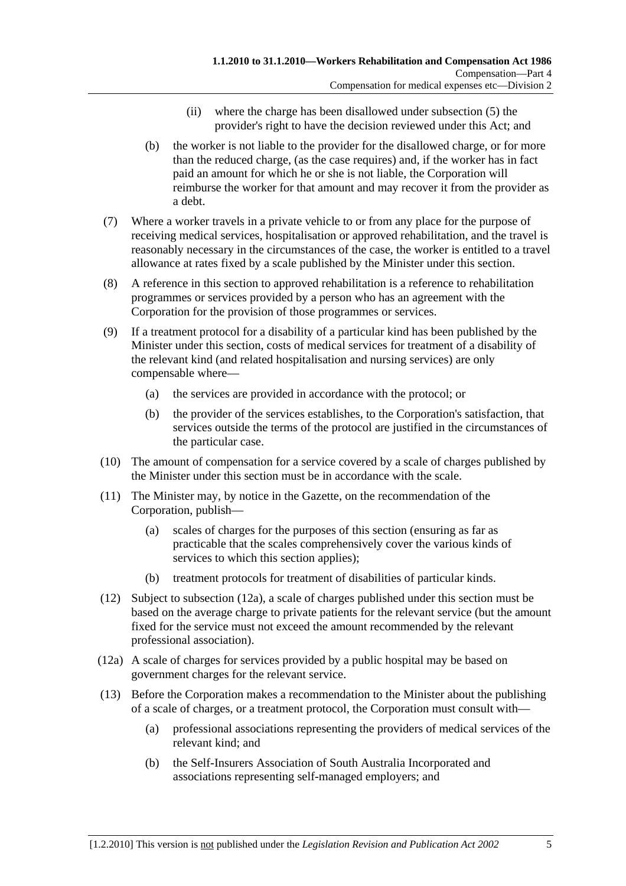- (ii) where the charge has been disallowed under subsection (5) the provider's right to have the decision reviewed under this Act; and
- (b) the worker is not liable to the provider for the disallowed charge, or for more than the reduced charge, (as the case requires) and, if the worker has in fact paid an amount for which he or she is not liable, the Corporation will reimburse the worker for that amount and may recover it from the provider as a debt.
- (7) Where a worker travels in a private vehicle to or from any place for the purpose of receiving medical services, hospitalisation or approved rehabilitation, and the travel is reasonably necessary in the circumstances of the case, the worker is entitled to a travel allowance at rates fixed by a scale published by the Minister under this section.
- (8) A reference in this section to approved rehabilitation is a reference to rehabilitation programmes or services provided by a person who has an agreement with the Corporation for the provision of those programmes or services.
- (9) If a treatment protocol for a disability of a particular kind has been published by the Minister under this section, costs of medical services for treatment of a disability of the relevant kind (and related hospitalisation and nursing services) are only compensable where—
	- (a) the services are provided in accordance with the protocol; or
	- (b) the provider of the services establishes, to the Corporation's satisfaction, that services outside the terms of the protocol are justified in the circumstances of the particular case.
- (10) The amount of compensation for a service covered by a scale of charges published by the Minister under this section must be in accordance with the scale.
- (11) The Minister may, by notice in the Gazette, on the recommendation of the Corporation, publish—
	- (a) scales of charges for the purposes of this section (ensuring as far as practicable that the scales comprehensively cover the various kinds of services to which this section applies);
	- (b) treatment protocols for treatment of disabilities of particular kinds.
- (12) Subject to subsection (12a), a scale of charges published under this section must be based on the average charge to private patients for the relevant service (but the amount fixed for the service must not exceed the amount recommended by the relevant professional association).
- (12a) A scale of charges for services provided by a public hospital may be based on government charges for the relevant service.
- (13) Before the Corporation makes a recommendation to the Minister about the publishing of a scale of charges, or a treatment protocol, the Corporation must consult with—
	- (a) professional associations representing the providers of medical services of the relevant kind; and
	- (b) the Self-Insurers Association of South Australia Incorporated and associations representing self-managed employers; and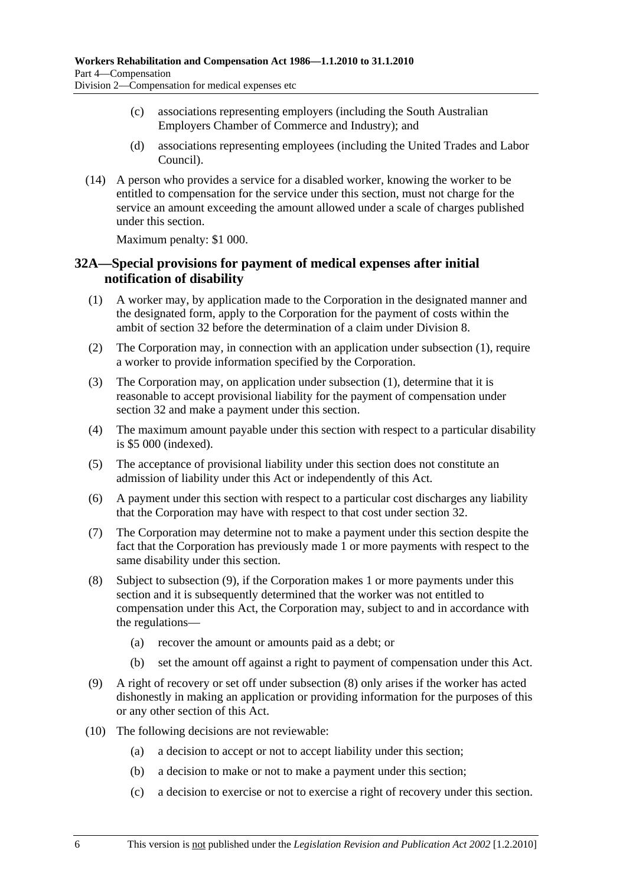- (c) associations representing employers (including the South Australian Employers Chamber of Commerce and Industry); and
- (d) associations representing employees (including the United Trades and Labor Council).
- (14) A person who provides a service for a disabled worker, knowing the worker to be entitled to compensation for the service under this section, must not charge for the service an amount exceeding the amount allowed under a scale of charges published under this section.

Maximum penalty: \$1 000.

## **32A—Special provisions for payment of medical expenses after initial notification of disability**

- (1) A worker may, by application made to the Corporation in the designated manner and the designated form, apply to the Corporation for the payment of costs within the ambit of section 32 before the determination of a claim under Division 8.
- (2) The Corporation may, in connection with an application under subsection (1), require a worker to provide information specified by the Corporation.
- (3) The Corporation may, on application under subsection (1), determine that it is reasonable to accept provisional liability for the payment of compensation under section 32 and make a payment under this section.
- (4) The maximum amount payable under this section with respect to a particular disability is \$5 000 (indexed).
- (5) The acceptance of provisional liability under this section does not constitute an admission of liability under this Act or independently of this Act.
- (6) A payment under this section with respect to a particular cost discharges any liability that the Corporation may have with respect to that cost under section 32.
- (7) The Corporation may determine not to make a payment under this section despite the fact that the Corporation has previously made 1 or more payments with respect to the same disability under this section.
- (8) Subject to subsection (9), if the Corporation makes 1 or more payments under this section and it is subsequently determined that the worker was not entitled to compensation under this Act, the Corporation may, subject to and in accordance with the regulations—
	- (a) recover the amount or amounts paid as a debt; or
	- (b) set the amount off against a right to payment of compensation under this Act.
- (9) A right of recovery or set off under subsection (8) only arises if the worker has acted dishonestly in making an application or providing information for the purposes of this or any other section of this Act.
- (10) The following decisions are not reviewable:
	- (a) a decision to accept or not to accept liability under this section;
	- (b) a decision to make or not to make a payment under this section;
	- (c) a decision to exercise or not to exercise a right of recovery under this section.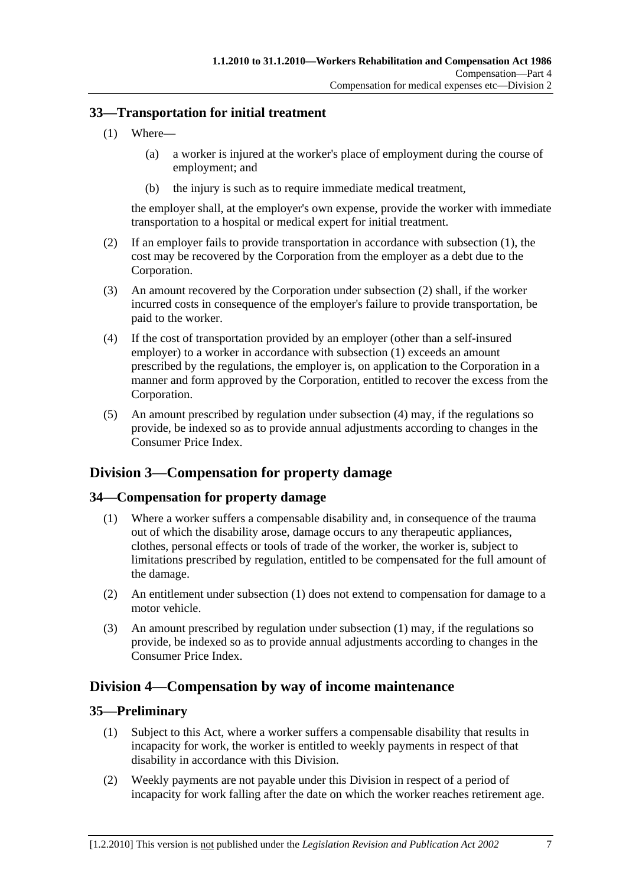## **33—Transportation for initial treatment**

- (1) Where—
	- (a) a worker is injured at the worker's place of employment during the course of employment; and
	- (b) the injury is such as to require immediate medical treatment,

the employer shall, at the employer's own expense, provide the worker with immediate transportation to a hospital or medical expert for initial treatment.

- (2) If an employer fails to provide transportation in accordance with subsection (1), the cost may be recovered by the Corporation from the employer as a debt due to the Corporation.
- (3) An amount recovered by the Corporation under subsection (2) shall, if the worker incurred costs in consequence of the employer's failure to provide transportation, be paid to the worker.
- (4) If the cost of transportation provided by an employer (other than a self-insured employer) to a worker in accordance with subsection (1) exceeds an amount prescribed by the regulations, the employer is, on application to the Corporation in a manner and form approved by the Corporation, entitled to recover the excess from the Corporation.
- (5) An amount prescribed by regulation under subsection (4) may, if the regulations so provide, be indexed so as to provide annual adjustments according to changes in the Consumer Price Index.

## **Division 3—Compensation for property damage**

## **34—Compensation for property damage**

- (1) Where a worker suffers a compensable disability and, in consequence of the trauma out of which the disability arose, damage occurs to any therapeutic appliances, clothes, personal effects or tools of trade of the worker, the worker is, subject to limitations prescribed by regulation, entitled to be compensated for the full amount of the damage.
- (2) An entitlement under subsection (1) does not extend to compensation for damage to a motor vehicle.
- (3) An amount prescribed by regulation under subsection (1) may, if the regulations so provide, be indexed so as to provide annual adjustments according to changes in the Consumer Price Index.

## **Division 4—Compensation by way of income maintenance**

### **35—Preliminary**

- (1) Subject to this Act, where a worker suffers a compensable disability that results in incapacity for work, the worker is entitled to weekly payments in respect of that disability in accordance with this Division.
- (2) Weekly payments are not payable under this Division in respect of a period of incapacity for work falling after the date on which the worker reaches retirement age.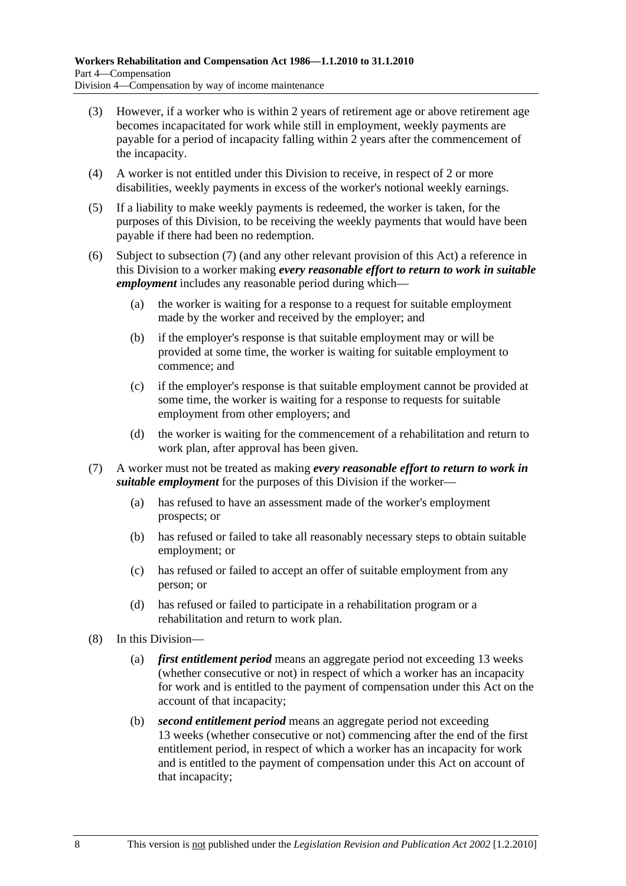- (3) However, if a worker who is within 2 years of retirement age or above retirement age becomes incapacitated for work while still in employment, weekly payments are payable for a period of incapacity falling within 2 years after the commencement of the incapacity.
- (4) A worker is not entitled under this Division to receive, in respect of 2 or more disabilities, weekly payments in excess of the worker's notional weekly earnings.
- (5) If a liability to make weekly payments is redeemed, the worker is taken, for the purposes of this Division, to be receiving the weekly payments that would have been payable if there had been no redemption.
- (6) Subject to subsection (7) (and any other relevant provision of this Act) a reference in this Division to a worker making *every reasonable effort to return to work in suitable employment* includes any reasonable period during which—
	- (a) the worker is waiting for a response to a request for suitable employment made by the worker and received by the employer; and
	- (b) if the employer's response is that suitable employment may or will be provided at some time, the worker is waiting for suitable employment to commence; and
	- (c) if the employer's response is that suitable employment cannot be provided at some time, the worker is waiting for a response to requests for suitable employment from other employers; and
	- (d) the worker is waiting for the commencement of a rehabilitation and return to work plan, after approval has been given.
- (7) A worker must not be treated as making *every reasonable effort to return to work in suitable employment* for the purposes of this Division if the worker—
	- (a) has refused to have an assessment made of the worker's employment prospects; or
	- (b) has refused or failed to take all reasonably necessary steps to obtain suitable employment; or
	- (c) has refused or failed to accept an offer of suitable employment from any person; or
	- (d) has refused or failed to participate in a rehabilitation program or a rehabilitation and return to work plan.
- (8) In this Division—
	- (a) *first entitlement period* means an aggregate period not exceeding 13 weeks (whether consecutive or not) in respect of which a worker has an incapacity for work and is entitled to the payment of compensation under this Act on the account of that incapacity;
	- (b) *second entitlement period* means an aggregate period not exceeding 13 weeks (whether consecutive or not) commencing after the end of the first entitlement period, in respect of which a worker has an incapacity for work and is entitled to the payment of compensation under this Act on account of that incapacity;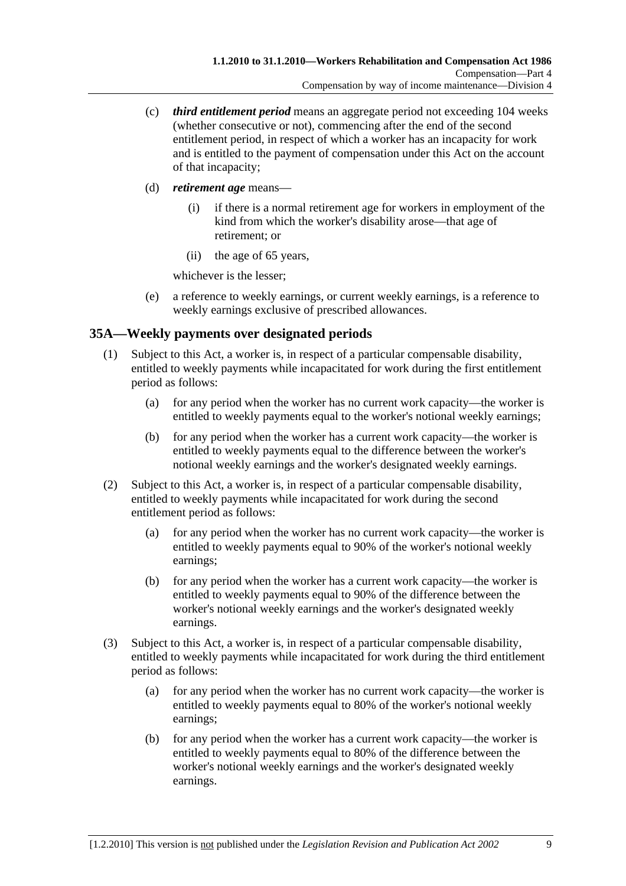- (c) *third entitlement period* means an aggregate period not exceeding 104 weeks (whether consecutive or not), commencing after the end of the second entitlement period, in respect of which a worker has an incapacity for work and is entitled to the payment of compensation under this Act on the account of that incapacity;
- (d) *retirement age* means—
	- (i) if there is a normal retirement age for workers in employment of the kind from which the worker's disability arose—that age of retirement; or
	- (ii) the age of 65 years,

whichever is the lesser;

 (e) a reference to weekly earnings, or current weekly earnings, is a reference to weekly earnings exclusive of prescribed allowances.

## **35A—Weekly payments over designated periods**

- (1) Subject to this Act, a worker is, in respect of a particular compensable disability, entitled to weekly payments while incapacitated for work during the first entitlement period as follows:
	- (a) for any period when the worker has no current work capacity—the worker is entitled to weekly payments equal to the worker's notional weekly earnings;
	- (b) for any period when the worker has a current work capacity—the worker is entitled to weekly payments equal to the difference between the worker's notional weekly earnings and the worker's designated weekly earnings.
- (2) Subject to this Act, a worker is, in respect of a particular compensable disability, entitled to weekly payments while incapacitated for work during the second entitlement period as follows:
	- (a) for any period when the worker has no current work capacity—the worker is entitled to weekly payments equal to 90% of the worker's notional weekly earnings;
	- (b) for any period when the worker has a current work capacity—the worker is entitled to weekly payments equal to 90% of the difference between the worker's notional weekly earnings and the worker's designated weekly earnings.
- (3) Subject to this Act, a worker is, in respect of a particular compensable disability, entitled to weekly payments while incapacitated for work during the third entitlement period as follows:
	- (a) for any period when the worker has no current work capacity—the worker is entitled to weekly payments equal to 80% of the worker's notional weekly earnings;
	- (b) for any period when the worker has a current work capacity—the worker is entitled to weekly payments equal to 80% of the difference between the worker's notional weekly earnings and the worker's designated weekly earnings.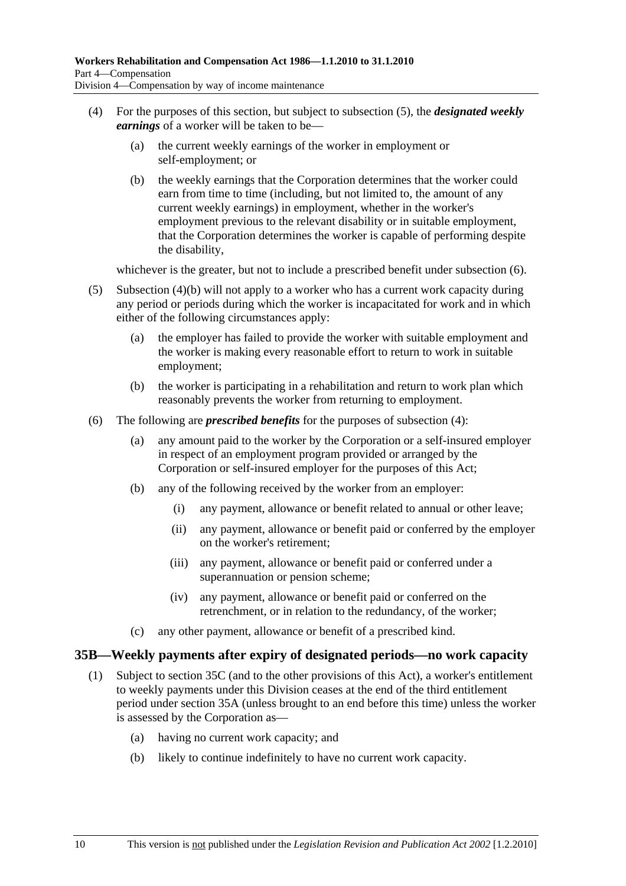- (4) For the purposes of this section, but subject to subsection (5), the *designated weekly earnings* of a worker will be taken to be—
	- (a) the current weekly earnings of the worker in employment or self-employment; or
	- (b) the weekly earnings that the Corporation determines that the worker could earn from time to time (including, but not limited to, the amount of any current weekly earnings) in employment, whether in the worker's employment previous to the relevant disability or in suitable employment, that the Corporation determines the worker is capable of performing despite the disability,

whichever is the greater, but not to include a prescribed benefit under subsection  $(6)$ .

- (5) Subsection (4)(b) will not apply to a worker who has a current work capacity during any period or periods during which the worker is incapacitated for work and in which either of the following circumstances apply:
	- (a) the employer has failed to provide the worker with suitable employment and the worker is making every reasonable effort to return to work in suitable employment;
	- (b) the worker is participating in a rehabilitation and return to work plan which reasonably prevents the worker from returning to employment.
- (6) The following are *prescribed benefits* for the purposes of subsection (4):
	- (a) any amount paid to the worker by the Corporation or a self-insured employer in respect of an employment program provided or arranged by the Corporation or self-insured employer for the purposes of this Act;
	- (b) any of the following received by the worker from an employer:
		- (i) any payment, allowance or benefit related to annual or other leave;
		- (ii) any payment, allowance or benefit paid or conferred by the employer on the worker's retirement;
		- (iii) any payment, allowance or benefit paid or conferred under a superannuation or pension scheme;
		- (iv) any payment, allowance or benefit paid or conferred on the retrenchment, or in relation to the redundancy, of the worker;
	- (c) any other payment, allowance or benefit of a prescribed kind.

### **35B—Weekly payments after expiry of designated periods—no work capacity**

- (1) Subject to section 35C (and to the other provisions of this Act), a worker's entitlement to weekly payments under this Division ceases at the end of the third entitlement period under section 35A (unless brought to an end before this time) unless the worker is assessed by the Corporation as—
	- (a) having no current work capacity; and
	- (b) likely to continue indefinitely to have no current work capacity.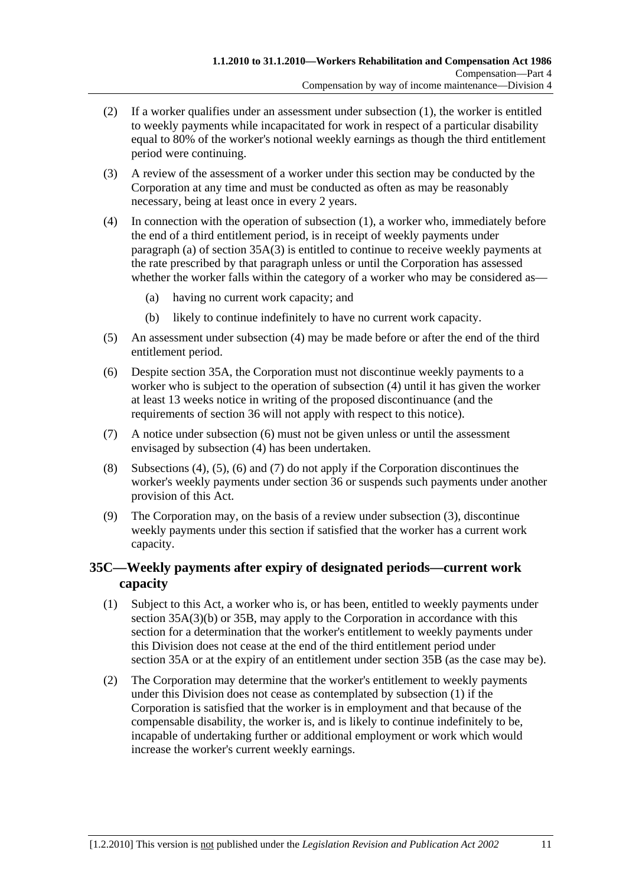- (2) If a worker qualifies under an assessment under subsection (1), the worker is entitled to weekly payments while incapacitated for work in respect of a particular disability equal to 80% of the worker's notional weekly earnings as though the third entitlement period were continuing.
- (3) A review of the assessment of a worker under this section may be conducted by the Corporation at any time and must be conducted as often as may be reasonably necessary, being at least once in every 2 years.
- (4) In connection with the operation of subsection (1), a worker who, immediately before the end of a third entitlement period, is in receipt of weekly payments under paragraph (a) of section  $35A(3)$  is entitled to continue to receive weekly payments at the rate prescribed by that paragraph unless or until the Corporation has assessed whether the worker falls within the category of a worker who may be considered as—
	- (a) having no current work capacity; and
	- (b) likely to continue indefinitely to have no current work capacity.
- (5) An assessment under subsection (4) may be made before or after the end of the third entitlement period.
- (6) Despite section 35A, the Corporation must not discontinue weekly payments to a worker who is subject to the operation of subsection (4) until it has given the worker at least 13 weeks notice in writing of the proposed discontinuance (and the requirements of section 36 will not apply with respect to this notice).
- (7) A notice under subsection (6) must not be given unless or until the assessment envisaged by subsection (4) has been undertaken.
- (8) Subsections (4), (5), (6) and (7) do not apply if the Corporation discontinues the worker's weekly payments under section 36 or suspends such payments under another provision of this Act.
- (9) The Corporation may, on the basis of a review under subsection (3), discontinue weekly payments under this section if satisfied that the worker has a current work capacity.

## **35C—Weekly payments after expiry of designated periods—current work capacity**

- (1) Subject to this Act, a worker who is, or has been, entitled to weekly payments under section 35A(3)(b) or 35B, may apply to the Corporation in accordance with this section for a determination that the worker's entitlement to weekly payments under this Division does not cease at the end of the third entitlement period under section 35A or at the expiry of an entitlement under section 35B (as the case may be).
- (2) The Corporation may determine that the worker's entitlement to weekly payments under this Division does not cease as contemplated by subsection (1) if the Corporation is satisfied that the worker is in employment and that because of the compensable disability, the worker is, and is likely to continue indefinitely to be, incapable of undertaking further or additional employment or work which would increase the worker's current weekly earnings.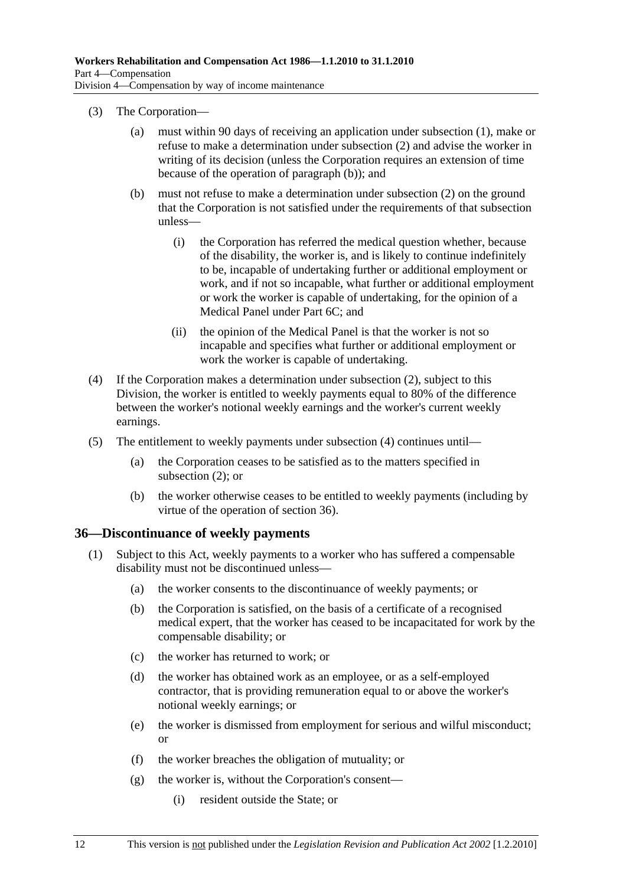- (3) The Corporation—
	- (a) must within 90 days of receiving an application under subsection (1), make or refuse to make a determination under subsection (2) and advise the worker in writing of its decision (unless the Corporation requires an extension of time because of the operation of paragraph (b)); and
	- (b) must not refuse to make a determination under subsection (2) on the ground that the Corporation is not satisfied under the requirements of that subsection unless—
		- (i) the Corporation has referred the medical question whether, because of the disability, the worker is, and is likely to continue indefinitely to be, incapable of undertaking further or additional employment or work, and if not so incapable, what further or additional employment or work the worker is capable of undertaking, for the opinion of a Medical Panel under Part 6C; and
		- (ii) the opinion of the Medical Panel is that the worker is not so incapable and specifies what further or additional employment or work the worker is capable of undertaking.
- (4) If the Corporation makes a determination under subsection (2), subject to this Division, the worker is entitled to weekly payments equal to 80% of the difference between the worker's notional weekly earnings and the worker's current weekly earnings.
- (5) The entitlement to weekly payments under subsection (4) continues until—
	- (a) the Corporation ceases to be satisfied as to the matters specified in subsection (2); or
	- (b) the worker otherwise ceases to be entitled to weekly payments (including by virtue of the operation of section 36).

### **36—Discontinuance of weekly payments**

- (1) Subject to this Act, weekly payments to a worker who has suffered a compensable disability must not be discontinued unless—
	- (a) the worker consents to the discontinuance of weekly payments; or
	- (b) the Corporation is satisfied, on the basis of a certificate of a recognised medical expert, that the worker has ceased to be incapacitated for work by the compensable disability; or
	- (c) the worker has returned to work; or
	- (d) the worker has obtained work as an employee, or as a self-employed contractor, that is providing remuneration equal to or above the worker's notional weekly earnings; or
	- (e) the worker is dismissed from employment for serious and wilful misconduct; or
	- (f) the worker breaches the obligation of mutuality; or
	- (g) the worker is, without the Corporation's consent—
		- (i) resident outside the State; or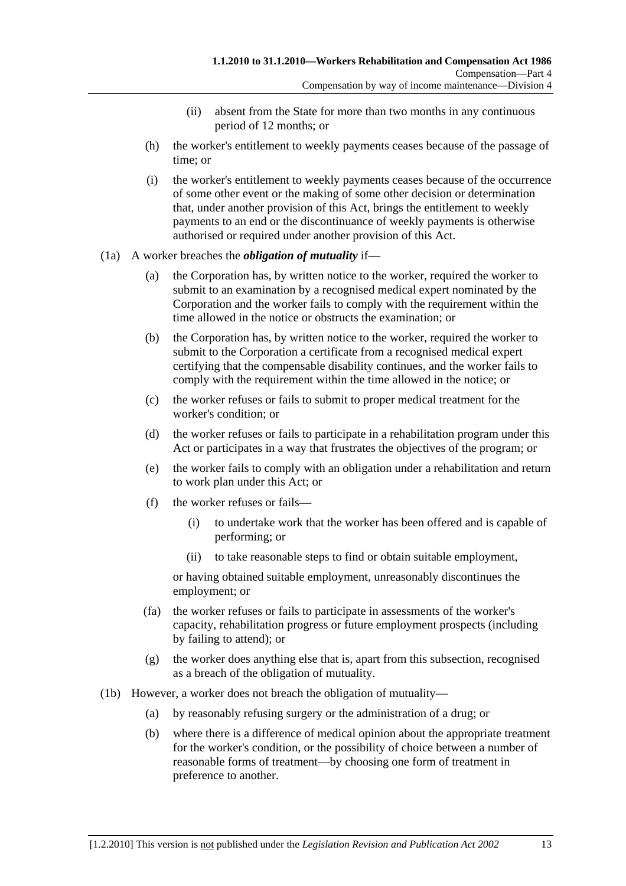- (ii) absent from the State for more than two months in any continuous period of 12 months; or
- (h) the worker's entitlement to weekly payments ceases because of the passage of time; or
- (i) the worker's entitlement to weekly payments ceases because of the occurrence of some other event or the making of some other decision or determination that, under another provision of this Act, brings the entitlement to weekly payments to an end or the discontinuance of weekly payments is otherwise authorised or required under another provision of this Act.
- (1a) A worker breaches the *obligation of mutuality* if—
	- (a) the Corporation has, by written notice to the worker, required the worker to submit to an examination by a recognised medical expert nominated by the Corporation and the worker fails to comply with the requirement within the time allowed in the notice or obstructs the examination; or
	- (b) the Corporation has, by written notice to the worker, required the worker to submit to the Corporation a certificate from a recognised medical expert certifying that the compensable disability continues, and the worker fails to comply with the requirement within the time allowed in the notice; or
	- (c) the worker refuses or fails to submit to proper medical treatment for the worker's condition; or
	- (d) the worker refuses or fails to participate in a rehabilitation program under this Act or participates in a way that frustrates the objectives of the program; or
	- (e) the worker fails to comply with an obligation under a rehabilitation and return to work plan under this Act; or
	- (f) the worker refuses or fails—
		- (i) to undertake work that the worker has been offered and is capable of performing; or
		- (ii) to take reasonable steps to find or obtain suitable employment,

or having obtained suitable employment, unreasonably discontinues the employment; or

- (fa) the worker refuses or fails to participate in assessments of the worker's capacity, rehabilitation progress or future employment prospects (including by failing to attend); or
- (g) the worker does anything else that is, apart from this subsection, recognised as a breach of the obligation of mutuality.
- (1b) However, a worker does not breach the obligation of mutuality—
	- (a) by reasonably refusing surgery or the administration of a drug; or
	- (b) where there is a difference of medical opinion about the appropriate treatment for the worker's condition, or the possibility of choice between a number of reasonable forms of treatment—by choosing one form of treatment in preference to another.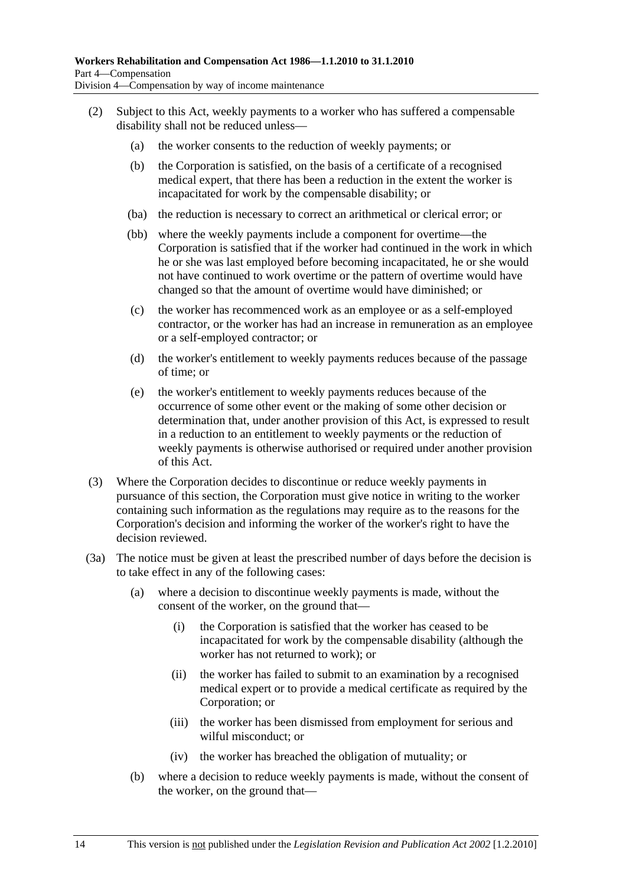- (2) Subject to this Act, weekly payments to a worker who has suffered a compensable disability shall not be reduced unless—
	- (a) the worker consents to the reduction of weekly payments; or
	- (b) the Corporation is satisfied, on the basis of a certificate of a recognised medical expert, that there has been a reduction in the extent the worker is incapacitated for work by the compensable disability; or
	- (ba) the reduction is necessary to correct an arithmetical or clerical error; or
	- (bb) where the weekly payments include a component for overtime—the Corporation is satisfied that if the worker had continued in the work in which he or she was last employed before becoming incapacitated, he or she would not have continued to work overtime or the pattern of overtime would have changed so that the amount of overtime would have diminished; or
	- (c) the worker has recommenced work as an employee or as a self-employed contractor, or the worker has had an increase in remuneration as an employee or a self-employed contractor; or
	- (d) the worker's entitlement to weekly payments reduces because of the passage of time; or
	- (e) the worker's entitlement to weekly payments reduces because of the occurrence of some other event or the making of some other decision or determination that, under another provision of this Act, is expressed to result in a reduction to an entitlement to weekly payments or the reduction of weekly payments is otherwise authorised or required under another provision of this Act.
- (3) Where the Corporation decides to discontinue or reduce weekly payments in pursuance of this section, the Corporation must give notice in writing to the worker containing such information as the regulations may require as to the reasons for the Corporation's decision and informing the worker of the worker's right to have the decision reviewed.
- (3a) The notice must be given at least the prescribed number of days before the decision is to take effect in any of the following cases:
	- (a) where a decision to discontinue weekly payments is made, without the consent of the worker, on the ground that—
		- (i) the Corporation is satisfied that the worker has ceased to be incapacitated for work by the compensable disability (although the worker has not returned to work); or
		- (ii) the worker has failed to submit to an examination by a recognised medical expert or to provide a medical certificate as required by the Corporation; or
		- (iii) the worker has been dismissed from employment for serious and wilful misconduct; or
		- (iv) the worker has breached the obligation of mutuality; or
	- (b) where a decision to reduce weekly payments is made, without the consent of the worker, on the ground that—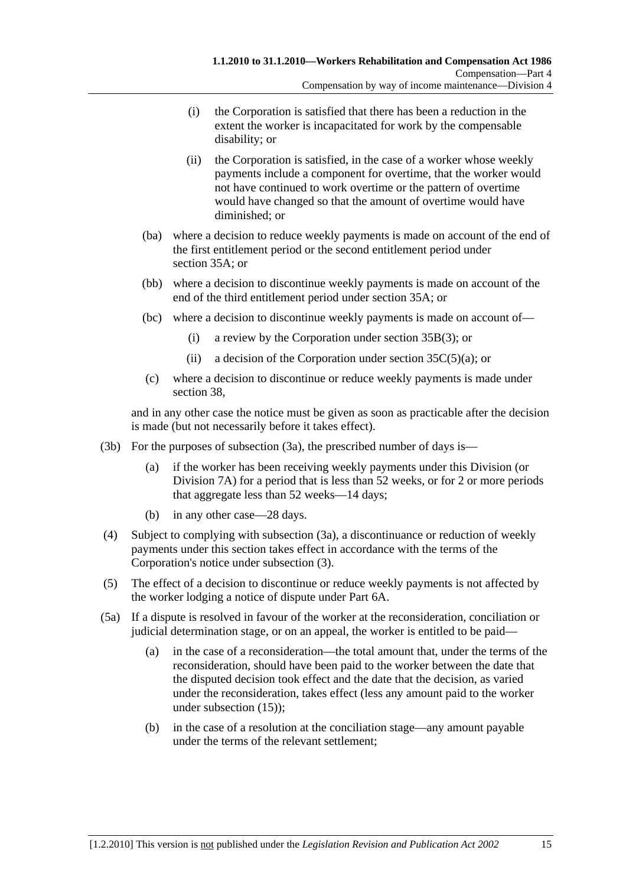- (i) the Corporation is satisfied that there has been a reduction in the extent the worker is incapacitated for work by the compensable disability; or
- (ii) the Corporation is satisfied, in the case of a worker whose weekly payments include a component for overtime, that the worker would not have continued to work overtime or the pattern of overtime would have changed so that the amount of overtime would have diminished; or
- (ba) where a decision to reduce weekly payments is made on account of the end of the first entitlement period or the second entitlement period under section 35A; or
- (bb) where a decision to discontinue weekly payments is made on account of the end of the third entitlement period under section 35A; or
- (bc) where a decision to discontinue weekly payments is made on account of—
	- (i) a review by the Corporation under section 35B(3); or
	- (ii) a decision of the Corporation under section  $35C(5)(a)$ ; or
- (c) where a decision to discontinue or reduce weekly payments is made under section 38,

and in any other case the notice must be given as soon as practicable after the decision is made (but not necessarily before it takes effect).

- (3b) For the purposes of subsection (3a), the prescribed number of days is—
	- (a) if the worker has been receiving weekly payments under this Division (or Division 7A) for a period that is less than 52 weeks, or for 2 or more periods that aggregate less than 52 weeks—14 days;
	- (b) in any other case—28 days.
- (4) Subject to complying with subsection (3a), a discontinuance or reduction of weekly payments under this section takes effect in accordance with the terms of the Corporation's notice under subsection (3).
- (5) The effect of a decision to discontinue or reduce weekly payments is not affected by the worker lodging a notice of dispute under Part 6A.
- (5a) If a dispute is resolved in favour of the worker at the reconsideration, conciliation or judicial determination stage, or on an appeal, the worker is entitled to be paid—
	- (a) in the case of a reconsideration—the total amount that, under the terms of the reconsideration, should have been paid to the worker between the date that the disputed decision took effect and the date that the decision, as varied under the reconsideration, takes effect (less any amount paid to the worker under subsection (15));
	- (b) in the case of a resolution at the conciliation stage—any amount payable under the terms of the relevant settlement;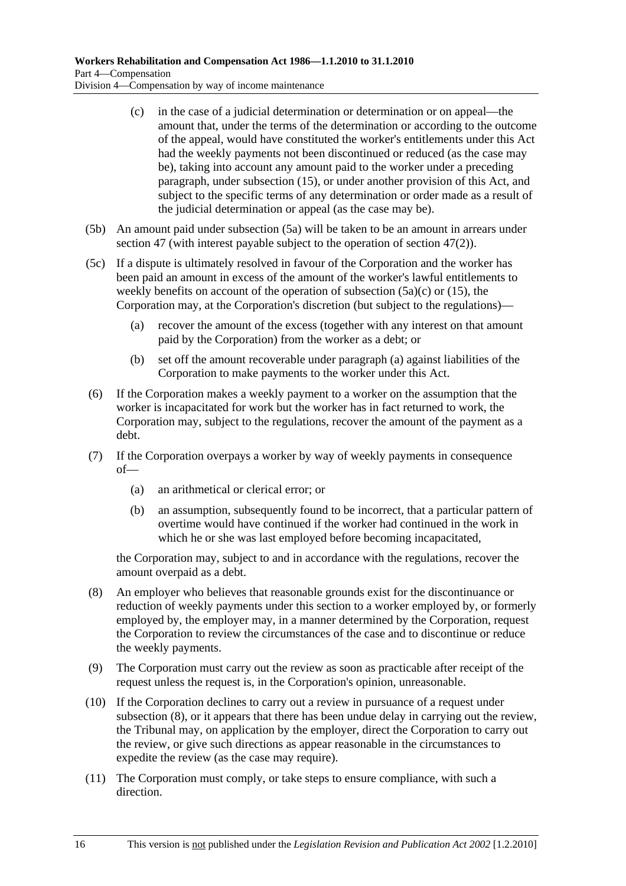- (c) in the case of a judicial determination or determination or on appeal—the amount that, under the terms of the determination or according to the outcome of the appeal, would have constituted the worker's entitlements under this Act had the weekly payments not been discontinued or reduced (as the case may be), taking into account any amount paid to the worker under a preceding paragraph, under subsection (15), or under another provision of this Act, and subject to the specific terms of any determination or order made as a result of the judicial determination or appeal (as the case may be).
- (5b) An amount paid under subsection (5a) will be taken to be an amount in arrears under section 47 (with interest payable subject to the operation of section 47(2)).
- (5c) If a dispute is ultimately resolved in favour of the Corporation and the worker has been paid an amount in excess of the amount of the worker's lawful entitlements to weekly benefits on account of the operation of subsection  $(5a)(c)$  or  $(15)$ , the Corporation may, at the Corporation's discretion (but subject to the regulations)—
	- (a) recover the amount of the excess (together with any interest on that amount paid by the Corporation) from the worker as a debt; or
	- (b) set off the amount recoverable under paragraph (a) against liabilities of the Corporation to make payments to the worker under this Act.
- (6) If the Corporation makes a weekly payment to a worker on the assumption that the worker is incapacitated for work but the worker has in fact returned to work, the Corporation may, subject to the regulations, recover the amount of the payment as a debt.
- (7) If the Corporation overpays a worker by way of weekly payments in consequence of—
	- (a) an arithmetical or clerical error; or
	- (b) an assumption, subsequently found to be incorrect, that a particular pattern of overtime would have continued if the worker had continued in the work in which he or she was last employed before becoming incapacitated,

the Corporation may, subject to and in accordance with the regulations, recover the amount overpaid as a debt.

- (8) An employer who believes that reasonable grounds exist for the discontinuance or reduction of weekly payments under this section to a worker employed by, or formerly employed by, the employer may, in a manner determined by the Corporation, request the Corporation to review the circumstances of the case and to discontinue or reduce the weekly payments.
- (9) The Corporation must carry out the review as soon as practicable after receipt of the request unless the request is, in the Corporation's opinion, unreasonable.
- (10) If the Corporation declines to carry out a review in pursuance of a request under subsection (8), or it appears that there has been undue delay in carrying out the review, the Tribunal may, on application by the employer, direct the Corporation to carry out the review, or give such directions as appear reasonable in the circumstances to expedite the review (as the case may require).
- (11) The Corporation must comply, or take steps to ensure compliance, with such a direction.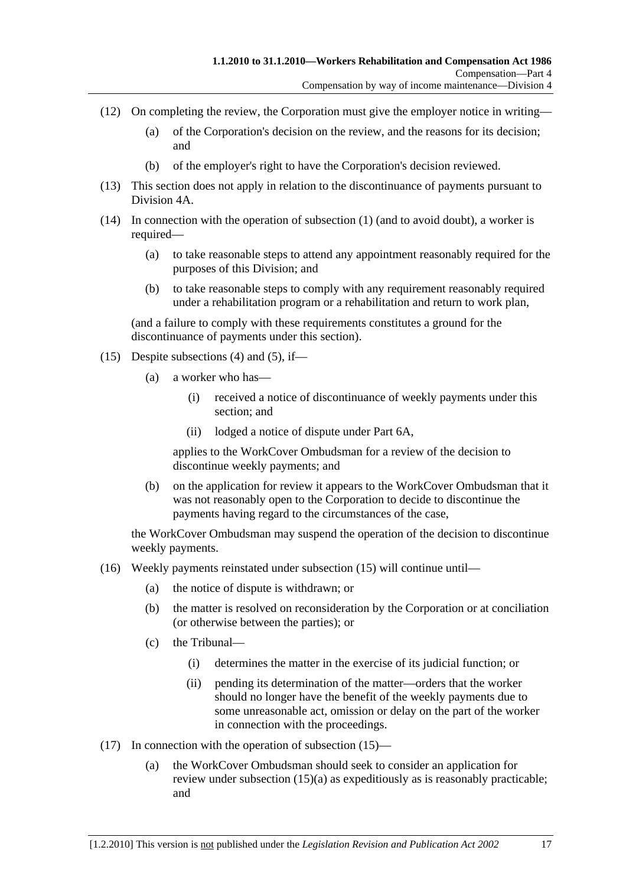- (12) On completing the review, the Corporation must give the employer notice in writing—
	- (a) of the Corporation's decision on the review, and the reasons for its decision; and
	- (b) of the employer's right to have the Corporation's decision reviewed.
- (13) This section does not apply in relation to the discontinuance of payments pursuant to Division 4A.
- (14) In connection with the operation of subsection (1) (and to avoid doubt), a worker is required—
	- (a) to take reasonable steps to attend any appointment reasonably required for the purposes of this Division; and
	- (b) to take reasonable steps to comply with any requirement reasonably required under a rehabilitation program or a rehabilitation and return to work plan,

(and a failure to comply with these requirements constitutes a ground for the discontinuance of payments under this section).

- (15) Despite subsections (4) and (5), if—
	- (a) a worker who has—
		- (i) received a notice of discontinuance of weekly payments under this section; and
		- (ii) lodged a notice of dispute under Part 6A,

applies to the WorkCover Ombudsman for a review of the decision to discontinue weekly payments; and

 (b) on the application for review it appears to the WorkCover Ombudsman that it was not reasonably open to the Corporation to decide to discontinue the payments having regard to the circumstances of the case,

the WorkCover Ombudsman may suspend the operation of the decision to discontinue weekly payments.

- (16) Weekly payments reinstated under subsection (15) will continue until—
	- (a) the notice of dispute is withdrawn; or
	- (b) the matter is resolved on reconsideration by the Corporation or at conciliation (or otherwise between the parties); or
	- (c) the Tribunal—
		- (i) determines the matter in the exercise of its judicial function; or
		- (ii) pending its determination of the matter—orders that the worker should no longer have the benefit of the weekly payments due to some unreasonable act, omission or delay on the part of the worker in connection with the proceedings.
- (17) In connection with the operation of subsection (15)—
	- (a) the WorkCover Ombudsman should seek to consider an application for review under subsection (15)(a) as expeditiously as is reasonably practicable; and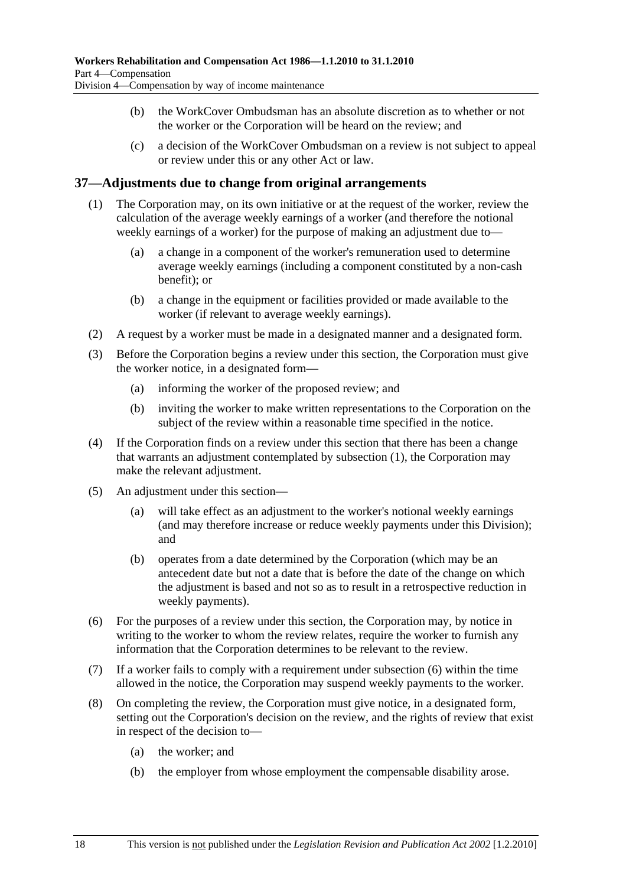- (b) the WorkCover Ombudsman has an absolute discretion as to whether or not the worker or the Corporation will be heard on the review; and
- (c) a decision of the WorkCover Ombudsman on a review is not subject to appeal or review under this or any other Act or law.

### **37—Adjustments due to change from original arrangements**

- (1) The Corporation may, on its own initiative or at the request of the worker, review the calculation of the average weekly earnings of a worker (and therefore the notional weekly earnings of a worker) for the purpose of making an adjustment due to—
	- (a) a change in a component of the worker's remuneration used to determine average weekly earnings (including a component constituted by a non-cash benefit); or
	- (b) a change in the equipment or facilities provided or made available to the worker (if relevant to average weekly earnings).
- (2) A request by a worker must be made in a designated manner and a designated form.
- (3) Before the Corporation begins a review under this section, the Corporation must give the worker notice, in a designated form—
	- (a) informing the worker of the proposed review; and
	- (b) inviting the worker to make written representations to the Corporation on the subject of the review within a reasonable time specified in the notice.
- (4) If the Corporation finds on a review under this section that there has been a change that warrants an adjustment contemplated by subsection (1), the Corporation may make the relevant adjustment.
- (5) An adjustment under this section—
	- (a) will take effect as an adjustment to the worker's notional weekly earnings (and may therefore increase or reduce weekly payments under this Division); and
	- (b) operates from a date determined by the Corporation (which may be an antecedent date but not a date that is before the date of the change on which the adjustment is based and not so as to result in a retrospective reduction in weekly payments).
- (6) For the purposes of a review under this section, the Corporation may, by notice in writing to the worker to whom the review relates, require the worker to furnish any information that the Corporation determines to be relevant to the review.
- (7) If a worker fails to comply with a requirement under subsection (6) within the time allowed in the notice, the Corporation may suspend weekly payments to the worker.
- (8) On completing the review, the Corporation must give notice, in a designated form, setting out the Corporation's decision on the review, and the rights of review that exist in respect of the decision to—
	- (a) the worker; and
	- (b) the employer from whose employment the compensable disability arose.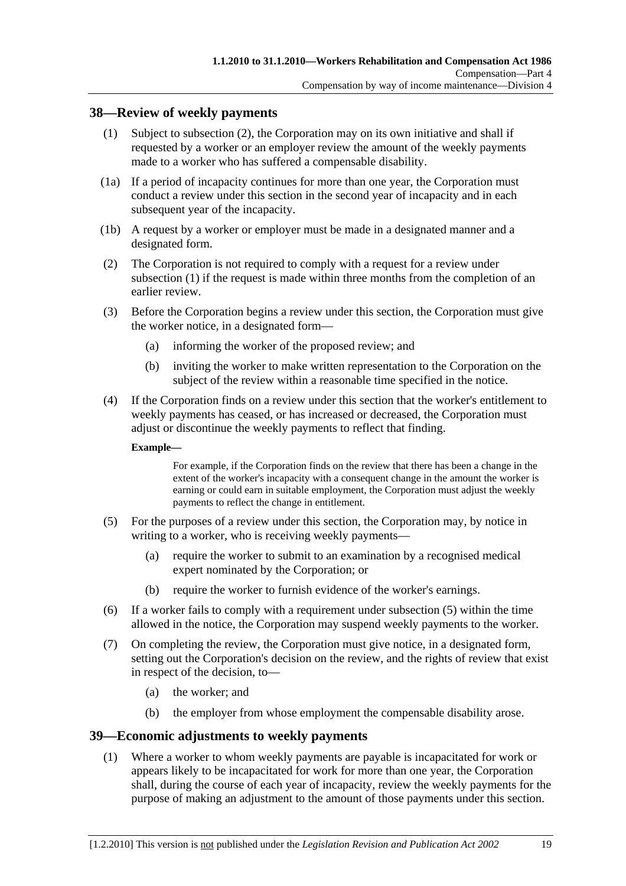#### **38—Review of weekly payments**

- (1) Subject to subsection (2), the Corporation may on its own initiative and shall if requested by a worker or an employer review the amount of the weekly payments made to a worker who has suffered a compensable disability.
- (1a) If a period of incapacity continues for more than one year, the Corporation must conduct a review under this section in the second year of incapacity and in each subsequent year of the incapacity.
- (1b) A request by a worker or employer must be made in a designated manner and a designated form.
- (2) The Corporation is not required to comply with a request for a review under subsection (1) if the request is made within three months from the completion of an earlier review.
- (3) Before the Corporation begins a review under this section, the Corporation must give the worker notice, in a designated form—
	- (a) informing the worker of the proposed review; and
	- (b) inviting the worker to make written representation to the Corporation on the subject of the review within a reasonable time specified in the notice.
- (4) If the Corporation finds on a review under this section that the worker's entitlement to weekly payments has ceased, or has increased or decreased, the Corporation must adjust or discontinue the weekly payments to reflect that finding.

#### **Example—**

For example, if the Corporation finds on the review that there has been a change in the extent of the worker's incapacity with a consequent change in the amount the worker is earning or could earn in suitable employment, the Corporation must adjust the weekly payments to reflect the change in entitlement.

- (5) For the purposes of a review under this section, the Corporation may, by notice in writing to a worker, who is receiving weekly payments—
	- (a) require the worker to submit to an examination by a recognised medical expert nominated by the Corporation; or
	- (b) require the worker to furnish evidence of the worker's earnings.
- (6) If a worker fails to comply with a requirement under subsection (5) within the time allowed in the notice, the Corporation may suspend weekly payments to the worker.
- (7) On completing the review, the Corporation must give notice, in a designated form, setting out the Corporation's decision on the review, and the rights of review that exist in respect of the decision, to—
	- (a) the worker; and
	- (b) the employer from whose employment the compensable disability arose.

#### **39—Economic adjustments to weekly payments**

 (1) Where a worker to whom weekly payments are payable is incapacitated for work or appears likely to be incapacitated for work for more than one year, the Corporation shall, during the course of each year of incapacity, review the weekly payments for the purpose of making an adjustment to the amount of those payments under this section.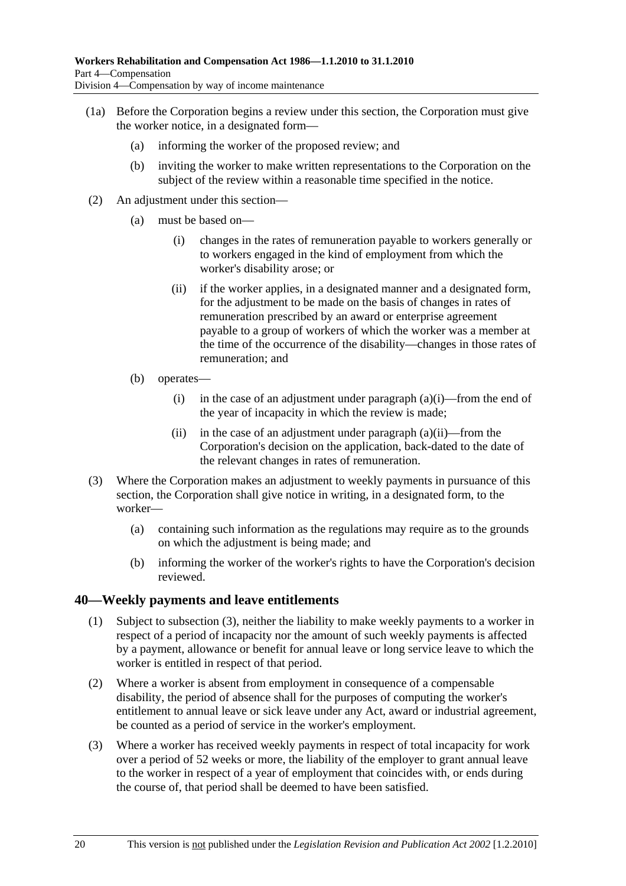- (1a) Before the Corporation begins a review under this section, the Corporation must give the worker notice, in a designated form—
	- (a) informing the worker of the proposed review; and
	- (b) inviting the worker to make written representations to the Corporation on the subject of the review within a reasonable time specified in the notice.
- (2) An adjustment under this section—
	- (a) must be based on—
		- (i) changes in the rates of remuneration payable to workers generally or to workers engaged in the kind of employment from which the worker's disability arose; or
		- (ii) if the worker applies, in a designated manner and a designated form, for the adjustment to be made on the basis of changes in rates of remuneration prescribed by an award or enterprise agreement payable to a group of workers of which the worker was a member at the time of the occurrence of the disability—changes in those rates of remuneration; and
	- (b) operates—
		- (i) in the case of an adjustment under paragraph  $(a)(i)$ —from the end of the year of incapacity in which the review is made;
		- (ii) in the case of an adjustment under paragraph  $(a)(ii)$ —from the Corporation's decision on the application, back-dated to the date of the relevant changes in rates of remuneration.
- (3) Where the Corporation makes an adjustment to weekly payments in pursuance of this section, the Corporation shall give notice in writing, in a designated form, to the worker—
	- (a) containing such information as the regulations may require as to the grounds on which the adjustment is being made; and
	- (b) informing the worker of the worker's rights to have the Corporation's decision reviewed.

### **40—Weekly payments and leave entitlements**

- (1) Subject to subsection (3), neither the liability to make weekly payments to a worker in respect of a period of incapacity nor the amount of such weekly payments is affected by a payment, allowance or benefit for annual leave or long service leave to which the worker is entitled in respect of that period.
- (2) Where a worker is absent from employment in consequence of a compensable disability, the period of absence shall for the purposes of computing the worker's entitlement to annual leave or sick leave under any Act, award or industrial agreement, be counted as a period of service in the worker's employment.
- (3) Where a worker has received weekly payments in respect of total incapacity for work over a period of 52 weeks or more, the liability of the employer to grant annual leave to the worker in respect of a year of employment that coincides with, or ends during the course of, that period shall be deemed to have been satisfied.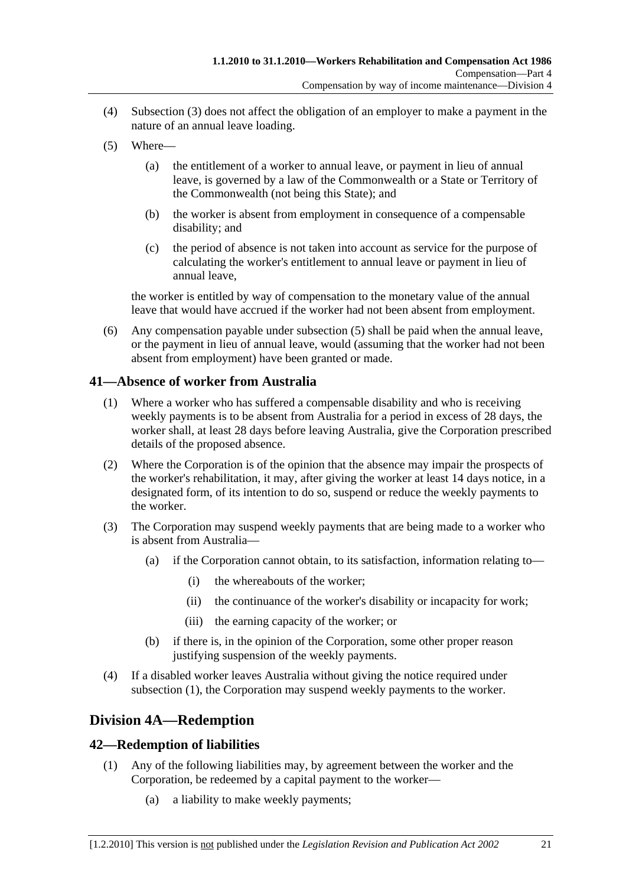- (4) Subsection (3) does not affect the obligation of an employer to make a payment in the nature of an annual leave loading.
- (5) Where—
	- (a) the entitlement of a worker to annual leave, or payment in lieu of annual leave, is governed by a law of the Commonwealth or a State or Territory of the Commonwealth (not being this State); and
	- (b) the worker is absent from employment in consequence of a compensable disability; and
	- (c) the period of absence is not taken into account as service for the purpose of calculating the worker's entitlement to annual leave or payment in lieu of annual leave,

the worker is entitled by way of compensation to the monetary value of the annual leave that would have accrued if the worker had not been absent from employment.

 (6) Any compensation payable under subsection (5) shall be paid when the annual leave, or the payment in lieu of annual leave, would (assuming that the worker had not been absent from employment) have been granted or made.

## **41—Absence of worker from Australia**

- (1) Where a worker who has suffered a compensable disability and who is receiving weekly payments is to be absent from Australia for a period in excess of 28 days, the worker shall, at least 28 days before leaving Australia, give the Corporation prescribed details of the proposed absence.
- (2) Where the Corporation is of the opinion that the absence may impair the prospects of the worker's rehabilitation, it may, after giving the worker at least 14 days notice, in a designated form, of its intention to do so, suspend or reduce the weekly payments to the worker.
- (3) The Corporation may suspend weekly payments that are being made to a worker who is absent from Australia—
	- (a) if the Corporation cannot obtain, to its satisfaction, information relating to—
		- (i) the whereabouts of the worker;
		- (ii) the continuance of the worker's disability or incapacity for work;
		- (iii) the earning capacity of the worker; or
	- (b) if there is, in the opinion of the Corporation, some other proper reason justifying suspension of the weekly payments.
- (4) If a disabled worker leaves Australia without giving the notice required under subsection (1), the Corporation may suspend weekly payments to the worker.

## **Division 4A—Redemption**

## **42—Redemption of liabilities**

- (1) Any of the following liabilities may, by agreement between the worker and the Corporation, be redeemed by a capital payment to the worker—
	- (a) a liability to make weekly payments;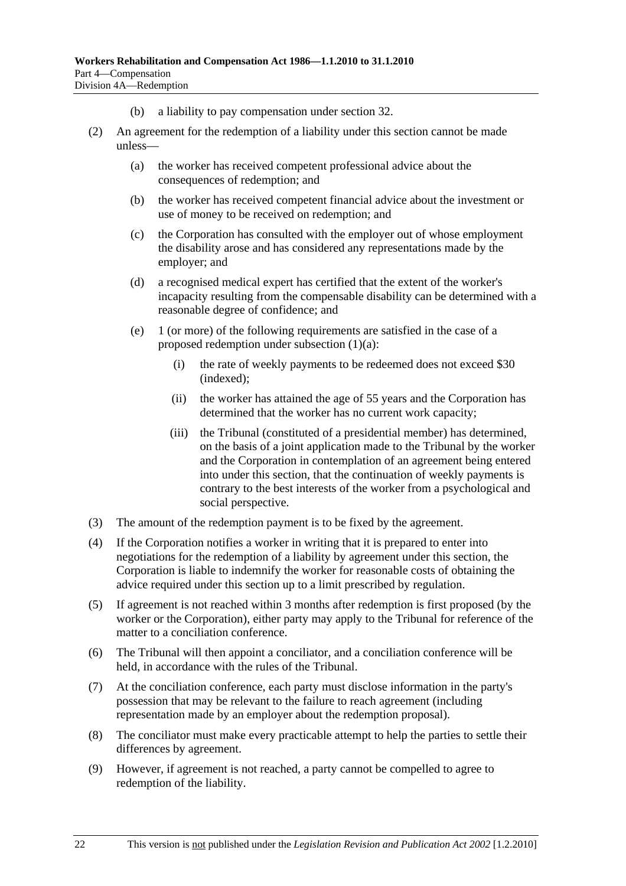- (b) a liability to pay compensation under section 32.
- (2) An agreement for the redemption of a liability under this section cannot be made unless—
	- (a) the worker has received competent professional advice about the consequences of redemption; and
	- (b) the worker has received competent financial advice about the investment or use of money to be received on redemption; and
	- (c) the Corporation has consulted with the employer out of whose employment the disability arose and has considered any representations made by the employer; and
	- (d) a recognised medical expert has certified that the extent of the worker's incapacity resulting from the compensable disability can be determined with a reasonable degree of confidence; and
	- (e) 1 (or more) of the following requirements are satisfied in the case of a proposed redemption under subsection (1)(a):
		- (i) the rate of weekly payments to be redeemed does not exceed \$30 (indexed);
		- (ii) the worker has attained the age of 55 years and the Corporation has determined that the worker has no current work capacity;
		- (iii) the Tribunal (constituted of a presidential member) has determined, on the basis of a joint application made to the Tribunal by the worker and the Corporation in contemplation of an agreement being entered into under this section, that the continuation of weekly payments is contrary to the best interests of the worker from a psychological and social perspective.
- (3) The amount of the redemption payment is to be fixed by the agreement.
- (4) If the Corporation notifies a worker in writing that it is prepared to enter into negotiations for the redemption of a liability by agreement under this section, the Corporation is liable to indemnify the worker for reasonable costs of obtaining the advice required under this section up to a limit prescribed by regulation.
- (5) If agreement is not reached within 3 months after redemption is first proposed (by the worker or the Corporation), either party may apply to the Tribunal for reference of the matter to a conciliation conference.
- (6) The Tribunal will then appoint a conciliator, and a conciliation conference will be held, in accordance with the rules of the Tribunal.
- (7) At the conciliation conference, each party must disclose information in the party's possession that may be relevant to the failure to reach agreement (including representation made by an employer about the redemption proposal).
- (8) The conciliator must make every practicable attempt to help the parties to settle their differences by agreement.
- (9) However, if agreement is not reached, a party cannot be compelled to agree to redemption of the liability.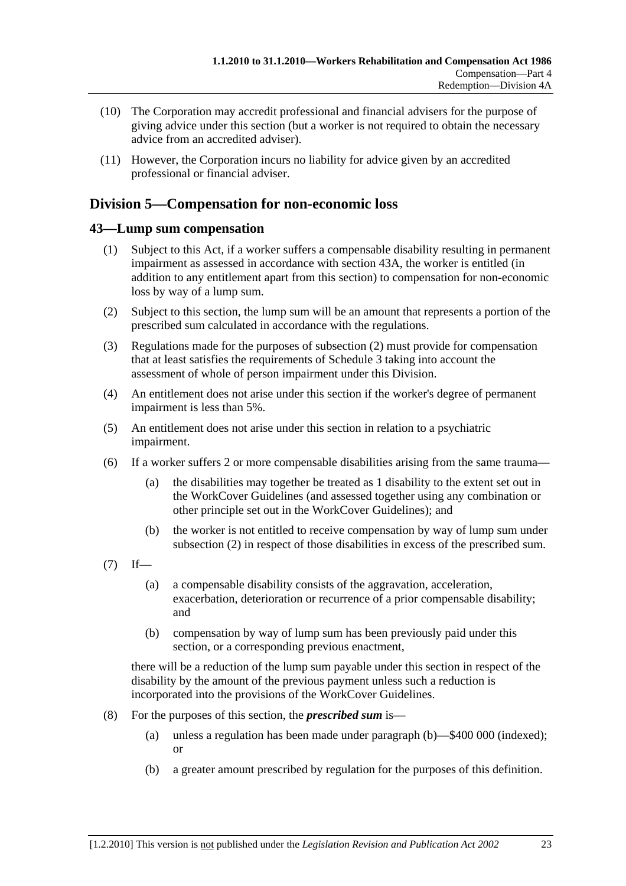- (10) The Corporation may accredit professional and financial advisers for the purpose of giving advice under this section (but a worker is not required to obtain the necessary advice from an accredited adviser).
- (11) However, the Corporation incurs no liability for advice given by an accredited professional or financial adviser.

## **Division 5—Compensation for non-economic loss**

## **43—Lump sum compensation**

- (1) Subject to this Act, if a worker suffers a compensable disability resulting in permanent impairment as assessed in accordance with section 43A, the worker is entitled (in addition to any entitlement apart from this section) to compensation for non-economic loss by way of a lump sum.
- (2) Subject to this section, the lump sum will be an amount that represents a portion of the prescribed sum calculated in accordance with the regulations.
- (3) Regulations made for the purposes of subsection (2) must provide for compensation that at least satisfies the requirements of Schedule 3 taking into account the assessment of whole of person impairment under this Division.
- (4) An entitlement does not arise under this section if the worker's degree of permanent impairment is less than 5%.
- (5) An entitlement does not arise under this section in relation to a psychiatric impairment.
- (6) If a worker suffers 2 or more compensable disabilities arising from the same trauma—
	- (a) the disabilities may together be treated as 1 disability to the extent set out in the WorkCover Guidelines (and assessed together using any combination or other principle set out in the WorkCover Guidelines); and
	- (b) the worker is not entitled to receive compensation by way of lump sum under subsection (2) in respect of those disabilities in excess of the prescribed sum.
- $(7)$  If—
	- (a) a compensable disability consists of the aggravation, acceleration, exacerbation, deterioration or recurrence of a prior compensable disability; and
	- (b) compensation by way of lump sum has been previously paid under this section, or a corresponding previous enactment,

there will be a reduction of the lump sum payable under this section in respect of the disability by the amount of the previous payment unless such a reduction is incorporated into the provisions of the WorkCover Guidelines.

- (8) For the purposes of this section, the *prescribed sum* is—
	- (a) unless a regulation has been made under paragraph (b)—\$400 000 (indexed); or
	- (b) a greater amount prescribed by regulation for the purposes of this definition.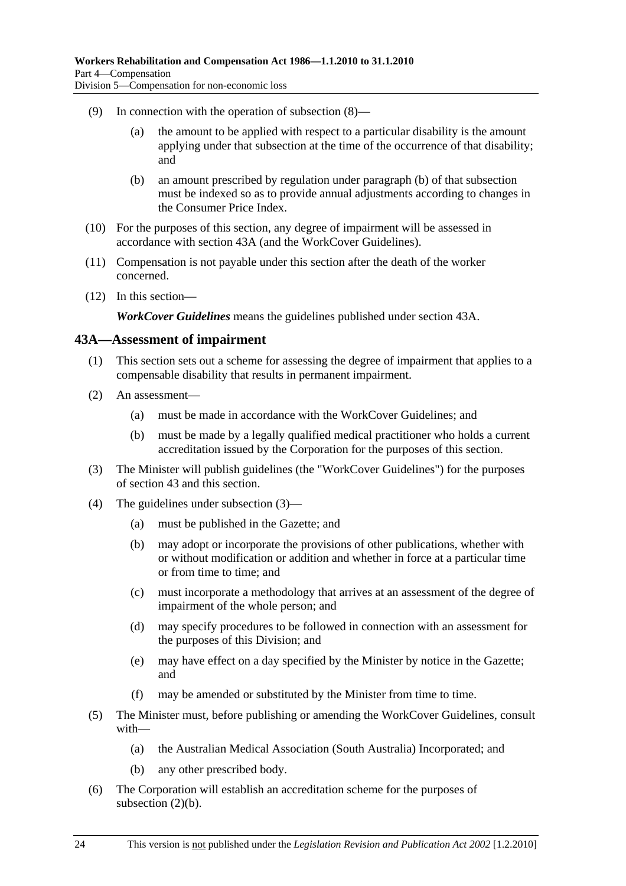- (9) In connection with the operation of subsection (8)—
	- (a) the amount to be applied with respect to a particular disability is the amount applying under that subsection at the time of the occurrence of that disability; and
	- (b) an amount prescribed by regulation under paragraph (b) of that subsection must be indexed so as to provide annual adjustments according to changes in the Consumer Price Index.
- (10) For the purposes of this section, any degree of impairment will be assessed in accordance with section 43A (and the WorkCover Guidelines).
- (11) Compensation is not payable under this section after the death of the worker concerned.
- (12) In this section—

*WorkCover Guidelines* means the guidelines published under section 43A.

#### **43A—Assessment of impairment**

- (1) This section sets out a scheme for assessing the degree of impairment that applies to a compensable disability that results in permanent impairment.
- (2) An assessment—
	- (a) must be made in accordance with the WorkCover Guidelines; and
	- (b) must be made by a legally qualified medical practitioner who holds a current accreditation issued by the Corporation for the purposes of this section.
- (3) The Minister will publish guidelines (the "WorkCover Guidelines") for the purposes of section 43 and this section.
- (4) The guidelines under subsection (3)—
	- (a) must be published in the Gazette; and
	- (b) may adopt or incorporate the provisions of other publications, whether with or without modification or addition and whether in force at a particular time or from time to time; and
	- (c) must incorporate a methodology that arrives at an assessment of the degree of impairment of the whole person; and
	- (d) may specify procedures to be followed in connection with an assessment for the purposes of this Division; and
	- (e) may have effect on a day specified by the Minister by notice in the Gazette; and
	- (f) may be amended or substituted by the Minister from time to time.
- (5) The Minister must, before publishing or amending the WorkCover Guidelines, consult with—
	- (a) the Australian Medical Association (South Australia) Incorporated; and
	- (b) any other prescribed body.
- (6) The Corporation will establish an accreditation scheme for the purposes of subsection (2)(b).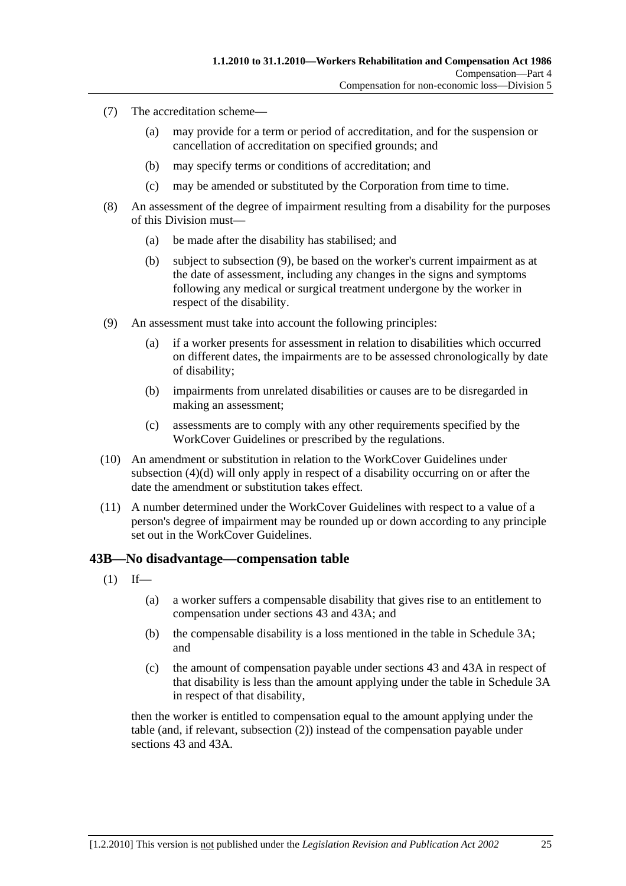- (7) The accreditation scheme—
	- (a) may provide for a term or period of accreditation, and for the suspension or cancellation of accreditation on specified grounds; and
	- (b) may specify terms or conditions of accreditation; and
	- (c) may be amended or substituted by the Corporation from time to time.
- (8) An assessment of the degree of impairment resulting from a disability for the purposes of this Division must—
	- (a) be made after the disability has stabilised; and
	- (b) subject to subsection (9), be based on the worker's current impairment as at the date of assessment, including any changes in the signs and symptoms following any medical or surgical treatment undergone by the worker in respect of the disability.
- (9) An assessment must take into account the following principles:
	- (a) if a worker presents for assessment in relation to disabilities which occurred on different dates, the impairments are to be assessed chronologically by date of disability;
	- (b) impairments from unrelated disabilities or causes are to be disregarded in making an assessment;
	- (c) assessments are to comply with any other requirements specified by the WorkCover Guidelines or prescribed by the regulations.
- (10) An amendment or substitution in relation to the WorkCover Guidelines under subsection (4)(d) will only apply in respect of a disability occurring on or after the date the amendment or substitution takes effect.
- (11) A number determined under the WorkCover Guidelines with respect to a value of a person's degree of impairment may be rounded up or down according to any principle set out in the WorkCover Guidelines.

#### **43B—No disadvantage—compensation table**

- $(1)$  If—
	- (a) a worker suffers a compensable disability that gives rise to an entitlement to compensation under sections 43 and 43A; and
	- (b) the compensable disability is a loss mentioned in the table in Schedule 3A; and
	- (c) the amount of compensation payable under sections 43 and 43A in respect of that disability is less than the amount applying under the table in Schedule 3A in respect of that disability,

then the worker is entitled to compensation equal to the amount applying under the table (and, if relevant, subsection (2)) instead of the compensation payable under sections 43 and 43A.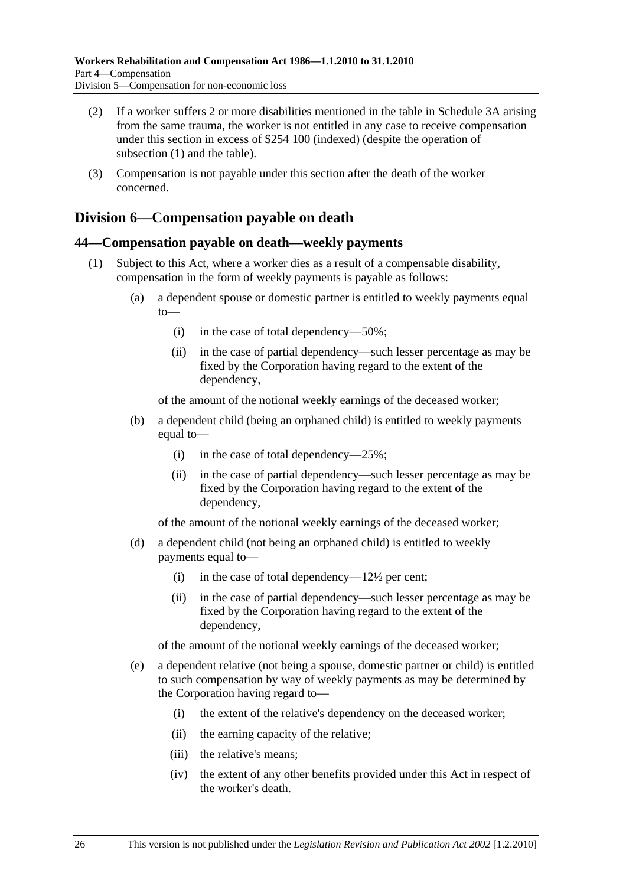- (2) If a worker suffers 2 or more disabilities mentioned in the table in Schedule 3A arising from the same trauma, the worker is not entitled in any case to receive compensation under this section in excess of \$254 100 (indexed) (despite the operation of subsection (1) and the table).
- (3) Compensation is not payable under this section after the death of the worker concerned.

## **Division 6—Compensation payable on death**

### **44—Compensation payable on death—weekly payments**

- (1) Subject to this Act, where a worker dies as a result of a compensable disability, compensation in the form of weekly payments is payable as follows:
	- (a) a dependent spouse or domestic partner is entitled to weekly payments equal to—
		- (i) in the case of total dependency—50%;
		- (ii) in the case of partial dependency—such lesser percentage as may be fixed by the Corporation having regard to the extent of the dependency,

of the amount of the notional weekly earnings of the deceased worker;

- (b) a dependent child (being an orphaned child) is entitled to weekly payments equal to—
	- (i) in the case of total dependency— $25\%$ ;
	- (ii) in the case of partial dependency—such lesser percentage as may be fixed by the Corporation having regard to the extent of the dependency,

of the amount of the notional weekly earnings of the deceased worker;

- (d) a dependent child (not being an orphaned child) is entitled to weekly payments equal to—
	- (i) in the case of total dependency— $12\frac{1}{2}$  per cent;
	- (ii) in the case of partial dependency—such lesser percentage as may be fixed by the Corporation having regard to the extent of the dependency,

of the amount of the notional weekly earnings of the deceased worker;

- (e) a dependent relative (not being a spouse, domestic partner or child) is entitled to such compensation by way of weekly payments as may be determined by the Corporation having regard to—
	- (i) the extent of the relative's dependency on the deceased worker;
	- (ii) the earning capacity of the relative;
	- (iii) the relative's means;
	- (iv) the extent of any other benefits provided under this Act in respect of the worker's death.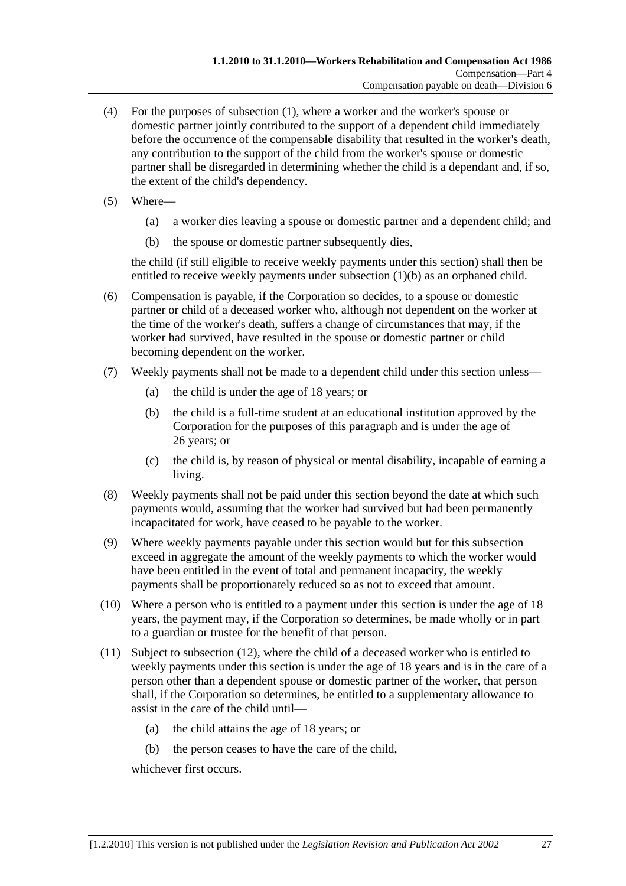- (4) For the purposes of subsection (1), where a worker and the worker's spouse or domestic partner jointly contributed to the support of a dependent child immediately before the occurrence of the compensable disability that resulted in the worker's death, any contribution to the support of the child from the worker's spouse or domestic partner shall be disregarded in determining whether the child is a dependant and, if so, the extent of the child's dependency.
- (5) Where—
	- (a) a worker dies leaving a spouse or domestic partner and a dependent child; and
	- (b) the spouse or domestic partner subsequently dies,

the child (if still eligible to receive weekly payments under this section) shall then be entitled to receive weekly payments under subsection (1)(b) as an orphaned child.

- (6) Compensation is payable, if the Corporation so decides, to a spouse or domestic partner or child of a deceased worker who, although not dependent on the worker at the time of the worker's death, suffers a change of circumstances that may, if the worker had survived, have resulted in the spouse or domestic partner or child becoming dependent on the worker.
- (7) Weekly payments shall not be made to a dependent child under this section unless—
	- (a) the child is under the age of 18 years; or
	- (b) the child is a full-time student at an educational institution approved by the Corporation for the purposes of this paragraph and is under the age of 26 years; or
	- (c) the child is, by reason of physical or mental disability, incapable of earning a living.
- (8) Weekly payments shall not be paid under this section beyond the date at which such payments would, assuming that the worker had survived but had been permanently incapacitated for work, have ceased to be payable to the worker.
- (9) Where weekly payments payable under this section would but for this subsection exceed in aggregate the amount of the weekly payments to which the worker would have been entitled in the event of total and permanent incapacity, the weekly payments shall be proportionately reduced so as not to exceed that amount.
- (10) Where a person who is entitled to a payment under this section is under the age of 18 years, the payment may, if the Corporation so determines, be made wholly or in part to a guardian or trustee for the benefit of that person.
- (11) Subject to subsection (12), where the child of a deceased worker who is entitled to weekly payments under this section is under the age of 18 years and is in the care of a person other than a dependent spouse or domestic partner of the worker, that person shall, if the Corporation so determines, be entitled to a supplementary allowance to assist in the care of the child until—
	- (a) the child attains the age of 18 years; or
	- (b) the person ceases to have the care of the child,

whichever first occurs.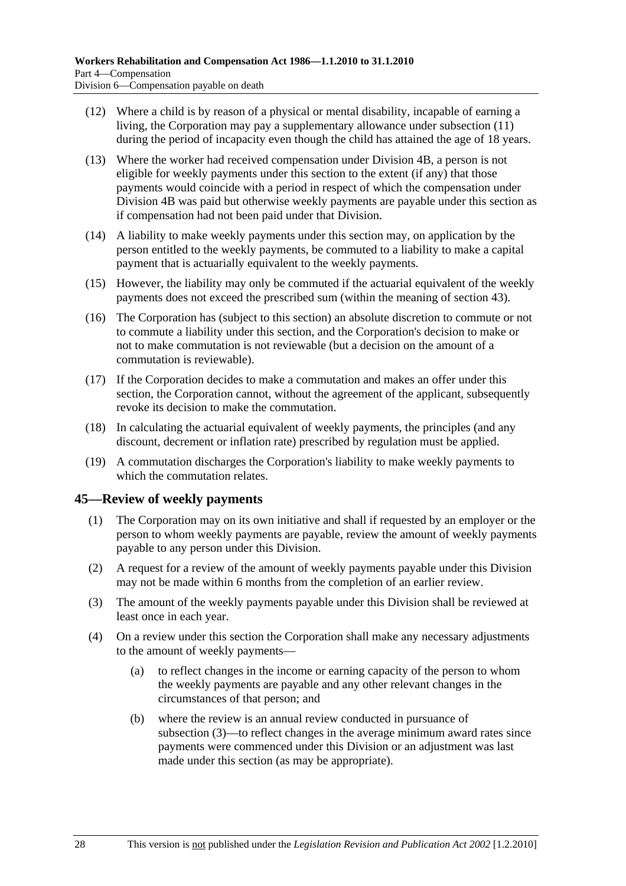- (12) Where a child is by reason of a physical or mental disability, incapable of earning a living, the Corporation may pay a supplementary allowance under subsection (11) during the period of incapacity even though the child has attained the age of 18 years.
- (13) Where the worker had received compensation under Division 4B, a person is not eligible for weekly payments under this section to the extent (if any) that those payments would coincide with a period in respect of which the compensation under Division 4B was paid but otherwise weekly payments are payable under this section as if compensation had not been paid under that Division.
- (14) A liability to make weekly payments under this section may, on application by the person entitled to the weekly payments, be commuted to a liability to make a capital payment that is actuarially equivalent to the weekly payments.
- (15) However, the liability may only be commuted if the actuarial equivalent of the weekly payments does not exceed the prescribed sum (within the meaning of section 43).
- (16) The Corporation has (subject to this section) an absolute discretion to commute or not to commute a liability under this section, and the Corporation's decision to make or not to make commutation is not reviewable (but a decision on the amount of a commutation is reviewable).
- (17) If the Corporation decides to make a commutation and makes an offer under this section, the Corporation cannot, without the agreement of the applicant, subsequently revoke its decision to make the commutation.
- (18) In calculating the actuarial equivalent of weekly payments, the principles (and any discount, decrement or inflation rate) prescribed by regulation must be applied.
- (19) A commutation discharges the Corporation's liability to make weekly payments to which the commutation relates.

## **45—Review of weekly payments**

- (1) The Corporation may on its own initiative and shall if requested by an employer or the person to whom weekly payments are payable, review the amount of weekly payments payable to any person under this Division.
- (2) A request for a review of the amount of weekly payments payable under this Division may not be made within 6 months from the completion of an earlier review.
- (3) The amount of the weekly payments payable under this Division shall be reviewed at least once in each year.
- (4) On a review under this section the Corporation shall make any necessary adjustments to the amount of weekly payments—
	- (a) to reflect changes in the income or earning capacity of the person to whom the weekly payments are payable and any other relevant changes in the circumstances of that person; and
	- (b) where the review is an annual review conducted in pursuance of subsection (3)—to reflect changes in the average minimum award rates since payments were commenced under this Division or an adjustment was last made under this section (as may be appropriate).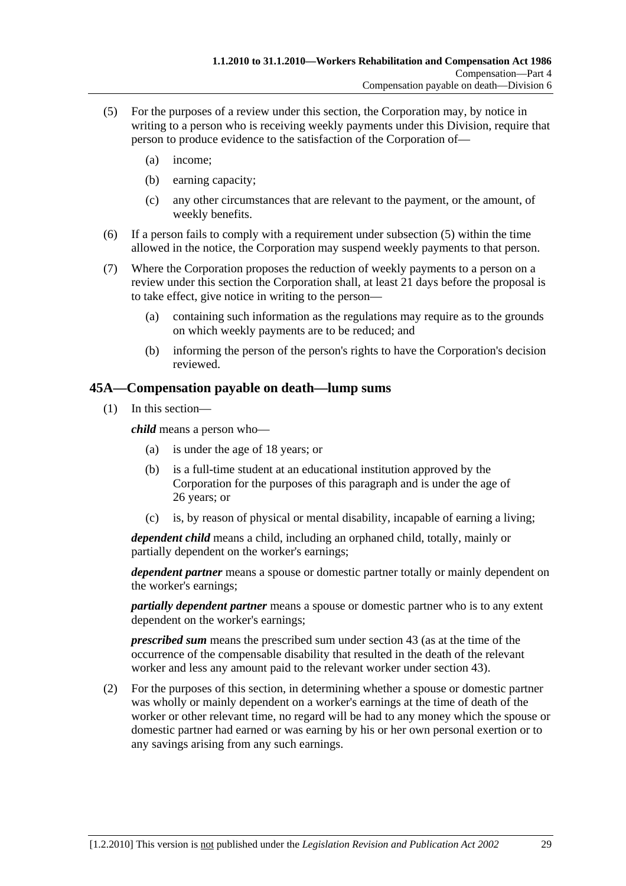- (5) For the purposes of a review under this section, the Corporation may, by notice in writing to a person who is receiving weekly payments under this Division, require that person to produce evidence to the satisfaction of the Corporation of—
	- (a) income;
	- (b) earning capacity;
	- (c) any other circumstances that are relevant to the payment, or the amount, of weekly benefits.
- (6) If a person fails to comply with a requirement under subsection (5) within the time allowed in the notice, the Corporation may suspend weekly payments to that person.
- (7) Where the Corporation proposes the reduction of weekly payments to a person on a review under this section the Corporation shall, at least 21 days before the proposal is to take effect, give notice in writing to the person—
	- (a) containing such information as the regulations may require as to the grounds on which weekly payments are to be reduced; and
	- (b) informing the person of the person's rights to have the Corporation's decision reviewed.

### **45A—Compensation payable on death—lump sums**

(1) In this section—

*child* means a person who—

- (a) is under the age of 18 years; or
- (b) is a full-time student at an educational institution approved by the Corporation for the purposes of this paragraph and is under the age of 26 years; or
- (c) is, by reason of physical or mental disability, incapable of earning a living;

*dependent child* means a child, including an orphaned child, totally, mainly or partially dependent on the worker's earnings;

*dependent partner* means a spouse or domestic partner totally or mainly dependent on the worker's earnings;

*partially dependent partner* means a spouse or domestic partner who is to any extent dependent on the worker's earnings;

*prescribed sum* means the prescribed sum under section 43 (as at the time of the occurrence of the compensable disability that resulted in the death of the relevant worker and less any amount paid to the relevant worker under section 43).

 (2) For the purposes of this section, in determining whether a spouse or domestic partner was wholly or mainly dependent on a worker's earnings at the time of death of the worker or other relevant time, no regard will be had to any money which the spouse or domestic partner had earned or was earning by his or her own personal exertion or to any savings arising from any such earnings.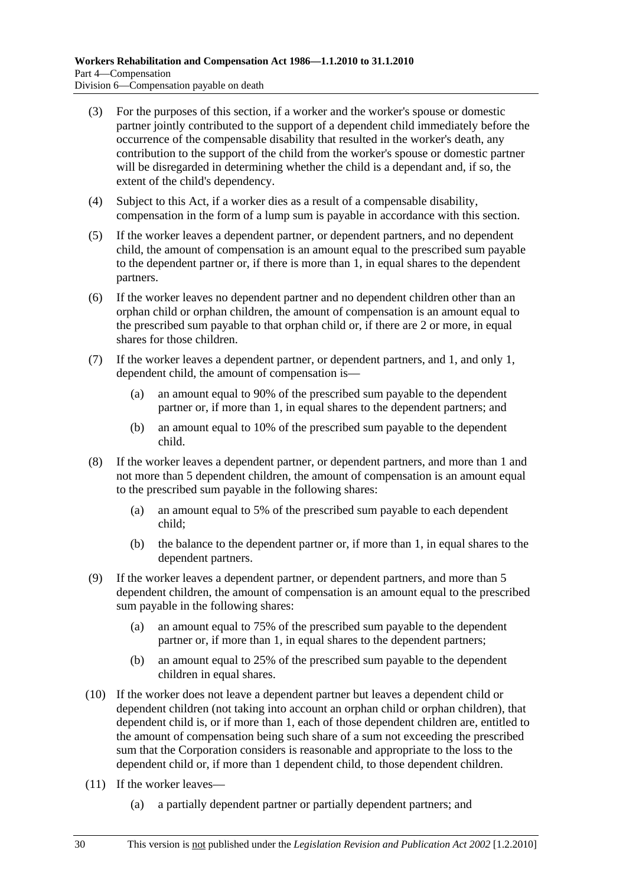- (3) For the purposes of this section, if a worker and the worker's spouse or domestic partner jointly contributed to the support of a dependent child immediately before the occurrence of the compensable disability that resulted in the worker's death, any contribution to the support of the child from the worker's spouse or domestic partner will be disregarded in determining whether the child is a dependant and, if so, the extent of the child's dependency.
- (4) Subject to this Act, if a worker dies as a result of a compensable disability, compensation in the form of a lump sum is payable in accordance with this section.
- (5) If the worker leaves a dependent partner, or dependent partners, and no dependent child, the amount of compensation is an amount equal to the prescribed sum payable to the dependent partner or, if there is more than 1, in equal shares to the dependent partners.
- (6) If the worker leaves no dependent partner and no dependent children other than an orphan child or orphan children, the amount of compensation is an amount equal to the prescribed sum payable to that orphan child or, if there are 2 or more, in equal shares for those children.
- (7) If the worker leaves a dependent partner, or dependent partners, and 1, and only 1, dependent child, the amount of compensation is—
	- (a) an amount equal to 90% of the prescribed sum payable to the dependent partner or, if more than 1, in equal shares to the dependent partners; and
	- (b) an amount equal to 10% of the prescribed sum payable to the dependent child.
- (8) If the worker leaves a dependent partner, or dependent partners, and more than 1 and not more than 5 dependent children, the amount of compensation is an amount equal to the prescribed sum payable in the following shares:
	- (a) an amount equal to 5% of the prescribed sum payable to each dependent child;
	- (b) the balance to the dependent partner or, if more than 1, in equal shares to the dependent partners.
- (9) If the worker leaves a dependent partner, or dependent partners, and more than 5 dependent children, the amount of compensation is an amount equal to the prescribed sum payable in the following shares:
	- (a) an amount equal to 75% of the prescribed sum payable to the dependent partner or, if more than 1, in equal shares to the dependent partners;
	- (b) an amount equal to 25% of the prescribed sum payable to the dependent children in equal shares.
- (10) If the worker does not leave a dependent partner but leaves a dependent child or dependent children (not taking into account an orphan child or orphan children), that dependent child is, or if more than 1, each of those dependent children are, entitled to the amount of compensation being such share of a sum not exceeding the prescribed sum that the Corporation considers is reasonable and appropriate to the loss to the dependent child or, if more than 1 dependent child, to those dependent children.
- (11) If the worker leaves—
	- (a) a partially dependent partner or partially dependent partners; and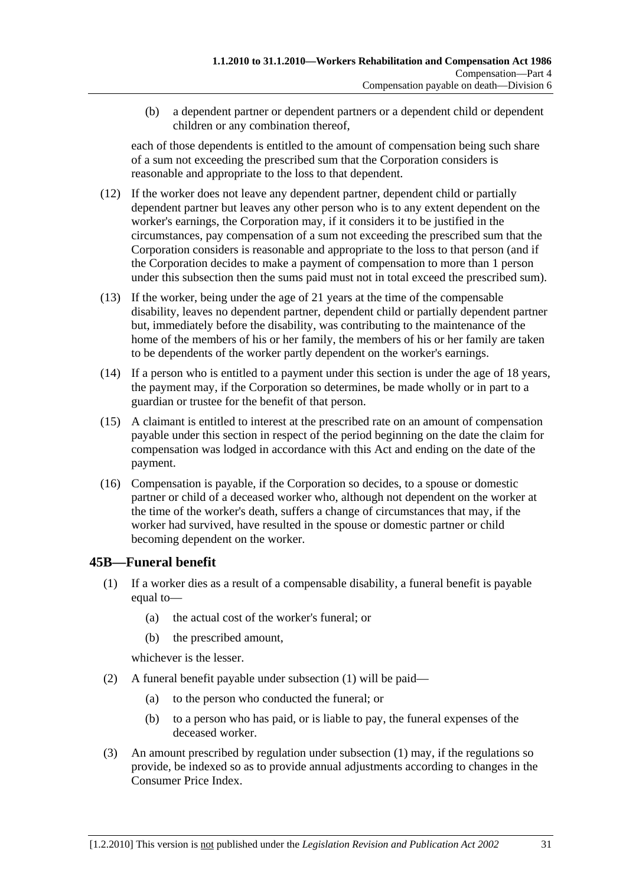(b) a dependent partner or dependent partners or a dependent child or dependent children or any combination thereof,

each of those dependents is entitled to the amount of compensation being such share of a sum not exceeding the prescribed sum that the Corporation considers is reasonable and appropriate to the loss to that dependent.

- (12) If the worker does not leave any dependent partner, dependent child or partially dependent partner but leaves any other person who is to any extent dependent on the worker's earnings, the Corporation may, if it considers it to be justified in the circumstances, pay compensation of a sum not exceeding the prescribed sum that the Corporation considers is reasonable and appropriate to the loss to that person (and if the Corporation decides to make a payment of compensation to more than 1 person under this subsection then the sums paid must not in total exceed the prescribed sum).
- (13) If the worker, being under the age of 21 years at the time of the compensable disability, leaves no dependent partner, dependent child or partially dependent partner but, immediately before the disability, was contributing to the maintenance of the home of the members of his or her family, the members of his or her family are taken to be dependents of the worker partly dependent on the worker's earnings.
- (14) If a person who is entitled to a payment under this section is under the age of 18 years, the payment may, if the Corporation so determines, be made wholly or in part to a guardian or trustee for the benefit of that person.
- (15) A claimant is entitled to interest at the prescribed rate on an amount of compensation payable under this section in respect of the period beginning on the date the claim for compensation was lodged in accordance with this Act and ending on the date of the payment.
- (16) Compensation is payable, if the Corporation so decides, to a spouse or domestic partner or child of a deceased worker who, although not dependent on the worker at the time of the worker's death, suffers a change of circumstances that may, if the worker had survived, have resulted in the spouse or domestic partner or child becoming dependent on the worker.

## **45B—Funeral benefit**

- (1) If a worker dies as a result of a compensable disability, a funeral benefit is payable equal to—
	- (a) the actual cost of the worker's funeral; or
	- (b) the prescribed amount,

whichever is the lesser.

- (2) A funeral benefit payable under subsection (1) will be paid—
	- (a) to the person who conducted the funeral; or
	- (b) to a person who has paid, or is liable to pay, the funeral expenses of the deceased worker.
- (3) An amount prescribed by regulation under subsection (1) may, if the regulations so provide, be indexed so as to provide annual adjustments according to changes in the Consumer Price Index.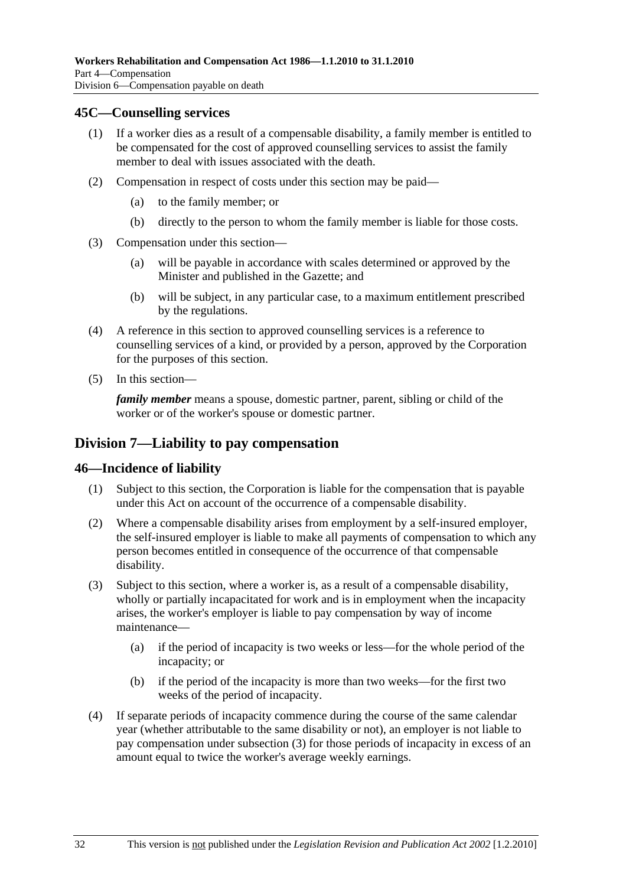#### **45C—Counselling services**

- (1) If a worker dies as a result of a compensable disability, a family member is entitled to be compensated for the cost of approved counselling services to assist the family member to deal with issues associated with the death.
- (2) Compensation in respect of costs under this section may be paid—
	- (a) to the family member; or
	- (b) directly to the person to whom the family member is liable for those costs.
- (3) Compensation under this section—
	- (a) will be payable in accordance with scales determined or approved by the Minister and published in the Gazette; and
	- (b) will be subject, in any particular case, to a maximum entitlement prescribed by the regulations.
- (4) A reference in this section to approved counselling services is a reference to counselling services of a kind, or provided by a person, approved by the Corporation for the purposes of this section.
- (5) In this section—

*family member* means a spouse, domestic partner, parent, sibling or child of the worker or of the worker's spouse or domestic partner.

## **Division 7—Liability to pay compensation**

#### **46—Incidence of liability**

- (1) Subject to this section, the Corporation is liable for the compensation that is payable under this Act on account of the occurrence of a compensable disability.
- (2) Where a compensable disability arises from employment by a self-insured employer, the self-insured employer is liable to make all payments of compensation to which any person becomes entitled in consequence of the occurrence of that compensable disability.
- (3) Subject to this section, where a worker is, as a result of a compensable disability, wholly or partially incapacitated for work and is in employment when the incapacity arises, the worker's employer is liable to pay compensation by way of income maintenance—
	- (a) if the period of incapacity is two weeks or less—for the whole period of the incapacity; or
	- (b) if the period of the incapacity is more than two weeks—for the first two weeks of the period of incapacity.
- (4) If separate periods of incapacity commence during the course of the same calendar year (whether attributable to the same disability or not), an employer is not liable to pay compensation under subsection (3) for those periods of incapacity in excess of an amount equal to twice the worker's average weekly earnings.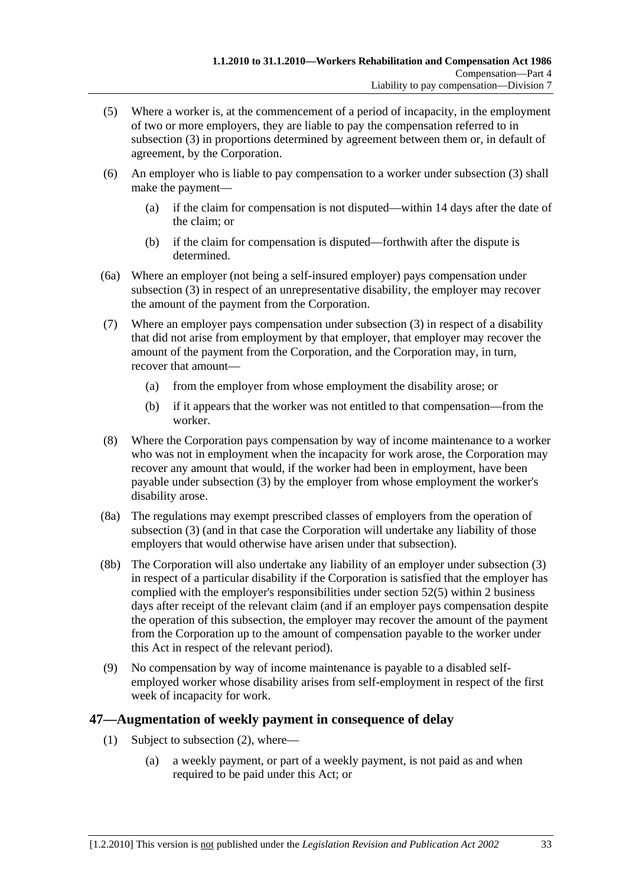- (5) Where a worker is, at the commencement of a period of incapacity, in the employment of two or more employers, they are liable to pay the compensation referred to in subsection (3) in proportions determined by agreement between them or, in default of agreement, by the Corporation.
- (6) An employer who is liable to pay compensation to a worker under subsection (3) shall make the payment—
	- (a) if the claim for compensation is not disputed—within 14 days after the date of the claim; or
	- (b) if the claim for compensation is disputed—forthwith after the dispute is determined.
- (6a) Where an employer (not being a self-insured employer) pays compensation under subsection (3) in respect of an unrepresentative disability, the employer may recover the amount of the payment from the Corporation.
- (7) Where an employer pays compensation under subsection (3) in respect of a disability that did not arise from employment by that employer, that employer may recover the amount of the payment from the Corporation, and the Corporation may, in turn, recover that amount—
	- (a) from the employer from whose employment the disability arose; or
	- (b) if it appears that the worker was not entitled to that compensation—from the worker.
- (8) Where the Corporation pays compensation by way of income maintenance to a worker who was not in employment when the incapacity for work arose, the Corporation may recover any amount that would, if the worker had been in employment, have been payable under subsection (3) by the employer from whose employment the worker's disability arose.
- (8a) The regulations may exempt prescribed classes of employers from the operation of subsection (3) (and in that case the Corporation will undertake any liability of those employers that would otherwise have arisen under that subsection).
- (8b) The Corporation will also undertake any liability of an employer under subsection (3) in respect of a particular disability if the Corporation is satisfied that the employer has complied with the employer's responsibilities under section 52(5) within 2 business days after receipt of the relevant claim (and if an employer pays compensation despite the operation of this subsection, the employer may recover the amount of the payment from the Corporation up to the amount of compensation payable to the worker under this Act in respect of the relevant period).
- (9) No compensation by way of income maintenance is payable to a disabled selfemployed worker whose disability arises from self-employment in respect of the first week of incapacity for work.

### **47—Augmentation of weekly payment in consequence of delay**

- (1) Subject to subsection (2), where—
	- (a) a weekly payment, or part of a weekly payment, is not paid as and when required to be paid under this Act; or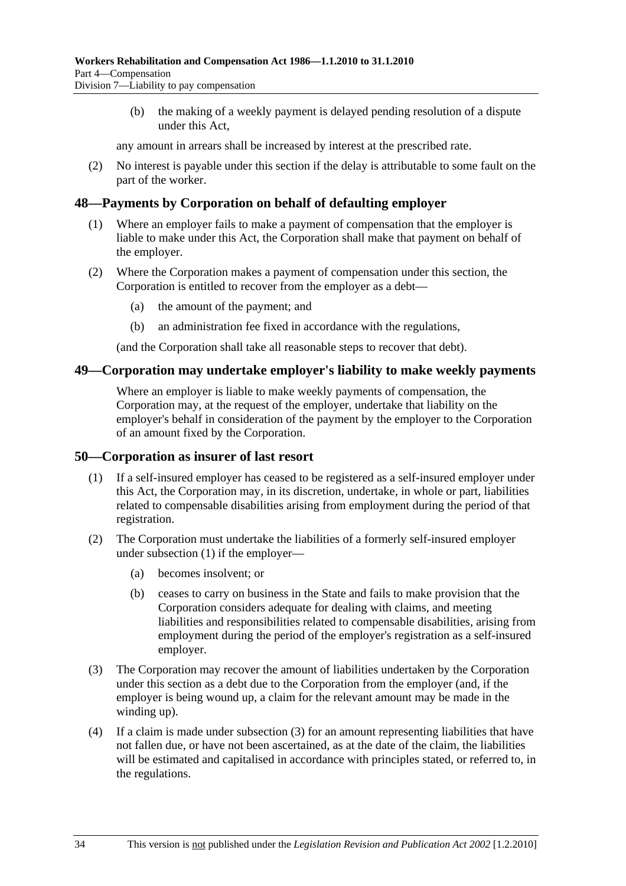(b) the making of a weekly payment is delayed pending resolution of a dispute under this Act,

any amount in arrears shall be increased by interest at the prescribed rate.

 (2) No interest is payable under this section if the delay is attributable to some fault on the part of the worker.

#### **48—Payments by Corporation on behalf of defaulting employer**

- (1) Where an employer fails to make a payment of compensation that the employer is liable to make under this Act, the Corporation shall make that payment on behalf of the employer.
- (2) Where the Corporation makes a payment of compensation under this section, the Corporation is entitled to recover from the employer as a debt—
	- (a) the amount of the payment; and
	- (b) an administration fee fixed in accordance with the regulations,

(and the Corporation shall take all reasonable steps to recover that debt).

#### **49—Corporation may undertake employer's liability to make weekly payments**

Where an employer is liable to make weekly payments of compensation, the Corporation may, at the request of the employer, undertake that liability on the employer's behalf in consideration of the payment by the employer to the Corporation of an amount fixed by the Corporation.

#### **50—Corporation as insurer of last resort**

- (1) If a self-insured employer has ceased to be registered as a self-insured employer under this Act, the Corporation may, in its discretion, undertake, in whole or part, liabilities related to compensable disabilities arising from employment during the period of that registration.
- (2) The Corporation must undertake the liabilities of a formerly self-insured employer under subsection (1) if the employer—
	- (a) becomes insolvent; or
	- (b) ceases to carry on business in the State and fails to make provision that the Corporation considers adequate for dealing with claims, and meeting liabilities and responsibilities related to compensable disabilities, arising from employment during the period of the employer's registration as a self-insured employer.
- (3) The Corporation may recover the amount of liabilities undertaken by the Corporation under this section as a debt due to the Corporation from the employer (and, if the employer is being wound up, a claim for the relevant amount may be made in the winding up).
- (4) If a claim is made under subsection (3) for an amount representing liabilities that have not fallen due, or have not been ascertained, as at the date of the claim, the liabilities will be estimated and capitalised in accordance with principles stated, or referred to, in the regulations.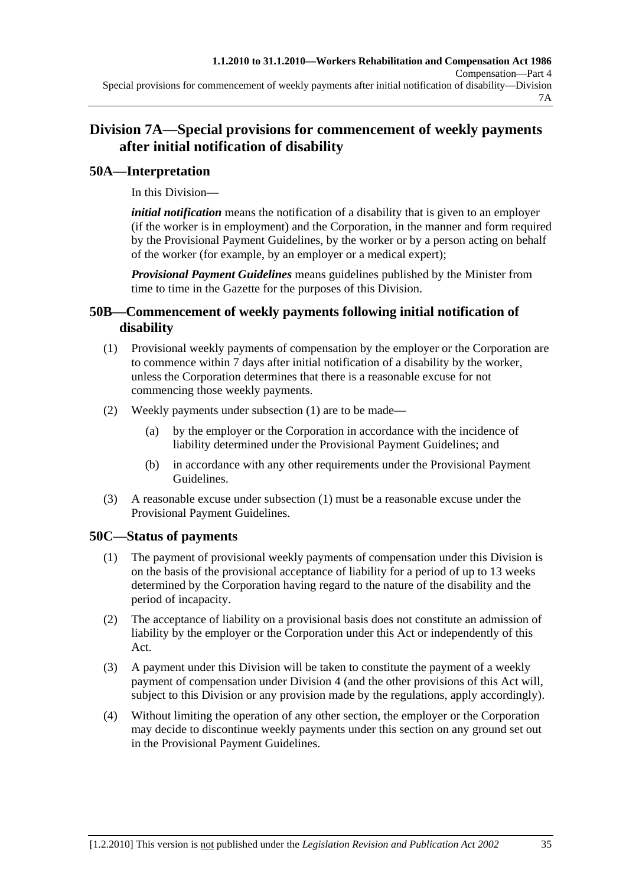# **Division 7A—Special provisions for commencement of weekly payments after initial notification of disability**

## **50A—Interpretation**

In this Division—

*initial notification* means the notification of a disability that is given to an employer (if the worker is in employment) and the Corporation, in the manner and form required by the Provisional Payment Guidelines, by the worker or by a person acting on behalf of the worker (for example, by an employer or a medical expert);

*Provisional Payment Guidelines* means guidelines published by the Minister from time to time in the Gazette for the purposes of this Division.

## **50B—Commencement of weekly payments following initial notification of disability**

- (1) Provisional weekly payments of compensation by the employer or the Corporation are to commence within 7 days after initial notification of a disability by the worker, unless the Corporation determines that there is a reasonable excuse for not commencing those weekly payments.
- (2) Weekly payments under subsection (1) are to be made—
	- (a) by the employer or the Corporation in accordance with the incidence of liability determined under the Provisional Payment Guidelines; and
	- (b) in accordance with any other requirements under the Provisional Payment Guidelines.
- (3) A reasonable excuse under subsection (1) must be a reasonable excuse under the Provisional Payment Guidelines.

## **50C—Status of payments**

- (1) The payment of provisional weekly payments of compensation under this Division is on the basis of the provisional acceptance of liability for a period of up to 13 weeks determined by the Corporation having regard to the nature of the disability and the period of incapacity.
- (2) The acceptance of liability on a provisional basis does not constitute an admission of liability by the employer or the Corporation under this Act or independently of this Act.
- (3) A payment under this Division will be taken to constitute the payment of a weekly payment of compensation under Division 4 (and the other provisions of this Act will, subject to this Division or any provision made by the regulations, apply accordingly).
- (4) Without limiting the operation of any other section, the employer or the Corporation may decide to discontinue weekly payments under this section on any ground set out in the Provisional Payment Guidelines.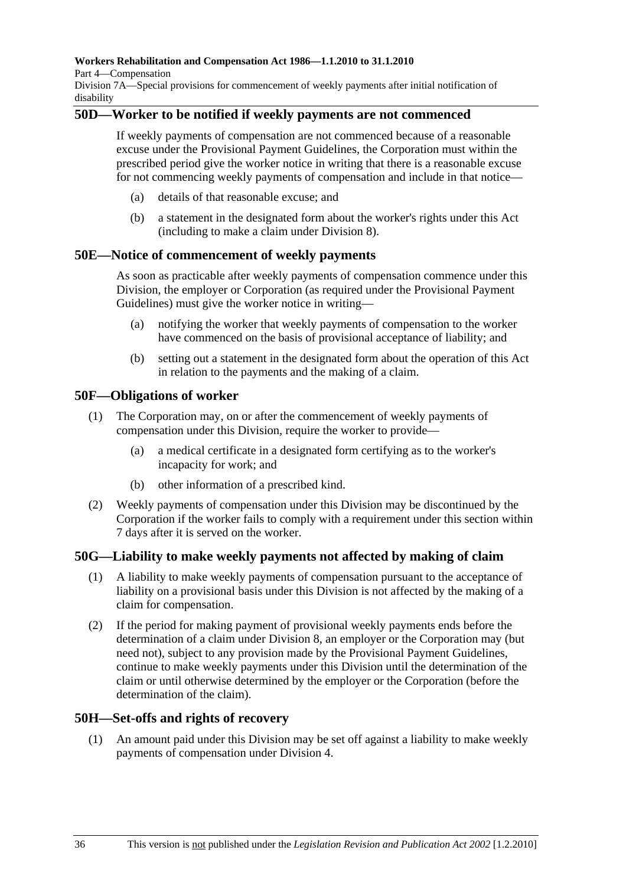#### **Workers Rehabilitation and Compensation Act 1986—1.1.2010 to 31.1.2010**

Part 4—Compensation

Division 7A—Special provisions for commencement of weekly payments after initial notification of disability

## **50D—Worker to be notified if weekly payments are not commenced**

If weekly payments of compensation are not commenced because of a reasonable excuse under the Provisional Payment Guidelines, the Corporation must within the prescribed period give the worker notice in writing that there is a reasonable excuse for not commencing weekly payments of compensation and include in that notice—

- (a) details of that reasonable excuse; and
- (b) a statement in the designated form about the worker's rights under this Act (including to make a claim under Division 8).

#### **50E—Notice of commencement of weekly payments**

As soon as practicable after weekly payments of compensation commence under this Division, the employer or Corporation (as required under the Provisional Payment Guidelines) must give the worker notice in writing—

- (a) notifying the worker that weekly payments of compensation to the worker have commenced on the basis of provisional acceptance of liability; and
- (b) setting out a statement in the designated form about the operation of this Act in relation to the payments and the making of a claim.

#### **50F—Obligations of worker**

- (1) The Corporation may, on or after the commencement of weekly payments of compensation under this Division, require the worker to provide—
	- (a) a medical certificate in a designated form certifying as to the worker's incapacity for work; and
	- (b) other information of a prescribed kind.
- (2) Weekly payments of compensation under this Division may be discontinued by the Corporation if the worker fails to comply with a requirement under this section within 7 days after it is served on the worker.

### **50G—Liability to make weekly payments not affected by making of claim**

- (1) A liability to make weekly payments of compensation pursuant to the acceptance of liability on a provisional basis under this Division is not affected by the making of a claim for compensation.
- (2) If the period for making payment of provisional weekly payments ends before the determination of a claim under Division 8, an employer or the Corporation may (but need not), subject to any provision made by the Provisional Payment Guidelines, continue to make weekly payments under this Division until the determination of the claim or until otherwise determined by the employer or the Corporation (before the determination of the claim).

### **50H—Set-offs and rights of recovery**

 (1) An amount paid under this Division may be set off against a liability to make weekly payments of compensation under Division 4.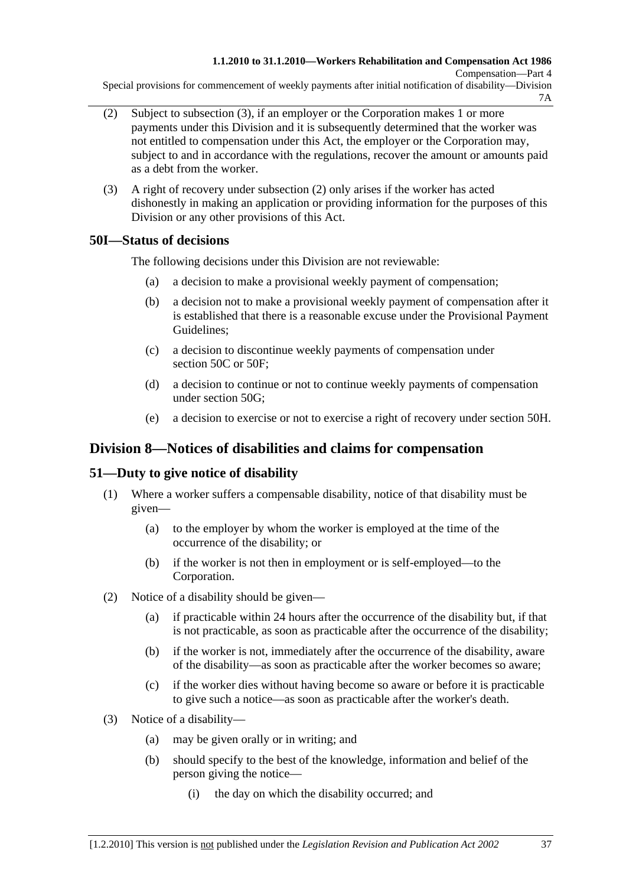Special provisions for commencement of weekly payments after initial notification of disability—Division 7A

- (2) Subject to subsection (3), if an employer or the Corporation makes 1 or more payments under this Division and it is subsequently determined that the worker was not entitled to compensation under this Act, the employer or the Corporation may, subject to and in accordance with the regulations, recover the amount or amounts paid as a debt from the worker.
- (3) A right of recovery under subsection (2) only arises if the worker has acted dishonestly in making an application or providing information for the purposes of this Division or any other provisions of this Act.

## **50I—Status of decisions**

The following decisions under this Division are not reviewable:

- (a) a decision to make a provisional weekly payment of compensation;
- (b) a decision not to make a provisional weekly payment of compensation after it is established that there is a reasonable excuse under the Provisional Payment Guidelines;
- (c) a decision to discontinue weekly payments of compensation under section 50C or 50F:
- (d) a decision to continue or not to continue weekly payments of compensation under section 50G;
- (e) a decision to exercise or not to exercise a right of recovery under section 50H.

## **Division 8—Notices of disabilities and claims for compensation**

## **51—Duty to give notice of disability**

- (1) Where a worker suffers a compensable disability, notice of that disability must be given—
	- (a) to the employer by whom the worker is employed at the time of the occurrence of the disability; or
	- (b) if the worker is not then in employment or is self-employed—to the Corporation.
- (2) Notice of a disability should be given—
	- (a) if practicable within 24 hours after the occurrence of the disability but, if that is not practicable, as soon as practicable after the occurrence of the disability;
	- (b) if the worker is not, immediately after the occurrence of the disability, aware of the disability—as soon as practicable after the worker becomes so aware;
	- (c) if the worker dies without having become so aware or before it is practicable to give such a notice—as soon as practicable after the worker's death.
- (3) Notice of a disability—
	- (a) may be given orally or in writing; and
	- (b) should specify to the best of the knowledge, information and belief of the person giving the notice—
		- (i) the day on which the disability occurred; and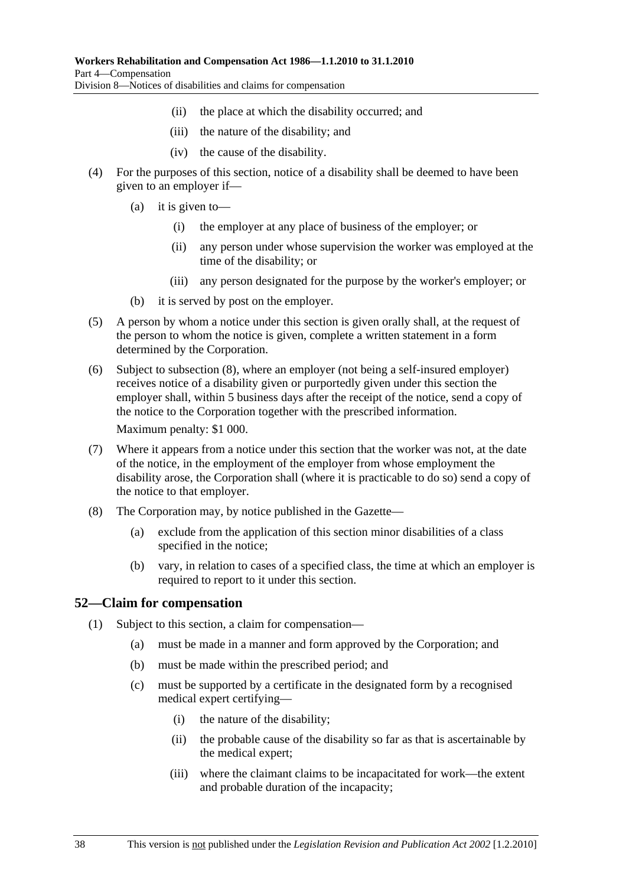- (ii) the place at which the disability occurred; and
- (iii) the nature of the disability; and
- (iv) the cause of the disability.
- (4) For the purposes of this section, notice of a disability shall be deemed to have been given to an employer if—
	- (a) it is given to—
		- (i) the employer at any place of business of the employer; or
		- (ii) any person under whose supervision the worker was employed at the time of the disability; or
		- (iii) any person designated for the purpose by the worker's employer; or
	- (b) it is served by post on the employer.
- (5) A person by whom a notice under this section is given orally shall, at the request of the person to whom the notice is given, complete a written statement in a form determined by the Corporation.
- (6) Subject to subsection (8), where an employer (not being a self-insured employer) receives notice of a disability given or purportedly given under this section the employer shall, within 5 business days after the receipt of the notice, send a copy of the notice to the Corporation together with the prescribed information.

Maximum penalty: \$1 000.

- (7) Where it appears from a notice under this section that the worker was not, at the date of the notice, in the employment of the employer from whose employment the disability arose, the Corporation shall (where it is practicable to do so) send a copy of the notice to that employer.
- (8) The Corporation may, by notice published in the Gazette—
	- (a) exclude from the application of this section minor disabilities of a class specified in the notice;
	- (b) vary, in relation to cases of a specified class, the time at which an employer is required to report to it under this section.

### **52—Claim for compensation**

- (1) Subject to this section, a claim for compensation—
	- (a) must be made in a manner and form approved by the Corporation; and
	- (b) must be made within the prescribed period; and
	- (c) must be supported by a certificate in the designated form by a recognised medical expert certifying—
		- (i) the nature of the disability;
		- (ii) the probable cause of the disability so far as that is ascertainable by the medical expert;
		- (iii) where the claimant claims to be incapacitated for work—the extent and probable duration of the incapacity;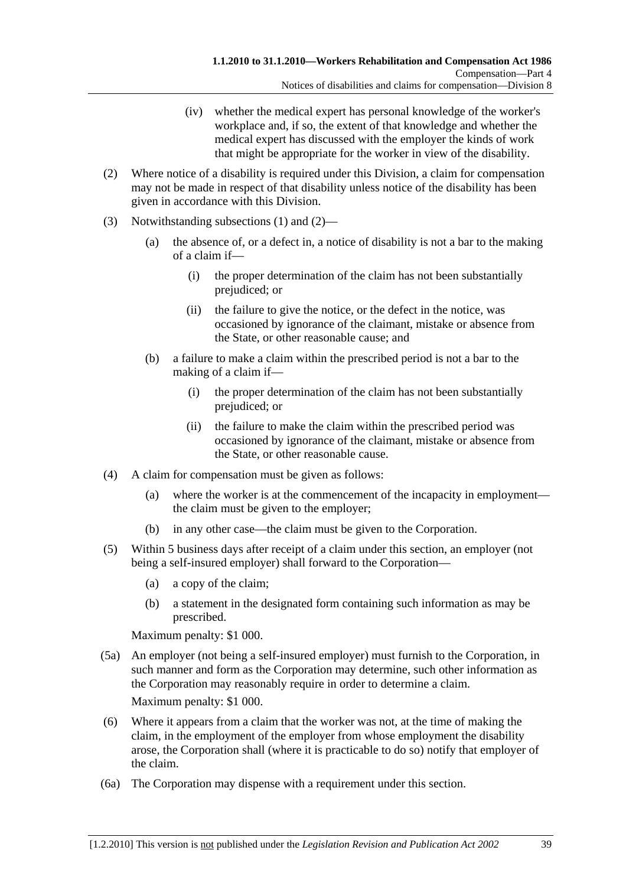- (iv) whether the medical expert has personal knowledge of the worker's workplace and, if so, the extent of that knowledge and whether the medical expert has discussed with the employer the kinds of work that might be appropriate for the worker in view of the disability.
- (2) Where notice of a disability is required under this Division, a claim for compensation may not be made in respect of that disability unless notice of the disability has been given in accordance with this Division.
- (3) Notwithstanding subsections (1) and (2)—
	- (a) the absence of, or a defect in, a notice of disability is not a bar to the making of a claim if—
		- (i) the proper determination of the claim has not been substantially prejudiced; or
		- (ii) the failure to give the notice, or the defect in the notice, was occasioned by ignorance of the claimant, mistake or absence from the State, or other reasonable cause; and
	- (b) a failure to make a claim within the prescribed period is not a bar to the making of a claim if—
		- (i) the proper determination of the claim has not been substantially prejudiced; or
		- (ii) the failure to make the claim within the prescribed period was occasioned by ignorance of the claimant, mistake or absence from the State, or other reasonable cause.
- (4) A claim for compensation must be given as follows:
	- (a) where the worker is at the commencement of the incapacity in employment the claim must be given to the employer;
	- (b) in any other case—the claim must be given to the Corporation.
- (5) Within 5 business days after receipt of a claim under this section, an employer (not being a self-insured employer) shall forward to the Corporation—
	- (a) a copy of the claim;
	- (b) a statement in the designated form containing such information as may be prescribed.

Maximum penalty: \$1 000.

 (5a) An employer (not being a self-insured employer) must furnish to the Corporation, in such manner and form as the Corporation may determine, such other information as the Corporation may reasonably require in order to determine a claim.

Maximum penalty: \$1 000.

- (6) Where it appears from a claim that the worker was not, at the time of making the claim, in the employment of the employer from whose employment the disability arose, the Corporation shall (where it is practicable to do so) notify that employer of the claim.
- (6a) The Corporation may dispense with a requirement under this section.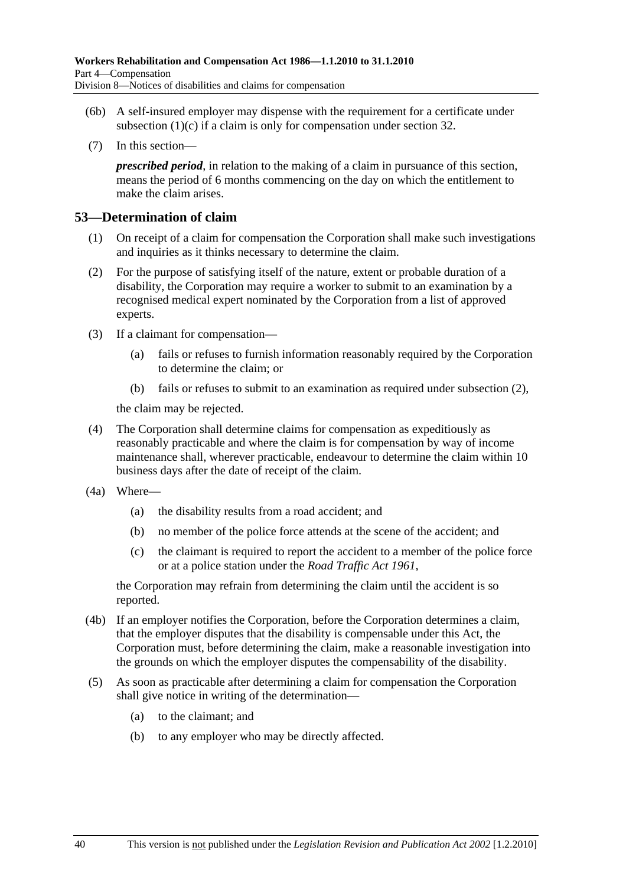- (6b) A self-insured employer may dispense with the requirement for a certificate under subsection  $(1)(c)$  if a claim is only for compensation under section 32.
- (7) In this section—

*prescribed period*, in relation to the making of a claim in pursuance of this section, means the period of 6 months commencing on the day on which the entitlement to make the claim arises.

#### **53—Determination of claim**

- (1) On receipt of a claim for compensation the Corporation shall make such investigations and inquiries as it thinks necessary to determine the claim.
- (2) For the purpose of satisfying itself of the nature, extent or probable duration of a disability, the Corporation may require a worker to submit to an examination by a recognised medical expert nominated by the Corporation from a list of approved experts.
- (3) If a claimant for compensation—
	- (a) fails or refuses to furnish information reasonably required by the Corporation to determine the claim; or
	- (b) fails or refuses to submit to an examination as required under subsection (2),

the claim may be rejected.

- (4) The Corporation shall determine claims for compensation as expeditiously as reasonably practicable and where the claim is for compensation by way of income maintenance shall, wherever practicable, endeavour to determine the claim within 10 business days after the date of receipt of the claim.
- (4a) Where—
	- (a) the disability results from a road accident; and
	- (b) no member of the police force attends at the scene of the accident; and
	- (c) the claimant is required to report the accident to a member of the police force or at a police station under the *Road Traffic Act 1961*,

the Corporation may refrain from determining the claim until the accident is so reported.

- (4b) If an employer notifies the Corporation, before the Corporation determines a claim, that the employer disputes that the disability is compensable under this Act, the Corporation must, before determining the claim, make a reasonable investigation into the grounds on which the employer disputes the compensability of the disability.
- (5) As soon as practicable after determining a claim for compensation the Corporation shall give notice in writing of the determination—
	- (a) to the claimant; and
	- (b) to any employer who may be directly affected.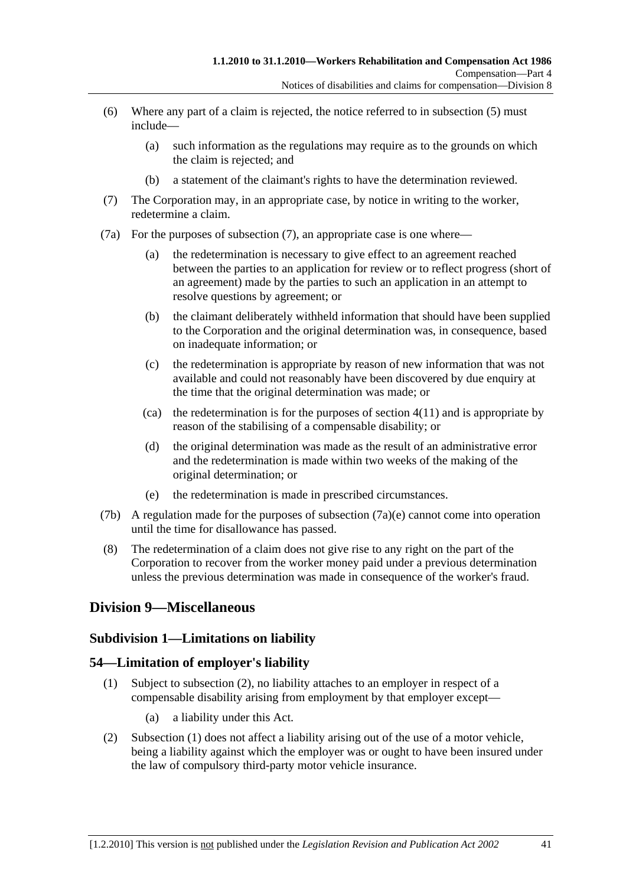- (6) Where any part of a claim is rejected, the notice referred to in subsection (5) must include—
	- (a) such information as the regulations may require as to the grounds on which the claim is rejected; and
	- (b) a statement of the claimant's rights to have the determination reviewed.
- (7) The Corporation may, in an appropriate case, by notice in writing to the worker, redetermine a claim.
- (7a) For the purposes of subsection (7), an appropriate case is one where—
	- (a) the redetermination is necessary to give effect to an agreement reached between the parties to an application for review or to reflect progress (short of an agreement) made by the parties to such an application in an attempt to resolve questions by agreement; or
	- (b) the claimant deliberately withheld information that should have been supplied to the Corporation and the original determination was, in consequence, based on inadequate information; or
	- (c) the redetermination is appropriate by reason of new information that was not available and could not reasonably have been discovered by due enquiry at the time that the original determination was made; or
	- (ca) the redetermination is for the purposes of section  $4(11)$  and is appropriate by reason of the stabilising of a compensable disability; or
	- (d) the original determination was made as the result of an administrative error and the redetermination is made within two weeks of the making of the original determination; or
	- (e) the redetermination is made in prescribed circumstances.
- (7b) A regulation made for the purposes of subsection  $(7a)(e)$  cannot come into operation until the time for disallowance has passed.
- (8) The redetermination of a claim does not give rise to any right on the part of the Corporation to recover from the worker money paid under a previous determination unless the previous determination was made in consequence of the worker's fraud.

# **Division 9—Miscellaneous**

#### **Subdivision 1—Limitations on liability**

#### **54—Limitation of employer's liability**

- (1) Subject to subsection (2), no liability attaches to an employer in respect of a compensable disability arising from employment by that employer except—
	- (a) a liability under this Act.
- (2) Subsection (1) does not affect a liability arising out of the use of a motor vehicle, being a liability against which the employer was or ought to have been insured under the law of compulsory third-party motor vehicle insurance.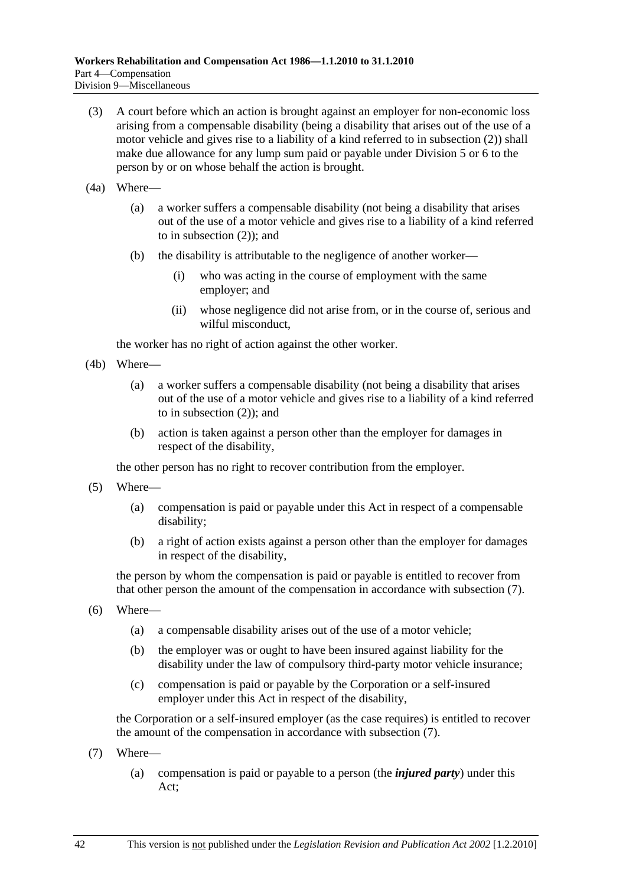- (3) A court before which an action is brought against an employer for non-economic loss arising from a compensable disability (being a disability that arises out of the use of a motor vehicle and gives rise to a liability of a kind referred to in subsection (2)) shall make due allowance for any lump sum paid or payable under Division 5 or 6 to the person by or on whose behalf the action is brought.
- (4a) Where—
	- (a) a worker suffers a compensable disability (not being a disability that arises out of the use of a motor vehicle and gives rise to a liability of a kind referred to in subsection (2)); and
	- (b) the disability is attributable to the negligence of another worker—
		- (i) who was acting in the course of employment with the same employer; and
		- (ii) whose negligence did not arise from, or in the course of, serious and wilful misconduct,

the worker has no right of action against the other worker.

- (4b) Where—
	- (a) a worker suffers a compensable disability (not being a disability that arises out of the use of a motor vehicle and gives rise to a liability of a kind referred to in subsection (2)); and
	- (b) action is taken against a person other than the employer for damages in respect of the disability,

the other person has no right to recover contribution from the employer.

- (5) Where—
	- (a) compensation is paid or payable under this Act in respect of a compensable disability;
	- (b) a right of action exists against a person other than the employer for damages in respect of the disability,

the person by whom the compensation is paid or payable is entitled to recover from that other person the amount of the compensation in accordance with subsection (7).

- (6) Where—
	- (a) a compensable disability arises out of the use of a motor vehicle;
	- (b) the employer was or ought to have been insured against liability for the disability under the law of compulsory third-party motor vehicle insurance;
	- (c) compensation is paid or payable by the Corporation or a self-insured employer under this Act in respect of the disability,

the Corporation or a self-insured employer (as the case requires) is entitled to recover the amount of the compensation in accordance with subsection (7).

- (7) Where—
	- (a) compensation is paid or payable to a person (the *injured party*) under this Act;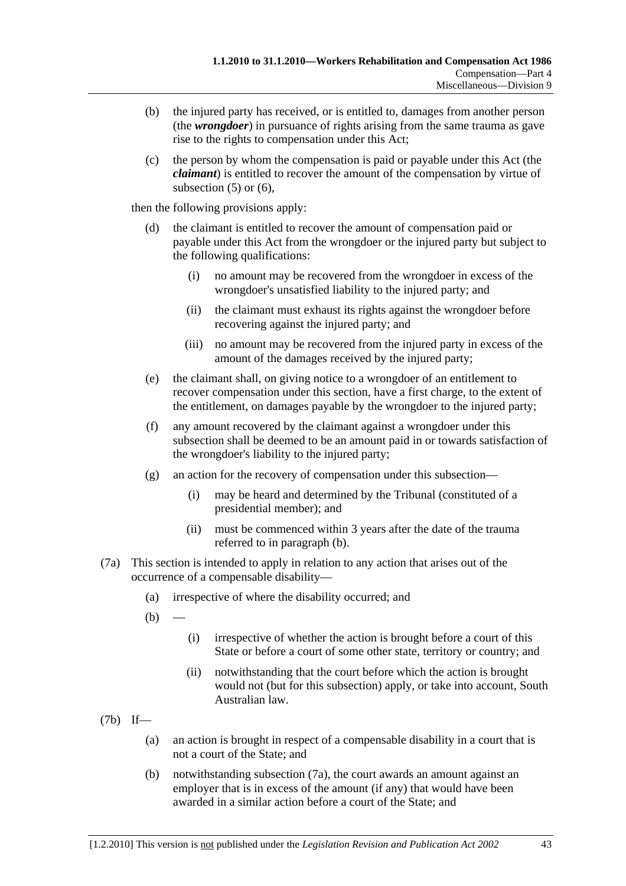- (b) the injured party has received, or is entitled to, damages from another person (the *wrongdoer*) in pursuance of rights arising from the same trauma as gave rise to the rights to compensation under this Act;
- (c) the person by whom the compensation is paid or payable under this Act (the *claimant*) is entitled to recover the amount of the compensation by virtue of subsection  $(5)$  or  $(6)$ ,

then the following provisions apply:

- (d) the claimant is entitled to recover the amount of compensation paid or payable under this Act from the wrongdoer or the injured party but subject to the following qualifications:
	- (i) no amount may be recovered from the wrongdoer in excess of the wrongdoer's unsatisfied liability to the injured party; and
	- (ii) the claimant must exhaust its rights against the wrongdoer before recovering against the injured party; and
	- (iii) no amount may be recovered from the injured party in excess of the amount of the damages received by the injured party;
- (e) the claimant shall, on giving notice to a wrongdoer of an entitlement to recover compensation under this section, have a first charge, to the extent of the entitlement, on damages payable by the wrongdoer to the injured party;
- (f) any amount recovered by the claimant against a wrongdoer under this subsection shall be deemed to be an amount paid in or towards satisfaction of the wrongdoer's liability to the injured party;
- (g) an action for the recovery of compensation under this subsection—
	- (i) may be heard and determined by the Tribunal (constituted of a presidential member); and
	- (ii) must be commenced within 3 years after the date of the trauma referred to in paragraph (b).
- (7a) This section is intended to apply in relation to any action that arises out of the occurrence of a compensable disability—
	- (a) irrespective of where the disability occurred; and
	- $(b)$ 
		- (i) irrespective of whether the action is brought before a court of this State or before a court of some other state, territory or country; and
		- (ii) notwithstanding that the court before which the action is brought would not (but for this subsection) apply, or take into account, South Australian law.
- (7b) If—
	- (a) an action is brought in respect of a compensable disability in a court that is not a court of the State; and
	- (b) notwithstanding subsection (7a), the court awards an amount against an employer that is in excess of the amount (if any) that would have been awarded in a similar action before a court of the State; and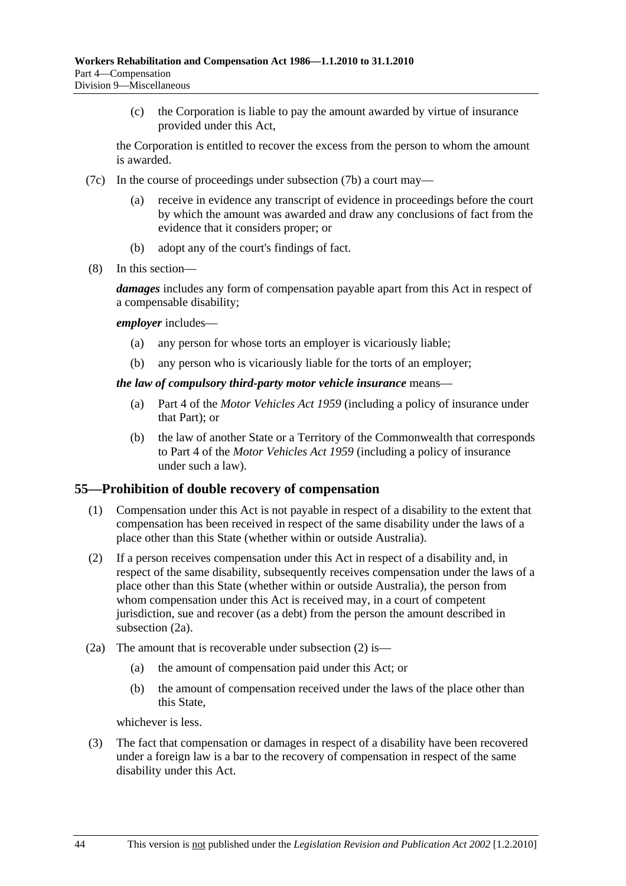(c) the Corporation is liable to pay the amount awarded by virtue of insurance provided under this Act,

the Corporation is entitled to recover the excess from the person to whom the amount is awarded.

- (7c) In the course of proceedings under subsection (7b) a court may
	- receive in evidence any transcript of evidence in proceedings before the court by which the amount was awarded and draw any conclusions of fact from the evidence that it considers proper; or
	- (b) adopt any of the court's findings of fact.
- (8) In this section—

*damages* includes any form of compensation payable apart from this Act in respect of a compensable disability;

#### *employer* includes—

- (a) any person for whose torts an employer is vicariously liable;
- (b) any person who is vicariously liable for the torts of an employer;

#### *the law of compulsory third-party motor vehicle insurance* means—

- (a) Part 4 of the *Motor Vehicles Act 1959* (including a policy of insurance under that Part); or
- (b) the law of another State or a Territory of the Commonwealth that corresponds to Part 4 of the *Motor Vehicles Act 1959* (including a policy of insurance under such a law).

#### **55—Prohibition of double recovery of compensation**

- (1) Compensation under this Act is not payable in respect of a disability to the extent that compensation has been received in respect of the same disability under the laws of a place other than this State (whether within or outside Australia).
- (2) If a person receives compensation under this Act in respect of a disability and, in respect of the same disability, subsequently receives compensation under the laws of a place other than this State (whether within or outside Australia), the person from whom compensation under this Act is received may, in a court of competent jurisdiction, sue and recover (as a debt) from the person the amount described in subsection (2a).
- (2a) The amount that is recoverable under subsection (2) is—
	- (a) the amount of compensation paid under this Act; or
	- (b) the amount of compensation received under the laws of the place other than this State,

whichever is less.

 (3) The fact that compensation or damages in respect of a disability have been recovered under a foreign law is a bar to the recovery of compensation in respect of the same disability under this Act.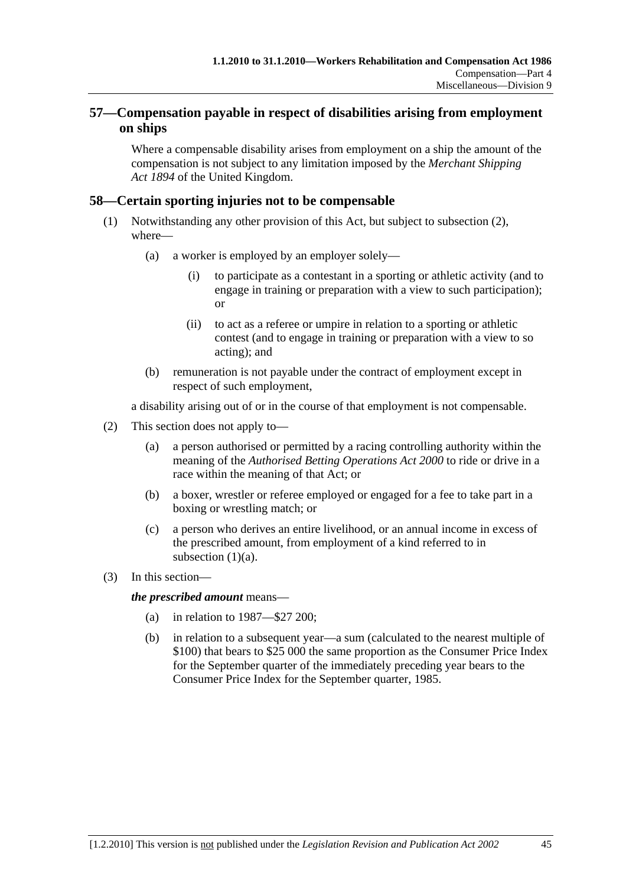# **57—Compensation payable in respect of disabilities arising from employment on ships**

Where a compensable disability arises from employment on a ship the amount of the compensation is not subject to any limitation imposed by the *Merchant Shipping Act 1894* of the United Kingdom.

# **58—Certain sporting injuries not to be compensable**

- (1) Notwithstanding any other provision of this Act, but subject to subsection (2), where—
	- (a) a worker is employed by an employer solely—
		- (i) to participate as a contestant in a sporting or athletic activity (and to engage in training or preparation with a view to such participation); or
		- (ii) to act as a referee or umpire in relation to a sporting or athletic contest (and to engage in training or preparation with a view to so acting); and
	- (b) remuneration is not payable under the contract of employment except in respect of such employment,

a disability arising out of or in the course of that employment is not compensable.

- (2) This section does not apply to—
	- (a) a person authorised or permitted by a racing controlling authority within the meaning of the *Authorised Betting Operations Act 2000* to ride or drive in a race within the meaning of that Act; or
	- (b) a boxer, wrestler or referee employed or engaged for a fee to take part in a boxing or wrestling match; or
	- (c) a person who derives an entire livelihood, or an annual income in excess of the prescribed amount, from employment of a kind referred to in subsection  $(1)(a)$ .
- (3) In this section—

*the prescribed amount* means—

- (a) in relation to 1987—\$27 200;
- (b) in relation to a subsequent year—a sum (calculated to the nearest multiple of \$100) that bears to \$25 000 the same proportion as the Consumer Price Index for the September quarter of the immediately preceding year bears to the Consumer Price Index for the September quarter, 1985.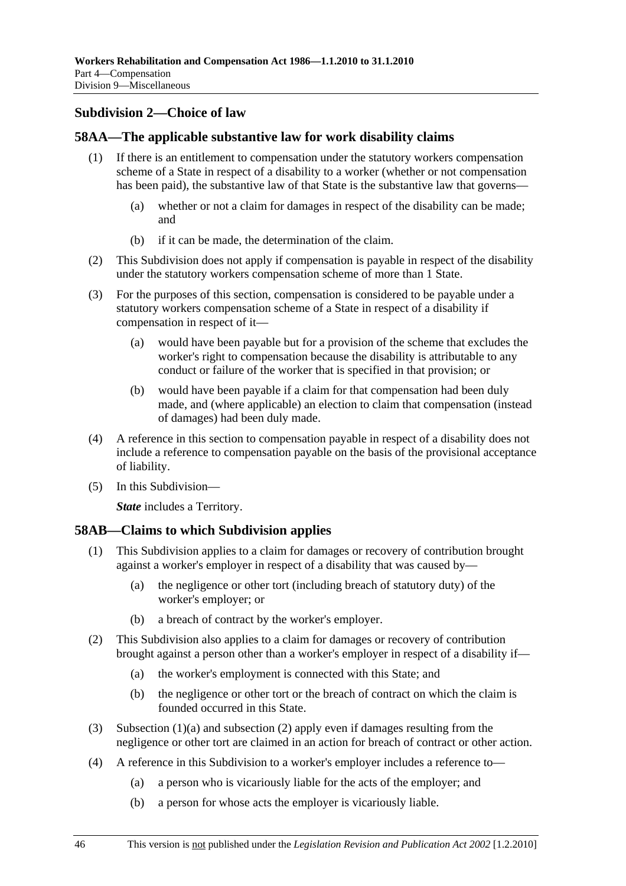# **Subdivision 2—Choice of law**

# **58AA—The applicable substantive law for work disability claims**

- (1) If there is an entitlement to compensation under the statutory workers compensation scheme of a State in respect of a disability to a worker (whether or not compensation has been paid), the substantive law of that State is the substantive law that governs—
	- (a) whether or not a claim for damages in respect of the disability can be made; and
	- (b) if it can be made, the determination of the claim.
- (2) This Subdivision does not apply if compensation is payable in respect of the disability under the statutory workers compensation scheme of more than 1 State.
- (3) For the purposes of this section, compensation is considered to be payable under a statutory workers compensation scheme of a State in respect of a disability if compensation in respect of it—
	- (a) would have been payable but for a provision of the scheme that excludes the worker's right to compensation because the disability is attributable to any conduct or failure of the worker that is specified in that provision; or
	- (b) would have been payable if a claim for that compensation had been duly made, and (where applicable) an election to claim that compensation (instead of damages) had been duly made.
- (4) A reference in this section to compensation payable in respect of a disability does not include a reference to compensation payable on the basis of the provisional acceptance of liability.
- (5) In this Subdivision—

*State* includes a Territory.

#### **58AB—Claims to which Subdivision applies**

- (1) This Subdivision applies to a claim for damages or recovery of contribution brought against a worker's employer in respect of a disability that was caused by—
	- (a) the negligence or other tort (including breach of statutory duty) of the worker's employer; or
	- (b) a breach of contract by the worker's employer.
- (2) This Subdivision also applies to a claim for damages or recovery of contribution brought against a person other than a worker's employer in respect of a disability if—
	- (a) the worker's employment is connected with this State; and
	- (b) the negligence or other tort or the breach of contract on which the claim is founded occurred in this State.
- (3) Subsection (1)(a) and subsection (2) apply even if damages resulting from the negligence or other tort are claimed in an action for breach of contract or other action.
- (4) A reference in this Subdivision to a worker's employer includes a reference to—
	- (a) a person who is vicariously liable for the acts of the employer; and
	- (b) a person for whose acts the employer is vicariously liable.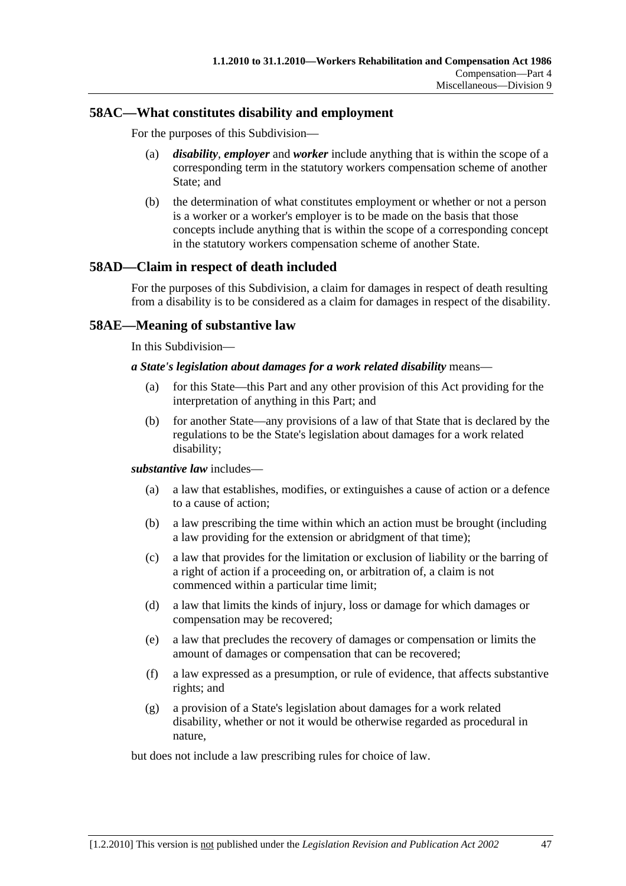#### **58AC—What constitutes disability and employment**

For the purposes of this Subdivision—

- (a) *disability*, *employer* and *worker* include anything that is within the scope of a corresponding term in the statutory workers compensation scheme of another State; and
- (b) the determination of what constitutes employment or whether or not a person is a worker or a worker's employer is to be made on the basis that those concepts include anything that is within the scope of a corresponding concept in the statutory workers compensation scheme of another State.

# **58AD—Claim in respect of death included**

For the purposes of this Subdivision, a claim for damages in respect of death resulting from a disability is to be considered as a claim for damages in respect of the disability.

# **58AE—Meaning of substantive law**

In this Subdivision—

#### *a State's legislation about damages for a work related disability* means—

- (a) for this State—this Part and any other provision of this Act providing for the interpretation of anything in this Part; and
- (b) for another State—any provisions of a law of that State that is declared by the regulations to be the State's legislation about damages for a work related disability;

#### *substantive law* includes—

- (a) a law that establishes, modifies, or extinguishes a cause of action or a defence to a cause of action;
- (b) a law prescribing the time within which an action must be brought (including a law providing for the extension or abridgment of that time);
- (c) a law that provides for the limitation or exclusion of liability or the barring of a right of action if a proceeding on, or arbitration of, a claim is not commenced within a particular time limit;
- (d) a law that limits the kinds of injury, loss or damage for which damages or compensation may be recovered;
- (e) a law that precludes the recovery of damages or compensation or limits the amount of damages or compensation that can be recovered;
- (f) a law expressed as a presumption, or rule of evidence, that affects substantive rights; and
- (g) a provision of a State's legislation about damages for a work related disability, whether or not it would be otherwise regarded as procedural in nature,

but does not include a law prescribing rules for choice of law.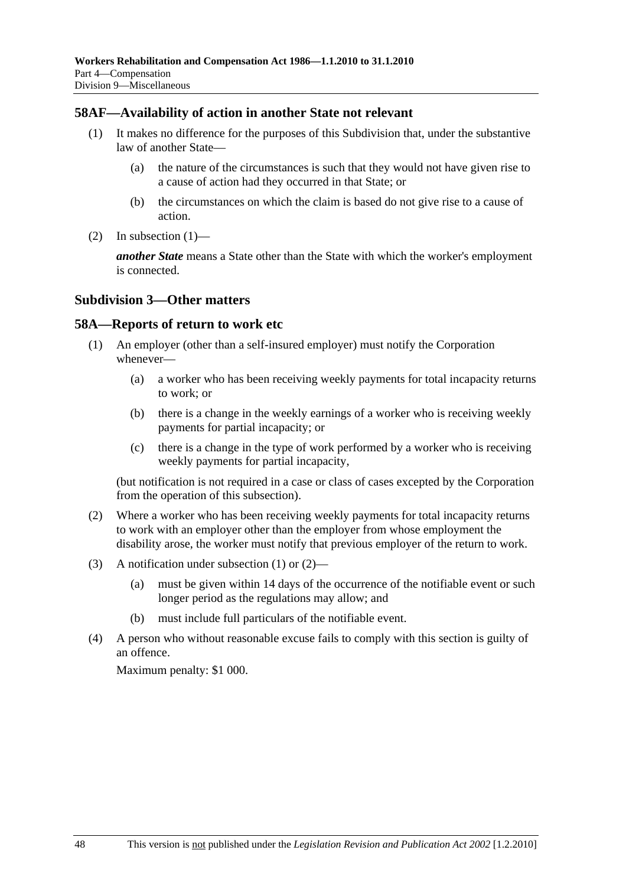#### **58AF—Availability of action in another State not relevant**

- (1) It makes no difference for the purposes of this Subdivision that, under the substantive law of another State—
	- (a) the nature of the circumstances is such that they would not have given rise to a cause of action had they occurred in that State; or
	- (b) the circumstances on which the claim is based do not give rise to a cause of action.
- (2) In subsection  $(1)$ —

*another State* means a State other than the State with which the worker's employment is connected.

#### **Subdivision 3—Other matters**

#### **58A—Reports of return to work etc**

- (1) An employer (other than a self-insured employer) must notify the Corporation whenever—
	- (a) a worker who has been receiving weekly payments for total incapacity returns to work; or
	- (b) there is a change in the weekly earnings of a worker who is receiving weekly payments for partial incapacity; or
	- (c) there is a change in the type of work performed by a worker who is receiving weekly payments for partial incapacity,

(but notification is not required in a case or class of cases excepted by the Corporation from the operation of this subsection).

- (2) Where a worker who has been receiving weekly payments for total incapacity returns to work with an employer other than the employer from whose employment the disability arose, the worker must notify that previous employer of the return to work.
- (3) A notification under subsection (1) or (2)—
	- (a) must be given within 14 days of the occurrence of the notifiable event or such longer period as the regulations may allow; and
	- (b) must include full particulars of the notifiable event.
- (4) A person who without reasonable excuse fails to comply with this section is guilty of an offence.

Maximum penalty: \$1 000.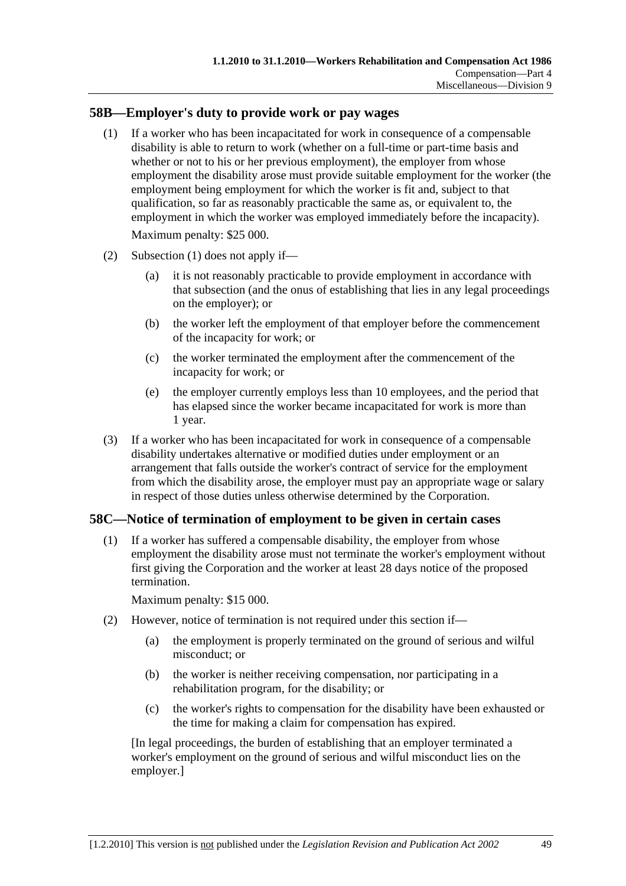### **58B—Employer's duty to provide work or pay wages**

 (1) If a worker who has been incapacitated for work in consequence of a compensable disability is able to return to work (whether on a full-time or part-time basis and whether or not to his or her previous employment), the employer from whose employment the disability arose must provide suitable employment for the worker (the employment being employment for which the worker is fit and, subject to that qualification, so far as reasonably practicable the same as, or equivalent to, the employment in which the worker was employed immediately before the incapacity).

Maximum penalty: \$25 000.

- (2) Subsection (1) does not apply if—
	- (a) it is not reasonably practicable to provide employment in accordance with that subsection (and the onus of establishing that lies in any legal proceedings on the employer); or
	- (b) the worker left the employment of that employer before the commencement of the incapacity for work; or
	- (c) the worker terminated the employment after the commencement of the incapacity for work; or
	- (e) the employer currently employs less than 10 employees, and the period that has elapsed since the worker became incapacitated for work is more than 1 year.
- (3) If a worker who has been incapacitated for work in consequence of a compensable disability undertakes alternative or modified duties under employment or an arrangement that falls outside the worker's contract of service for the employment from which the disability arose, the employer must pay an appropriate wage or salary in respect of those duties unless otherwise determined by the Corporation.

#### **58C—Notice of termination of employment to be given in certain cases**

 (1) If a worker has suffered a compensable disability, the employer from whose employment the disability arose must not terminate the worker's employment without first giving the Corporation and the worker at least 28 days notice of the proposed termination.

Maximum penalty: \$15 000.

- (2) However, notice of termination is not required under this section if—
	- (a) the employment is properly terminated on the ground of serious and wilful misconduct; or
	- (b) the worker is neither receiving compensation, nor participating in a rehabilitation program, for the disability; or
	- (c) the worker's rights to compensation for the disability have been exhausted or the time for making a claim for compensation has expired.

[In legal proceedings, the burden of establishing that an employer terminated a worker's employment on the ground of serious and wilful misconduct lies on the employer.]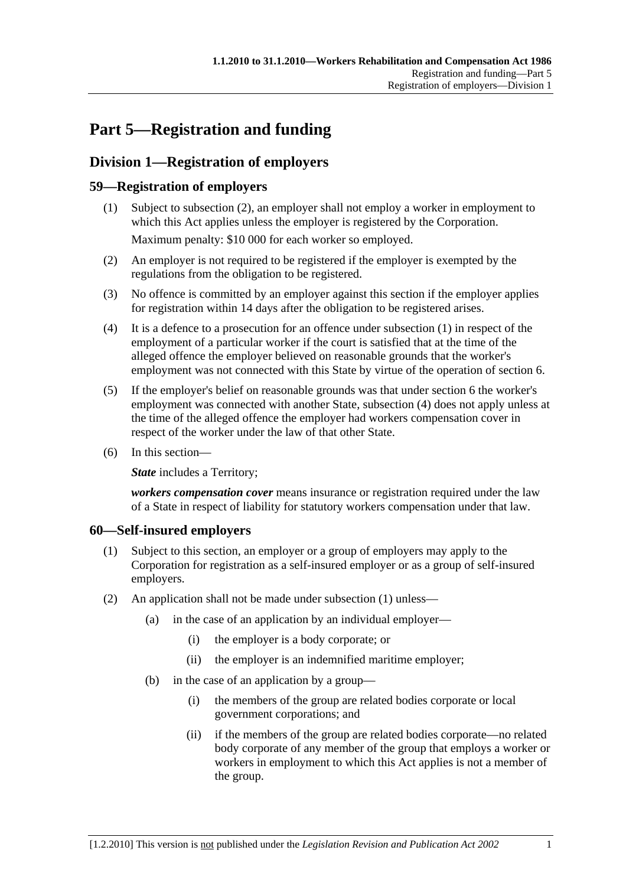# **Part 5—Registration and funding**

# **Division 1—Registration of employers**

# **59—Registration of employers**

- (1) Subject to subsection (2), an employer shall not employ a worker in employment to which this Act applies unless the employer is registered by the Corporation. Maximum penalty: \$10 000 for each worker so employed.
- (2) An employer is not required to be registered if the employer is exempted by the regulations from the obligation to be registered.
- (3) No offence is committed by an employer against this section if the employer applies for registration within 14 days after the obligation to be registered arises.
- (4) It is a defence to a prosecution for an offence under subsection (1) in respect of the employment of a particular worker if the court is satisfied that at the time of the alleged offence the employer believed on reasonable grounds that the worker's employment was not connected with this State by virtue of the operation of section 6.
- (5) If the employer's belief on reasonable grounds was that under section 6 the worker's employment was connected with another State, subsection (4) does not apply unless at the time of the alleged offence the employer had workers compensation cover in respect of the worker under the law of that other State.
- (6) In this section—

**State** includes a Territory;

*workers compensation cover* means insurance or registration required under the law of a State in respect of liability for statutory workers compensation under that law.

#### **60—Self-insured employers**

- (1) Subject to this section, an employer or a group of employers may apply to the Corporation for registration as a self-insured employer or as a group of self-insured employers.
- (2) An application shall not be made under subsection (1) unless—
	- (a) in the case of an application by an individual employer—
		- (i) the employer is a body corporate; or
		- (ii) the employer is an indemnified maritime employer;
	- (b) in the case of an application by a group—
		- (i) the members of the group are related bodies corporate or local government corporations; and
		- (ii) if the members of the group are related bodies corporate—no related body corporate of any member of the group that employs a worker or workers in employment to which this Act applies is not a member of the group.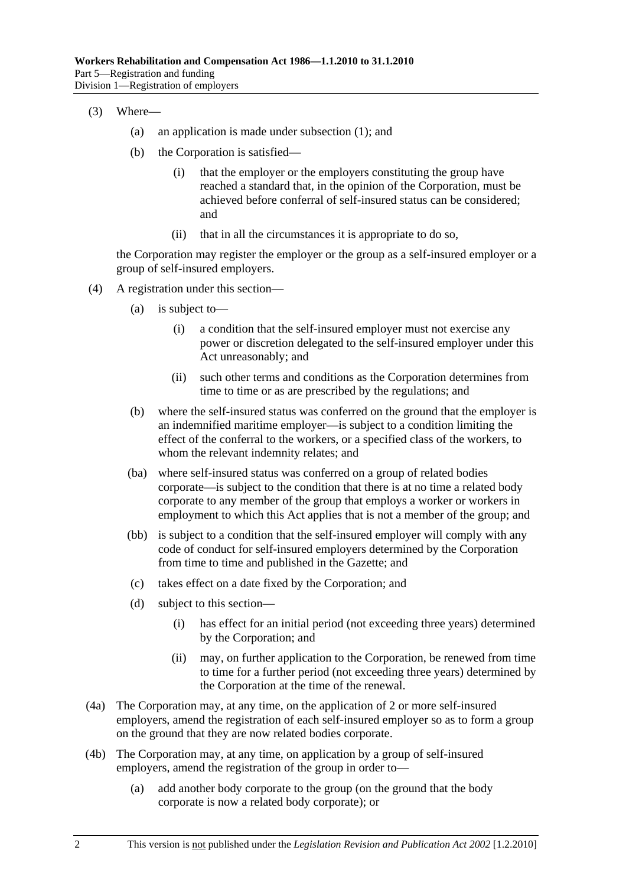- (3) Where—
	- (a) an application is made under subsection (1); and
	- (b) the Corporation is satisfied—
		- (i) that the employer or the employers constituting the group have reached a standard that, in the opinion of the Corporation, must be achieved before conferral of self-insured status can be considered; and
		- (ii) that in all the circumstances it is appropriate to do so,

the Corporation may register the employer or the group as a self-insured employer or a group of self-insured employers.

- (4) A registration under this section—
	- (a) is subject to—
		- (i) a condition that the self-insured employer must not exercise any power or discretion delegated to the self-insured employer under this Act unreasonably; and
		- (ii) such other terms and conditions as the Corporation determines from time to time or as are prescribed by the regulations; and
	- (b) where the self-insured status was conferred on the ground that the employer is an indemnified maritime employer—is subject to a condition limiting the effect of the conferral to the workers, or a specified class of the workers, to whom the relevant indemnity relates; and
	- (ba) where self-insured status was conferred on a group of related bodies corporate—is subject to the condition that there is at no time a related body corporate to any member of the group that employs a worker or workers in employment to which this Act applies that is not a member of the group; and
	- (bb) is subject to a condition that the self-insured employer will comply with any code of conduct for self-insured employers determined by the Corporation from time to time and published in the Gazette; and
	- (c) takes effect on a date fixed by the Corporation; and
	- (d) subject to this section—
		- (i) has effect for an initial period (not exceeding three years) determined by the Corporation; and
		- (ii) may, on further application to the Corporation, be renewed from time to time for a further period (not exceeding three years) determined by the Corporation at the time of the renewal.
- (4a) The Corporation may, at any time, on the application of 2 or more self-insured employers, amend the registration of each self-insured employer so as to form a group on the ground that they are now related bodies corporate.
- (4b) The Corporation may, at any time, on application by a group of self-insured employers, amend the registration of the group in order to—
	- (a) add another body corporate to the group (on the ground that the body corporate is now a related body corporate); or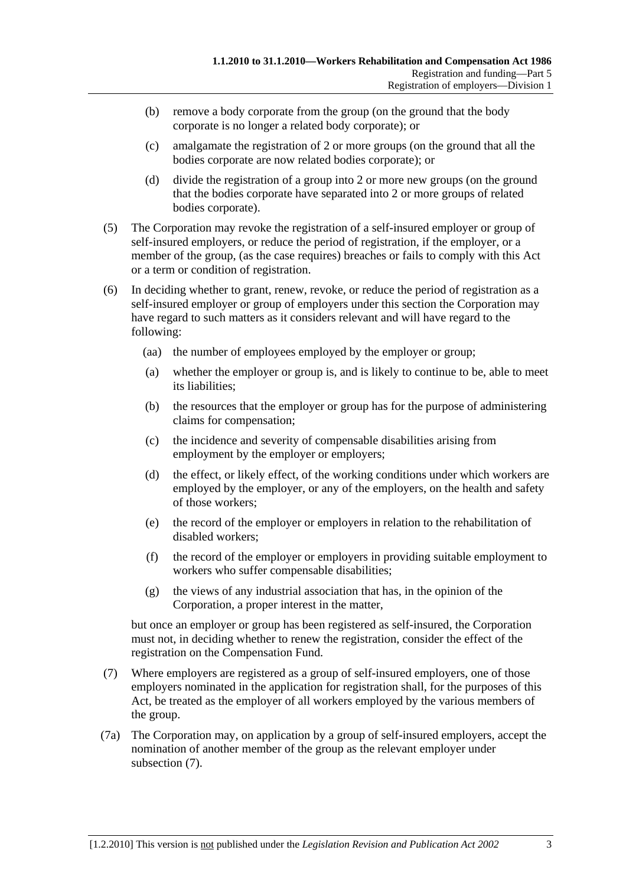- (b) remove a body corporate from the group (on the ground that the body corporate is no longer a related body corporate); or
- (c) amalgamate the registration of 2 or more groups (on the ground that all the bodies corporate are now related bodies corporate); or
- (d) divide the registration of a group into 2 or more new groups (on the ground that the bodies corporate have separated into 2 or more groups of related bodies corporate).
- (5) The Corporation may revoke the registration of a self-insured employer or group of self-insured employers, or reduce the period of registration, if the employer, or a member of the group, (as the case requires) breaches or fails to comply with this Act or a term or condition of registration.
- (6) In deciding whether to grant, renew, revoke, or reduce the period of registration as a self-insured employer or group of employers under this section the Corporation may have regard to such matters as it considers relevant and will have regard to the following:
	- (aa) the number of employees employed by the employer or group;
	- (a) whether the employer or group is, and is likely to continue to be, able to meet its liabilities;
	- (b) the resources that the employer or group has for the purpose of administering claims for compensation;
	- (c) the incidence and severity of compensable disabilities arising from employment by the employer or employers;
	- (d) the effect, or likely effect, of the working conditions under which workers are employed by the employer, or any of the employers, on the health and safety of those workers;
	- (e) the record of the employer or employers in relation to the rehabilitation of disabled workers;
	- (f) the record of the employer or employers in providing suitable employment to workers who suffer compensable disabilities;
	- (g) the views of any industrial association that has, in the opinion of the Corporation, a proper interest in the matter,

but once an employer or group has been registered as self-insured, the Corporation must not, in deciding whether to renew the registration, consider the effect of the registration on the Compensation Fund.

- (7) Where employers are registered as a group of self-insured employers, one of those employers nominated in the application for registration shall, for the purposes of this Act, be treated as the employer of all workers employed by the various members of the group.
- (7a) The Corporation may, on application by a group of self-insured employers, accept the nomination of another member of the group as the relevant employer under subsection (7).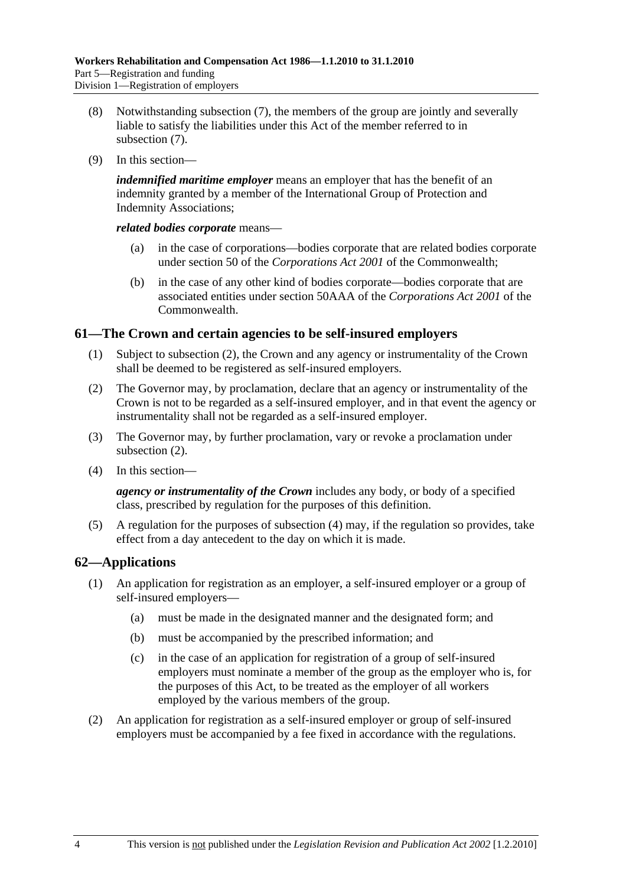- (8) Notwithstanding subsection (7), the members of the group are jointly and severally liable to satisfy the liabilities under this Act of the member referred to in subsection (7).
- (9) In this section—

*indemnified maritime employer* means an employer that has the benefit of an indemnity granted by a member of the International Group of Protection and Indemnity Associations;

*related bodies corporate* means—

- (a) in the case of corporations—bodies corporate that are related bodies corporate under section 50 of the *Corporations Act 2001* of the Commonwealth;
- (b) in the case of any other kind of bodies corporate—bodies corporate that are associated entities under section 50AAA of the *Corporations Act 2001* of the **Commonwealth**

#### **61—The Crown and certain agencies to be self-insured employers**

- (1) Subject to subsection (2), the Crown and any agency or instrumentality of the Crown shall be deemed to be registered as self-insured employers.
- (2) The Governor may, by proclamation, declare that an agency or instrumentality of the Crown is not to be regarded as a self-insured employer, and in that event the agency or instrumentality shall not be regarded as a self-insured employer.
- (3) The Governor may, by further proclamation, vary or revoke a proclamation under subsection (2).
- (4) In this section—

*agency or instrumentality of the Crown* includes any body, or body of a specified class, prescribed by regulation for the purposes of this definition.

 (5) A regulation for the purposes of subsection (4) may, if the regulation so provides, take effect from a day antecedent to the day on which it is made.

# **62—Applications**

- (1) An application for registration as an employer, a self-insured employer or a group of self-insured employers—
	- (a) must be made in the designated manner and the designated form; and
	- (b) must be accompanied by the prescribed information; and
	- (c) in the case of an application for registration of a group of self-insured employers must nominate a member of the group as the employer who is, for the purposes of this Act, to be treated as the employer of all workers employed by the various members of the group.
- (2) An application for registration as a self-insured employer or group of self-insured employers must be accompanied by a fee fixed in accordance with the regulations.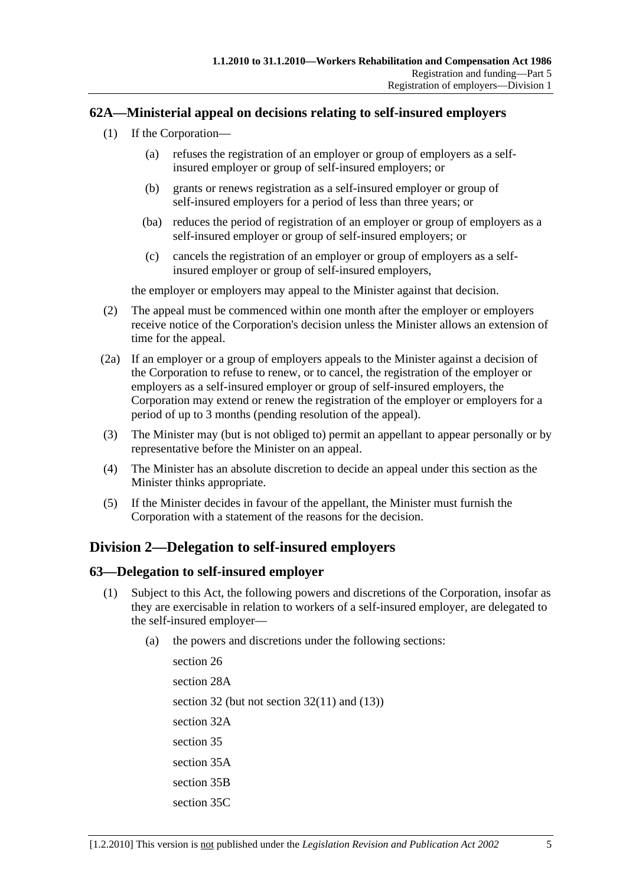### **62A—Ministerial appeal on decisions relating to self-insured employers**

- (1) If the Corporation—
	- (a) refuses the registration of an employer or group of employers as a selfinsured employer or group of self-insured employers; or
	- (b) grants or renews registration as a self-insured employer or group of self-insured employers for a period of less than three years; or
	- (ba) reduces the period of registration of an employer or group of employers as a self-insured employer or group of self-insured employers; or
	- (c) cancels the registration of an employer or group of employers as a selfinsured employer or group of self-insured employers,

the employer or employers may appeal to the Minister against that decision.

- (2) The appeal must be commenced within one month after the employer or employers receive notice of the Corporation's decision unless the Minister allows an extension of time for the appeal.
- (2a) If an employer or a group of employers appeals to the Minister against a decision of the Corporation to refuse to renew, or to cancel, the registration of the employer or employers as a self-insured employer or group of self-insured employers, the Corporation may extend or renew the registration of the employer or employers for a period of up to 3 months (pending resolution of the appeal).
- (3) The Minister may (but is not obliged to) permit an appellant to appear personally or by representative before the Minister on an appeal.
- (4) The Minister has an absolute discretion to decide an appeal under this section as the Minister thinks appropriate.
- (5) If the Minister decides in favour of the appellant, the Minister must furnish the Corporation with a statement of the reasons for the decision.

# **Division 2—Delegation to self-insured employers**

#### **63—Delegation to self-insured employer**

- (1) Subject to this Act, the following powers and discretions of the Corporation, insofar as they are exercisable in relation to workers of a self-insured employer, are delegated to the self-insured employer—
	- (a) the powers and discretions under the following sections:

section 26 section 28A section 32 (but not section 32(11) and (13)) section 32A section 35 section 35A section 35B section 35C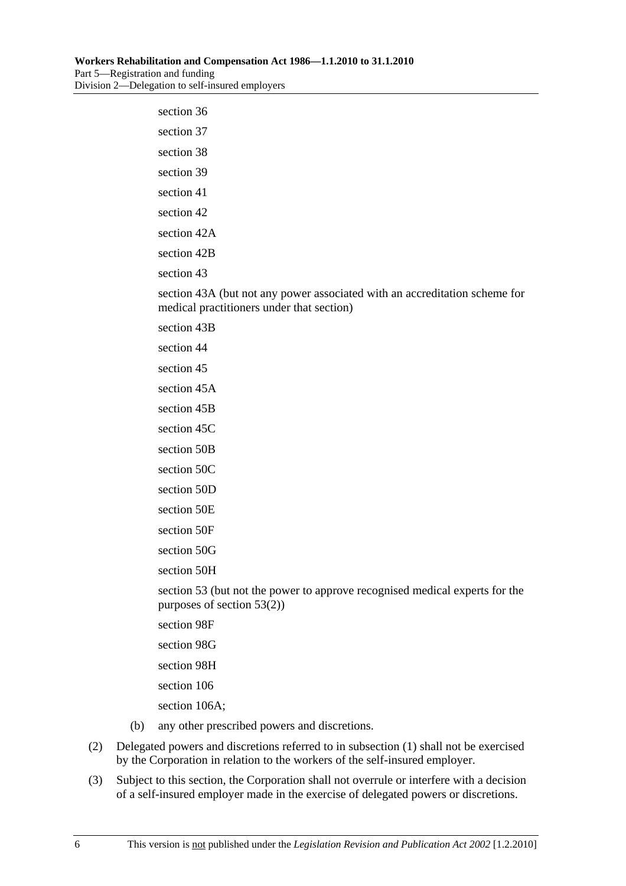| section 36                                                                                                              |
|-------------------------------------------------------------------------------------------------------------------------|
| section 37                                                                                                              |
| section 38                                                                                                              |
| section 39                                                                                                              |
| section 41                                                                                                              |
| section 42                                                                                                              |
| section 42A                                                                                                             |
| section 42B                                                                                                             |
| section 43                                                                                                              |
| section 43A (but not any power associated with an accreditation scheme for<br>medical practitioners under that section) |
| section 43B                                                                                                             |
| section 44                                                                                                              |
| section 45                                                                                                              |
| section 45A                                                                                                             |
| section 45B                                                                                                             |
| section 45C                                                                                                             |
| section 50B                                                                                                             |
| section 50C                                                                                                             |
| section 50D                                                                                                             |
| section 50E                                                                                                             |
| section 50F                                                                                                             |
| section 50G                                                                                                             |
| section 50H                                                                                                             |
| section 53 (but not the power to approve recognised medical experts for the<br>purposes of section $53(2)$ )            |
| section 98F                                                                                                             |
| section 98G                                                                                                             |
| section 98H                                                                                                             |

section 106

section 106A;

- (b) any other prescribed powers and discretions.
- (2) Delegated powers and discretions referred to in subsection (1) shall not be exercised by the Corporation in relation to the workers of the self-insured employer.
- (3) Subject to this section, the Corporation shall not overrule or interfere with a decision of a self-insured employer made in the exercise of delegated powers or discretions.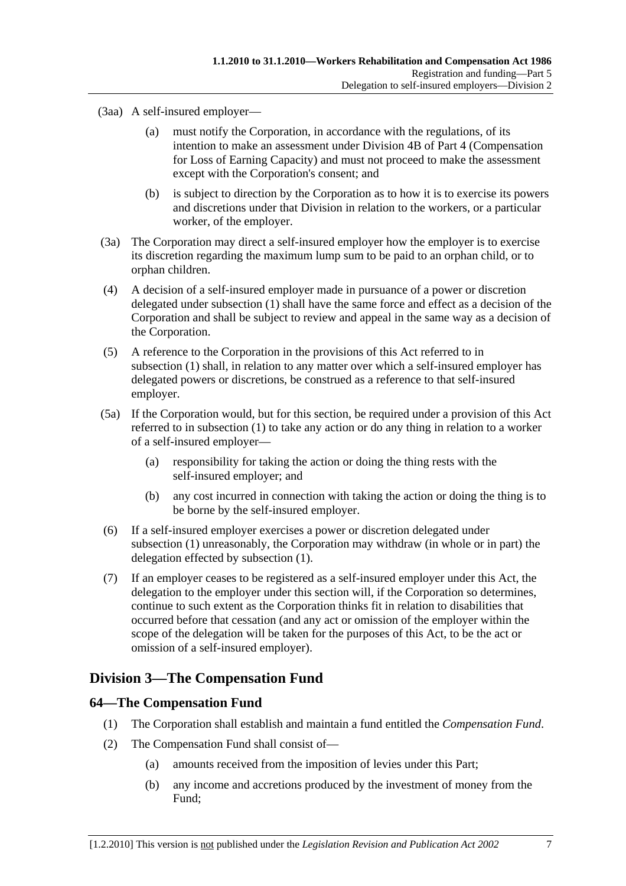- (3aa) A self-insured employer—
	- (a) must notify the Corporation, in accordance with the regulations, of its intention to make an assessment under Division 4B of Part 4 (Compensation for Loss of Earning Capacity) and must not proceed to make the assessment except with the Corporation's consent; and
	- (b) is subject to direction by the Corporation as to how it is to exercise its powers and discretions under that Division in relation to the workers, or a particular worker, of the employer.
- (3a) The Corporation may direct a self-insured employer how the employer is to exercise its discretion regarding the maximum lump sum to be paid to an orphan child, or to orphan children.
- (4) A decision of a self-insured employer made in pursuance of a power or discretion delegated under subsection (1) shall have the same force and effect as a decision of the Corporation and shall be subject to review and appeal in the same way as a decision of the Corporation.
- (5) A reference to the Corporation in the provisions of this Act referred to in subsection (1) shall, in relation to any matter over which a self-insured employer has delegated powers or discretions, be construed as a reference to that self-insured employer.
- (5a) If the Corporation would, but for this section, be required under a provision of this Act referred to in subsection (1) to take any action or do any thing in relation to a worker of a self-insured employer—
	- (a) responsibility for taking the action or doing the thing rests with the self-insured employer; and
	- (b) any cost incurred in connection with taking the action or doing the thing is to be borne by the self-insured employer.
- (6) If a self-insured employer exercises a power or discretion delegated under subsection (1) unreasonably, the Corporation may withdraw (in whole or in part) the delegation effected by subsection (1).
- (7) If an employer ceases to be registered as a self-insured employer under this Act, the delegation to the employer under this section will, if the Corporation so determines, continue to such extent as the Corporation thinks fit in relation to disabilities that occurred before that cessation (and any act or omission of the employer within the scope of the delegation will be taken for the purposes of this Act, to be the act or omission of a self-insured employer).

# **Division 3—The Compensation Fund**

#### **64—The Compensation Fund**

- (1) The Corporation shall establish and maintain a fund entitled the *Compensation Fund*.
- (2) The Compensation Fund shall consist of—
	- (a) amounts received from the imposition of levies under this Part;
	- (b) any income and accretions produced by the investment of money from the Fund;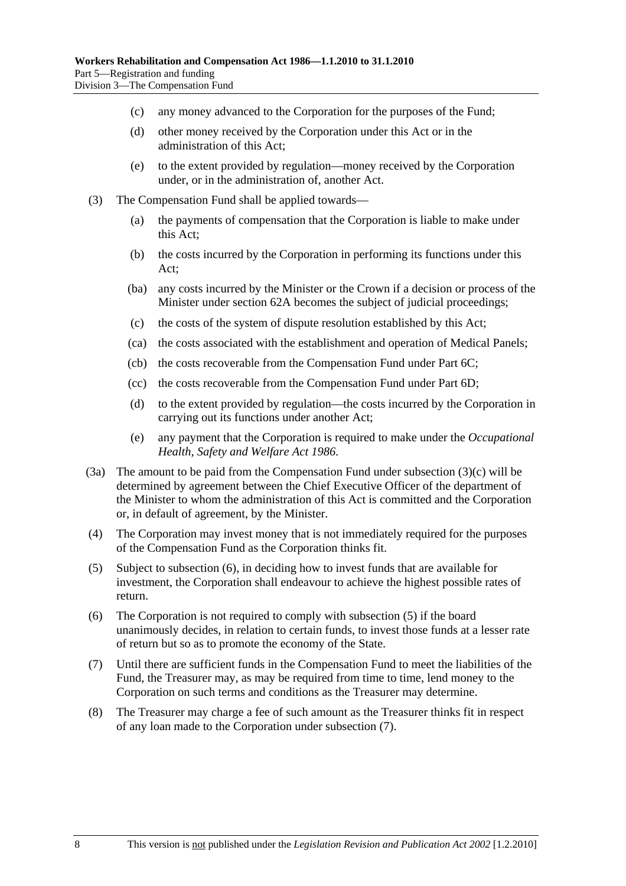- (c) any money advanced to the Corporation for the purposes of the Fund;
- (d) other money received by the Corporation under this Act or in the administration of this Act;
- (e) to the extent provided by regulation—money received by the Corporation under, or in the administration of, another Act.
- (3) The Compensation Fund shall be applied towards—
	- (a) the payments of compensation that the Corporation is liable to make under this Act;
	- (b) the costs incurred by the Corporation in performing its functions under this Act;
	- (ba) any costs incurred by the Minister or the Crown if a decision or process of the Minister under section 62A becomes the subject of judicial proceedings;
	- (c) the costs of the system of dispute resolution established by this Act;
	- (ca) the costs associated with the establishment and operation of Medical Panels;
	- (cb) the costs recoverable from the Compensation Fund under Part 6C;
	- (cc) the costs recoverable from the Compensation Fund under Part 6D;
	- (d) to the extent provided by regulation—the costs incurred by the Corporation in carrying out its functions under another Act;
	- (e) any payment that the Corporation is required to make under the *Occupational Health, Safety and Welfare Act 1986*.
- (3a) The amount to be paid from the Compensation Fund under subsection (3)(c) will be determined by agreement between the Chief Executive Officer of the department of the Minister to whom the administration of this Act is committed and the Corporation or, in default of agreement, by the Minister.
- (4) The Corporation may invest money that is not immediately required for the purposes of the Compensation Fund as the Corporation thinks fit.
- (5) Subject to subsection (6), in deciding how to invest funds that are available for investment, the Corporation shall endeavour to achieve the highest possible rates of return.
- (6) The Corporation is not required to comply with subsection (5) if the board unanimously decides, in relation to certain funds, to invest those funds at a lesser rate of return but so as to promote the economy of the State.
- (7) Until there are sufficient funds in the Compensation Fund to meet the liabilities of the Fund, the Treasurer may, as may be required from time to time, lend money to the Corporation on such terms and conditions as the Treasurer may determine.
- (8) The Treasurer may charge a fee of such amount as the Treasurer thinks fit in respect of any loan made to the Corporation under subsection (7).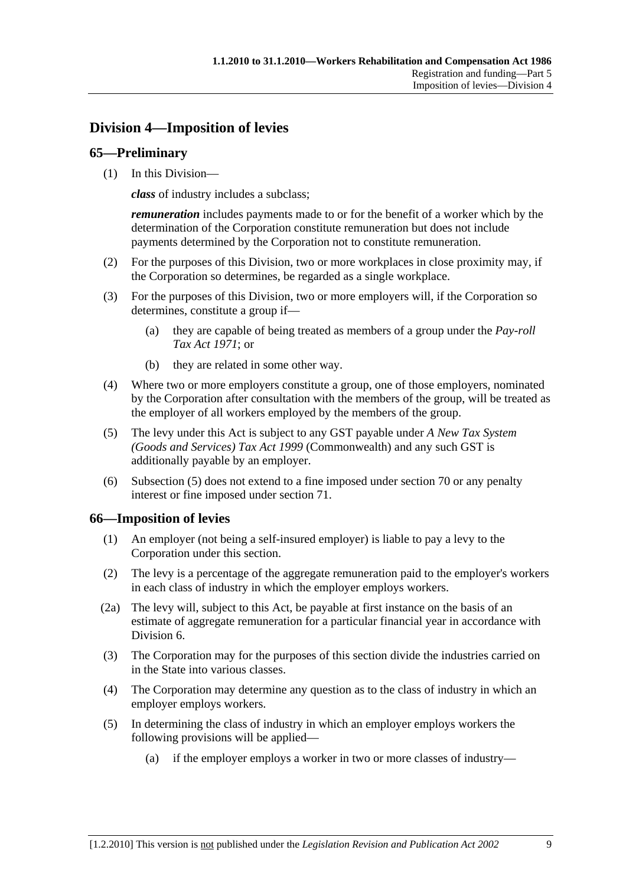# **Division 4—Imposition of levies**

# **65—Preliminary**

(1) In this Division—

*class* of industry includes a subclass;

*remuneration* includes payments made to or for the benefit of a worker which by the determination of the Corporation constitute remuneration but does not include payments determined by the Corporation not to constitute remuneration.

- (2) For the purposes of this Division, two or more workplaces in close proximity may, if the Corporation so determines, be regarded as a single workplace.
- (3) For the purposes of this Division, two or more employers will, if the Corporation so determines, constitute a group if—
	- (a) they are capable of being treated as members of a group under the *Pay-roll Tax Act 1971*; or
	- (b) they are related in some other way.
- (4) Where two or more employers constitute a group, one of those employers, nominated by the Corporation after consultation with the members of the group, will be treated as the employer of all workers employed by the members of the group.
- (5) The levy under this Act is subject to any GST payable under *A New Tax System (Goods and Services) Tax Act 1999* (Commonwealth) and any such GST is additionally payable by an employer.
- (6) Subsection (5) does not extend to a fine imposed under section 70 or any penalty interest or fine imposed under section 71.

#### **66—Imposition of levies**

- (1) An employer (not being a self-insured employer) is liable to pay a levy to the Corporation under this section.
- (2) The levy is a percentage of the aggregate remuneration paid to the employer's workers in each class of industry in which the employer employs workers.
- (2a) The levy will, subject to this Act, be payable at first instance on the basis of an estimate of aggregate remuneration for a particular financial year in accordance with Division 6.
- (3) The Corporation may for the purposes of this section divide the industries carried on in the State into various classes.
- (4) The Corporation may determine any question as to the class of industry in which an employer employs workers.
- (5) In determining the class of industry in which an employer employs workers the following provisions will be applied—
	- (a) if the employer employs a worker in two or more classes of industry—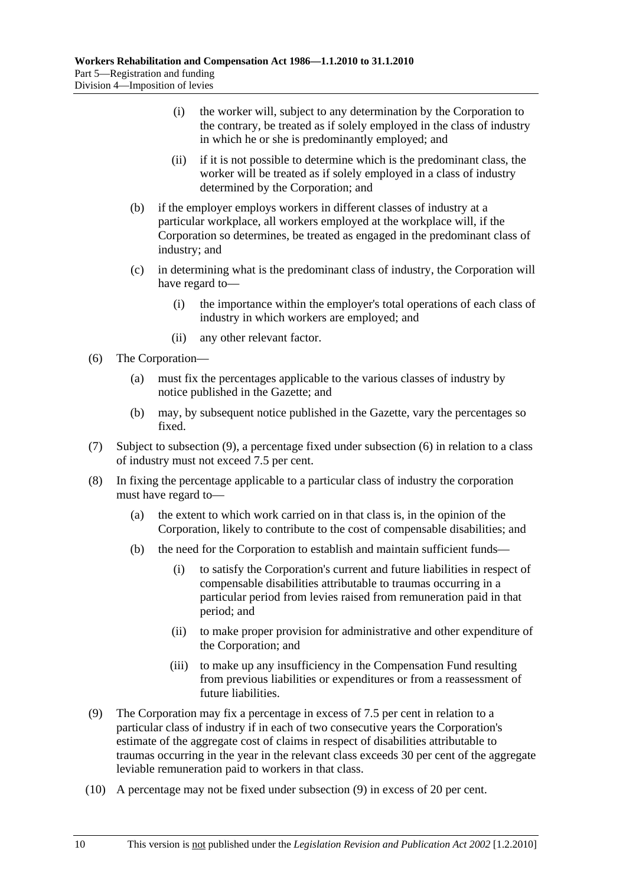- (i) the worker will, subject to any determination by the Corporation to the contrary, be treated as if solely employed in the class of industry in which he or she is predominantly employed; and
- (ii) if it is not possible to determine which is the predominant class, the worker will be treated as if solely employed in a class of industry determined by the Corporation; and
- (b) if the employer employs workers in different classes of industry at a particular workplace, all workers employed at the workplace will, if the Corporation so determines, be treated as engaged in the predominant class of industry; and
- (c) in determining what is the predominant class of industry, the Corporation will have regard to—
	- (i) the importance within the employer's total operations of each class of industry in which workers are employed; and
	- (ii) any other relevant factor.
- (6) The Corporation—
	- (a) must fix the percentages applicable to the various classes of industry by notice published in the Gazette; and
	- (b) may, by subsequent notice published in the Gazette, vary the percentages so fixed.
- (7) Subject to subsection (9), a percentage fixed under subsection (6) in relation to a class of industry must not exceed 7.5 per cent.
- (8) In fixing the percentage applicable to a particular class of industry the corporation must have regard to—
	- (a) the extent to which work carried on in that class is, in the opinion of the Corporation, likely to contribute to the cost of compensable disabilities; and
	- (b) the need for the Corporation to establish and maintain sufficient funds—
		- (i) to satisfy the Corporation's current and future liabilities in respect of compensable disabilities attributable to traumas occurring in a particular period from levies raised from remuneration paid in that period; and
		- (ii) to make proper provision for administrative and other expenditure of the Corporation; and
		- (iii) to make up any insufficiency in the Compensation Fund resulting from previous liabilities or expenditures or from a reassessment of future liabilities.
- (9) The Corporation may fix a percentage in excess of 7.5 per cent in relation to a particular class of industry if in each of two consecutive years the Corporation's estimate of the aggregate cost of claims in respect of disabilities attributable to traumas occurring in the year in the relevant class exceeds 30 per cent of the aggregate leviable remuneration paid to workers in that class.
- (10) A percentage may not be fixed under subsection (9) in excess of 20 per cent.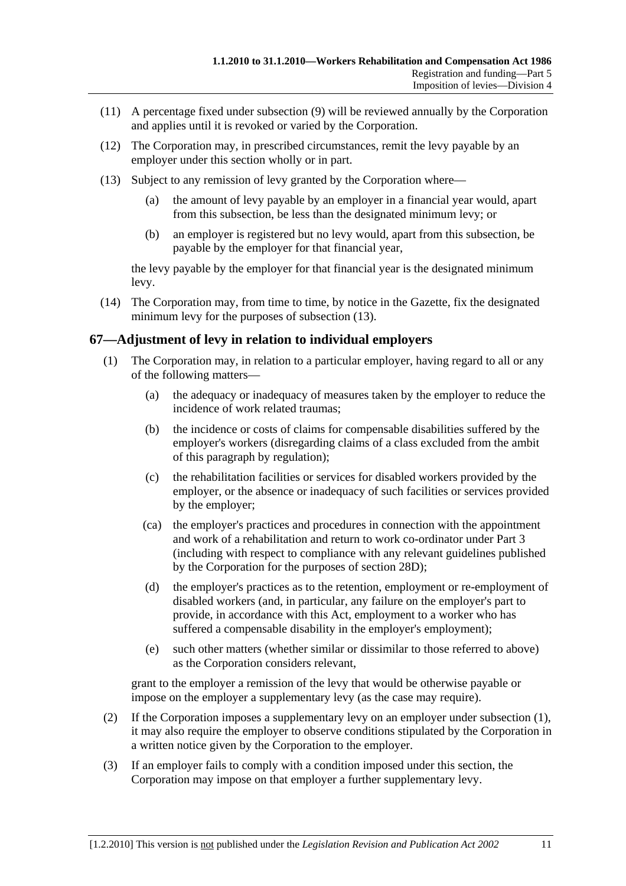- (11) A percentage fixed under subsection (9) will be reviewed annually by the Corporation and applies until it is revoked or varied by the Corporation.
- (12) The Corporation may, in prescribed circumstances, remit the levy payable by an employer under this section wholly or in part.
- (13) Subject to any remission of levy granted by the Corporation where—
	- (a) the amount of levy payable by an employer in a financial year would, apart from this subsection, be less than the designated minimum levy; or
	- (b) an employer is registered but no levy would, apart from this subsection, be payable by the employer for that financial year,

the levy payable by the employer for that financial year is the designated minimum levy.

 (14) The Corporation may, from time to time, by notice in the Gazette, fix the designated minimum levy for the purposes of subsection (13).

#### **67—Adjustment of levy in relation to individual employers**

- (1) The Corporation may, in relation to a particular employer, having regard to all or any of the following matters—
	- (a) the adequacy or inadequacy of measures taken by the employer to reduce the incidence of work related traumas;
	- (b) the incidence or costs of claims for compensable disabilities suffered by the employer's workers (disregarding claims of a class excluded from the ambit of this paragraph by regulation);
	- (c) the rehabilitation facilities or services for disabled workers provided by the employer, or the absence or inadequacy of such facilities or services provided by the employer;
	- (ca) the employer's practices and procedures in connection with the appointment and work of a rehabilitation and return to work co-ordinator under Part 3 (including with respect to compliance with any relevant guidelines published by the Corporation for the purposes of section 28D);
	- (d) the employer's practices as to the retention, employment or re-employment of disabled workers (and, in particular, any failure on the employer's part to provide, in accordance with this Act, employment to a worker who has suffered a compensable disability in the employer's employment);
	- (e) such other matters (whether similar or dissimilar to those referred to above) as the Corporation considers relevant,

grant to the employer a remission of the levy that would be otherwise payable or impose on the employer a supplementary levy (as the case may require).

- (2) If the Corporation imposes a supplementary levy on an employer under subsection (1), it may also require the employer to observe conditions stipulated by the Corporation in a written notice given by the Corporation to the employer.
- (3) If an employer fails to comply with a condition imposed under this section, the Corporation may impose on that employer a further supplementary levy.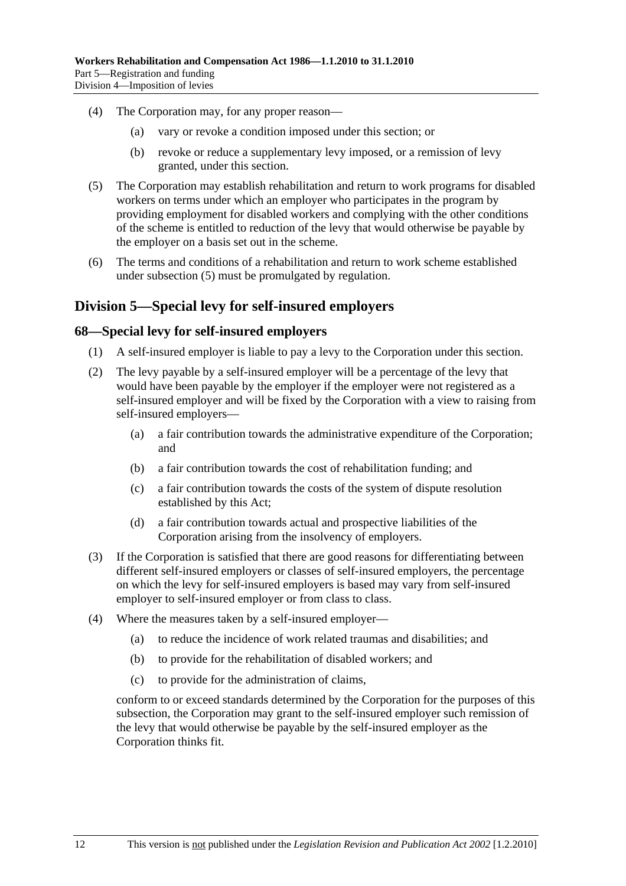- (4) The Corporation may, for any proper reason—
	- (a) vary or revoke a condition imposed under this section; or
	- (b) revoke or reduce a supplementary levy imposed, or a remission of levy granted, under this section.
- (5) The Corporation may establish rehabilitation and return to work programs for disabled workers on terms under which an employer who participates in the program by providing employment for disabled workers and complying with the other conditions of the scheme is entitled to reduction of the levy that would otherwise be payable by the employer on a basis set out in the scheme.
- (6) The terms and conditions of a rehabilitation and return to work scheme established under subsection (5) must be promulgated by regulation.

# **Division 5—Special levy for self-insured employers**

#### **68—Special levy for self-insured employers**

- (1) A self-insured employer is liable to pay a levy to the Corporation under this section.
- (2) The levy payable by a self-insured employer will be a percentage of the levy that would have been payable by the employer if the employer were not registered as a self-insured employer and will be fixed by the Corporation with a view to raising from self-insured employers—
	- (a) a fair contribution towards the administrative expenditure of the Corporation; and
	- (b) a fair contribution towards the cost of rehabilitation funding; and
	- (c) a fair contribution towards the costs of the system of dispute resolution established by this Act;
	- (d) a fair contribution towards actual and prospective liabilities of the Corporation arising from the insolvency of employers.
- (3) If the Corporation is satisfied that there are good reasons for differentiating between different self-insured employers or classes of self-insured employers, the percentage on which the levy for self-insured employers is based may vary from self-insured employer to self-insured employer or from class to class.
- (4) Where the measures taken by a self-insured employer—
	- (a) to reduce the incidence of work related traumas and disabilities; and
	- (b) to provide for the rehabilitation of disabled workers; and
	- (c) to provide for the administration of claims,

conform to or exceed standards determined by the Corporation for the purposes of this subsection, the Corporation may grant to the self-insured employer such remission of the levy that would otherwise be payable by the self-insured employer as the Corporation thinks fit.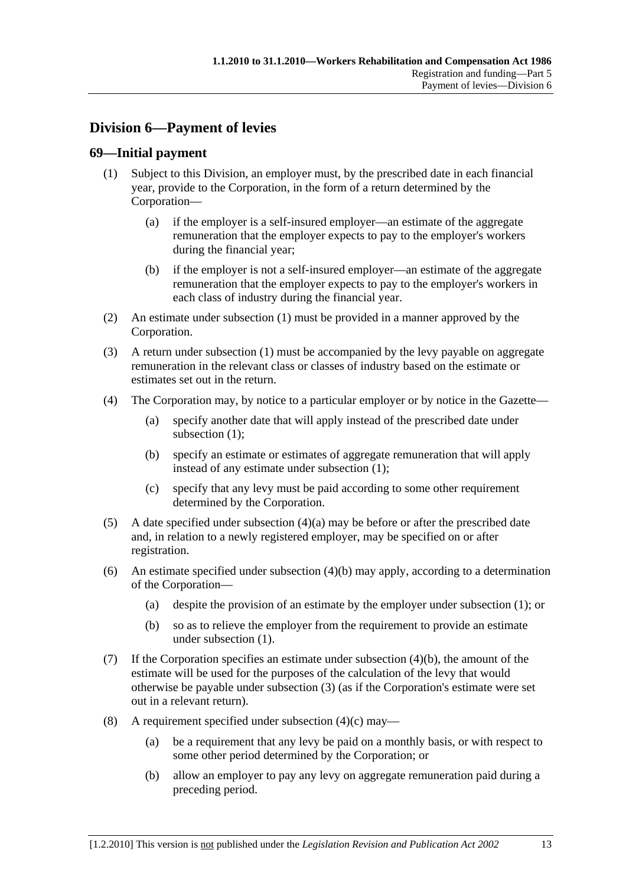# **Division 6—Payment of levies**

### **69—Initial payment**

- (1) Subject to this Division, an employer must, by the prescribed date in each financial year, provide to the Corporation, in the form of a return determined by the Corporation—
	- (a) if the employer is a self-insured employer—an estimate of the aggregate remuneration that the employer expects to pay to the employer's workers during the financial year;
	- (b) if the employer is not a self-insured employer—an estimate of the aggregate remuneration that the employer expects to pay to the employer's workers in each class of industry during the financial year.
- (2) An estimate under subsection (1) must be provided in a manner approved by the Corporation.
- (3) A return under subsection (1) must be accompanied by the levy payable on aggregate remuneration in the relevant class or classes of industry based on the estimate or estimates set out in the return.
- (4) The Corporation may, by notice to a particular employer or by notice in the Gazette—
	- (a) specify another date that will apply instead of the prescribed date under subsection (1):
	- (b) specify an estimate or estimates of aggregate remuneration that will apply instead of any estimate under subsection (1);
	- (c) specify that any levy must be paid according to some other requirement determined by the Corporation.
- (5) A date specified under subsection (4)(a) may be before or after the prescribed date and, in relation to a newly registered employer, may be specified on or after registration.
- (6) An estimate specified under subsection (4)(b) may apply, according to a determination of the Corporation—
	- (a) despite the provision of an estimate by the employer under subsection (1); or
	- (b) so as to relieve the employer from the requirement to provide an estimate under subsection (1).
- (7) If the Corporation specifies an estimate under subsection (4)(b), the amount of the estimate will be used for the purposes of the calculation of the levy that would otherwise be payable under subsection (3) (as if the Corporation's estimate were set out in a relevant return).
- (8) A requirement specified under subsection  $(4)(c)$  may—
	- (a) be a requirement that any levy be paid on a monthly basis, or with respect to some other period determined by the Corporation; or
	- (b) allow an employer to pay any levy on aggregate remuneration paid during a preceding period.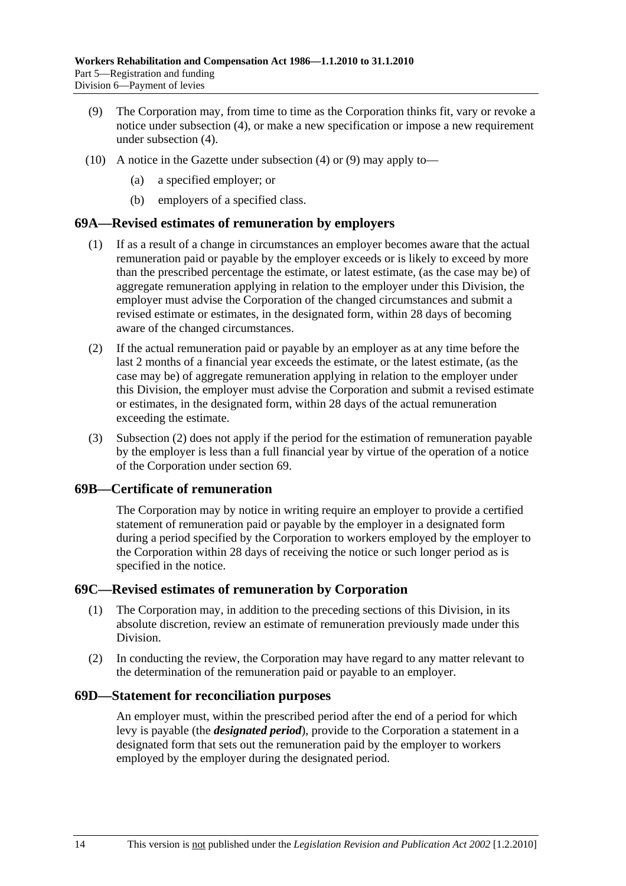- (9) The Corporation may, from time to time as the Corporation thinks fit, vary or revoke a notice under subsection (4), or make a new specification or impose a new requirement under subsection (4).
- (10) A notice in the Gazette under subsection (4) or (9) may apply to—
	- (a) a specified employer; or
	- (b) employers of a specified class.

#### **69A—Revised estimates of remuneration by employers**

- (1) If as a result of a change in circumstances an employer becomes aware that the actual remuneration paid or payable by the employer exceeds or is likely to exceed by more than the prescribed percentage the estimate, or latest estimate, (as the case may be) of aggregate remuneration applying in relation to the employer under this Division, the employer must advise the Corporation of the changed circumstances and submit a revised estimate or estimates, in the designated form, within 28 days of becoming aware of the changed circumstances.
- (2) If the actual remuneration paid or payable by an employer as at any time before the last 2 months of a financial year exceeds the estimate, or the latest estimate, (as the case may be) of aggregate remuneration applying in relation to the employer under this Division, the employer must advise the Corporation and submit a revised estimate or estimates, in the designated form, within 28 days of the actual remuneration exceeding the estimate.
- (3) Subsection (2) does not apply if the period for the estimation of remuneration payable by the employer is less than a full financial year by virtue of the operation of a notice of the Corporation under section 69.

#### **69B—Certificate of remuneration**

The Corporation may by notice in writing require an employer to provide a certified statement of remuneration paid or payable by the employer in a designated form during a period specified by the Corporation to workers employed by the employer to the Corporation within 28 days of receiving the notice or such longer period as is specified in the notice.

#### **69C—Revised estimates of remuneration by Corporation**

- (1) The Corporation may, in addition to the preceding sections of this Division, in its absolute discretion, review an estimate of remuneration previously made under this Division.
- (2) In conducting the review, the Corporation may have regard to any matter relevant to the determination of the remuneration paid or payable to an employer.

#### **69D—Statement for reconciliation purposes**

An employer must, within the prescribed period after the end of a period for which levy is payable (the *designated period*), provide to the Corporation a statement in a designated form that sets out the remuneration paid by the employer to workers employed by the employer during the designated period.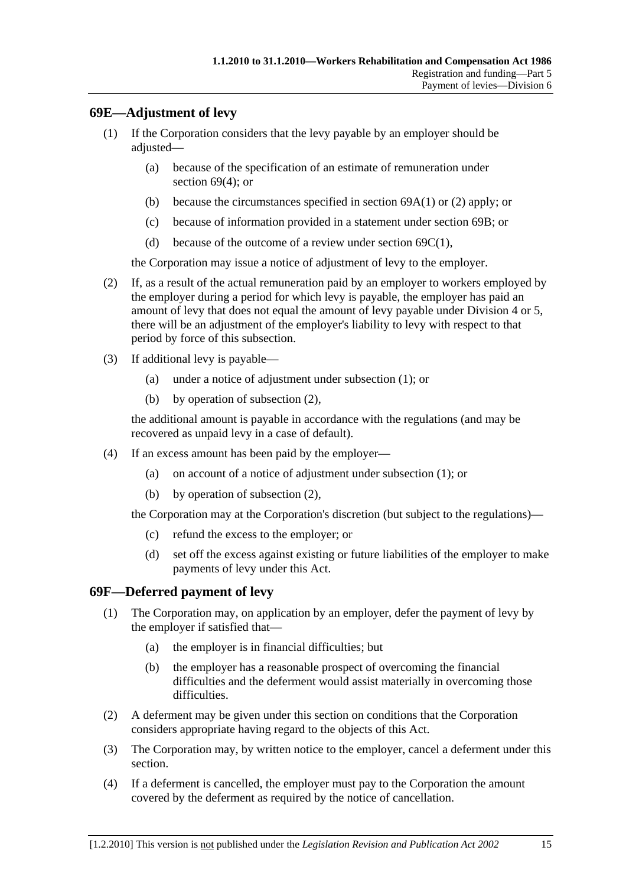# **69E—Adjustment of levy**

- (1) If the Corporation considers that the levy payable by an employer should be adjusted—
	- (a) because of the specification of an estimate of remuneration under section 69(4); or
	- (b) because the circumstances specified in section 69A(1) or (2) apply; or
	- (c) because of information provided in a statement under section 69B; or
	- (d) because of the outcome of a review under section  $69C(1)$ ,

the Corporation may issue a notice of adjustment of levy to the employer.

- (2) If, as a result of the actual remuneration paid by an employer to workers employed by the employer during a period for which levy is payable, the employer has paid an amount of levy that does not equal the amount of levy payable under Division 4 or 5, there will be an adjustment of the employer's liability to levy with respect to that period by force of this subsection.
- (3) If additional levy is payable—
	- (a) under a notice of adjustment under subsection (1); or
	- (b) by operation of subsection (2),

the additional amount is payable in accordance with the regulations (and may be recovered as unpaid levy in a case of default).

- (4) If an excess amount has been paid by the employer—
	- (a) on account of a notice of adjustment under subsection (1); or
	- (b) by operation of subsection (2),

the Corporation may at the Corporation's discretion (but subject to the regulations)—

- (c) refund the excess to the employer; or
- (d) set off the excess against existing or future liabilities of the employer to make payments of levy under this Act.

#### **69F—Deferred payment of levy**

- (1) The Corporation may, on application by an employer, defer the payment of levy by the employer if satisfied that—
	- (a) the employer is in financial difficulties; but
	- (b) the employer has a reasonable prospect of overcoming the financial difficulties and the deferment would assist materially in overcoming those difficulties.
- (2) A deferment may be given under this section on conditions that the Corporation considers appropriate having regard to the objects of this Act.
- (3) The Corporation may, by written notice to the employer, cancel a deferment under this section.
- (4) If a deferment is cancelled, the employer must pay to the Corporation the amount covered by the deferment as required by the notice of cancellation.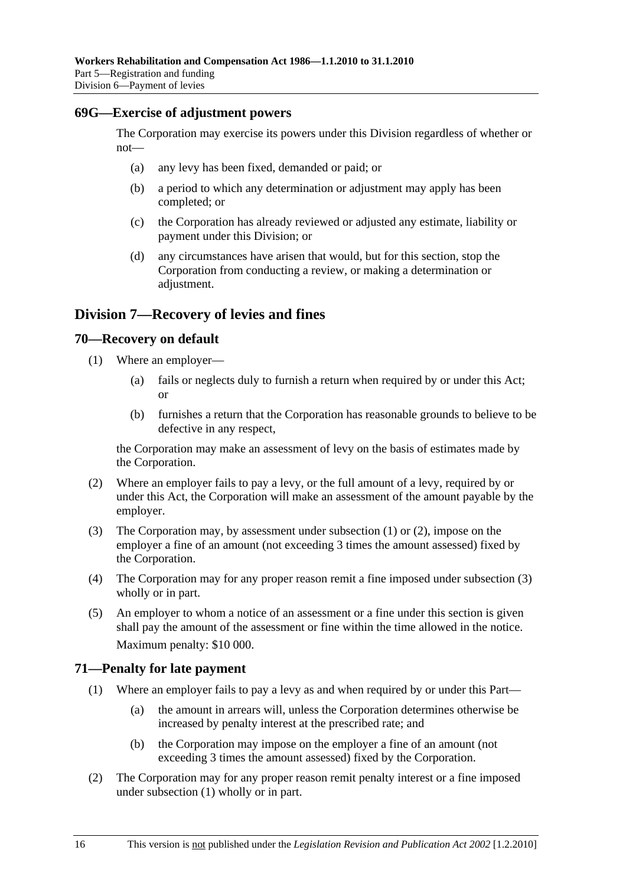#### **69G—Exercise of adjustment powers**

The Corporation may exercise its powers under this Division regardless of whether or not—

- (a) any levy has been fixed, demanded or paid; or
- (b) a period to which any determination or adjustment may apply has been completed; or
- (c) the Corporation has already reviewed or adjusted any estimate, liability or payment under this Division; or
- (d) any circumstances have arisen that would, but for this section, stop the Corporation from conducting a review, or making a determination or adjustment.

# **Division 7—Recovery of levies and fines**

#### **70—Recovery on default**

- (1) Where an employer—
	- (a) fails or neglects duly to furnish a return when required by or under this Act; or
	- (b) furnishes a return that the Corporation has reasonable grounds to believe to be defective in any respect,

the Corporation may make an assessment of levy on the basis of estimates made by the Corporation.

- (2) Where an employer fails to pay a levy, or the full amount of a levy, required by or under this Act, the Corporation will make an assessment of the amount payable by the employer.
- (3) The Corporation may, by assessment under subsection (1) or (2), impose on the employer a fine of an amount (not exceeding 3 times the amount assessed) fixed by the Corporation.
- (4) The Corporation may for any proper reason remit a fine imposed under subsection (3) wholly or in part.
- (5) An employer to whom a notice of an assessment or a fine under this section is given shall pay the amount of the assessment or fine within the time allowed in the notice. Maximum penalty: \$10 000.

#### **71—Penalty for late payment**

- (1) Where an employer fails to pay a levy as and when required by or under this Part—
	- (a) the amount in arrears will, unless the Corporation determines otherwise be increased by penalty interest at the prescribed rate; and
	- (b) the Corporation may impose on the employer a fine of an amount (not exceeding 3 times the amount assessed) fixed by the Corporation.
- (2) The Corporation may for any proper reason remit penalty interest or a fine imposed under subsection (1) wholly or in part.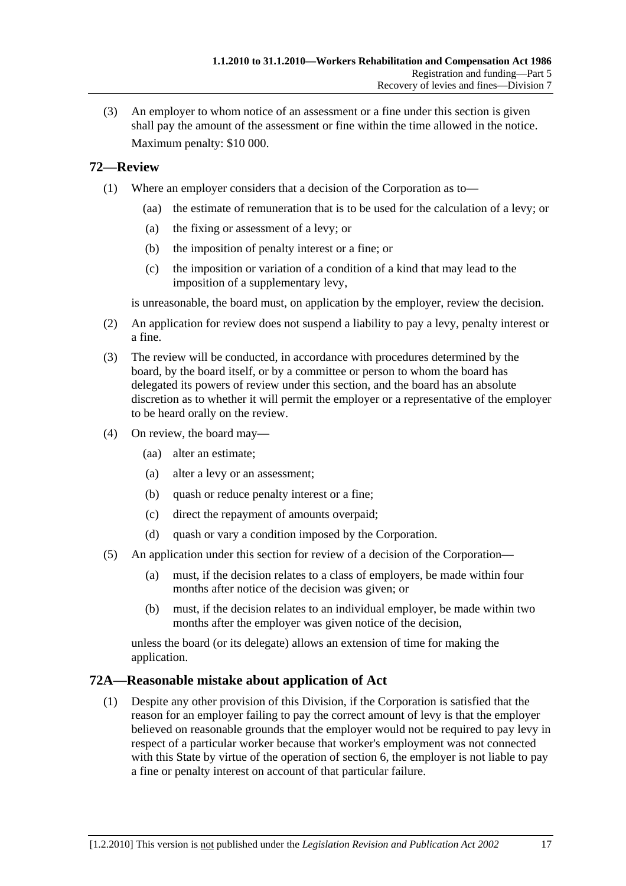(3) An employer to whom notice of an assessment or a fine under this section is given shall pay the amount of the assessment or fine within the time allowed in the notice. Maximum penalty: \$10 000.

#### **72—Review**

- (1) Where an employer considers that a decision of the Corporation as to—
	- (aa) the estimate of remuneration that is to be used for the calculation of a levy; or
	- (a) the fixing or assessment of a levy; or
	- (b) the imposition of penalty interest or a fine; or
	- (c) the imposition or variation of a condition of a kind that may lead to the imposition of a supplementary levy,

is unreasonable, the board must, on application by the employer, review the decision.

- (2) An application for review does not suspend a liability to pay a levy, penalty interest or a fine.
- (3) The review will be conducted, in accordance with procedures determined by the board, by the board itself, or by a committee or person to whom the board has delegated its powers of review under this section, and the board has an absolute discretion as to whether it will permit the employer or a representative of the employer to be heard orally on the review.
- (4) On review, the board may—
	- (aa) alter an estimate;
	- (a) alter a levy or an assessment;
	- (b) quash or reduce penalty interest or a fine;
	- (c) direct the repayment of amounts overpaid;
	- (d) quash or vary a condition imposed by the Corporation.
- (5) An application under this section for review of a decision of the Corporation—
	- (a) must, if the decision relates to a class of employers, be made within four months after notice of the decision was given; or
	- (b) must, if the decision relates to an individual employer, be made within two months after the employer was given notice of the decision,

unless the board (or its delegate) allows an extension of time for making the application.

#### **72A—Reasonable mistake about application of Act**

 (1) Despite any other provision of this Division, if the Corporation is satisfied that the reason for an employer failing to pay the correct amount of levy is that the employer believed on reasonable grounds that the employer would not be required to pay levy in respect of a particular worker because that worker's employment was not connected with this State by virtue of the operation of section 6, the employer is not liable to pay a fine or penalty interest on account of that particular failure.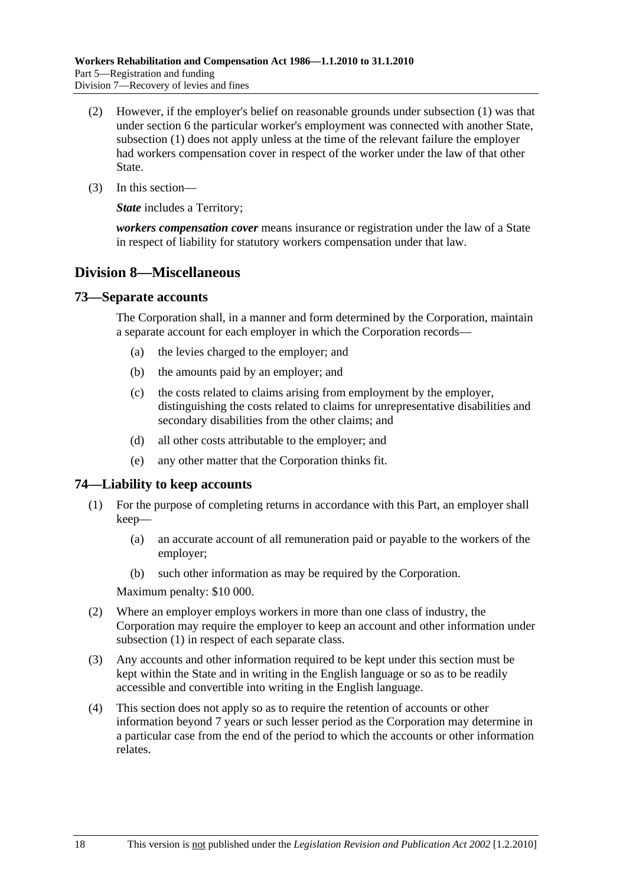- (2) However, if the employer's belief on reasonable grounds under subsection (1) was that under section 6 the particular worker's employment was connected with another State, subsection (1) does not apply unless at the time of the relevant failure the employer had workers compensation cover in respect of the worker under the law of that other State.
- (3) In this section—

*State* includes a Territory:

*workers compensation cover* means insurance or registration under the law of a State in respect of liability for statutory workers compensation under that law.

# **Division 8—Miscellaneous**

#### **73—Separate accounts**

The Corporation shall, in a manner and form determined by the Corporation, maintain a separate account for each employer in which the Corporation records—

- (a) the levies charged to the employer; and
- (b) the amounts paid by an employer; and
- (c) the costs related to claims arising from employment by the employer, distinguishing the costs related to claims for unrepresentative disabilities and secondary disabilities from the other claims; and
- (d) all other costs attributable to the employer; and
- (e) any other matter that the Corporation thinks fit.

#### **74—Liability to keep accounts**

- (1) For the purpose of completing returns in accordance with this Part, an employer shall keep—
	- (a) an accurate account of all remuneration paid or payable to the workers of the employer;
	- (b) such other information as may be required by the Corporation.

Maximum penalty: \$10 000.

- (2) Where an employer employs workers in more than one class of industry, the Corporation may require the employer to keep an account and other information under subsection (1) in respect of each separate class.
- (3) Any accounts and other information required to be kept under this section must be kept within the State and in writing in the English language or so as to be readily accessible and convertible into writing in the English language.
- (4) This section does not apply so as to require the retention of accounts or other information beyond 7 years or such lesser period as the Corporation may determine in a particular case from the end of the period to which the accounts or other information relates.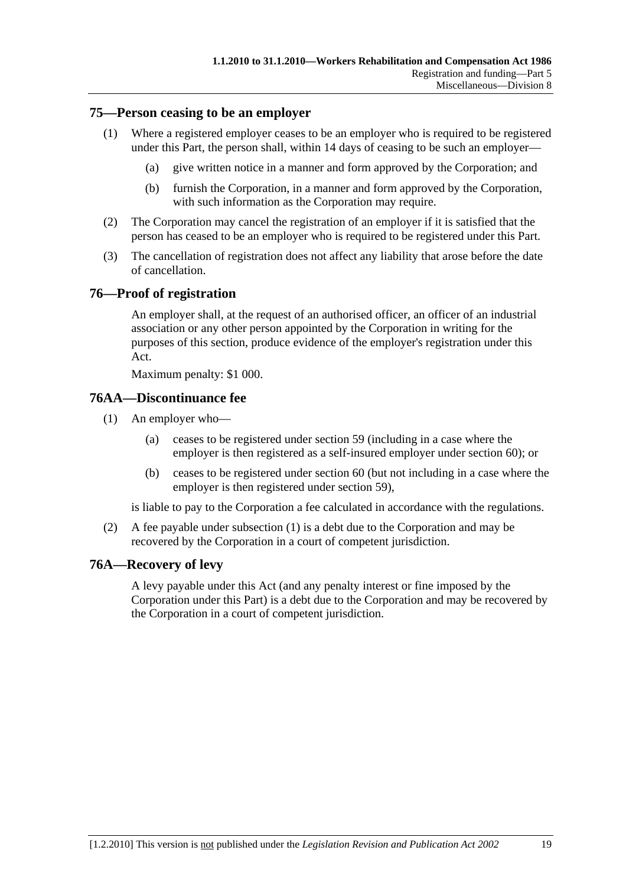#### **75—Person ceasing to be an employer**

- (1) Where a registered employer ceases to be an employer who is required to be registered under this Part, the person shall, within 14 days of ceasing to be such an employer—
	- (a) give written notice in a manner and form approved by the Corporation; and
	- (b) furnish the Corporation, in a manner and form approved by the Corporation, with such information as the Corporation may require.
- (2) The Corporation may cancel the registration of an employer if it is satisfied that the person has ceased to be an employer who is required to be registered under this Part.
- (3) The cancellation of registration does not affect any liability that arose before the date of cancellation.

#### **76—Proof of registration**

An employer shall, at the request of an authorised officer, an officer of an industrial association or any other person appointed by the Corporation in writing for the purposes of this section, produce evidence of the employer's registration under this Act.

Maximum penalty: \$1 000.

#### **76AA—Discontinuance fee**

- (1) An employer who—
	- (a) ceases to be registered under section 59 (including in a case where the employer is then registered as a self-insured employer under section 60); or
	- (b) ceases to be registered under section 60 (but not including in a case where the employer is then registered under section 59),

is liable to pay to the Corporation a fee calculated in accordance with the regulations.

 (2) A fee payable under subsection (1) is a debt due to the Corporation and may be recovered by the Corporation in a court of competent jurisdiction.

#### **76A—Recovery of levy**

A levy payable under this Act (and any penalty interest or fine imposed by the Corporation under this Part) is a debt due to the Corporation and may be recovered by the Corporation in a court of competent jurisdiction.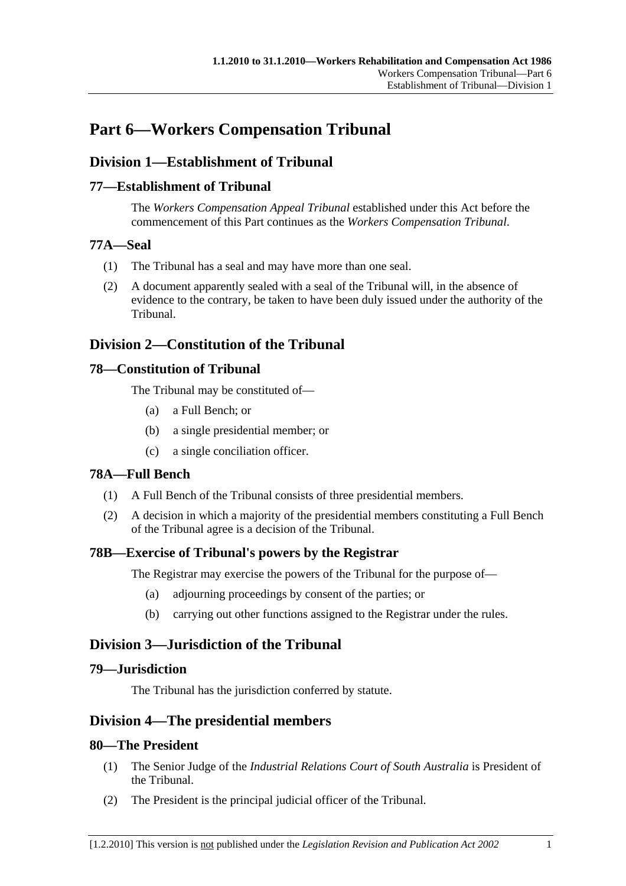# **Part 6—Workers Compensation Tribunal**

# **Division 1—Establishment of Tribunal**

# **77—Establishment of Tribunal**

The *Workers Compensation Appeal Tribunal* established under this Act before the commencement of this Part continues as the *Workers Compensation Tribunal*.

# **77A—Seal**

- (1) The Tribunal has a seal and may have more than one seal.
- (2) A document apparently sealed with a seal of the Tribunal will, in the absence of evidence to the contrary, be taken to have been duly issued under the authority of the Tribunal.

# **Division 2—Constitution of the Tribunal**

# **78—Constitution of Tribunal**

The Tribunal may be constituted of—

- (a) a Full Bench; or
- (b) a single presidential member; or
- (c) a single conciliation officer.

# **78A—Full Bench**

- (1) A Full Bench of the Tribunal consists of three presidential members.
- (2) A decision in which a majority of the presidential members constituting a Full Bench of the Tribunal agree is a decision of the Tribunal.

# **78B—Exercise of Tribunal's powers by the Registrar**

The Registrar may exercise the powers of the Tribunal for the purpose of—

- (a) adjourning proceedings by consent of the parties; or
- (b) carrying out other functions assigned to the Registrar under the rules.

# **Division 3—Jurisdiction of the Tribunal**

#### **79—Jurisdiction**

The Tribunal has the jurisdiction conferred by statute.

# **Division 4—The presidential members**

#### **80—The President**

- (1) The Senior Judge of the *Industrial Relations Court of South Australia* is President of the Tribunal.
- (2) The President is the principal judicial officer of the Tribunal.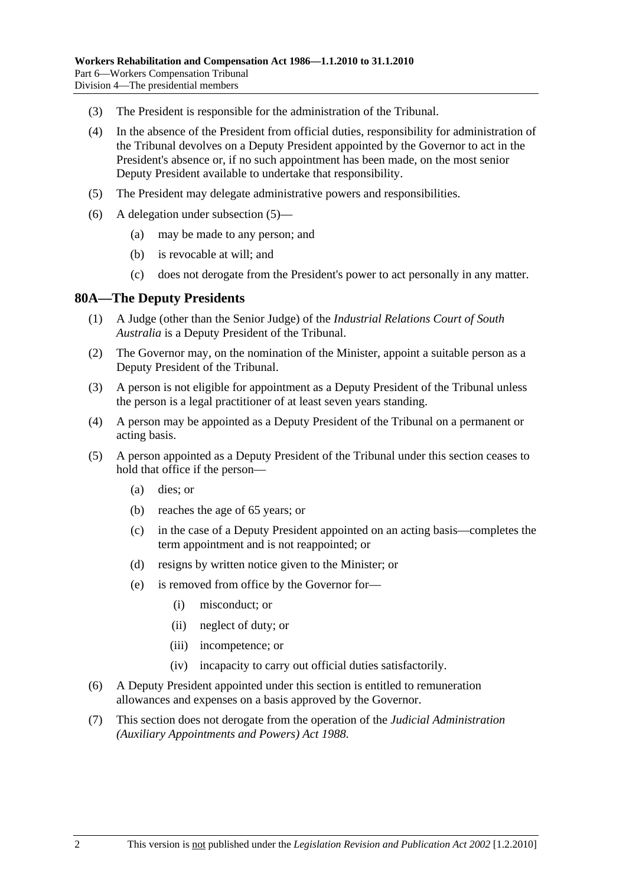- (3) The President is responsible for the administration of the Tribunal.
- (4) In the absence of the President from official duties, responsibility for administration of the Tribunal devolves on a Deputy President appointed by the Governor to act in the President's absence or, if no such appointment has been made, on the most senior Deputy President available to undertake that responsibility.
- (5) The President may delegate administrative powers and responsibilities.
- (6) A delegation under subsection (5)—
	- (a) may be made to any person; and
	- (b) is revocable at will; and
	- (c) does not derogate from the President's power to act personally in any matter.

#### **80A—The Deputy Presidents**

- (1) A Judge (other than the Senior Judge) of the *Industrial Relations Court of South Australia* is a Deputy President of the Tribunal.
- (2) The Governor may, on the nomination of the Minister, appoint a suitable person as a Deputy President of the Tribunal.
- (3) A person is not eligible for appointment as a Deputy President of the Tribunal unless the person is a legal practitioner of at least seven years standing.
- (4) A person may be appointed as a Deputy President of the Tribunal on a permanent or acting basis.
- (5) A person appointed as a Deputy President of the Tribunal under this section ceases to hold that office if the person—
	- (a) dies; or
	- (b) reaches the age of 65 years; or
	- (c) in the case of a Deputy President appointed on an acting basis—completes the term appointment and is not reappointed; or
	- (d) resigns by written notice given to the Minister; or
	- (e) is removed from office by the Governor for—
		- (i) misconduct; or
		- (ii) neglect of duty; or
		- (iii) incompetence; or
		- (iv) incapacity to carry out official duties satisfactorily.
- (6) A Deputy President appointed under this section is entitled to remuneration allowances and expenses on a basis approved by the Governor.
- (7) This section does not derogate from the operation of the *Judicial Administration (Auxiliary Appointments and Powers) Act 1988*.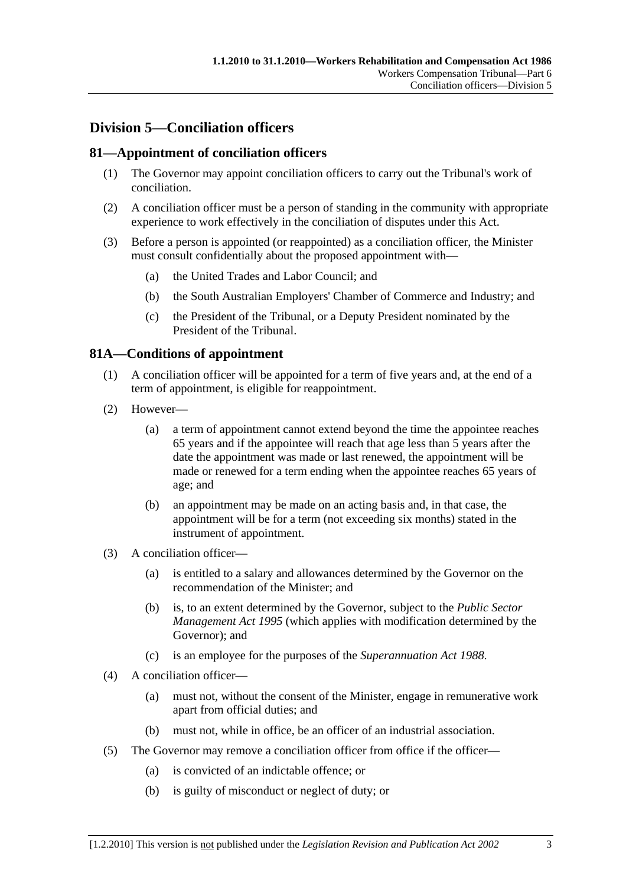# **Division 5—Conciliation officers**

# **81—Appointment of conciliation officers**

- (1) The Governor may appoint conciliation officers to carry out the Tribunal's work of conciliation.
- (2) A conciliation officer must be a person of standing in the community with appropriate experience to work effectively in the conciliation of disputes under this Act.
- (3) Before a person is appointed (or reappointed) as a conciliation officer, the Minister must consult confidentially about the proposed appointment with—
	- (a) the United Trades and Labor Council; and
	- (b) the South Australian Employers' Chamber of Commerce and Industry; and
	- (c) the President of the Tribunal, or a Deputy President nominated by the President of the Tribunal.

# **81A—Conditions of appointment**

- (1) A conciliation officer will be appointed for a term of five years and, at the end of a term of appointment, is eligible for reappointment.
- (2) However—
	- (a) a term of appointment cannot extend beyond the time the appointee reaches 65 years and if the appointee will reach that age less than 5 years after the date the appointment was made or last renewed, the appointment will be made or renewed for a term ending when the appointee reaches 65 years of age; and
	- (b) an appointment may be made on an acting basis and, in that case, the appointment will be for a term (not exceeding six months) stated in the instrument of appointment.
- (3) A conciliation officer—
	- (a) is entitled to a salary and allowances determined by the Governor on the recommendation of the Minister; and
	- (b) is, to an extent determined by the Governor, subject to the *Public Sector Management Act 1995* (which applies with modification determined by the Governor); and
	- (c) is an employee for the purposes of the *Superannuation Act 1988*.
- (4) A conciliation officer—
	- (a) must not, without the consent of the Minister, engage in remunerative work apart from official duties; and
	- (b) must not, while in office, be an officer of an industrial association.
- (5) The Governor may remove a conciliation officer from office if the officer—
	- (a) is convicted of an indictable offence; or
	- (b) is guilty of misconduct or neglect of duty; or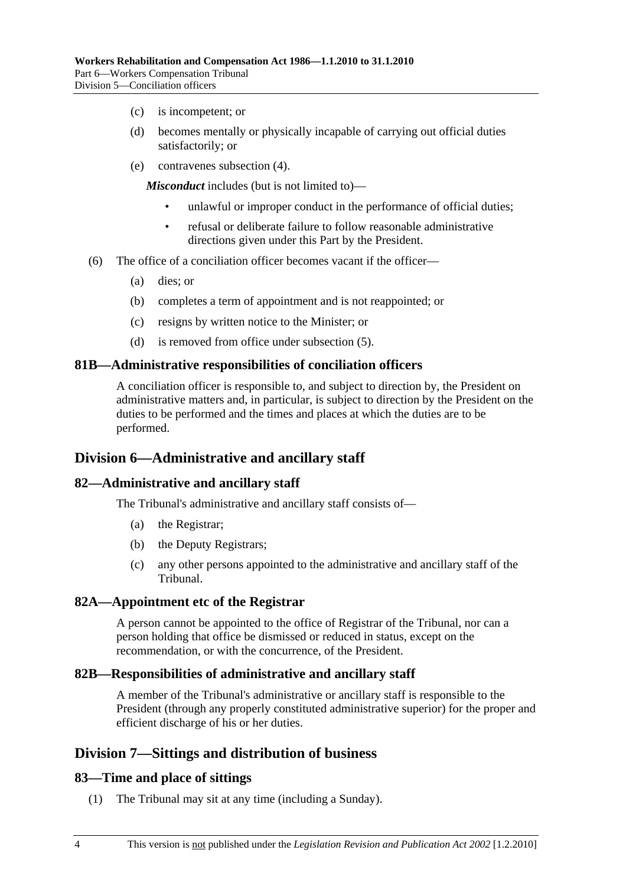- (c) is incompetent; or
- (d) becomes mentally or physically incapable of carrying out official duties satisfactorily; or
- (e) contravenes subsection (4).

*Misconduct* includes (but is not limited to)—

- unlawful or improper conduct in the performance of official duties;
- refusal or deliberate failure to follow reasonable administrative directions given under this Part by the President.
- (6) The office of a conciliation officer becomes vacant if the officer—
	- (a) dies; or
	- (b) completes a term of appointment and is not reappointed; or
	- (c) resigns by written notice to the Minister; or
	- (d) is removed from office under subsection (5).

#### **81B—Administrative responsibilities of conciliation officers**

A conciliation officer is responsible to, and subject to direction by, the President on administrative matters and, in particular, is subject to direction by the President on the duties to be performed and the times and places at which the duties are to be performed.

#### **Division 6—Administrative and ancillary staff**

#### **82—Administrative and ancillary staff**

The Tribunal's administrative and ancillary staff consists of—

- (a) the Registrar;
- (b) the Deputy Registrars;
- (c) any other persons appointed to the administrative and ancillary staff of the Tribunal.

#### **82A—Appointment etc of the Registrar**

A person cannot be appointed to the office of Registrar of the Tribunal, nor can a person holding that office be dismissed or reduced in status, except on the recommendation, or with the concurrence, of the President.

#### **82B—Responsibilities of administrative and ancillary staff**

A member of the Tribunal's administrative or ancillary staff is responsible to the President (through any properly constituted administrative superior) for the proper and efficient discharge of his or her duties.

#### **Division 7—Sittings and distribution of business**

#### **83—Time and place of sittings**

(1) The Tribunal may sit at any time (including a Sunday).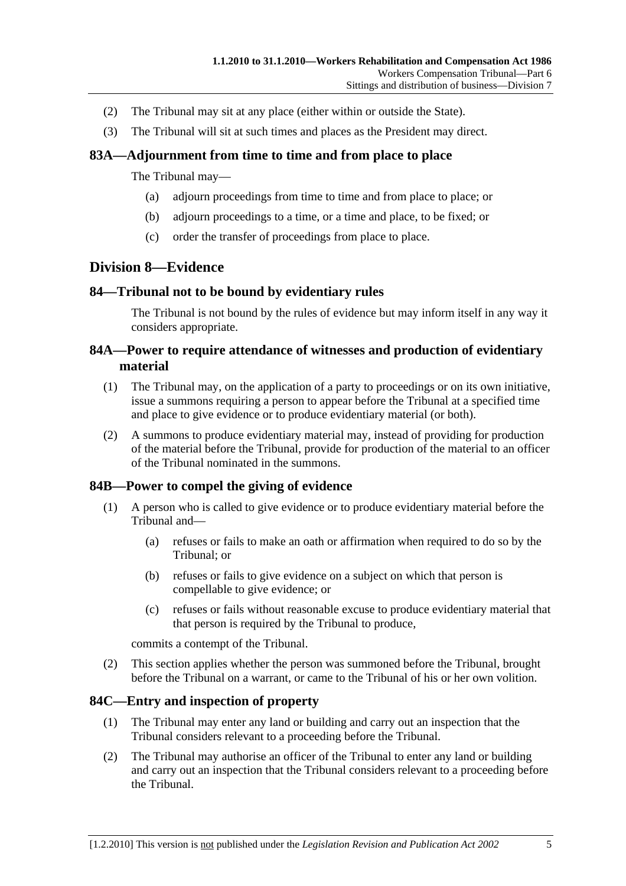- (2) The Tribunal may sit at any place (either within or outside the State).
- (3) The Tribunal will sit at such times and places as the President may direct.

# **83A—Adjournment from time to time and from place to place**

The Tribunal may—

- (a) adjourn proceedings from time to time and from place to place; or
- (b) adjourn proceedings to a time, or a time and place, to be fixed; or
- (c) order the transfer of proceedings from place to place.

# **Division 8—Evidence**

#### **84—Tribunal not to be bound by evidentiary rules**

The Tribunal is not bound by the rules of evidence but may inform itself in any way it considers appropriate.

### **84A—Power to require attendance of witnesses and production of evidentiary material**

- (1) The Tribunal may, on the application of a party to proceedings or on its own initiative, issue a summons requiring a person to appear before the Tribunal at a specified time and place to give evidence or to produce evidentiary material (or both).
- (2) A summons to produce evidentiary material may, instead of providing for production of the material before the Tribunal, provide for production of the material to an officer of the Tribunal nominated in the summons.

#### **84B—Power to compel the giving of evidence**

- (1) A person who is called to give evidence or to produce evidentiary material before the Tribunal and—
	- (a) refuses or fails to make an oath or affirmation when required to do so by the Tribunal; or
	- (b) refuses or fails to give evidence on a subject on which that person is compellable to give evidence; or
	- (c) refuses or fails without reasonable excuse to produce evidentiary material that that person is required by the Tribunal to produce,

commits a contempt of the Tribunal.

 (2) This section applies whether the person was summoned before the Tribunal, brought before the Tribunal on a warrant, or came to the Tribunal of his or her own volition.

#### **84C—Entry and inspection of property**

- (1) The Tribunal may enter any land or building and carry out an inspection that the Tribunal considers relevant to a proceeding before the Tribunal.
- (2) The Tribunal may authorise an officer of the Tribunal to enter any land or building and carry out an inspection that the Tribunal considers relevant to a proceeding before the Tribunal.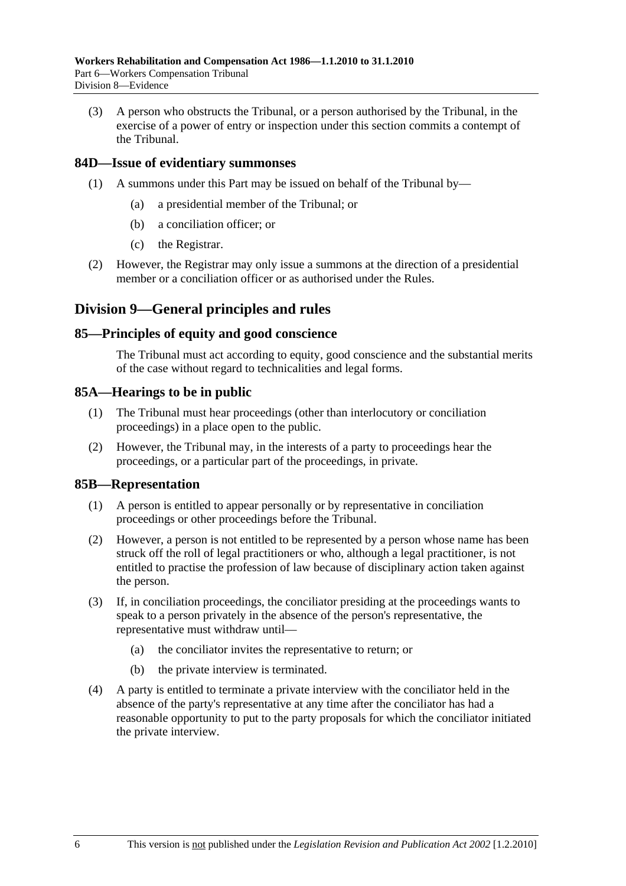(3) A person who obstructs the Tribunal, or a person authorised by the Tribunal, in the exercise of a power of entry or inspection under this section commits a contempt of the Tribunal.

#### **84D—Issue of evidentiary summonses**

- (1) A summons under this Part may be issued on behalf of the Tribunal by—
	- (a) a presidential member of the Tribunal; or
	- (b) a conciliation officer; or
	- (c) the Registrar.
- (2) However, the Registrar may only issue a summons at the direction of a presidential member or a conciliation officer or as authorised under the Rules.

# **Division 9—General principles and rules**

#### **85—Principles of equity and good conscience**

The Tribunal must act according to equity, good conscience and the substantial merits of the case without regard to technicalities and legal forms.

#### **85A—Hearings to be in public**

- (1) The Tribunal must hear proceedings (other than interlocutory or conciliation proceedings) in a place open to the public.
- (2) However, the Tribunal may, in the interests of a party to proceedings hear the proceedings, or a particular part of the proceedings, in private.

#### **85B—Representation**

- (1) A person is entitled to appear personally or by representative in conciliation proceedings or other proceedings before the Tribunal.
- (2) However, a person is not entitled to be represented by a person whose name has been struck off the roll of legal practitioners or who, although a legal practitioner, is not entitled to practise the profession of law because of disciplinary action taken against the person.
- (3) If, in conciliation proceedings, the conciliator presiding at the proceedings wants to speak to a person privately in the absence of the person's representative, the representative must withdraw until—
	- (a) the conciliator invites the representative to return; or
	- (b) the private interview is terminated.
- (4) A party is entitled to terminate a private interview with the conciliator held in the absence of the party's representative at any time after the conciliator has had a reasonable opportunity to put to the party proposals for which the conciliator initiated the private interview.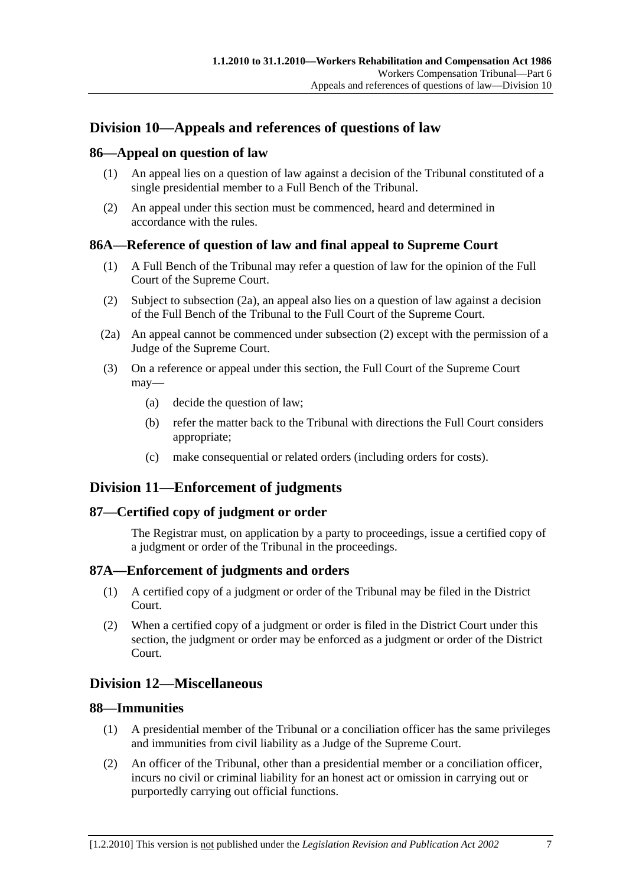## **Division 10—Appeals and references of questions of law**

## **86—Appeal on question of law**

- (1) An appeal lies on a question of law against a decision of the Tribunal constituted of a single presidential member to a Full Bench of the Tribunal.
- (2) An appeal under this section must be commenced, heard and determined in accordance with the rules.

## **86A—Reference of question of law and final appeal to Supreme Court**

- (1) A Full Bench of the Tribunal may refer a question of law for the opinion of the Full Court of the Supreme Court.
- (2) Subject to subsection (2a), an appeal also lies on a question of law against a decision of the Full Bench of the Tribunal to the Full Court of the Supreme Court.
- (2a) An appeal cannot be commenced under subsection (2) except with the permission of a Judge of the Supreme Court.
- (3) On a reference or appeal under this section, the Full Court of the Supreme Court may—
	- (a) decide the question of law;
	- (b) refer the matter back to the Tribunal with directions the Full Court considers appropriate;
	- (c) make consequential or related orders (including orders for costs).

## **Division 11—Enforcement of judgments**

## **87—Certified copy of judgment or order**

The Registrar must, on application by a party to proceedings, issue a certified copy of a judgment or order of the Tribunal in the proceedings.

## **87A—Enforcement of judgments and orders**

- (1) A certified copy of a judgment or order of the Tribunal may be filed in the District Court.
- (2) When a certified copy of a judgment or order is filed in the District Court under this section, the judgment or order may be enforced as a judgment or order of the District Court.

## **Division 12—Miscellaneous**

## **88—Immunities**

- (1) A presidential member of the Tribunal or a conciliation officer has the same privileges and immunities from civil liability as a Judge of the Supreme Court.
- (2) An officer of the Tribunal, other than a presidential member or a conciliation officer, incurs no civil or criminal liability for an honest act or omission in carrying out or purportedly carrying out official functions.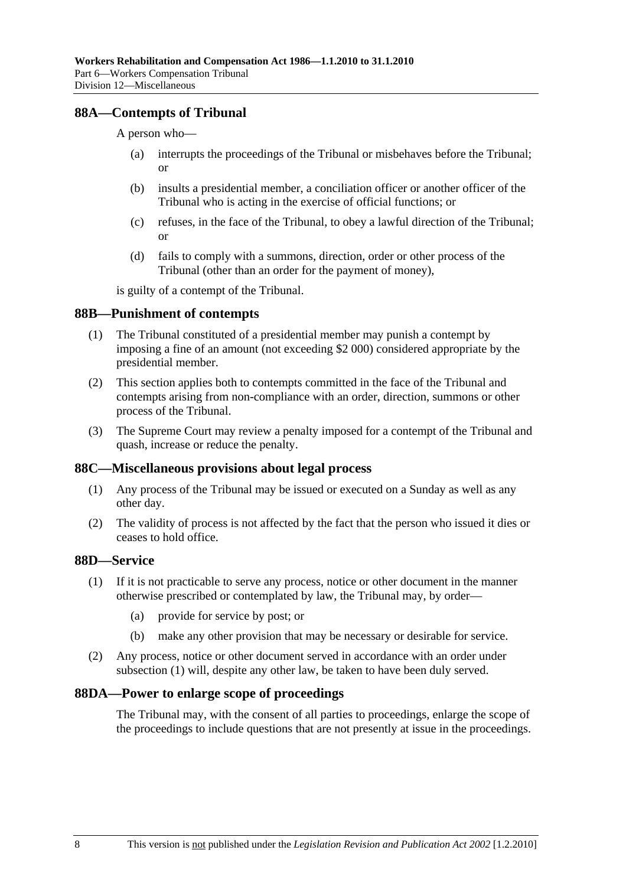## **88A—Contempts of Tribunal**

A person who—

- (a) interrupts the proceedings of the Tribunal or misbehaves before the Tribunal; or
- (b) insults a presidential member, a conciliation officer or another officer of the Tribunal who is acting in the exercise of official functions; or
- (c) refuses, in the face of the Tribunal, to obey a lawful direction of the Tribunal; or
- (d) fails to comply with a summons, direction, order or other process of the Tribunal (other than an order for the payment of money),

is guilty of a contempt of the Tribunal.

#### **88B—Punishment of contempts**

- (1) The Tribunal constituted of a presidential member may punish a contempt by imposing a fine of an amount (not exceeding \$2 000) considered appropriate by the presidential member.
- (2) This section applies both to contempts committed in the face of the Tribunal and contempts arising from non-compliance with an order, direction, summons or other process of the Tribunal.
- (3) The Supreme Court may review a penalty imposed for a contempt of the Tribunal and quash, increase or reduce the penalty.

#### **88C—Miscellaneous provisions about legal process**

- (1) Any process of the Tribunal may be issued or executed on a Sunday as well as any other day.
- (2) The validity of process is not affected by the fact that the person who issued it dies or ceases to hold office.

## **88D—Service**

- (1) If it is not practicable to serve any process, notice or other document in the manner otherwise prescribed or contemplated by law, the Tribunal may, by order—
	- (a) provide for service by post; or
	- (b) make any other provision that may be necessary or desirable for service.
- (2) Any process, notice or other document served in accordance with an order under subsection (1) will, despite any other law, be taken to have been duly served.

#### **88DA—Power to enlarge scope of proceedings**

The Tribunal may, with the consent of all parties to proceedings, enlarge the scope of the proceedings to include questions that are not presently at issue in the proceedings.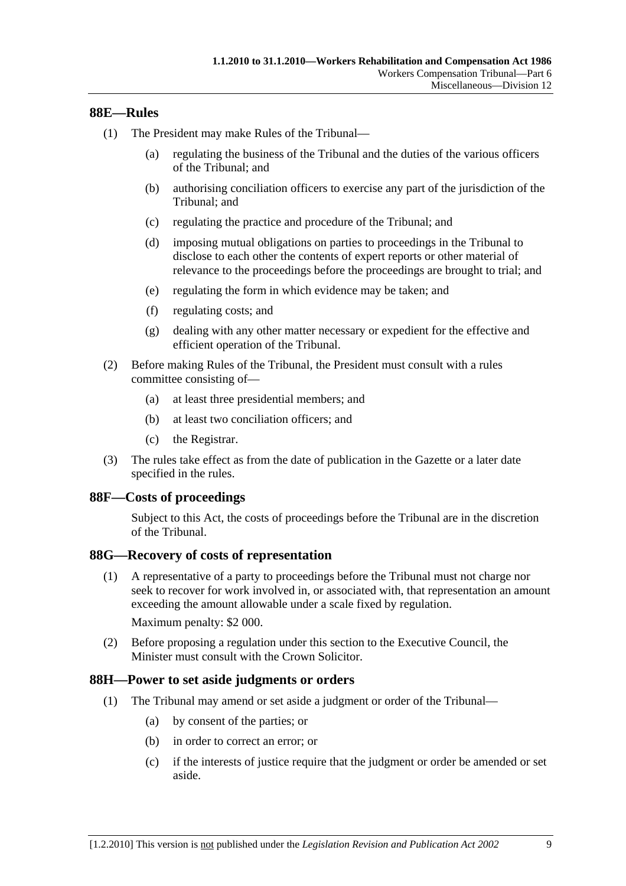### **88E—Rules**

- (1) The President may make Rules of the Tribunal—
	- (a) regulating the business of the Tribunal and the duties of the various officers of the Tribunal; and
	- (b) authorising conciliation officers to exercise any part of the jurisdiction of the Tribunal; and
	- (c) regulating the practice and procedure of the Tribunal; and
	- (d) imposing mutual obligations on parties to proceedings in the Tribunal to disclose to each other the contents of expert reports or other material of relevance to the proceedings before the proceedings are brought to trial; and
	- (e) regulating the form in which evidence may be taken; and
	- (f) regulating costs; and
	- (g) dealing with any other matter necessary or expedient for the effective and efficient operation of the Tribunal.
- (2) Before making Rules of the Tribunal, the President must consult with a rules committee consisting of—
	- (a) at least three presidential members; and
	- (b) at least two conciliation officers; and
	- (c) the Registrar.
- (3) The rules take effect as from the date of publication in the Gazette or a later date specified in the rules.

#### **88F—Costs of proceedings**

Subject to this Act, the costs of proceedings before the Tribunal are in the discretion of the Tribunal.

#### **88G—Recovery of costs of representation**

 (1) A representative of a party to proceedings before the Tribunal must not charge nor seek to recover for work involved in, or associated with, that representation an amount exceeding the amount allowable under a scale fixed by regulation.

Maximum penalty: \$2 000.

 (2) Before proposing a regulation under this section to the Executive Council, the Minister must consult with the Crown Solicitor.

#### **88H—Power to set aside judgments or orders**

- (1) The Tribunal may amend or set aside a judgment or order of the Tribunal—
	- (a) by consent of the parties; or
	- (b) in order to correct an error; or
	- (c) if the interests of justice require that the judgment or order be amended or set aside.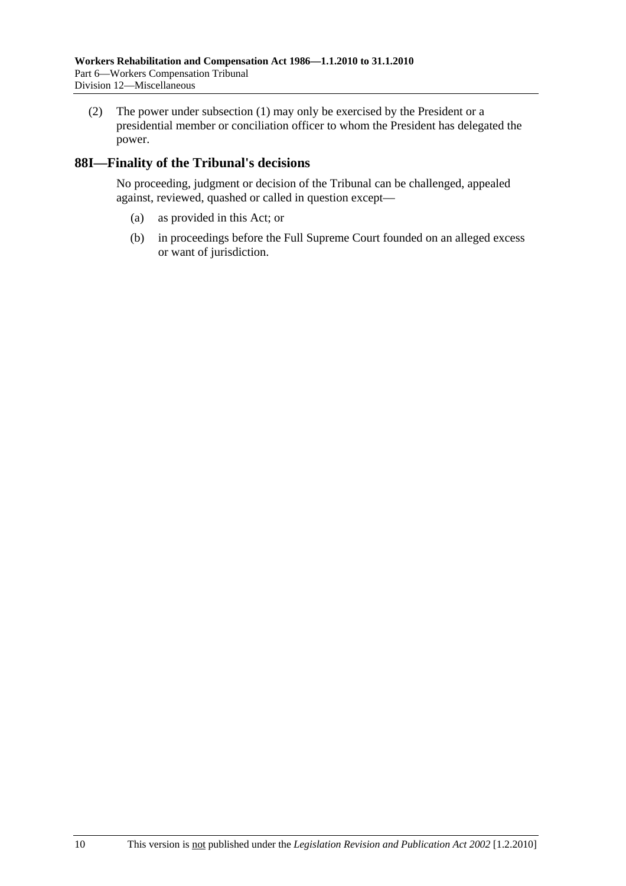(2) The power under subsection (1) may only be exercised by the President or a presidential member or conciliation officer to whom the President has delegated the power.

## **88I—Finality of the Tribunal's decisions**

No proceeding, judgment or decision of the Tribunal can be challenged, appealed against, reviewed, quashed or called in question except—

- (a) as provided in this Act; or
- (b) in proceedings before the Full Supreme Court founded on an alleged excess or want of jurisdiction.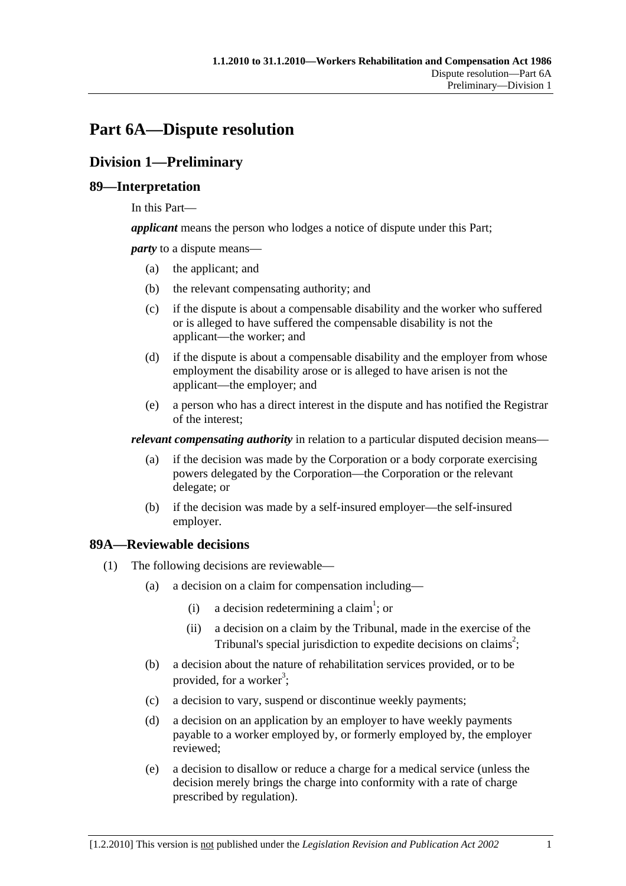# **Part 6A—Dispute resolution**

## **Division 1—Preliminary**

## **89—Interpretation**

In this Part—

*applicant* means the person who lodges a notice of dispute under this Part;

*party* to a dispute means—

- (a) the applicant; and
- (b) the relevant compensating authority; and
- (c) if the dispute is about a compensable disability and the worker who suffered or is alleged to have suffered the compensable disability is not the applicant—the worker; and
- (d) if the dispute is about a compensable disability and the employer from whose employment the disability arose or is alleged to have arisen is not the applicant—the employer; and
- (e) a person who has a direct interest in the dispute and has notified the Registrar of the interest;

*relevant compensating authority* in relation to a particular disputed decision means—

- (a) if the decision was made by the Corporation or a body corporate exercising powers delegated by the Corporation—the Corporation or the relevant delegate; or
- (b) if the decision was made by a self-insured employer—the self-insured employer.

## **89A—Reviewable decisions**

- (1) The following decisions are reviewable—
	- (a) a decision on a claim for compensation including—
		- (i) a decision redetermining a claim<sup>1</sup>; or
			- (ii) a decision on a claim by the Tribunal, made in the exercise of the Tribunal's special jurisdiction to expedite decisions on claims<sup>2</sup>;
	- (b) a decision about the nature of rehabilitation services provided, or to be provided, for a worker<sup>3</sup>;
	- (c) a decision to vary, suspend or discontinue weekly payments;
	- (d) a decision on an application by an employer to have weekly payments payable to a worker employed by, or formerly employed by, the employer reviewed;
	- (e) a decision to disallow or reduce a charge for a medical service (unless the decision merely brings the charge into conformity with a rate of charge prescribed by regulation).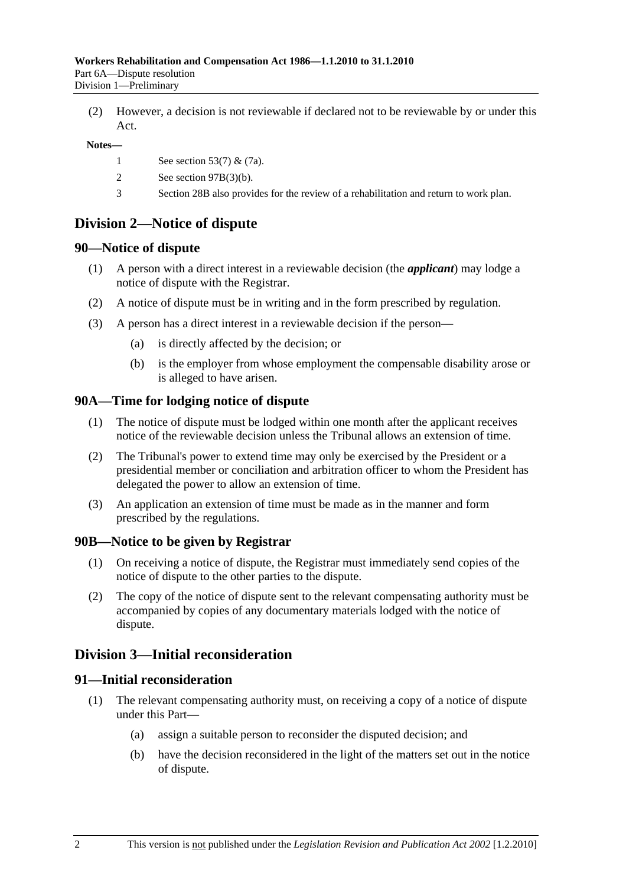(2) However, a decision is not reviewable if declared not to be reviewable by or under this Act.

#### **Notes—**

- 1 See section 53(7) & (7a).
- 2 See section 97B(3)(b).
- 3 Section 28B also provides for the review of a rehabilitation and return to work plan.

## **Division 2—Notice of dispute**

#### **90—Notice of dispute**

- (1) A person with a direct interest in a reviewable decision (the *applicant*) may lodge a notice of dispute with the Registrar.
- (2) A notice of dispute must be in writing and in the form prescribed by regulation.
- (3) A person has a direct interest in a reviewable decision if the person—
	- (a) is directly affected by the decision; or
	- (b) is the employer from whose employment the compensable disability arose or is alleged to have arisen.

#### **90A—Time for lodging notice of dispute**

- (1) The notice of dispute must be lodged within one month after the applicant receives notice of the reviewable decision unless the Tribunal allows an extension of time.
- (2) The Tribunal's power to extend time may only be exercised by the President or a presidential member or conciliation and arbitration officer to whom the President has delegated the power to allow an extension of time.
- (3) An application an extension of time must be made as in the manner and form prescribed by the regulations.

#### **90B—Notice to be given by Registrar**

- (1) On receiving a notice of dispute, the Registrar must immediately send copies of the notice of dispute to the other parties to the dispute.
- (2) The copy of the notice of dispute sent to the relevant compensating authority must be accompanied by copies of any documentary materials lodged with the notice of dispute.

## **Division 3—Initial reconsideration**

#### **91—Initial reconsideration**

- (1) The relevant compensating authority must, on receiving a copy of a notice of dispute under this Part—
	- (a) assign a suitable person to reconsider the disputed decision; and
	- (b) have the decision reconsidered in the light of the matters set out in the notice of dispute.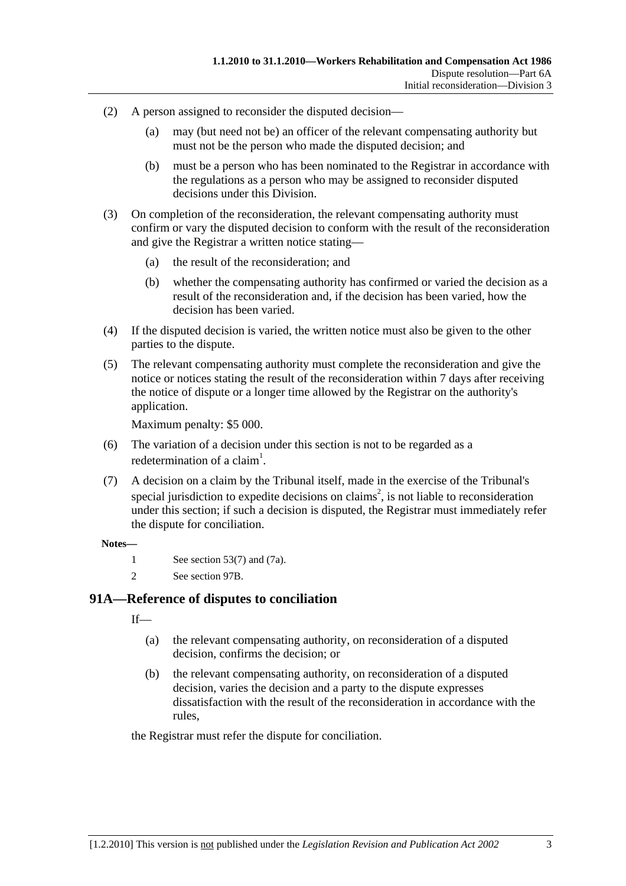- (2) A person assigned to reconsider the disputed decision—
	- (a) may (but need not be) an officer of the relevant compensating authority but must not be the person who made the disputed decision; and
	- (b) must be a person who has been nominated to the Registrar in accordance with the regulations as a person who may be assigned to reconsider disputed decisions under this Division.
- (3) On completion of the reconsideration, the relevant compensating authority must confirm or vary the disputed decision to conform with the result of the reconsideration and give the Registrar a written notice stating—
	- (a) the result of the reconsideration; and
	- (b) whether the compensating authority has confirmed or varied the decision as a result of the reconsideration and, if the decision has been varied, how the decision has been varied.
- (4) If the disputed decision is varied, the written notice must also be given to the other parties to the dispute.
- (5) The relevant compensating authority must complete the reconsideration and give the notice or notices stating the result of the reconsideration within 7 days after receiving the notice of dispute or a longer time allowed by the Registrar on the authority's application.

Maximum penalty: \$5 000.

- (6) The variation of a decision under this section is not to be regarded as a redetermination of a claim<sup>1</sup>.
- (7) A decision on a claim by the Tribunal itself, made in the exercise of the Tribunal's special jurisdiction to expedite decisions on claims<sup>2</sup>, is not liable to reconsideration under this section; if such a decision is disputed, the Registrar must immediately refer the dispute for conciliation.

#### **Notes—**

- 1 See section 53(7) and (7a).
- 2 See section 97B.

## **91A—Reference of disputes to conciliation**

 $If$ <sub>—</sub>

- (a) the relevant compensating authority, on reconsideration of a disputed decision, confirms the decision; or
- (b) the relevant compensating authority, on reconsideration of a disputed decision, varies the decision and a party to the dispute expresses dissatisfaction with the result of the reconsideration in accordance with the rules,

the Registrar must refer the dispute for conciliation.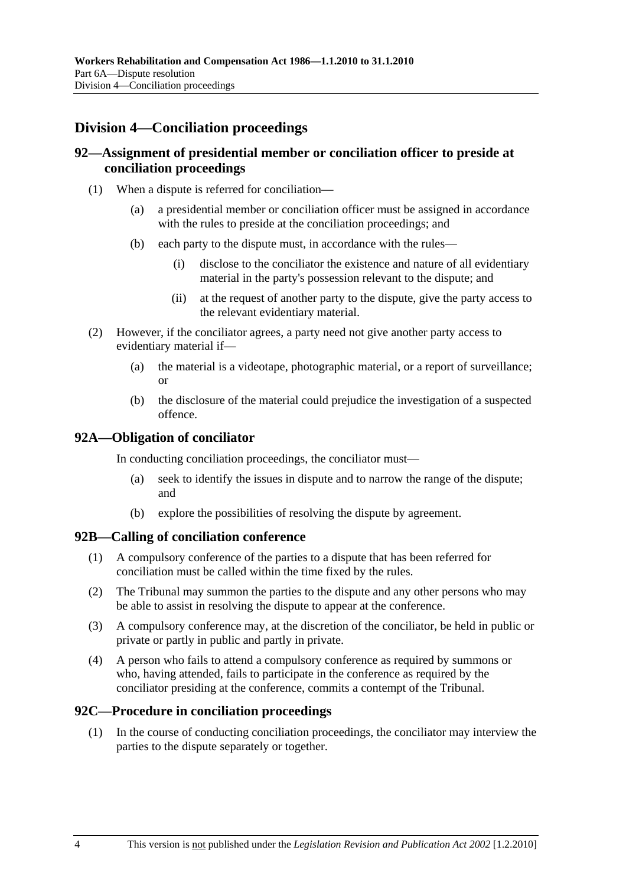## **Division 4—Conciliation proceedings**

## **92—Assignment of presidential member or conciliation officer to preside at conciliation proceedings**

- (1) When a dispute is referred for conciliation—
	- (a) a presidential member or conciliation officer must be assigned in accordance with the rules to preside at the conciliation proceedings; and
	- (b) each party to the dispute must, in accordance with the rules—
		- (i) disclose to the conciliator the existence and nature of all evidentiary material in the party's possession relevant to the dispute; and
		- (ii) at the request of another party to the dispute, give the party access to the relevant evidentiary material.
- (2) However, if the conciliator agrees, a party need not give another party access to evidentiary material if—
	- (a) the material is a videotape, photographic material, or a report of surveillance; or
	- (b) the disclosure of the material could prejudice the investigation of a suspected offence.

### **92A—Obligation of conciliator**

In conducting conciliation proceedings, the conciliator must—

- (a) seek to identify the issues in dispute and to narrow the range of the dispute; and
- (b) explore the possibilities of resolving the dispute by agreement.

#### **92B—Calling of conciliation conference**

- (1) A compulsory conference of the parties to a dispute that has been referred for conciliation must be called within the time fixed by the rules.
- (2) The Tribunal may summon the parties to the dispute and any other persons who may be able to assist in resolving the dispute to appear at the conference.
- (3) A compulsory conference may, at the discretion of the conciliator, be held in public or private or partly in public and partly in private.
- (4) A person who fails to attend a compulsory conference as required by summons or who, having attended, fails to participate in the conference as required by the conciliator presiding at the conference, commits a contempt of the Tribunal.

#### **92C—Procedure in conciliation proceedings**

 (1) In the course of conducting conciliation proceedings, the conciliator may interview the parties to the dispute separately or together.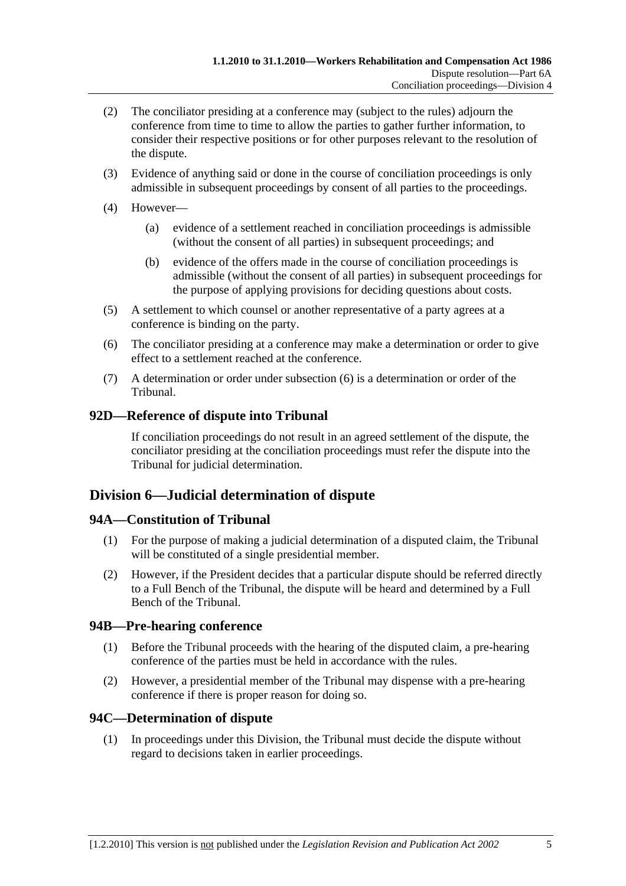- (2) The conciliator presiding at a conference may (subject to the rules) adjourn the conference from time to time to allow the parties to gather further information, to consider their respective positions or for other purposes relevant to the resolution of the dispute.
- (3) Evidence of anything said or done in the course of conciliation proceedings is only admissible in subsequent proceedings by consent of all parties to the proceedings.
- (4) However—
	- (a) evidence of a settlement reached in conciliation proceedings is admissible (without the consent of all parties) in subsequent proceedings; and
	- (b) evidence of the offers made in the course of conciliation proceedings is admissible (without the consent of all parties) in subsequent proceedings for the purpose of applying provisions for deciding questions about costs.
- (5) A settlement to which counsel or another representative of a party agrees at a conference is binding on the party.
- (6) The conciliator presiding at a conference may make a determination or order to give effect to a settlement reached at the conference.
- (7) A determination or order under subsection (6) is a determination or order of the Tribunal.

## **92D—Reference of dispute into Tribunal**

If conciliation proceedings do not result in an agreed settlement of the dispute, the conciliator presiding at the conciliation proceedings must refer the dispute into the Tribunal for judicial determination.

## **Division 6—Judicial determination of dispute**

## **94A—Constitution of Tribunal**

- (1) For the purpose of making a judicial determination of a disputed claim, the Tribunal will be constituted of a single presidential member.
- (2) However, if the President decides that a particular dispute should be referred directly to a Full Bench of the Tribunal, the dispute will be heard and determined by a Full Bench of the Tribunal.

## **94B—Pre-hearing conference**

- (1) Before the Tribunal proceeds with the hearing of the disputed claim, a pre-hearing conference of the parties must be held in accordance with the rules.
- (2) However, a presidential member of the Tribunal may dispense with a pre-hearing conference if there is proper reason for doing so.

## **94C—Determination of dispute**

 (1) In proceedings under this Division, the Tribunal must decide the dispute without regard to decisions taken in earlier proceedings.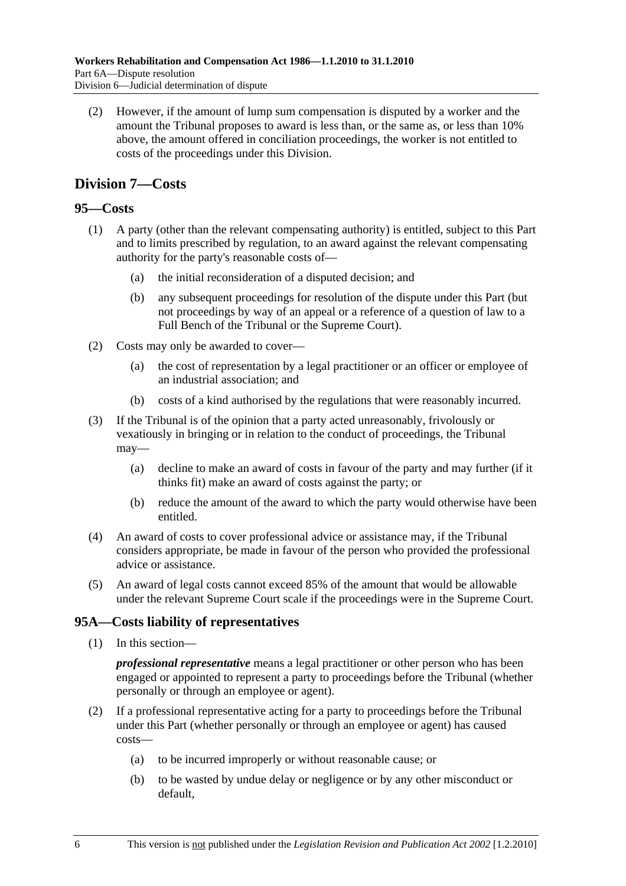(2) However, if the amount of lump sum compensation is disputed by a worker and the amount the Tribunal proposes to award is less than, or the same as, or less than 10% above, the amount offered in conciliation proceedings, the worker is not entitled to costs of the proceedings under this Division.

## **Division 7—Costs**

## **95—Costs**

- (1) A party (other than the relevant compensating authority) is entitled, subject to this Part and to limits prescribed by regulation, to an award against the relevant compensating authority for the party's reasonable costs of—
	- (a) the initial reconsideration of a disputed decision; and
	- (b) any subsequent proceedings for resolution of the dispute under this Part (but not proceedings by way of an appeal or a reference of a question of law to a Full Bench of the Tribunal or the Supreme Court).
- (2) Costs may only be awarded to cover—
	- (a) the cost of representation by a legal practitioner or an officer or employee of an industrial association; and
	- (b) costs of a kind authorised by the regulations that were reasonably incurred.
- (3) If the Tribunal is of the opinion that a party acted unreasonably, frivolously or vexatiously in bringing or in relation to the conduct of proceedings, the Tribunal may—
	- (a) decline to make an award of costs in favour of the party and may further (if it thinks fit) make an award of costs against the party; or
	- (b) reduce the amount of the award to which the party would otherwise have been entitled.
- (4) An award of costs to cover professional advice or assistance may, if the Tribunal considers appropriate, be made in favour of the person who provided the professional advice or assistance.
- (5) An award of legal costs cannot exceed 85% of the amount that would be allowable under the relevant Supreme Court scale if the proceedings were in the Supreme Court.

## **95A—Costs liability of representatives**

(1) In this section—

*professional representative* means a legal practitioner or other person who has been engaged or appointed to represent a party to proceedings before the Tribunal (whether personally or through an employee or agent).

- (2) If a professional representative acting for a party to proceedings before the Tribunal under this Part (whether personally or through an employee or agent) has caused costs—
	- (a) to be incurred improperly or without reasonable cause; or
	- (b) to be wasted by undue delay or negligence or by any other misconduct or default,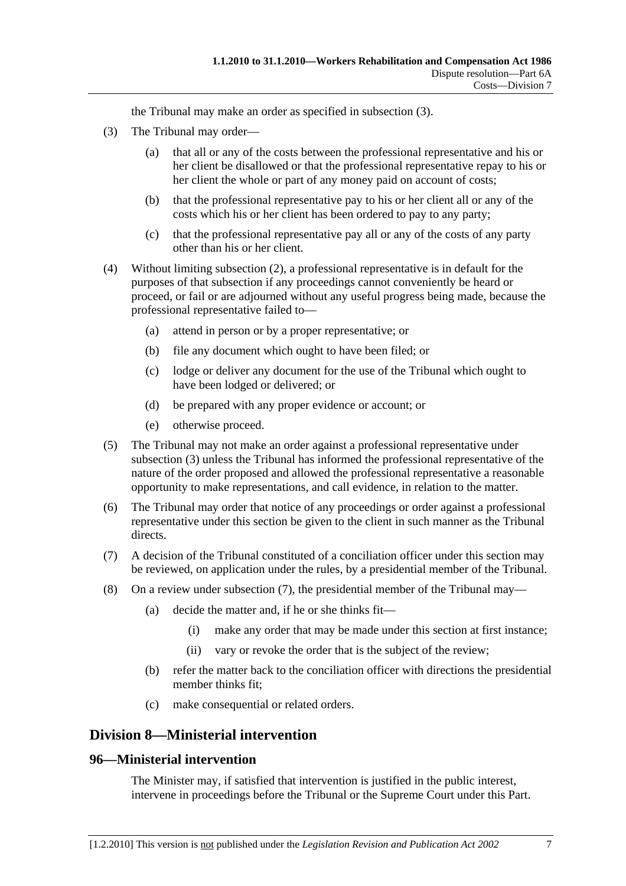the Tribunal may make an order as specified in subsection (3).

- (3) The Tribunal may order—
	- (a) that all or any of the costs between the professional representative and his or her client be disallowed or that the professional representative repay to his or her client the whole or part of any money paid on account of costs;
	- (b) that the professional representative pay to his or her client all or any of the costs which his or her client has been ordered to pay to any party;
	- (c) that the professional representative pay all or any of the costs of any party other than his or her client.
- (4) Without limiting subsection (2), a professional representative is in default for the purposes of that subsection if any proceedings cannot conveniently be heard or proceed, or fail or are adjourned without any useful progress being made, because the professional representative failed to—
	- (a) attend in person or by a proper representative; or
	- (b) file any document which ought to have been filed; or
	- (c) lodge or deliver any document for the use of the Tribunal which ought to have been lodged or delivered; or
	- (d) be prepared with any proper evidence or account; or
	- (e) otherwise proceed.
- (5) The Tribunal may not make an order against a professional representative under subsection (3) unless the Tribunal has informed the professional representative of the nature of the order proposed and allowed the professional representative a reasonable opportunity to make representations, and call evidence, in relation to the matter.
- (6) The Tribunal may order that notice of any proceedings or order against a professional representative under this section be given to the client in such manner as the Tribunal directs.
- (7) A decision of the Tribunal constituted of a conciliation officer under this section may be reviewed, on application under the rules, by a presidential member of the Tribunal.
- (8) On a review under subsection (7), the presidential member of the Tribunal may—
	- (a) decide the matter and, if he or she thinks fit—
		- (i) make any order that may be made under this section at first instance;
		- (ii) vary or revoke the order that is the subject of the review;
	- (b) refer the matter back to the conciliation officer with directions the presidential member thinks fit;
	- (c) make consequential or related orders.

## **Division 8—Ministerial intervention**

## **96—Ministerial intervention**

The Minister may, if satisfied that intervention is justified in the public interest, intervene in proceedings before the Tribunal or the Supreme Court under this Part.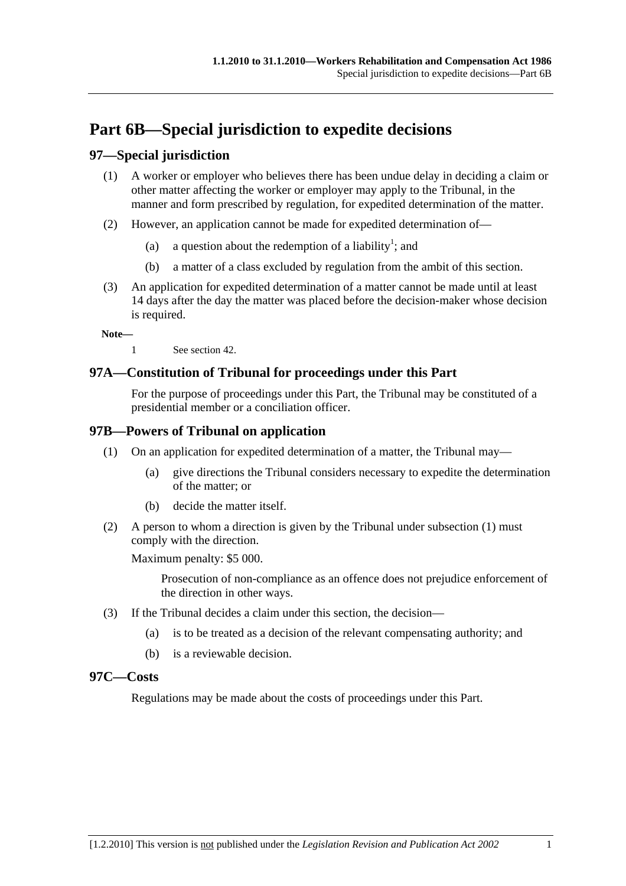# **Part 6B—Special jurisdiction to expedite decisions**

## **97—Special jurisdiction**

- (1) A worker or employer who believes there has been undue delay in deciding a claim or other matter affecting the worker or employer may apply to the Tribunal, in the manner and form prescribed by regulation, for expedited determination of the matter.
- (2) However, an application cannot be made for expedited determination of—
	- (a) a question about the redemption of a liability<sup>1</sup>; and
		- (b) a matter of a class excluded by regulation from the ambit of this section.
- (3) An application for expedited determination of a matter cannot be made until at least 14 days after the day the matter was placed before the decision-maker whose decision is required.

**Note—** 

1 See section 42.

## **97A—Constitution of Tribunal for proceedings under this Part**

For the purpose of proceedings under this Part, the Tribunal may be constituted of a presidential member or a conciliation officer.

## **97B—Powers of Tribunal on application**

- (1) On an application for expedited determination of a matter, the Tribunal may—
	- (a) give directions the Tribunal considers necessary to expedite the determination of the matter; or
	- (b) decide the matter itself.
- (2) A person to whom a direction is given by the Tribunal under subsection (1) must comply with the direction.

Maximum penalty: \$5 000.

Prosecution of non-compliance as an offence does not prejudice enforcement of the direction in other ways.

- (3) If the Tribunal decides a claim under this section, the decision—
	- (a) is to be treated as a decision of the relevant compensating authority; and
	- (b) is a reviewable decision.

#### **97C—Costs**

Regulations may be made about the costs of proceedings under this Part.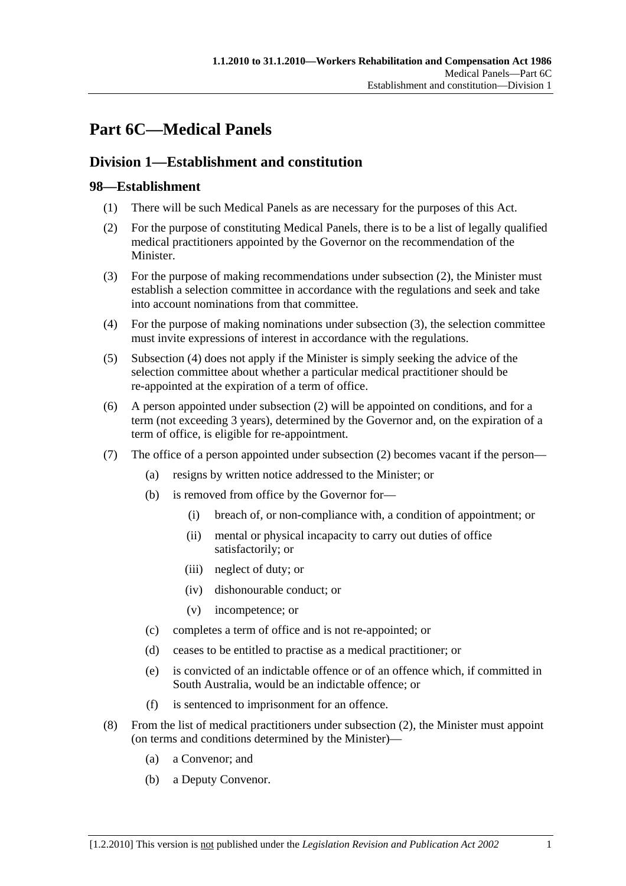# **Part 6C—Medical Panels**

## **Division 1—Establishment and constitution**

## **98—Establishment**

- (1) There will be such Medical Panels as are necessary for the purposes of this Act.
- (2) For the purpose of constituting Medical Panels, there is to be a list of legally qualified medical practitioners appointed by the Governor on the recommendation of the Minister.
- (3) For the purpose of making recommendations under subsection (2), the Minister must establish a selection committee in accordance with the regulations and seek and take into account nominations from that committee.
- (4) For the purpose of making nominations under subsection (3), the selection committee must invite expressions of interest in accordance with the regulations.
- (5) Subsection (4) does not apply if the Minister is simply seeking the advice of the selection committee about whether a particular medical practitioner should be re-appointed at the expiration of a term of office.
- (6) A person appointed under subsection (2) will be appointed on conditions, and for a term (not exceeding 3 years), determined by the Governor and, on the expiration of a term of office, is eligible for re-appointment.
- (7) The office of a person appointed under subsection (2) becomes vacant if the person—
	- (a) resigns by written notice addressed to the Minister; or
	- (b) is removed from office by the Governor for—
		- (i) breach of, or non-compliance with, a condition of appointment; or
		- (ii) mental or physical incapacity to carry out duties of office satisfactorily; or
		- (iii) neglect of duty; or
		- (iv) dishonourable conduct; or
		- (v) incompetence; or
	- (c) completes a term of office and is not re-appointed; or
	- (d) ceases to be entitled to practise as a medical practitioner; or
	- (e) is convicted of an indictable offence or of an offence which, if committed in South Australia, would be an indictable offence; or
	- (f) is sentenced to imprisonment for an offence.
- (8) From the list of medical practitioners under subsection (2), the Minister must appoint (on terms and conditions determined by the Minister)—
	- (a) a Convenor; and
	- (b) a Deputy Convenor.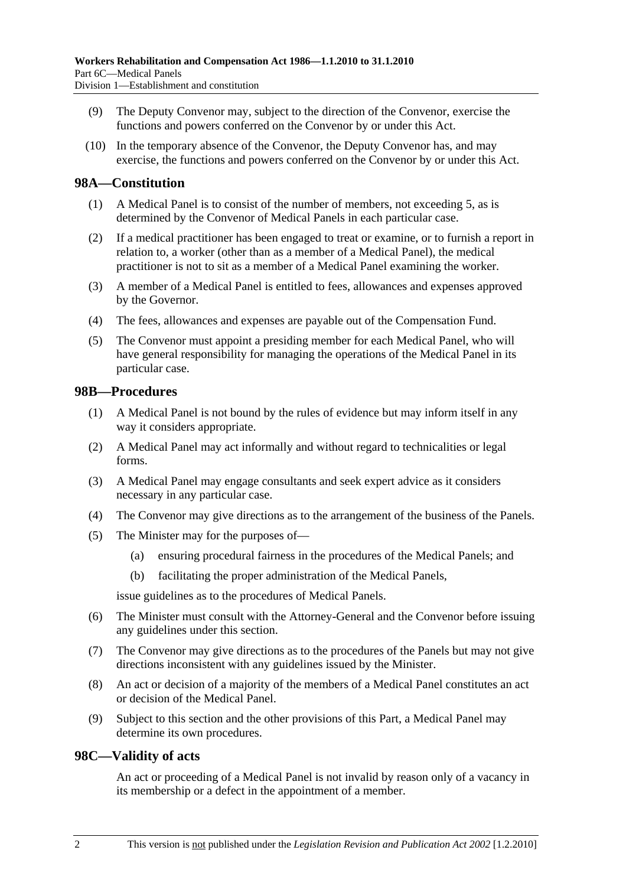- (9) The Deputy Convenor may, subject to the direction of the Convenor, exercise the functions and powers conferred on the Convenor by or under this Act.
- (10) In the temporary absence of the Convenor, the Deputy Convenor has, and may exercise, the functions and powers conferred on the Convenor by or under this Act.

### **98A—Constitution**

- (1) A Medical Panel is to consist of the number of members, not exceeding 5, as is determined by the Convenor of Medical Panels in each particular case.
- (2) If a medical practitioner has been engaged to treat or examine, or to furnish a report in relation to, a worker (other than as a member of a Medical Panel), the medical practitioner is not to sit as a member of a Medical Panel examining the worker.
- (3) A member of a Medical Panel is entitled to fees, allowances and expenses approved by the Governor.
- (4) The fees, allowances and expenses are payable out of the Compensation Fund.
- (5) The Convenor must appoint a presiding member for each Medical Panel, who will have general responsibility for managing the operations of the Medical Panel in its particular case.

#### **98B—Procedures**

- (1) A Medical Panel is not bound by the rules of evidence but may inform itself in any way it considers appropriate.
- (2) A Medical Panel may act informally and without regard to technicalities or legal forms.
- (3) A Medical Panel may engage consultants and seek expert advice as it considers necessary in any particular case.
- (4) The Convenor may give directions as to the arrangement of the business of the Panels.
- (5) The Minister may for the purposes of—
	- (a) ensuring procedural fairness in the procedures of the Medical Panels; and
	- (b) facilitating the proper administration of the Medical Panels,

issue guidelines as to the procedures of Medical Panels.

- (6) The Minister must consult with the Attorney-General and the Convenor before issuing any guidelines under this section.
- (7) The Convenor may give directions as to the procedures of the Panels but may not give directions inconsistent with any guidelines issued by the Minister.
- (8) An act or decision of a majority of the members of a Medical Panel constitutes an act or decision of the Medical Panel.
- (9) Subject to this section and the other provisions of this Part, a Medical Panel may determine its own procedures.

#### **98C—Validity of acts**

An act or proceeding of a Medical Panel is not invalid by reason only of a vacancy in its membership or a defect in the appointment of a member.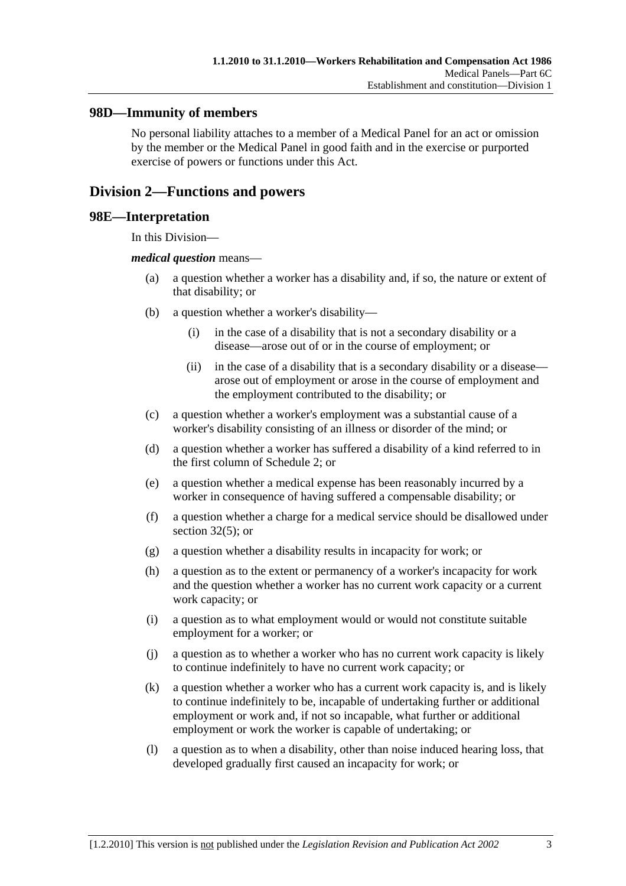### **98D—Immunity of members**

No personal liability attaches to a member of a Medical Panel for an act or omission by the member or the Medical Panel in good faith and in the exercise or purported exercise of powers or functions under this Act.

## **Division 2—Functions and powers**

#### **98E—Interpretation**

In this Division—

#### *medical question* means—

- (a) a question whether a worker has a disability and, if so, the nature or extent of that disability; or
- (b) a question whether a worker's disability—
	- (i) in the case of a disability that is not a secondary disability or a disease—arose out of or in the course of employment; or
	- (ii) in the case of a disability that is a secondary disability or a disease arose out of employment or arose in the course of employment and the employment contributed to the disability; or
- (c) a question whether a worker's employment was a substantial cause of a worker's disability consisting of an illness or disorder of the mind; or
- (d) a question whether a worker has suffered a disability of a kind referred to in the first column of Schedule 2; or
- (e) a question whether a medical expense has been reasonably incurred by a worker in consequence of having suffered a compensable disability; or
- (f) a question whether a charge for a medical service should be disallowed under section  $32(5)$ ; or
- (g) a question whether a disability results in incapacity for work; or
- (h) a question as to the extent or permanency of a worker's incapacity for work and the question whether a worker has no current work capacity or a current work capacity; or
- (i) a question as to what employment would or would not constitute suitable employment for a worker; or
- (j) a question as to whether a worker who has no current work capacity is likely to continue indefinitely to have no current work capacity; or
- (k) a question whether a worker who has a current work capacity is, and is likely to continue indefinitely to be, incapable of undertaking further or additional employment or work and, if not so incapable, what further or additional employment or work the worker is capable of undertaking; or
- (l) a question as to when a disability, other than noise induced hearing loss, that developed gradually first caused an incapacity for work; or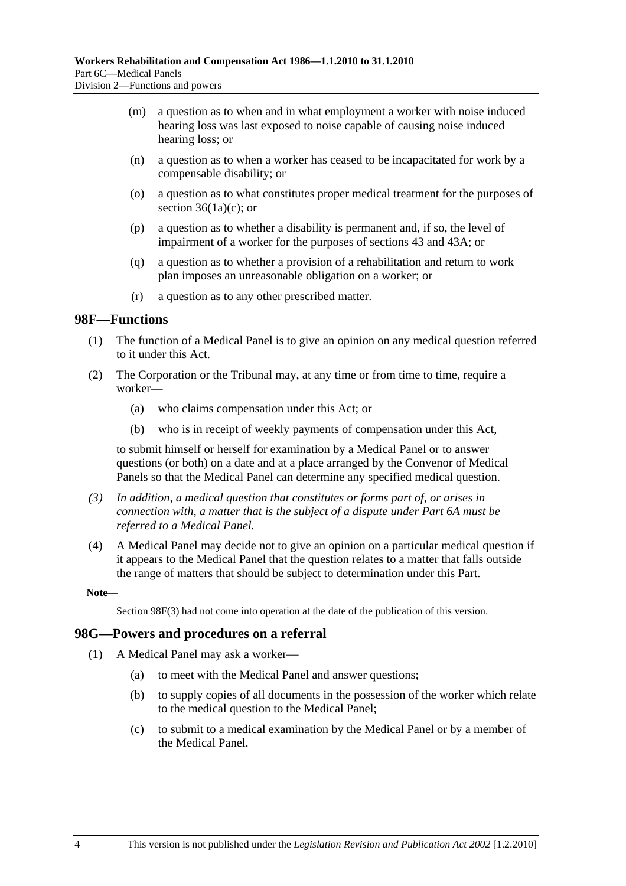- (m) a question as to when and in what employment a worker with noise induced hearing loss was last exposed to noise capable of causing noise induced hearing loss; or
- (n) a question as to when a worker has ceased to be incapacitated for work by a compensable disability; or
- (o) a question as to what constitutes proper medical treatment for the purposes of section  $36(1a)(c)$ ; or
- (p) a question as to whether a disability is permanent and, if so, the level of impairment of a worker for the purposes of sections 43 and 43A; or
- (q) a question as to whether a provision of a rehabilitation and return to work plan imposes an unreasonable obligation on a worker; or
- (r) a question as to any other prescribed matter.

#### **98F—Functions**

- (1) The function of a Medical Panel is to give an opinion on any medical question referred to it under this Act.
- (2) The Corporation or the Tribunal may, at any time or from time to time, require a worker—
	- (a) who claims compensation under this Act; or
	- (b) who is in receipt of weekly payments of compensation under this Act,

to submit himself or herself for examination by a Medical Panel or to answer questions (or both) on a date and at a place arranged by the Convenor of Medical Panels so that the Medical Panel can determine any specified medical question.

- *(3) In addition, a medical question that constitutes or forms part of, or arises in connection with, a matter that is the subject of a dispute under Part 6A must be referred to a Medical Panel.*
- (4) A Medical Panel may decide not to give an opinion on a particular medical question if it appears to the Medical Panel that the question relates to a matter that falls outside the range of matters that should be subject to determination under this Part.

**Note—** 

Section 98F(3) had not come into operation at the date of the publication of this version.

#### **98G—Powers and procedures on a referral**

- (1) A Medical Panel may ask a worker—
	- (a) to meet with the Medical Panel and answer questions;
	- (b) to supply copies of all documents in the possession of the worker which relate to the medical question to the Medical Panel;
	- (c) to submit to a medical examination by the Medical Panel or by a member of the Medical Panel.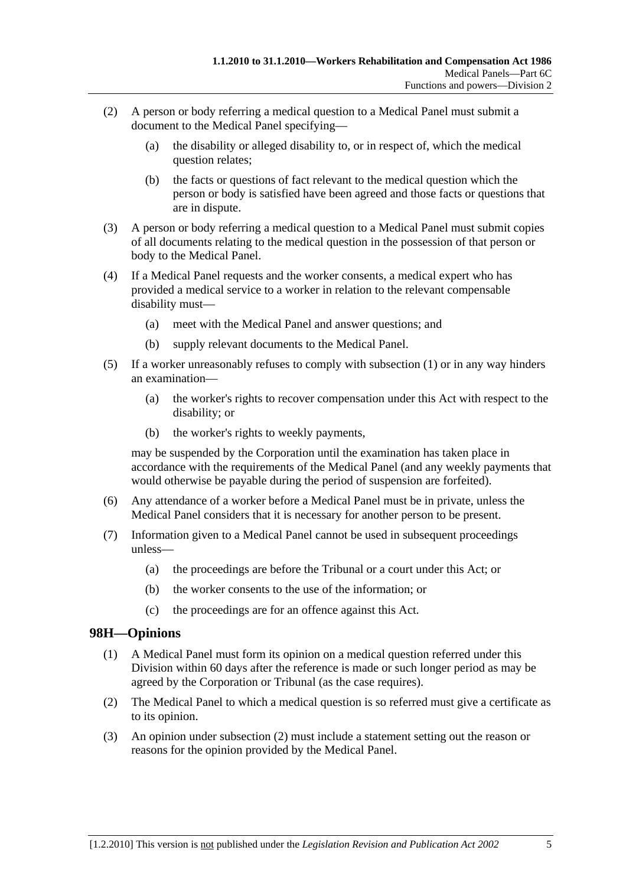- (2) A person or body referring a medical question to a Medical Panel must submit a document to the Medical Panel specifying—
	- (a) the disability or alleged disability to, or in respect of, which the medical question relates;
	- (b) the facts or questions of fact relevant to the medical question which the person or body is satisfied have been agreed and those facts or questions that are in dispute.
- (3) A person or body referring a medical question to a Medical Panel must submit copies of all documents relating to the medical question in the possession of that person or body to the Medical Panel.
- (4) If a Medical Panel requests and the worker consents, a medical expert who has provided a medical service to a worker in relation to the relevant compensable disability must—
	- (a) meet with the Medical Panel and answer questions; and
	- (b) supply relevant documents to the Medical Panel.
- (5) If a worker unreasonably refuses to comply with subsection (1) or in any way hinders an examination—
	- (a) the worker's rights to recover compensation under this Act with respect to the disability; or
	- (b) the worker's rights to weekly payments,

may be suspended by the Corporation until the examination has taken place in accordance with the requirements of the Medical Panel (and any weekly payments that would otherwise be payable during the period of suspension are forfeited).

- (6) Any attendance of a worker before a Medical Panel must be in private, unless the Medical Panel considers that it is necessary for another person to be present.
- (7) Information given to a Medical Panel cannot be used in subsequent proceedings unless—
	- (a) the proceedings are before the Tribunal or a court under this Act; or
	- (b) the worker consents to the use of the information; or
	- (c) the proceedings are for an offence against this Act.

## **98H—Opinions**

- (1) A Medical Panel must form its opinion on a medical question referred under this Division within 60 days after the reference is made or such longer period as may be agreed by the Corporation or Tribunal (as the case requires).
- (2) The Medical Panel to which a medical question is so referred must give a certificate as to its opinion.
- (3) An opinion under subsection (2) must include a statement setting out the reason or reasons for the opinion provided by the Medical Panel.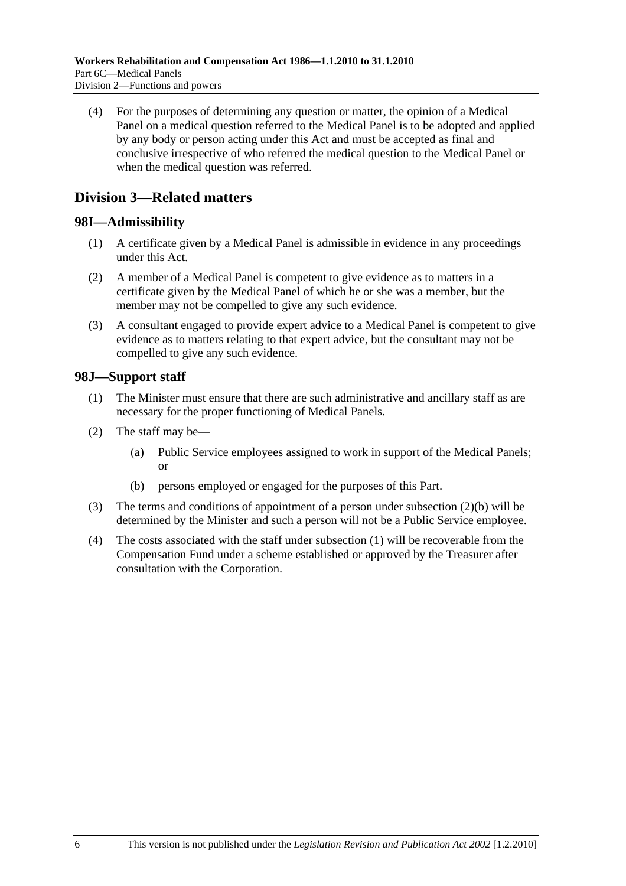(4) For the purposes of determining any question or matter, the opinion of a Medical Panel on a medical question referred to the Medical Panel is to be adopted and applied by any body or person acting under this Act and must be accepted as final and conclusive irrespective of who referred the medical question to the Medical Panel or when the medical question was referred.

## **Division 3—Related matters**

## **98I—Admissibility**

- (1) A certificate given by a Medical Panel is admissible in evidence in any proceedings under this Act.
- (2) A member of a Medical Panel is competent to give evidence as to matters in a certificate given by the Medical Panel of which he or she was a member, but the member may not be compelled to give any such evidence.
- (3) A consultant engaged to provide expert advice to a Medical Panel is competent to give evidence as to matters relating to that expert advice, but the consultant may not be compelled to give any such evidence.

## **98J—Support staff**

- (1) The Minister must ensure that there are such administrative and ancillary staff as are necessary for the proper functioning of Medical Panels.
- (2) The staff may be—
	- (a) Public Service employees assigned to work in support of the Medical Panels; or
	- (b) persons employed or engaged for the purposes of this Part.
- (3) The terms and conditions of appointment of a person under subsection (2)(b) will be determined by the Minister and such a person will not be a Public Service employee.
- (4) The costs associated with the staff under subsection (1) will be recoverable from the Compensation Fund under a scheme established or approved by the Treasurer after consultation with the Corporation.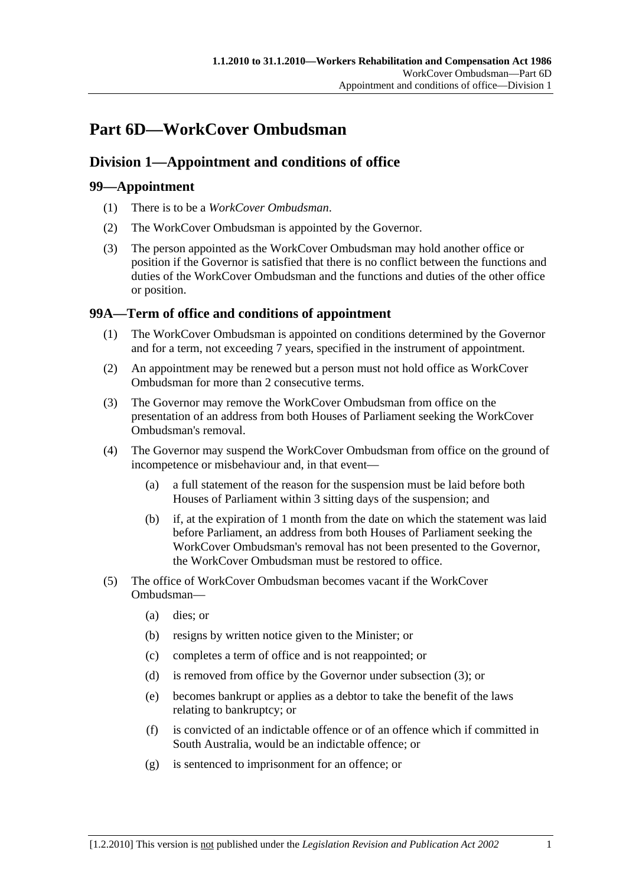# **Part 6D—WorkCover Ombudsman**

## **Division 1—Appointment and conditions of office**

## **99—Appointment**

- (1) There is to be a *WorkCover Ombudsman*.
- (2) The WorkCover Ombudsman is appointed by the Governor.
- (3) The person appointed as the WorkCover Ombudsman may hold another office or position if the Governor is satisfied that there is no conflict between the functions and duties of the WorkCover Ombudsman and the functions and duties of the other office or position.

## **99A—Term of office and conditions of appointment**

- (1) The WorkCover Ombudsman is appointed on conditions determined by the Governor and for a term, not exceeding 7 years, specified in the instrument of appointment.
- (2) An appointment may be renewed but a person must not hold office as WorkCover Ombudsman for more than 2 consecutive terms.
- (3) The Governor may remove the WorkCover Ombudsman from office on the presentation of an address from both Houses of Parliament seeking the WorkCover Ombudsman's removal.
- (4) The Governor may suspend the WorkCover Ombudsman from office on the ground of incompetence or misbehaviour and, in that event—
	- (a) a full statement of the reason for the suspension must be laid before both Houses of Parliament within 3 sitting days of the suspension; and
	- (b) if, at the expiration of 1 month from the date on which the statement was laid before Parliament, an address from both Houses of Parliament seeking the WorkCover Ombudsman's removal has not been presented to the Governor, the WorkCover Ombudsman must be restored to office.
- (5) The office of WorkCover Ombudsman becomes vacant if the WorkCover Ombudsman—
	- (a) dies; or
	- (b) resigns by written notice given to the Minister; or
	- (c) completes a term of office and is not reappointed; or
	- (d) is removed from office by the Governor under subsection (3); or
	- (e) becomes bankrupt or applies as a debtor to take the benefit of the laws relating to bankruptcy; or
	- (f) is convicted of an indictable offence or of an offence which if committed in South Australia, would be an indictable offence; or
	- (g) is sentenced to imprisonment for an offence; or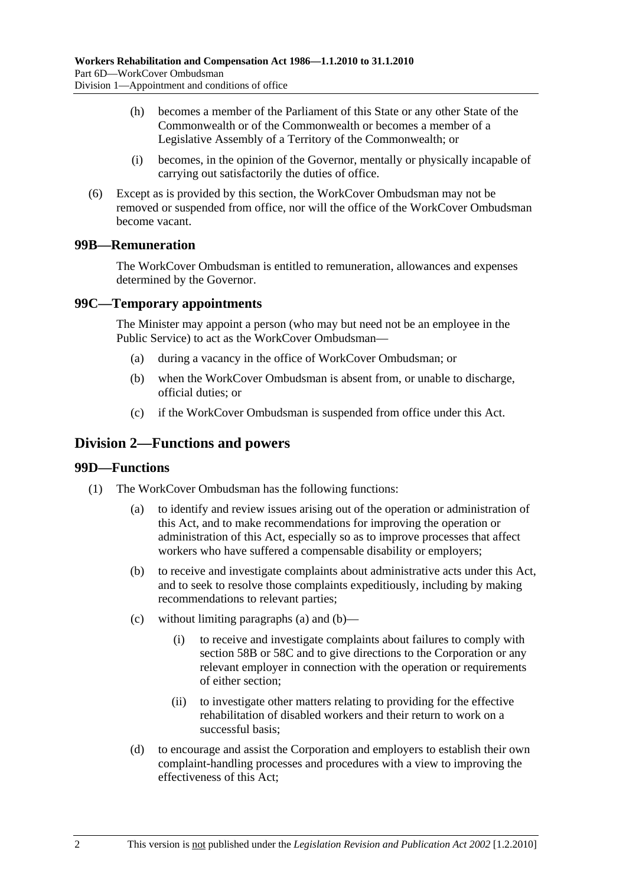- (h) becomes a member of the Parliament of this State or any other State of the Commonwealth or of the Commonwealth or becomes a member of a Legislative Assembly of a Territory of the Commonwealth; or
- (i) becomes, in the opinion of the Governor, mentally or physically incapable of carrying out satisfactorily the duties of office.
- (6) Except as is provided by this section, the WorkCover Ombudsman may not be removed or suspended from office, nor will the office of the WorkCover Ombudsman become vacant.

## **99B—Remuneration**

The WorkCover Ombudsman is entitled to remuneration, allowances and expenses determined by the Governor.

## **99C—Temporary appointments**

The Minister may appoint a person (who may but need not be an employee in the Public Service) to act as the WorkCover Ombudsman—

- (a) during a vacancy in the office of WorkCover Ombudsman; or
- (b) when the WorkCover Ombudsman is absent from, or unable to discharge, official duties; or
- (c) if the WorkCover Ombudsman is suspended from office under this Act.

## **Division 2—Functions and powers**

#### **99D—Functions**

- (1) The WorkCover Ombudsman has the following functions:
	- (a) to identify and review issues arising out of the operation or administration of this Act, and to make recommendations for improving the operation or administration of this Act, especially so as to improve processes that affect workers who have suffered a compensable disability or employers;
	- (b) to receive and investigate complaints about administrative acts under this Act, and to seek to resolve those complaints expeditiously, including by making recommendations to relevant parties;
	- (c) without limiting paragraphs (a) and (b)—
		- (i) to receive and investigate complaints about failures to comply with section 58B or 58C and to give directions to the Corporation or any relevant employer in connection with the operation or requirements of either section;
		- (ii) to investigate other matters relating to providing for the effective rehabilitation of disabled workers and their return to work on a successful basis;
	- (d) to encourage and assist the Corporation and employers to establish their own complaint-handling processes and procedures with a view to improving the effectiveness of this Act;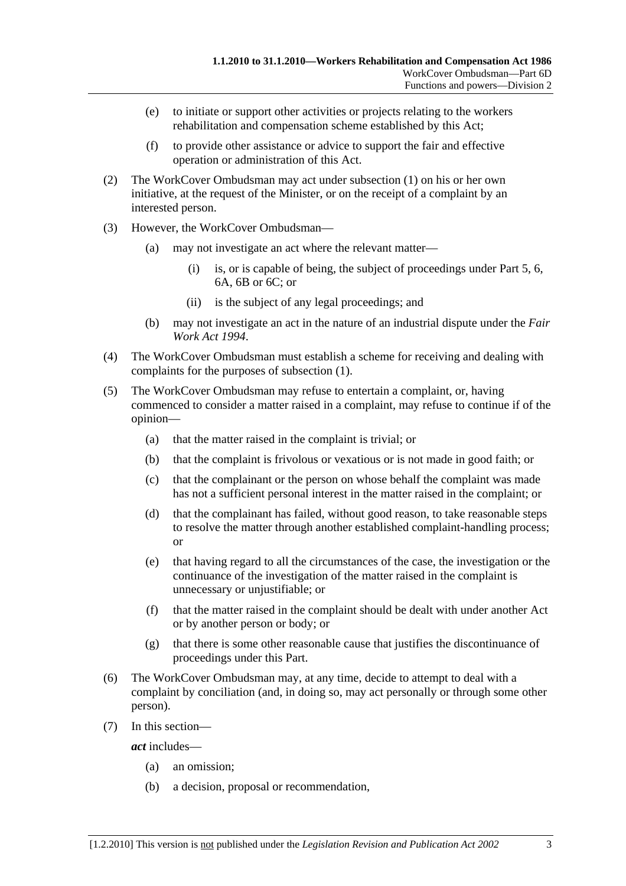- (e) to initiate or support other activities or projects relating to the workers rehabilitation and compensation scheme established by this Act;
- (f) to provide other assistance or advice to support the fair and effective operation or administration of this Act.
- (2) The WorkCover Ombudsman may act under subsection (1) on his or her own initiative, at the request of the Minister, or on the receipt of a complaint by an interested person.
- (3) However, the WorkCover Ombudsman—
	- (a) may not investigate an act where the relevant matter—
		- (i) is, or is capable of being, the subject of proceedings under Part 5, 6, 6A, 6B or 6C; or
		- (ii) is the subject of any legal proceedings; and
	- (b) may not investigate an act in the nature of an industrial dispute under the *Fair Work Act 1994*.
- (4) The WorkCover Ombudsman must establish a scheme for receiving and dealing with complaints for the purposes of subsection (1).
- (5) The WorkCover Ombudsman may refuse to entertain a complaint, or, having commenced to consider a matter raised in a complaint, may refuse to continue if of the opinion—
	- (a) that the matter raised in the complaint is trivial; or
	- (b) that the complaint is frivolous or vexatious or is not made in good faith; or
	- (c) that the complainant or the person on whose behalf the complaint was made has not a sufficient personal interest in the matter raised in the complaint; or
	- (d) that the complainant has failed, without good reason, to take reasonable steps to resolve the matter through another established complaint-handling process; or
	- (e) that having regard to all the circumstances of the case, the investigation or the continuance of the investigation of the matter raised in the complaint is unnecessary or unjustifiable; or
	- (f) that the matter raised in the complaint should be dealt with under another Act or by another person or body; or
	- (g) that there is some other reasonable cause that justifies the discontinuance of proceedings under this Part.
- (6) The WorkCover Ombudsman may, at any time, decide to attempt to deal with a complaint by conciliation (and, in doing so, may act personally or through some other person).
- (7) In this section—

*act* includes—

- (a) an omission;
- (b) a decision, proposal or recommendation,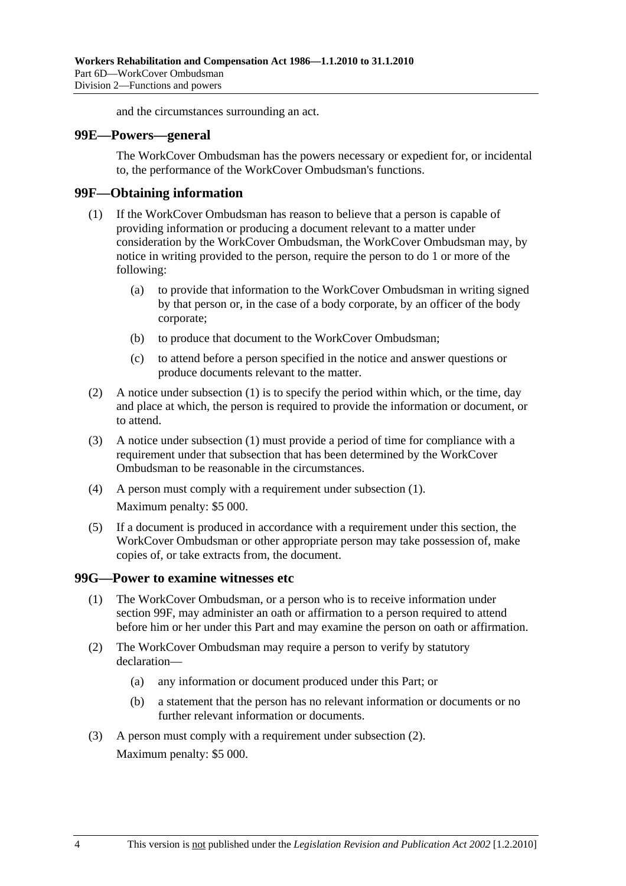and the circumstances surrounding an act.

#### **99E—Powers—general**

The WorkCover Ombudsman has the powers necessary or expedient for, or incidental to, the performance of the WorkCover Ombudsman's functions.

#### **99F—Obtaining information**

- (1) If the WorkCover Ombudsman has reason to believe that a person is capable of providing information or producing a document relevant to a matter under consideration by the WorkCover Ombudsman, the WorkCover Ombudsman may, by notice in writing provided to the person, require the person to do 1 or more of the following:
	- (a) to provide that information to the WorkCover Ombudsman in writing signed by that person or, in the case of a body corporate, by an officer of the body corporate;
	- (b) to produce that document to the WorkCover Ombudsman;
	- (c) to attend before a person specified in the notice and answer questions or produce documents relevant to the matter.
- (2) A notice under subsection (1) is to specify the period within which, or the time, day and place at which, the person is required to provide the information or document, or to attend.
- (3) A notice under subsection (1) must provide a period of time for compliance with a requirement under that subsection that has been determined by the WorkCover Ombudsman to be reasonable in the circumstances.
- (4) A person must comply with a requirement under subsection (1). Maximum penalty: \$5 000.
- (5) If a document is produced in accordance with a requirement under this section, the WorkCover Ombudsman or other appropriate person may take possession of, make copies of, or take extracts from, the document.

#### **99G—Power to examine witnesses etc**

- (1) The WorkCover Ombudsman, or a person who is to receive information under section 99F, may administer an oath or affirmation to a person required to attend before him or her under this Part and may examine the person on oath or affirmation.
- (2) The WorkCover Ombudsman may require a person to verify by statutory declaration—
	- (a) any information or document produced under this Part; or
	- (b) a statement that the person has no relevant information or documents or no further relevant information or documents.
- (3) A person must comply with a requirement under subsection (2). Maximum penalty: \$5 000.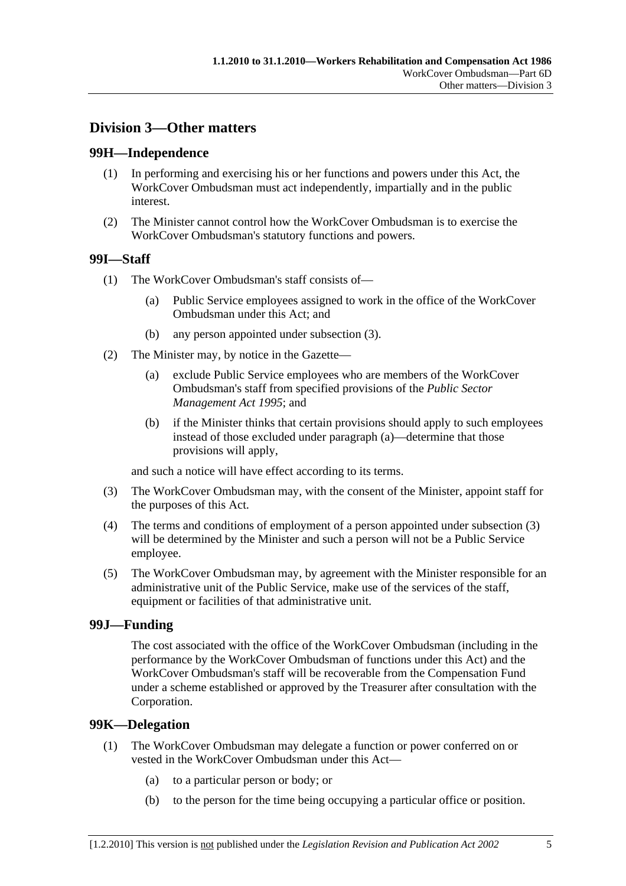## **Division 3—Other matters**

## **99H—Independence**

- (1) In performing and exercising his or her functions and powers under this Act, the WorkCover Ombudsman must act independently, impartially and in the public interest.
- (2) The Minister cannot control how the WorkCover Ombudsman is to exercise the WorkCover Ombudsman's statutory functions and powers.

## **99I—Staff**

- (1) The WorkCover Ombudsman's staff consists of—
	- (a) Public Service employees assigned to work in the office of the WorkCover Ombudsman under this Act; and
	- (b) any person appointed under subsection (3).
- (2) The Minister may, by notice in the Gazette—
	- (a) exclude Public Service employees who are members of the WorkCover Ombudsman's staff from specified provisions of the *Public Sector Management Act 1995*; and
	- (b) if the Minister thinks that certain provisions should apply to such employees instead of those excluded under paragraph (a)—determine that those provisions will apply,

and such a notice will have effect according to its terms.

- (3) The WorkCover Ombudsman may, with the consent of the Minister, appoint staff for the purposes of this Act.
- (4) The terms and conditions of employment of a person appointed under subsection (3) will be determined by the Minister and such a person will not be a Public Service employee.
- (5) The WorkCover Ombudsman may, by agreement with the Minister responsible for an administrative unit of the Public Service, make use of the services of the staff, equipment or facilities of that administrative unit.

## **99J—Funding**

The cost associated with the office of the WorkCover Ombudsman (including in the performance by the WorkCover Ombudsman of functions under this Act) and the WorkCover Ombudsman's staff will be recoverable from the Compensation Fund under a scheme established or approved by the Treasurer after consultation with the Corporation.

## **99K—Delegation**

- (1) The WorkCover Ombudsman may delegate a function or power conferred on or vested in the WorkCover Ombudsman under this Act—
	- (a) to a particular person or body; or
	- (b) to the person for the time being occupying a particular office or position.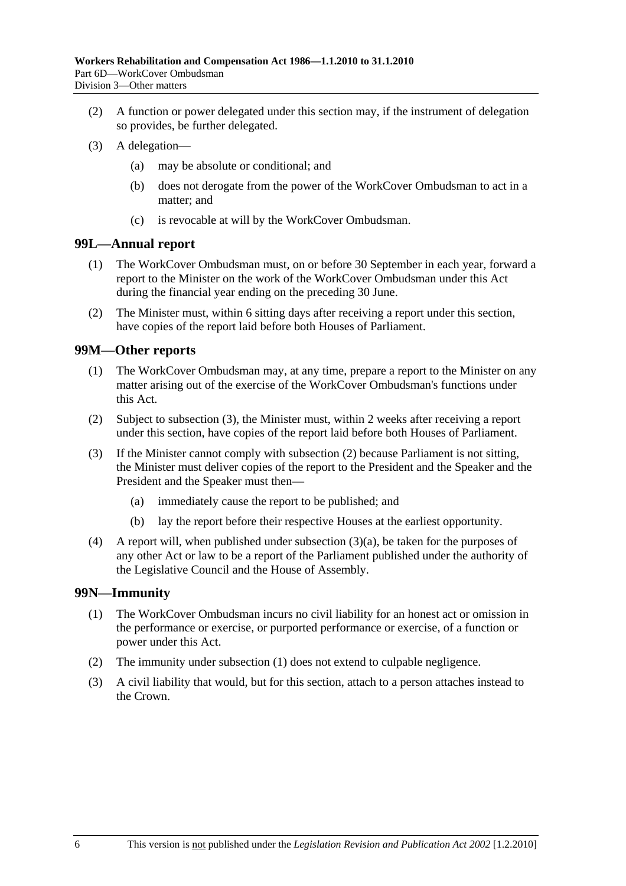- (2) A function or power delegated under this section may, if the instrument of delegation so provides, be further delegated.
- (3) A delegation—
	- (a) may be absolute or conditional; and
	- (b) does not derogate from the power of the WorkCover Ombudsman to act in a matter; and
	- (c) is revocable at will by the WorkCover Ombudsman.

#### **99L—Annual report**

- (1) The WorkCover Ombudsman must, on or before 30 September in each year, forward a report to the Minister on the work of the WorkCover Ombudsman under this Act during the financial year ending on the preceding 30 June.
- (2) The Minister must, within 6 sitting days after receiving a report under this section, have copies of the report laid before both Houses of Parliament.

## **99M—Other reports**

- (1) The WorkCover Ombudsman may, at any time, prepare a report to the Minister on any matter arising out of the exercise of the WorkCover Ombudsman's functions under this Act.
- (2) Subject to subsection (3), the Minister must, within 2 weeks after receiving a report under this section, have copies of the report laid before both Houses of Parliament.
- (3) If the Minister cannot comply with subsection (2) because Parliament is not sitting, the Minister must deliver copies of the report to the President and the Speaker and the President and the Speaker must then—
	- (a) immediately cause the report to be published; and
	- (b) lay the report before their respective Houses at the earliest opportunity.
- (4) A report will, when published under subsection (3)(a), be taken for the purposes of any other Act or law to be a report of the Parliament published under the authority of the Legislative Council and the House of Assembly.

## **99N—Immunity**

- (1) The WorkCover Ombudsman incurs no civil liability for an honest act or omission in the performance or exercise, or purported performance or exercise, of a function or power under this Act.
- (2) The immunity under subsection (1) does not extend to culpable negligence.
- (3) A civil liability that would, but for this section, attach to a person attaches instead to the Crown.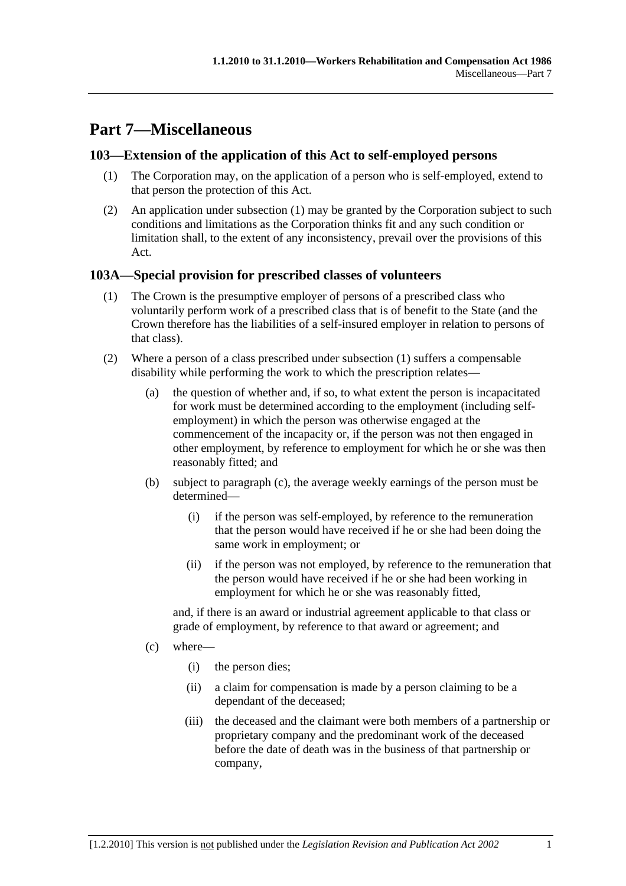# **Part 7—Miscellaneous**

## **103—Extension of the application of this Act to self-employed persons**

- (1) The Corporation may, on the application of a person who is self-employed, extend to that person the protection of this Act.
- (2) An application under subsection (1) may be granted by the Corporation subject to such conditions and limitations as the Corporation thinks fit and any such condition or limitation shall, to the extent of any inconsistency, prevail over the provisions of this Act.

## **103A—Special provision for prescribed classes of volunteers**

- (1) The Crown is the presumptive employer of persons of a prescribed class who voluntarily perform work of a prescribed class that is of benefit to the State (and the Crown therefore has the liabilities of a self-insured employer in relation to persons of that class).
- (2) Where a person of a class prescribed under subsection (1) suffers a compensable disability while performing the work to which the prescription relates—
	- (a) the question of whether and, if so, to what extent the person is incapacitated for work must be determined according to the employment (including selfemployment) in which the person was otherwise engaged at the commencement of the incapacity or, if the person was not then engaged in other employment, by reference to employment for which he or she was then reasonably fitted; and
	- (b) subject to paragraph (c), the average weekly earnings of the person must be determined—
		- (i) if the person was self-employed, by reference to the remuneration that the person would have received if he or she had been doing the same work in employment; or
		- (ii) if the person was not employed, by reference to the remuneration that the person would have received if he or she had been working in employment for which he or she was reasonably fitted,

and, if there is an award or industrial agreement applicable to that class or grade of employment, by reference to that award or agreement; and

- (c) where—
	- (i) the person dies;
	- (ii) a claim for compensation is made by a person claiming to be a dependant of the deceased;
	- (iii) the deceased and the claimant were both members of a partnership or proprietary company and the predominant work of the deceased before the date of death was in the business of that partnership or company,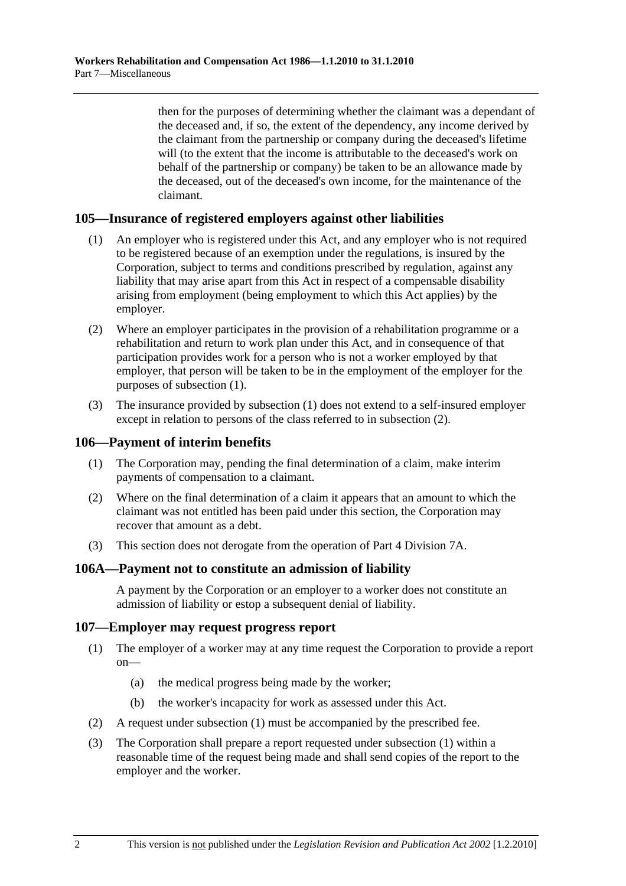then for the purposes of determining whether the claimant was a dependant of the deceased and, if so, the extent of the dependency, any income derived by the claimant from the partnership or company during the deceased's lifetime will (to the extent that the income is attributable to the deceased's work on behalf of the partnership or company) be taken to be an allowance made by the deceased, out of the deceased's own income, for the maintenance of the claimant.

## **105—Insurance of registered employers against other liabilities**

- (1) An employer who is registered under this Act, and any employer who is not required to be registered because of an exemption under the regulations, is insured by the Corporation, subject to terms and conditions prescribed by regulation, against any liability that may arise apart from this Act in respect of a compensable disability arising from employment (being employment to which this Act applies) by the employer.
- (2) Where an employer participates in the provision of a rehabilitation programme or a rehabilitation and return to work plan under this Act, and in consequence of that participation provides work for a person who is not a worker employed by that employer, that person will be taken to be in the employment of the employer for the purposes of subsection (1).
- (3) The insurance provided by subsection (1) does not extend to a self-insured employer except in relation to persons of the class referred to in subsection (2).

#### **106—Payment of interim benefits**

- (1) The Corporation may, pending the final determination of a claim, make interim payments of compensation to a claimant.
- (2) Where on the final determination of a claim it appears that an amount to which the claimant was not entitled has been paid under this section, the Corporation may recover that amount as a debt.
- (3) This section does not derogate from the operation of Part 4 Division 7A.

#### **106A—Payment not to constitute an admission of liability**

A payment by the Corporation or an employer to a worker does not constitute an admission of liability or estop a subsequent denial of liability.

#### **107—Employer may request progress report**

- (1) The employer of a worker may at any time request the Corporation to provide a report on—
	- (a) the medical progress being made by the worker;
	- (b) the worker's incapacity for work as assessed under this Act.
- (2) A request under subsection (1) must be accompanied by the prescribed fee.
- (3) The Corporation shall prepare a report requested under subsection (1) within a reasonable time of the request being made and shall send copies of the report to the employer and the worker.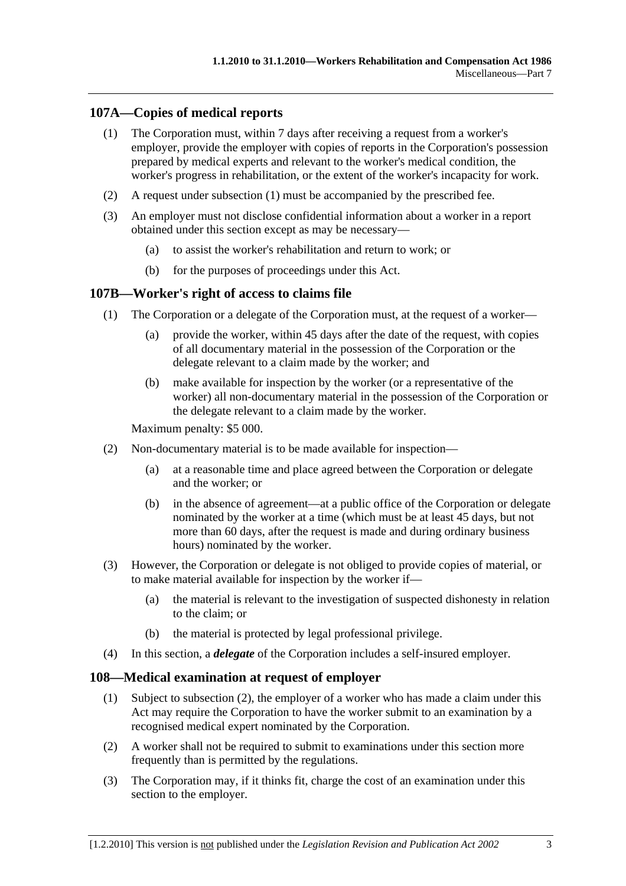## **107A—Copies of medical reports**

- (1) The Corporation must, within 7 days after receiving a request from a worker's employer, provide the employer with copies of reports in the Corporation's possession prepared by medical experts and relevant to the worker's medical condition, the worker's progress in rehabilitation, or the extent of the worker's incapacity for work.
- (2) A request under subsection (1) must be accompanied by the prescribed fee.
- (3) An employer must not disclose confidential information about a worker in a report obtained under this section except as may be necessary—
	- (a) to assist the worker's rehabilitation and return to work; or
	- (b) for the purposes of proceedings under this Act.

#### **107B—Worker's right of access to claims file**

- (1) The Corporation or a delegate of the Corporation must, at the request of a worker—
	- (a) provide the worker, within 45 days after the date of the request, with copies of all documentary material in the possession of the Corporation or the delegate relevant to a claim made by the worker; and
	- (b) make available for inspection by the worker (or a representative of the worker) all non-documentary material in the possession of the Corporation or the delegate relevant to a claim made by the worker.

Maximum penalty: \$5 000.

- (2) Non-documentary material is to be made available for inspection—
	- (a) at a reasonable time and place agreed between the Corporation or delegate and the worker; or
	- (b) in the absence of agreement—at a public office of the Corporation or delegate nominated by the worker at a time (which must be at least 45 days, but not more than 60 days, after the request is made and during ordinary business hours) nominated by the worker.
- (3) However, the Corporation or delegate is not obliged to provide copies of material, or to make material available for inspection by the worker if—
	- (a) the material is relevant to the investigation of suspected dishonesty in relation to the claim; or
	- (b) the material is protected by legal professional privilege.
- (4) In this section, a *delegate* of the Corporation includes a self-insured employer.

#### **108—Medical examination at request of employer**

- (1) Subject to subsection (2), the employer of a worker who has made a claim under this Act may require the Corporation to have the worker submit to an examination by a recognised medical expert nominated by the Corporation.
- (2) A worker shall not be required to submit to examinations under this section more frequently than is permitted by the regulations.
- (3) The Corporation may, if it thinks fit, charge the cost of an examination under this section to the employer.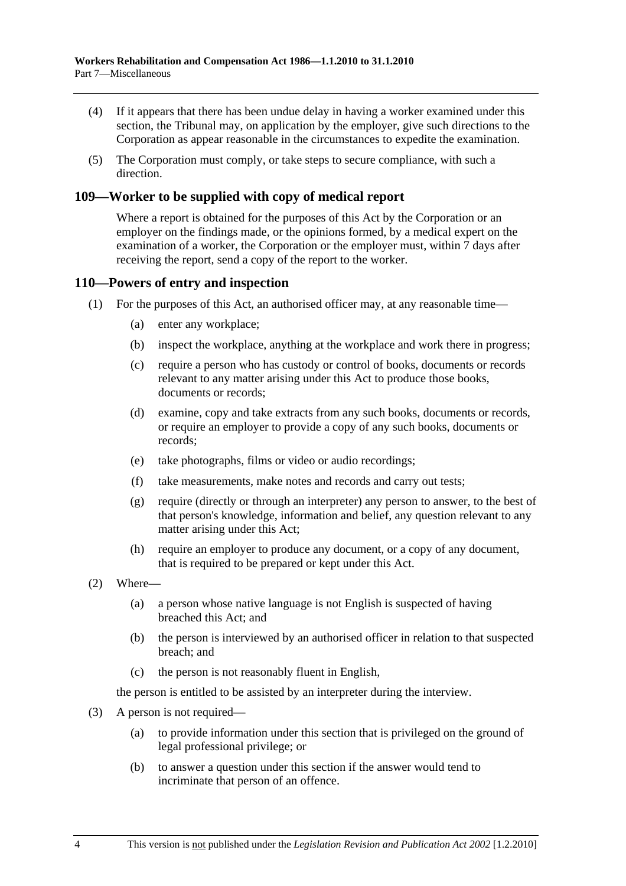- (4) If it appears that there has been undue delay in having a worker examined under this section, the Tribunal may, on application by the employer, give such directions to the Corporation as appear reasonable in the circumstances to expedite the examination.
- (5) The Corporation must comply, or take steps to secure compliance, with such a direction.

## **109—Worker to be supplied with copy of medical report**

Where a report is obtained for the purposes of this Act by the Corporation or an employer on the findings made, or the opinions formed, by a medical expert on the examination of a worker, the Corporation or the employer must, within 7 days after receiving the report, send a copy of the report to the worker.

#### **110—Powers of entry and inspection**

- (1) For the purposes of this Act, an authorised officer may, at any reasonable time—
	- (a) enter any workplace;
	- (b) inspect the workplace, anything at the workplace and work there in progress;
	- (c) require a person who has custody or control of books, documents or records relevant to any matter arising under this Act to produce those books, documents or records;
	- (d) examine, copy and take extracts from any such books, documents or records, or require an employer to provide a copy of any such books, documents or records;
	- (e) take photographs, films or video or audio recordings;
	- (f) take measurements, make notes and records and carry out tests;
	- (g) require (directly or through an interpreter) any person to answer, to the best of that person's knowledge, information and belief, any question relevant to any matter arising under this Act;
	- (h) require an employer to produce any document, or a copy of any document, that is required to be prepared or kept under this Act.
- (2) Where—
	- (a) a person whose native language is not English is suspected of having breached this Act; and
	- (b) the person is interviewed by an authorised officer in relation to that suspected breach; and
	- (c) the person is not reasonably fluent in English,

the person is entitled to be assisted by an interpreter during the interview.

- (3) A person is not required—
	- (a) to provide information under this section that is privileged on the ground of legal professional privilege; or
	- (b) to answer a question under this section if the answer would tend to incriminate that person of an offence.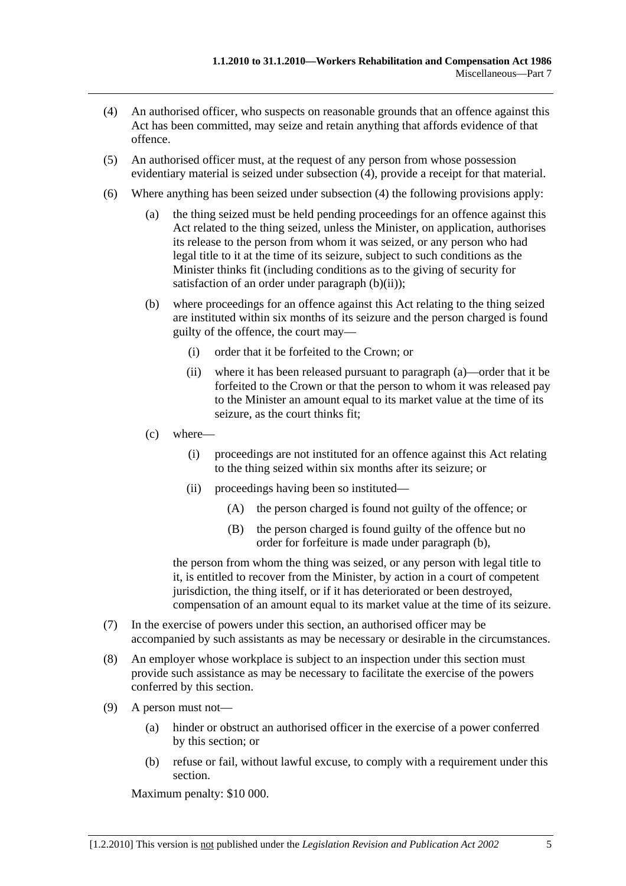- (4) An authorised officer, who suspects on reasonable grounds that an offence against this Act has been committed, may seize and retain anything that affords evidence of that offence.
- (5) An authorised officer must, at the request of any person from whose possession evidentiary material is seized under subsection (4), provide a receipt for that material.
- (6) Where anything has been seized under subsection (4) the following provisions apply:
	- (a) the thing seized must be held pending proceedings for an offence against this Act related to the thing seized, unless the Minister, on application, authorises its release to the person from whom it was seized, or any person who had legal title to it at the time of its seizure, subject to such conditions as the Minister thinks fit (including conditions as to the giving of security for satisfaction of an order under paragraph  $(b)(ii)$ ;
	- (b) where proceedings for an offence against this Act relating to the thing seized are instituted within six months of its seizure and the person charged is found guilty of the offence, the court may—
		- (i) order that it be forfeited to the Crown; or
		- (ii) where it has been released pursuant to paragraph (a)—order that it be forfeited to the Crown or that the person to whom it was released pay to the Minister an amount equal to its market value at the time of its seizure, as the court thinks fit;
	- (c) where—
		- (i) proceedings are not instituted for an offence against this Act relating to the thing seized within six months after its seizure; or
		- (ii) proceedings having been so instituted—
			- (A) the person charged is found not guilty of the offence; or
			- (B) the person charged is found guilty of the offence but no order for forfeiture is made under paragraph (b),

the person from whom the thing was seized, or any person with legal title to it, is entitled to recover from the Minister, by action in a court of competent jurisdiction, the thing itself, or if it has deteriorated or been destroyed, compensation of an amount equal to its market value at the time of its seizure.

- (7) In the exercise of powers under this section, an authorised officer may be accompanied by such assistants as may be necessary or desirable in the circumstances.
- (8) An employer whose workplace is subject to an inspection under this section must provide such assistance as may be necessary to facilitate the exercise of the powers conferred by this section.
- (9) A person must not—
	- (a) hinder or obstruct an authorised officer in the exercise of a power conferred by this section; or
	- (b) refuse or fail, without lawful excuse, to comply with a requirement under this section.

Maximum penalty: \$10 000.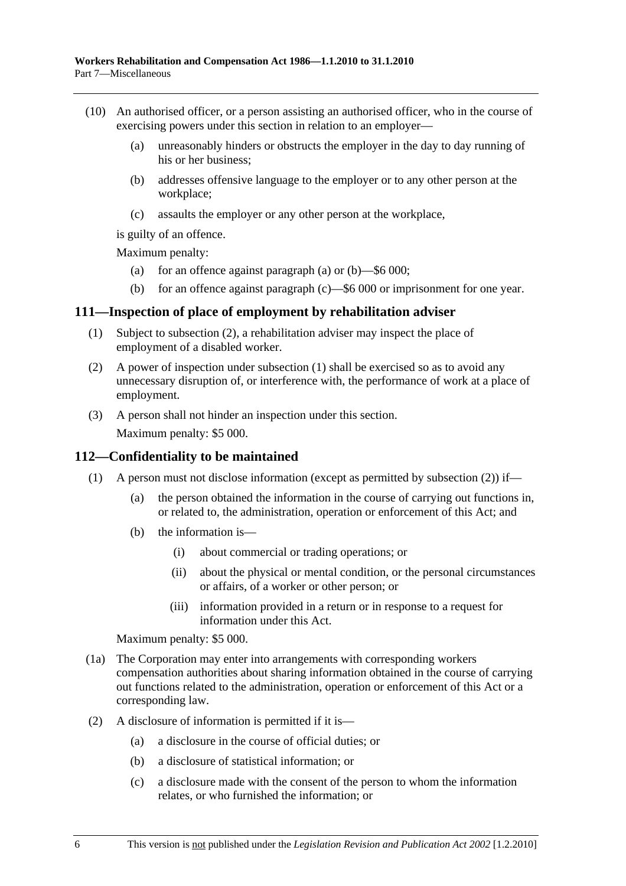- (10) An authorised officer, or a person assisting an authorised officer, who in the course of exercising powers under this section in relation to an employer—
	- (a) unreasonably hinders or obstructs the employer in the day to day running of his or her business;
	- (b) addresses offensive language to the employer or to any other person at the workplace;
	- (c) assaults the employer or any other person at the workplace,

is guilty of an offence.

Maximum penalty:

- (a) for an offence against paragraph (a) or  $(b)$ —\$6 000;
- (b) for an offence against paragraph (c)—\$6 000 or imprisonment for one year.

#### **111—Inspection of place of employment by rehabilitation adviser**

- (1) Subject to subsection (2), a rehabilitation adviser may inspect the place of employment of a disabled worker.
- (2) A power of inspection under subsection (1) shall be exercised so as to avoid any unnecessary disruption of, or interference with, the performance of work at a place of employment.
- (3) A person shall not hinder an inspection under this section.

Maximum penalty: \$5 000.

#### **112—Confidentiality to be maintained**

- (1) A person must not disclose information (except as permitted by subsection (2)) if—
	- (a) the person obtained the information in the course of carrying out functions in, or related to, the administration, operation or enforcement of this Act; and
	- (b) the information is—
		- (i) about commercial or trading operations; or
		- (ii) about the physical or mental condition, or the personal circumstances or affairs, of a worker or other person; or
		- (iii) information provided in a return or in response to a request for information under this Act.

Maximum penalty: \$5 000.

- (1a) The Corporation may enter into arrangements with corresponding workers compensation authorities about sharing information obtained in the course of carrying out functions related to the administration, operation or enforcement of this Act or a corresponding law.
- (2) A disclosure of information is permitted if it is—
	- (a) a disclosure in the course of official duties; or
	- (b) a disclosure of statistical information; or
	- (c) a disclosure made with the consent of the person to whom the information relates, or who furnished the information; or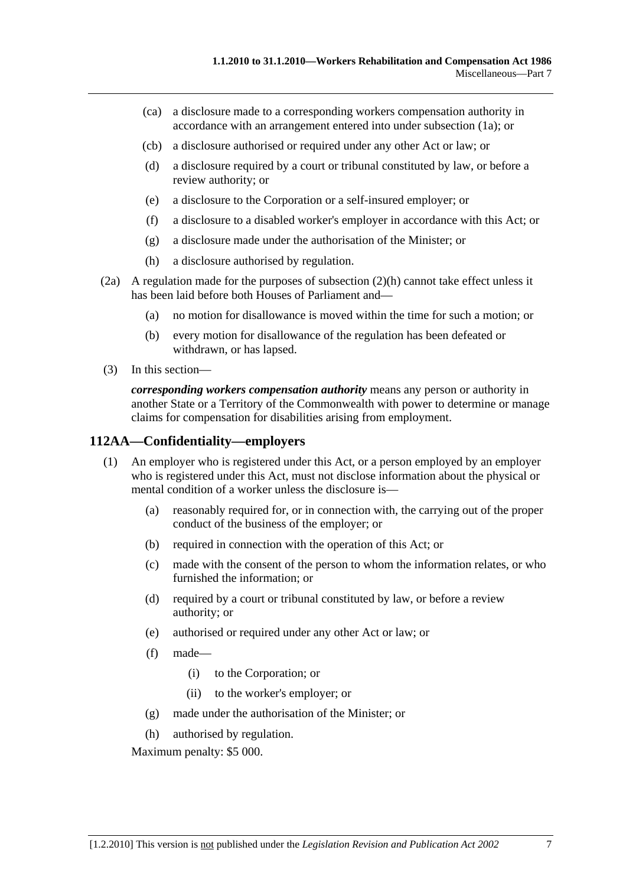- (ca) a disclosure made to a corresponding workers compensation authority in accordance with an arrangement entered into under subsection (1a); or
- (cb) a disclosure authorised or required under any other Act or law; or
- (d) a disclosure required by a court or tribunal constituted by law, or before a review authority; or
- (e) a disclosure to the Corporation or a self-insured employer; or
- (f) a disclosure to a disabled worker's employer in accordance with this Act; or
- (g) a disclosure made under the authorisation of the Minister; or
- (h) a disclosure authorised by regulation.
- (2a) A regulation made for the purposes of subsection (2)(h) cannot take effect unless it has been laid before both Houses of Parliament and—
	- (a) no motion for disallowance is moved within the time for such a motion; or
	- (b) every motion for disallowance of the regulation has been defeated or withdrawn, or has lapsed.
- (3) In this section—

*corresponding workers compensation authority* means any person or authority in another State or a Territory of the Commonwealth with power to determine or manage claims for compensation for disabilities arising from employment.

#### **112AA—Confidentiality—employers**

- (1) An employer who is registered under this Act, or a person employed by an employer who is registered under this Act, must not disclose information about the physical or mental condition of a worker unless the disclosure is—
	- (a) reasonably required for, or in connection with, the carrying out of the proper conduct of the business of the employer; or
	- (b) required in connection with the operation of this Act; or
	- (c) made with the consent of the person to whom the information relates, or who furnished the information; or
	- (d) required by a court or tribunal constituted by law, or before a review authority; or
	- (e) authorised or required under any other Act or law; or
	- (f) made—
		- (i) to the Corporation; or
		- (ii) to the worker's employer; or
	- (g) made under the authorisation of the Minister; or
	- (h) authorised by regulation.

Maximum penalty: \$5 000.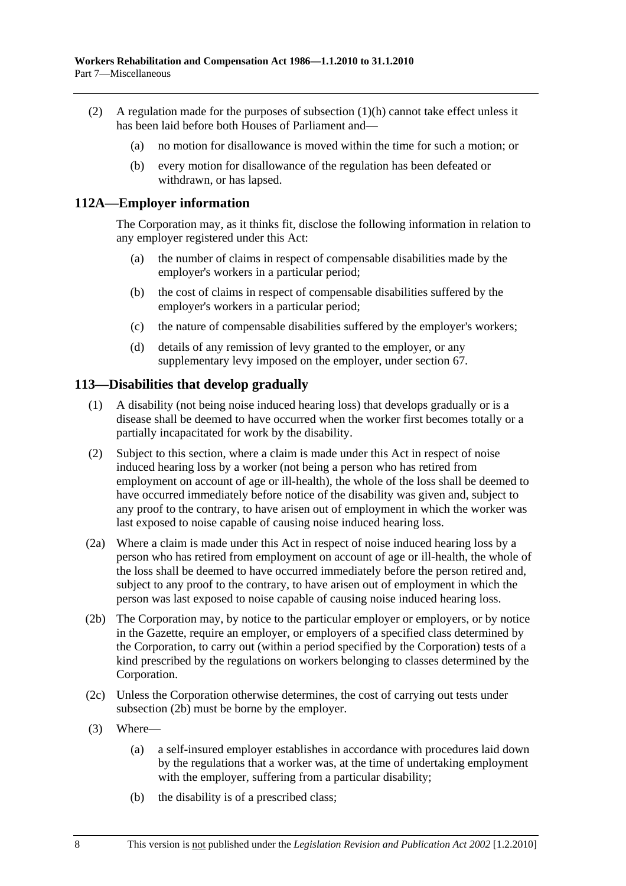- (2) A regulation made for the purposes of subsection (1)(h) cannot take effect unless it has been laid before both Houses of Parliament and—
	- (a) no motion for disallowance is moved within the time for such a motion; or
	- (b) every motion for disallowance of the regulation has been defeated or withdrawn, or has lapsed.

#### **112A—Employer information**

The Corporation may, as it thinks fit, disclose the following information in relation to any employer registered under this Act:

- (a) the number of claims in respect of compensable disabilities made by the employer's workers in a particular period;
- (b) the cost of claims in respect of compensable disabilities suffered by the employer's workers in a particular period;
- (c) the nature of compensable disabilities suffered by the employer's workers;
- (d) details of any remission of levy granted to the employer, or any supplementary levy imposed on the employer, under section 67.

#### **113—Disabilities that develop gradually**

- (1) A disability (not being noise induced hearing loss) that develops gradually or is a disease shall be deemed to have occurred when the worker first becomes totally or a partially incapacitated for work by the disability.
- (2) Subject to this section, where a claim is made under this Act in respect of noise induced hearing loss by a worker (not being a person who has retired from employment on account of age or ill-health), the whole of the loss shall be deemed to have occurred immediately before notice of the disability was given and, subject to any proof to the contrary, to have arisen out of employment in which the worker was last exposed to noise capable of causing noise induced hearing loss.
- (2a) Where a claim is made under this Act in respect of noise induced hearing loss by a person who has retired from employment on account of age or ill-health, the whole of the loss shall be deemed to have occurred immediately before the person retired and, subject to any proof to the contrary, to have arisen out of employment in which the person was last exposed to noise capable of causing noise induced hearing loss.
- (2b) The Corporation may, by notice to the particular employer or employers, or by notice in the Gazette, require an employer, or employers of a specified class determined by the Corporation, to carry out (within a period specified by the Corporation) tests of a kind prescribed by the regulations on workers belonging to classes determined by the Corporation.
- (2c) Unless the Corporation otherwise determines, the cost of carrying out tests under subsection (2b) must be borne by the employer.
- (3) Where—
	- (a) a self-insured employer establishes in accordance with procedures laid down by the regulations that a worker was, at the time of undertaking employment with the employer, suffering from a particular disability;
	- (b) the disability is of a prescribed class;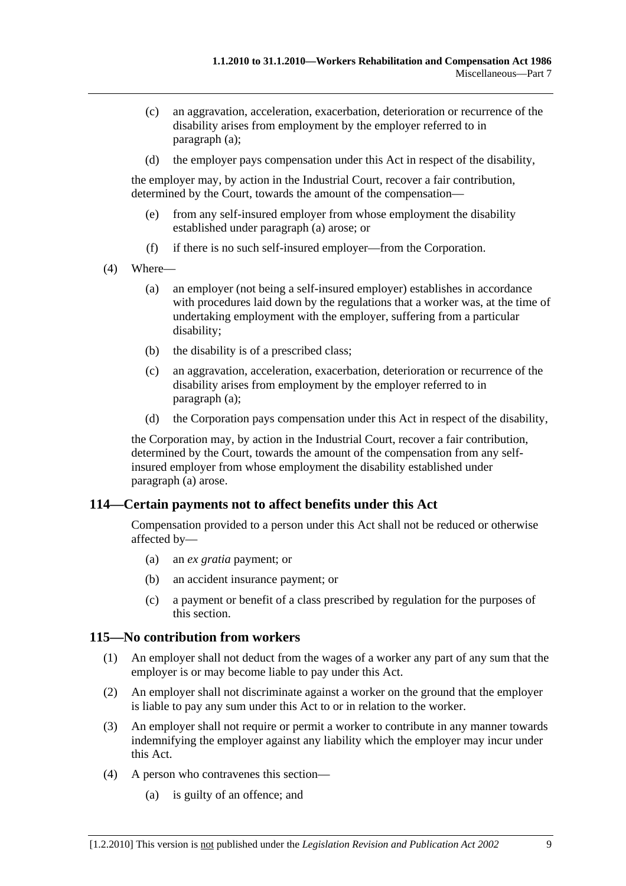- (c) an aggravation, acceleration, exacerbation, deterioration or recurrence of the disability arises from employment by the employer referred to in paragraph (a);
- (d) the employer pays compensation under this Act in respect of the disability,

the employer may, by action in the Industrial Court, recover a fair contribution, determined by the Court, towards the amount of the compensation—

- (e) from any self-insured employer from whose employment the disability established under paragraph (a) arose; or
- (f) if there is no such self-insured employer—from the Corporation.
- (4) Where—
	- (a) an employer (not being a self-insured employer) establishes in accordance with procedures laid down by the regulations that a worker was, at the time of undertaking employment with the employer, suffering from a particular disability;
	- (b) the disability is of a prescribed class;
	- (c) an aggravation, acceleration, exacerbation, deterioration or recurrence of the disability arises from employment by the employer referred to in paragraph (a);
	- (d) the Corporation pays compensation under this Act in respect of the disability,

the Corporation may, by action in the Industrial Court, recover a fair contribution, determined by the Court, towards the amount of the compensation from any selfinsured employer from whose employment the disability established under paragraph (a) arose.

## **114—Certain payments not to affect benefits under this Act**

Compensation provided to a person under this Act shall not be reduced or otherwise affected by—

- (a) an *ex gratia* payment; or
- (b) an accident insurance payment; or
- (c) a payment or benefit of a class prescribed by regulation for the purposes of this section.

#### **115—No contribution from workers**

- (1) An employer shall not deduct from the wages of a worker any part of any sum that the employer is or may become liable to pay under this Act.
- (2) An employer shall not discriminate against a worker on the ground that the employer is liable to pay any sum under this Act to or in relation to the worker.
- (3) An employer shall not require or permit a worker to contribute in any manner towards indemnifying the employer against any liability which the employer may incur under this Act.
- (4) A person who contravenes this section—
	- (a) is guilty of an offence; and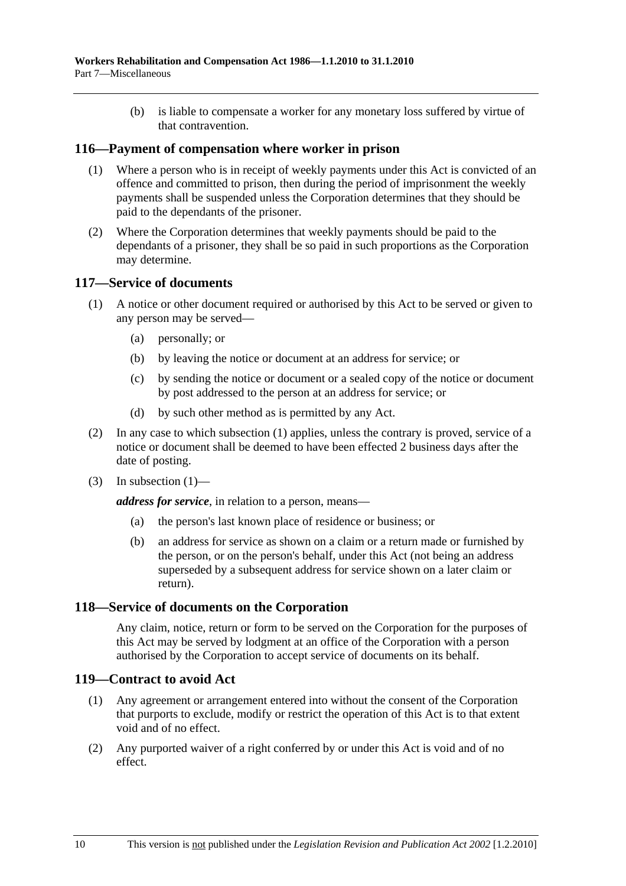(b) is liable to compensate a worker for any monetary loss suffered by virtue of that contravention.

#### **116—Payment of compensation where worker in prison**

- (1) Where a person who is in receipt of weekly payments under this Act is convicted of an offence and committed to prison, then during the period of imprisonment the weekly payments shall be suspended unless the Corporation determines that they should be paid to the dependants of the prisoner.
- (2) Where the Corporation determines that weekly payments should be paid to the dependants of a prisoner, they shall be so paid in such proportions as the Corporation may determine.

#### **117—Service of documents**

- (1) A notice or other document required or authorised by this Act to be served or given to any person may be served—
	- (a) personally; or
	- (b) by leaving the notice or document at an address for service; or
	- (c) by sending the notice or document or a sealed copy of the notice or document by post addressed to the person at an address for service; or
	- (d) by such other method as is permitted by any Act.
- (2) In any case to which subsection (1) applies, unless the contrary is proved, service of a notice or document shall be deemed to have been effected 2 business days after the date of posting.
- $(3)$  In subsection  $(1)$ —

*address for service*, in relation to a person, means—

- (a) the person's last known place of residence or business; or
- (b) an address for service as shown on a claim or a return made or furnished by the person, or on the person's behalf, under this Act (not being an address superseded by a subsequent address for service shown on a later claim or return).

#### **118—Service of documents on the Corporation**

Any claim, notice, return or form to be served on the Corporation for the purposes of this Act may be served by lodgment at an office of the Corporation with a person authorised by the Corporation to accept service of documents on its behalf.

#### **119—Contract to avoid Act**

- (1) Any agreement or arrangement entered into without the consent of the Corporation that purports to exclude, modify or restrict the operation of this Act is to that extent void and of no effect.
- (2) Any purported waiver of a right conferred by or under this Act is void and of no effect.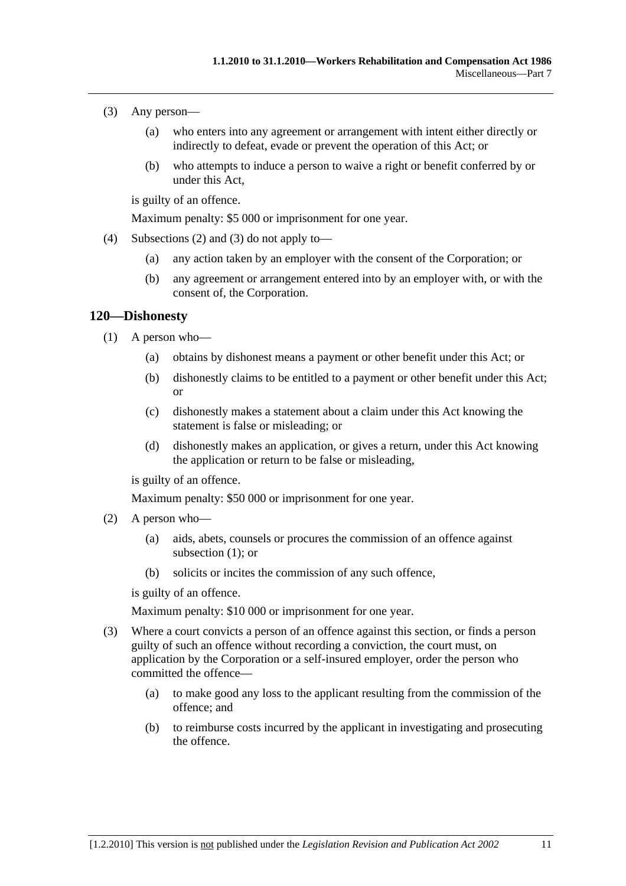- (3) Any person—
	- (a) who enters into any agreement or arrangement with intent either directly or indirectly to defeat, evade or prevent the operation of this Act; or
	- (b) who attempts to induce a person to waive a right or benefit conferred by or under this Act,

is guilty of an offence.

Maximum penalty: \$5 000 or imprisonment for one year.

- (4) Subsections (2) and (3) do not apply to—
	- (a) any action taken by an employer with the consent of the Corporation; or
	- (b) any agreement or arrangement entered into by an employer with, or with the consent of, the Corporation.

### **120—Dishonesty**

- (1) A person who—
	- (a) obtains by dishonest means a payment or other benefit under this Act; or
	- (b) dishonestly claims to be entitled to a payment or other benefit under this Act; or
	- (c) dishonestly makes a statement about a claim under this Act knowing the statement is false or misleading; or
	- (d) dishonestly makes an application, or gives a return, under this Act knowing the application or return to be false or misleading,

is guilty of an offence.

Maximum penalty: \$50 000 or imprisonment for one year.

- (2) A person who—
	- (a) aids, abets, counsels or procures the commission of an offence against subsection (1); or
	- (b) solicits or incites the commission of any such offence,

is guilty of an offence.

Maximum penalty: \$10 000 or imprisonment for one year.

- (3) Where a court convicts a person of an offence against this section, or finds a person guilty of such an offence without recording a conviction, the court must, on application by the Corporation or a self-insured employer, order the person who committed the offence—
	- (a) to make good any loss to the applicant resulting from the commission of the offence; and
	- (b) to reimburse costs incurred by the applicant in investigating and prosecuting the offence.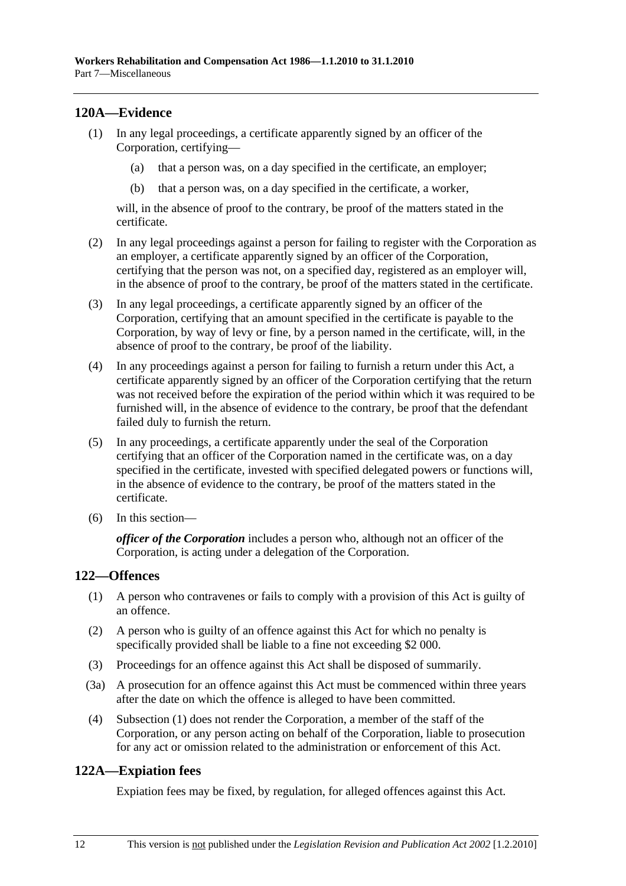## **120A—Evidence**

- (1) In any legal proceedings, a certificate apparently signed by an officer of the Corporation, certifying—
	- (a) that a person was, on a day specified in the certificate, an employer;
	- (b) that a person was, on a day specified in the certificate, a worker,

will, in the absence of proof to the contrary, be proof of the matters stated in the certificate.

- (2) In any legal proceedings against a person for failing to register with the Corporation as an employer, a certificate apparently signed by an officer of the Corporation, certifying that the person was not, on a specified day, registered as an employer will, in the absence of proof to the contrary, be proof of the matters stated in the certificate.
- (3) In any legal proceedings, a certificate apparently signed by an officer of the Corporation, certifying that an amount specified in the certificate is payable to the Corporation, by way of levy or fine, by a person named in the certificate, will, in the absence of proof to the contrary, be proof of the liability.
- (4) In any proceedings against a person for failing to furnish a return under this Act, a certificate apparently signed by an officer of the Corporation certifying that the return was not received before the expiration of the period within which it was required to be furnished will, in the absence of evidence to the contrary, be proof that the defendant failed duly to furnish the return.
- (5) In any proceedings, a certificate apparently under the seal of the Corporation certifying that an officer of the Corporation named in the certificate was, on a day specified in the certificate, invested with specified delegated powers or functions will, in the absence of evidence to the contrary, be proof of the matters stated in the certificate.
- (6) In this section—

*officer of the Corporation* includes a person who, although not an officer of the Corporation, is acting under a delegation of the Corporation.

## **122—Offences**

- (1) A person who contravenes or fails to comply with a provision of this Act is guilty of an offence.
- (2) A person who is guilty of an offence against this Act for which no penalty is specifically provided shall be liable to a fine not exceeding \$2 000.
- (3) Proceedings for an offence against this Act shall be disposed of summarily.
- (3a) A prosecution for an offence against this Act must be commenced within three years after the date on which the offence is alleged to have been committed.
- (4) Subsection (1) does not render the Corporation, a member of the staff of the Corporation, or any person acting on behalf of the Corporation, liable to prosecution for any act or omission related to the administration or enforcement of this Act.

## **122A—Expiation fees**

Expiation fees may be fixed, by regulation, for alleged offences against this Act.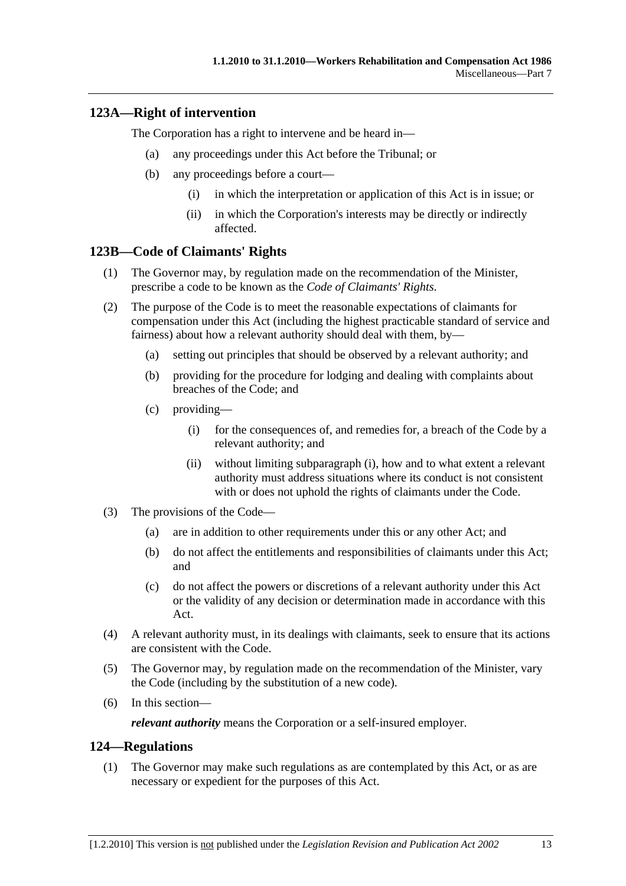## **123A—Right of intervention**

The Corporation has a right to intervene and be heard in—

- (a) any proceedings under this Act before the Tribunal; or
- (b) any proceedings before a court—
	- (i) in which the interpretation or application of this Act is in issue; or
	- (ii) in which the Corporation's interests may be directly or indirectly affected.

### **123B—Code of Claimants' Rights**

- (1) The Governor may, by regulation made on the recommendation of the Minister, prescribe a code to be known as the *Code of Claimants' Rights*.
- (2) The purpose of the Code is to meet the reasonable expectations of claimants for compensation under this Act (including the highest practicable standard of service and fairness) about how a relevant authority should deal with them, by—
	- (a) setting out principles that should be observed by a relevant authority; and
	- (b) providing for the procedure for lodging and dealing with complaints about breaches of the Code; and
	- (c) providing—
		- (i) for the consequences of, and remedies for, a breach of the Code by a relevant authority; and
		- (ii) without limiting subparagraph (i), how and to what extent a relevant authority must address situations where its conduct is not consistent with or does not uphold the rights of claimants under the Code.
- (3) The provisions of the Code—
	- (a) are in addition to other requirements under this or any other Act; and
	- (b) do not affect the entitlements and responsibilities of claimants under this Act; and
	- (c) do not affect the powers or discretions of a relevant authority under this Act or the validity of any decision or determination made in accordance with this Act.
- (4) A relevant authority must, in its dealings with claimants, seek to ensure that its actions are consistent with the Code.
- (5) The Governor may, by regulation made on the recommendation of the Minister, vary the Code (including by the substitution of a new code).
- (6) In this section—

*relevant authority* means the Corporation or a self-insured employer.

### **124—Regulations**

 (1) The Governor may make such regulations as are contemplated by this Act, or as are necessary or expedient for the purposes of this Act.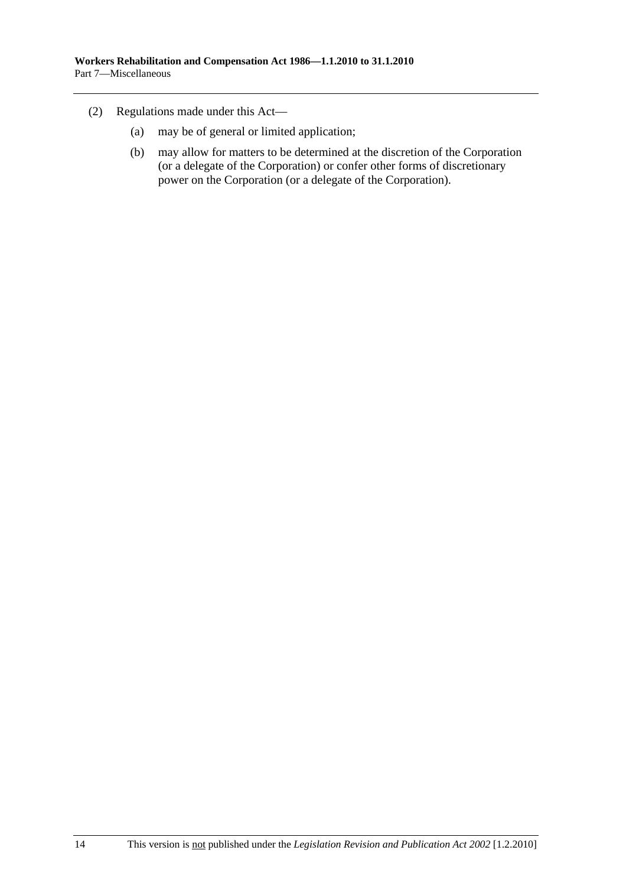- (2) Regulations made under this Act—
	- (a) may be of general or limited application;
	- (b) may allow for matters to be determined at the discretion of the Corporation (or a delegate of the Corporation) or confer other forms of discretionary power on the Corporation (or a delegate of the Corporation).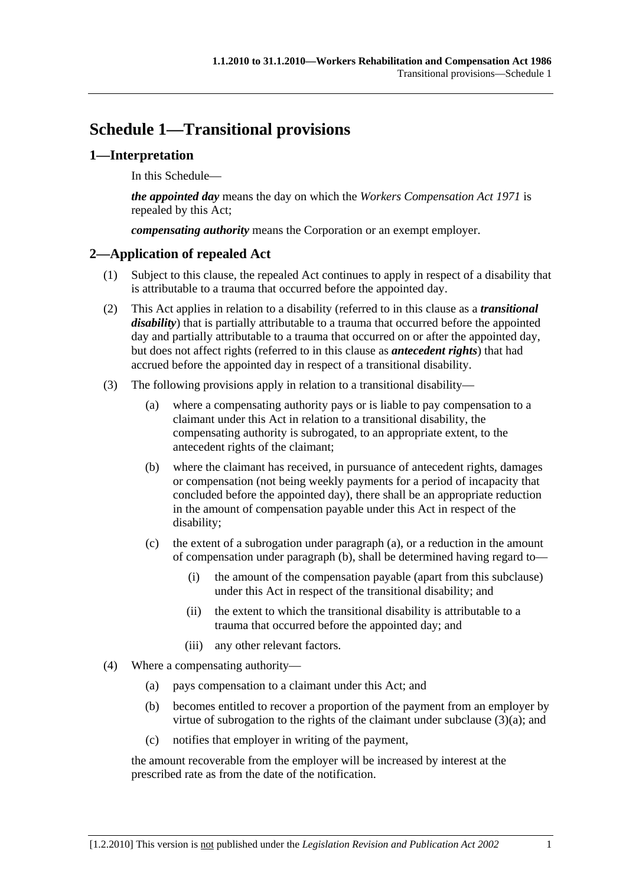# **Schedule 1—Transitional provisions**

## **1—Interpretation**

In this Schedule—

*the appointed day* means the day on which the *Workers Compensation Act 1971* is repealed by this Act;

*compensating authority* means the Corporation or an exempt employer.

## **2—Application of repealed Act**

- (1) Subject to this clause, the repealed Act continues to apply in respect of a disability that is attributable to a trauma that occurred before the appointed day.
- (2) This Act applies in relation to a disability (referred to in this clause as a *transitional disability*) that is partially attributable to a trauma that occurred before the appointed day and partially attributable to a trauma that occurred on or after the appointed day, but does not affect rights (referred to in this clause as *antecedent rights*) that had accrued before the appointed day in respect of a transitional disability.
- (3) The following provisions apply in relation to a transitional disability—
	- (a) where a compensating authority pays or is liable to pay compensation to a claimant under this Act in relation to a transitional disability, the compensating authority is subrogated, to an appropriate extent, to the antecedent rights of the claimant;
	- (b) where the claimant has received, in pursuance of antecedent rights, damages or compensation (not being weekly payments for a period of incapacity that concluded before the appointed day), there shall be an appropriate reduction in the amount of compensation payable under this Act in respect of the disability;
	- (c) the extent of a subrogation under paragraph (a), or a reduction in the amount of compensation under paragraph (b), shall be determined having regard to—
		- (i) the amount of the compensation payable (apart from this subclause) under this Act in respect of the transitional disability; and
		- (ii) the extent to which the transitional disability is attributable to a trauma that occurred before the appointed day; and
		- (iii) any other relevant factors.
- (4) Where a compensating authority—
	- (a) pays compensation to a claimant under this Act; and
	- (b) becomes entitled to recover a proportion of the payment from an employer by virtue of subrogation to the rights of the claimant under subclause (3)(a); and
	- (c) notifies that employer in writing of the payment,

the amount recoverable from the employer will be increased by interest at the prescribed rate as from the date of the notification.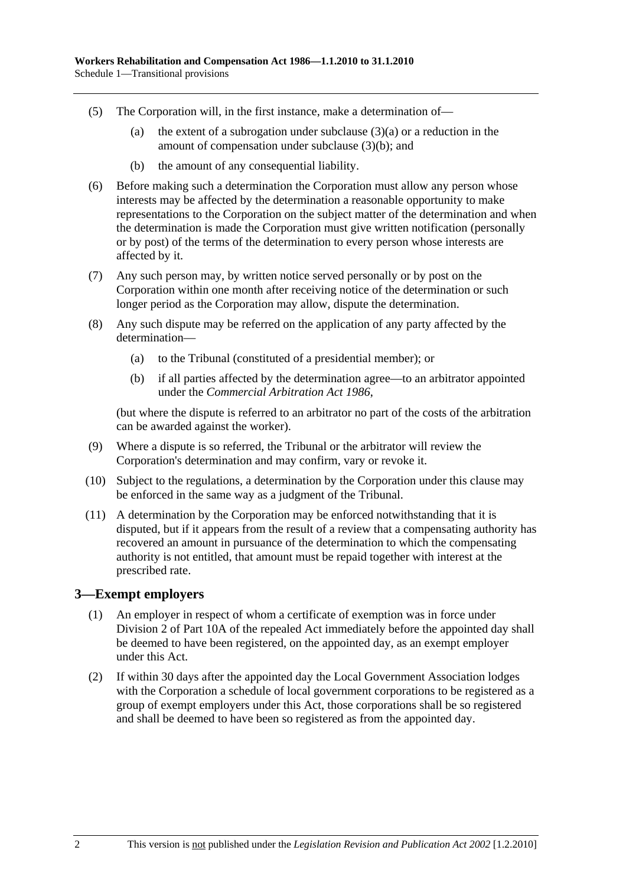- (5) The Corporation will, in the first instance, make a determination of—
	- (a) the extent of a subrogation under subclause  $(3)(a)$  or a reduction in the amount of compensation under subclause (3)(b); and
	- (b) the amount of any consequential liability.
- (6) Before making such a determination the Corporation must allow any person whose interests may be affected by the determination a reasonable opportunity to make representations to the Corporation on the subject matter of the determination and when the determination is made the Corporation must give written notification (personally or by post) of the terms of the determination to every person whose interests are affected by it.
- (7) Any such person may, by written notice served personally or by post on the Corporation within one month after receiving notice of the determination or such longer period as the Corporation may allow, dispute the determination.
- (8) Any such dispute may be referred on the application of any party affected by the determination—
	- (a) to the Tribunal (constituted of a presidential member); or
	- (b) if all parties affected by the determination agree—to an arbitrator appointed under the *Commercial Arbitration Act 1986*,

(but where the dispute is referred to an arbitrator no part of the costs of the arbitration can be awarded against the worker).

- (9) Where a dispute is so referred, the Tribunal or the arbitrator will review the Corporation's determination and may confirm, vary or revoke it.
- (10) Subject to the regulations, a determination by the Corporation under this clause may be enforced in the same way as a judgment of the Tribunal.
- (11) A determination by the Corporation may be enforced notwithstanding that it is disputed, but if it appears from the result of a review that a compensating authority has recovered an amount in pursuance of the determination to which the compensating authority is not entitled, that amount must be repaid together with interest at the prescribed rate.

### **3—Exempt employers**

- (1) An employer in respect of whom a certificate of exemption was in force under Division 2 of Part 10A of the repealed Act immediately before the appointed day shall be deemed to have been registered, on the appointed day, as an exempt employer under this Act.
- (2) If within 30 days after the appointed day the Local Government Association lodges with the Corporation a schedule of local government corporations to be registered as a group of exempt employers under this Act, those corporations shall be so registered and shall be deemed to have been so registered as from the appointed day.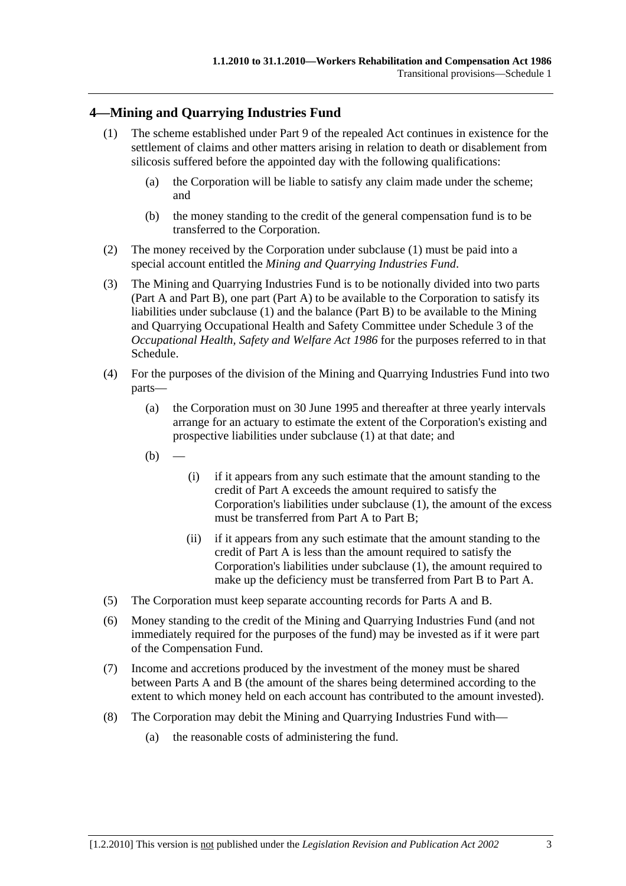## **4—Mining and Quarrying Industries Fund**

- (1) The scheme established under Part 9 of the repealed Act continues in existence for the settlement of claims and other matters arising in relation to death or disablement from silicosis suffered before the appointed day with the following qualifications:
	- (a) the Corporation will be liable to satisfy any claim made under the scheme; and
	- (b) the money standing to the credit of the general compensation fund is to be transferred to the Corporation.
- (2) The money received by the Corporation under subclause (1) must be paid into a special account entitled the *Mining and Quarrying Industries Fund*.
- (3) The Mining and Quarrying Industries Fund is to be notionally divided into two parts (Part A and Part B), one part (Part A) to be available to the Corporation to satisfy its liabilities under subclause (1) and the balance (Part B) to be available to the Mining and Quarrying Occupational Health and Safety Committee under Schedule 3 of the *Occupational Health, Safety and Welfare Act 1986* for the purposes referred to in that Schedule.
- (4) For the purposes of the division of the Mining and Quarrying Industries Fund into two parts—
	- (a) the Corporation must on 30 June 1995 and thereafter at three yearly intervals arrange for an actuary to estimate the extent of the Corporation's existing and prospective liabilities under subclause (1) at that date; and
	- $(b)$
- (i) if it appears from any such estimate that the amount standing to the credit of Part A exceeds the amount required to satisfy the Corporation's liabilities under subclause (1), the amount of the excess must be transferred from Part A to Part B;
- (ii) if it appears from any such estimate that the amount standing to the credit of Part A is less than the amount required to satisfy the Corporation's liabilities under subclause (1), the amount required to make up the deficiency must be transferred from Part B to Part A.
- (5) The Corporation must keep separate accounting records for Parts A and B.
- (6) Money standing to the credit of the Mining and Quarrying Industries Fund (and not immediately required for the purposes of the fund) may be invested as if it were part of the Compensation Fund.
- (7) Income and accretions produced by the investment of the money must be shared between Parts A and B (the amount of the shares being determined according to the extent to which money held on each account has contributed to the amount invested).
- (8) The Corporation may debit the Mining and Quarrying Industries Fund with—
	- (a) the reasonable costs of administering the fund.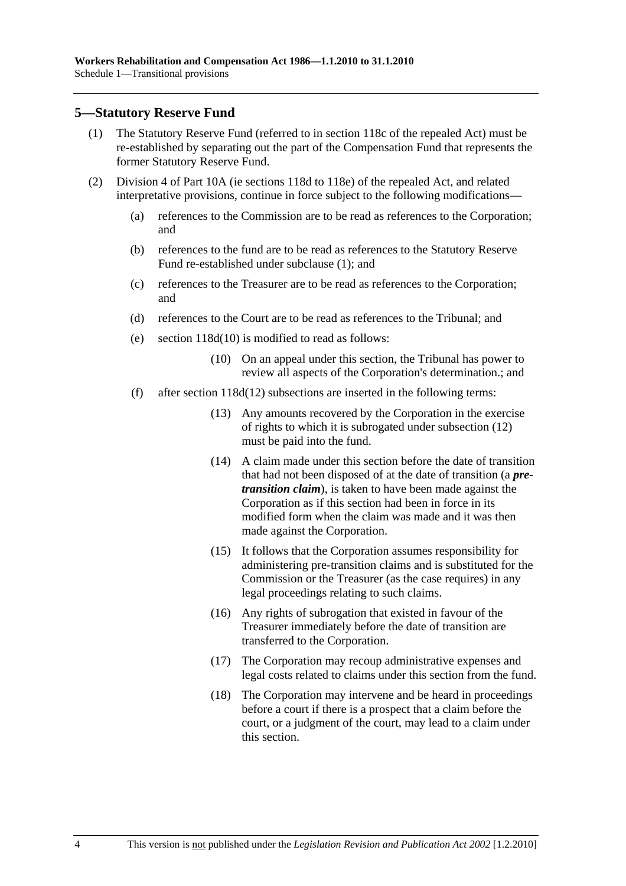### **5—Statutory Reserve Fund**

- (1) The Statutory Reserve Fund (referred to in section 118c of the repealed Act) must be re-established by separating out the part of the Compensation Fund that represents the former Statutory Reserve Fund.
- (2) Division 4 of Part 10A (ie sections 118d to 118e) of the repealed Act, and related interpretative provisions, continue in force subject to the following modifications—
	- (a) references to the Commission are to be read as references to the Corporation; and
	- (b) references to the fund are to be read as references to the Statutory Reserve Fund re-established under subclause (1); and
	- (c) references to the Treasurer are to be read as references to the Corporation; and
	- (d) references to the Court are to be read as references to the Tribunal; and
	- (e) section 118d(10) is modified to read as follows:
		- (10) On an appeal under this section, the Tribunal has power to review all aspects of the Corporation's determination.; and
	- (f) after section 118d(12) subsections are inserted in the following terms:
		- (13) Any amounts recovered by the Corporation in the exercise of rights to which it is subrogated under subsection (12) must be paid into the fund.
		- (14) A claim made under this section before the date of transition that had not been disposed of at the date of transition (a *pretransition claim*), is taken to have been made against the Corporation as if this section had been in force in its modified form when the claim was made and it was then made against the Corporation.
		- (15) It follows that the Corporation assumes responsibility for administering pre-transition claims and is substituted for the Commission or the Treasurer (as the case requires) in any legal proceedings relating to such claims.
		- (16) Any rights of subrogation that existed in favour of the Treasurer immediately before the date of transition are transferred to the Corporation.
		- (17) The Corporation may recoup administrative expenses and legal costs related to claims under this section from the fund.
		- (18) The Corporation may intervene and be heard in proceedings before a court if there is a prospect that a claim before the court, or a judgment of the court, may lead to a claim under this section.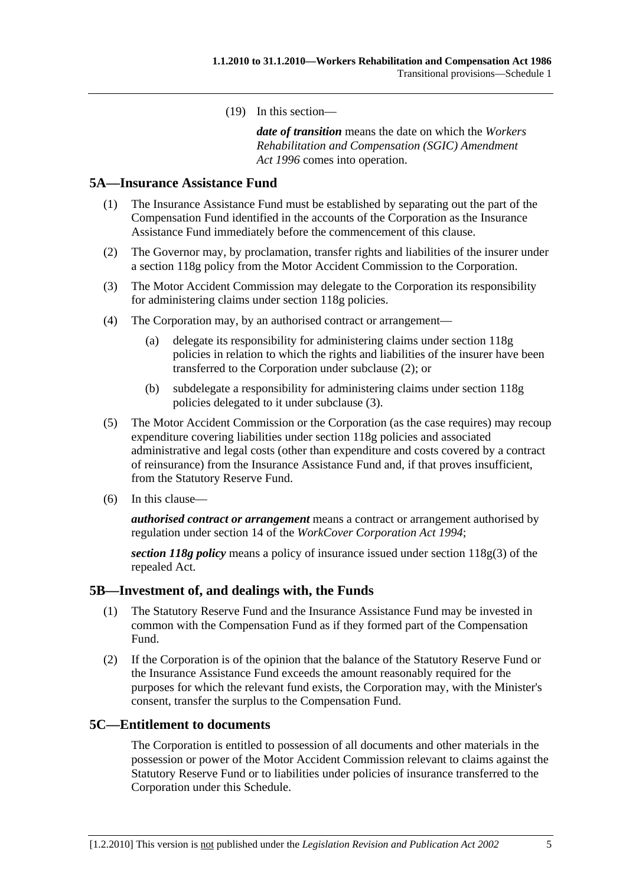(19) In this section—

*date of transition* means the date on which the *Workers Rehabilitation and Compensation (SGIC) Amendment Act 1996* comes into operation.

### **5A—Insurance Assistance Fund**

- (1) The Insurance Assistance Fund must be established by separating out the part of the Compensation Fund identified in the accounts of the Corporation as the Insurance Assistance Fund immediately before the commencement of this clause.
- (2) The Governor may, by proclamation, transfer rights and liabilities of the insurer under a section 118g policy from the Motor Accident Commission to the Corporation.
- (3) The Motor Accident Commission may delegate to the Corporation its responsibility for administering claims under section 118g policies.
- (4) The Corporation may, by an authorised contract or arrangement—
	- (a) delegate its responsibility for administering claims under section 118g policies in relation to which the rights and liabilities of the insurer have been transferred to the Corporation under subclause (2); or
	- (b) subdelegate a responsibility for administering claims under section 118g policies delegated to it under subclause (3).
- (5) The Motor Accident Commission or the Corporation (as the case requires) may recoup expenditure covering liabilities under section 118g policies and associated administrative and legal costs (other than expenditure and costs covered by a contract of reinsurance) from the Insurance Assistance Fund and, if that proves insufficient, from the Statutory Reserve Fund.
- (6) In this clause—

*authorised contract or arrangement* means a contract or arrangement authorised by regulation under section 14 of the *WorkCover Corporation Act 1994*;

*section 118g policy* means a policy of insurance issued under section 118g(3) of the repealed Act.

#### **5B—Investment of, and dealings with, the Funds**

- (1) The Statutory Reserve Fund and the Insurance Assistance Fund may be invested in common with the Compensation Fund as if they formed part of the Compensation Fund.
- (2) If the Corporation is of the opinion that the balance of the Statutory Reserve Fund or the Insurance Assistance Fund exceeds the amount reasonably required for the purposes for which the relevant fund exists, the Corporation may, with the Minister's consent, transfer the surplus to the Compensation Fund.

#### **5C—Entitlement to documents**

The Corporation is entitled to possession of all documents and other materials in the possession or power of the Motor Accident Commission relevant to claims against the Statutory Reserve Fund or to liabilities under policies of insurance transferred to the Corporation under this Schedule.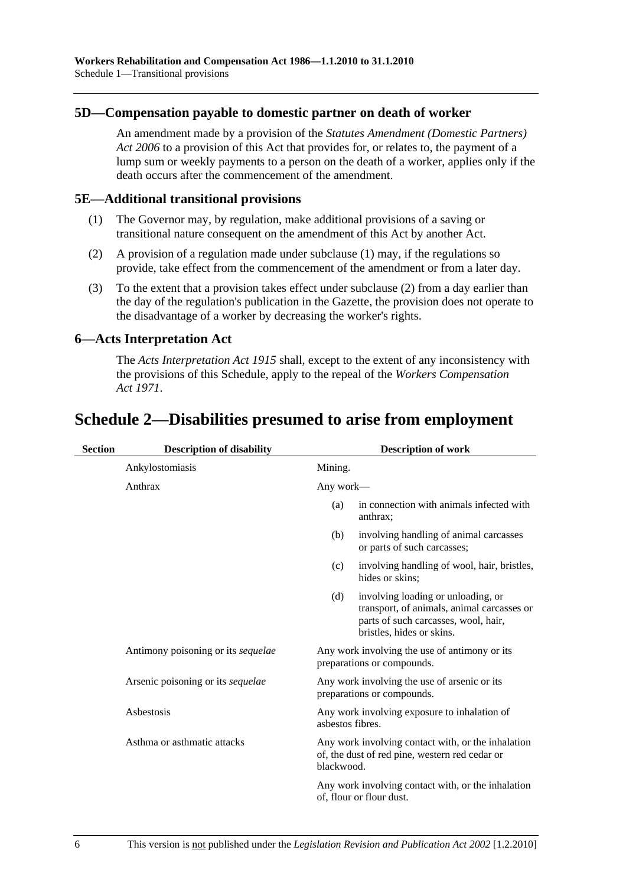### **5D—Compensation payable to domestic partner on death of worker**

An amendment made by a provision of the *Statutes Amendment (Domestic Partners) Act 2006* to a provision of this Act that provides for, or relates to, the payment of a lump sum or weekly payments to a person on the death of a worker, applies only if the death occurs after the commencement of the amendment.

### **5E—Additional transitional provisions**

- (1) The Governor may, by regulation, make additional provisions of a saving or transitional nature consequent on the amendment of this Act by another Act.
- (2) A provision of a regulation made under subclause (1) may, if the regulations so provide, take effect from the commencement of the amendment or from a later day.
- (3) To the extent that a provision takes effect under subclause (2) from a day earlier than the day of the regulation's publication in the Gazette, the provision does not operate to the disadvantage of a worker by decreasing the worker's rights.

### **6—Acts Interpretation Act**

The *Acts Interpretation Act 1915* shall, except to the extent of any inconsistency with the provisions of this Schedule, apply to the repeal of the *Workers Compensation Act 1971*.

# **Schedule 2—Disabilities presumed to arise from employment**

| <b>Section</b> | <b>Description of disability</b>          | <b>Description of work</b> |                                                                                                                                                       |
|----------------|-------------------------------------------|----------------------------|-------------------------------------------------------------------------------------------------------------------------------------------------------|
|                | Ankylostomiasis                           | Mining.                    |                                                                                                                                                       |
|                | Anthrax                                   | Any work—                  |                                                                                                                                                       |
|                |                                           | (a)                        | in connection with animals infected with<br>anthrax;                                                                                                  |
|                |                                           | (b)                        | involving handling of animal carcasses<br>or parts of such carcasses;                                                                                 |
|                |                                           | (c)                        | involving handling of wool, hair, bristles,<br>hides or skins;                                                                                        |
|                |                                           | (d)                        | involving loading or unloading, or<br>transport, of animals, animal carcasses or<br>parts of such carcasses, wool, hair,<br>bristles, hides or skins. |
|                | Antimony poisoning or its <i>sequelae</i> |                            | Any work involving the use of antimony or its<br>preparations or compounds.                                                                           |
|                | Arsenic poisoning or its <i>sequelae</i>  |                            | Any work involving the use of arsenic or its<br>preparations or compounds.                                                                            |
|                | Asbestosis                                | asbestos fibres.           | Any work involving exposure to inhalation of                                                                                                          |
|                | Asthma or asthmatic attacks               | blackwood.                 | Any work involving contact with, or the inhalation<br>of, the dust of red pine, western red cedar or                                                  |
|                |                                           |                            | Any work involving contact with, or the inhalation<br>of, flour or flour dust.                                                                        |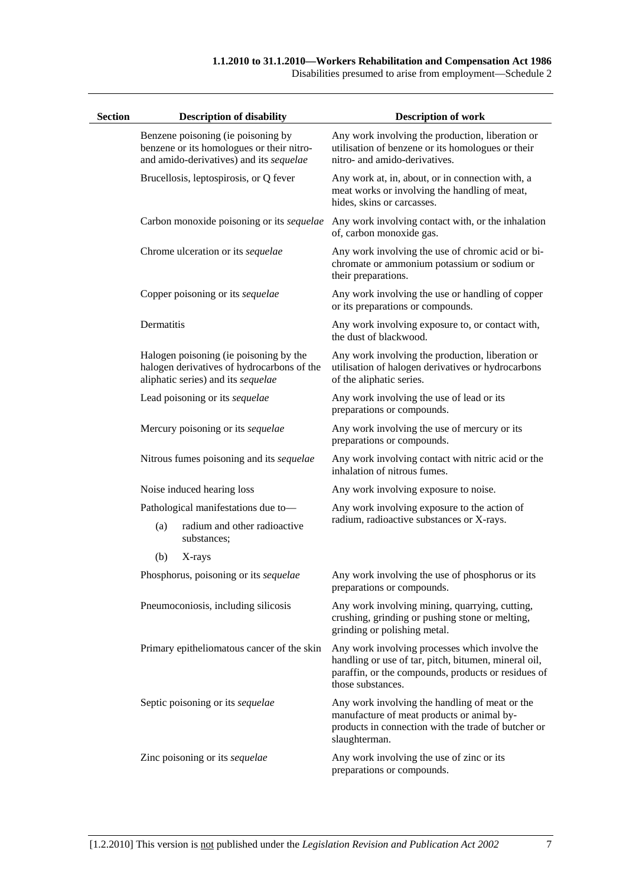#### **1.1.2010 to 31.1.2010—Workers Rehabilitation and Compensation Act 1986**

Disabilities presumed to arise from employment—Schedule 2

| <b>Section</b> |            | <b>Description of disability</b>                                                                                           | <b>Description of work</b>                                                                                                                                                         |
|----------------|------------|----------------------------------------------------------------------------------------------------------------------------|------------------------------------------------------------------------------------------------------------------------------------------------------------------------------------|
|                |            | Benzene poisoning (ie poisoning by<br>benzene or its homologues or their nitro-<br>and amido-derivatives) and its sequelae | Any work involving the production, liberation or<br>utilisation of benzene or its homologues or their<br>nitro- and amido-derivatives.                                             |
|                |            | Brucellosis, leptospirosis, or Q fever                                                                                     | Any work at, in, about, or in connection with, a<br>meat works or involving the handling of meat,<br>hides, skins or carcasses.                                                    |
|                |            | Carbon monoxide poisoning or its sequelae                                                                                  | Any work involving contact with, or the inhalation<br>of, carbon monoxide gas.                                                                                                     |
|                |            | Chrome ulceration or its sequelae                                                                                          | Any work involving the use of chromic acid or bi-<br>chromate or ammonium potassium or sodium or<br>their preparations.                                                            |
|                |            | Copper poisoning or its sequelae                                                                                           | Any work involving the use or handling of copper<br>or its preparations or compounds.                                                                                              |
|                | Dermatitis |                                                                                                                            | Any work involving exposure to, or contact with,<br>the dust of blackwood.                                                                                                         |
|                |            | Halogen poisoning (ie poisoning by the<br>halogen derivatives of hydrocarbons of the<br>aliphatic series) and its sequelae | Any work involving the production, liberation or<br>utilisation of halogen derivatives or hydrocarbons<br>of the aliphatic series.                                                 |
|                |            | Lead poisoning or its sequelae                                                                                             | Any work involving the use of lead or its<br>preparations or compounds.                                                                                                            |
|                |            | Mercury poisoning or its sequelae                                                                                          | Any work involving the use of mercury or its<br>preparations or compounds.                                                                                                         |
|                |            | Nitrous fumes poisoning and its sequelae                                                                                   | Any work involving contact with nitric acid or the<br>inhalation of nitrous fumes.                                                                                                 |
|                |            | Noise induced hearing loss                                                                                                 | Any work involving exposure to noise.                                                                                                                                              |
|                |            | Pathological manifestations due to-                                                                                        | Any work involving exposure to the action of                                                                                                                                       |
|                | (a)        | radium and other radioactive<br>substances;                                                                                | radium, radioactive substances or X-rays.                                                                                                                                          |
|                | (b)        | X-rays                                                                                                                     |                                                                                                                                                                                    |
|                |            | Phosphorus, poisoning or its sequelae                                                                                      | Any work involving the use of phosphorus or its<br>preparations or compounds.                                                                                                      |
|                |            | Pneumoconiosis, including silicosis                                                                                        | Any work involving mining, quarrying, cutting,<br>crushing, grinding or pushing stone or melting,<br>grinding or polishing metal.                                                  |
|                |            | Primary epitheliomatous cancer of the skin                                                                                 | Any work involving processes which involve the<br>handling or use of tar, pitch, bitumen, mineral oil,<br>paraffin, or the compounds, products or residues of<br>those substances. |
|                |            | Septic poisoning or its sequelae                                                                                           | Any work involving the handling of meat or the<br>manufacture of meat products or animal by-<br>products in connection with the trade of butcher or<br>slaughterman.               |
|                |            | Zinc poisoning or its sequelae                                                                                             | Any work involving the use of zinc or its<br>preparations or compounds.                                                                                                            |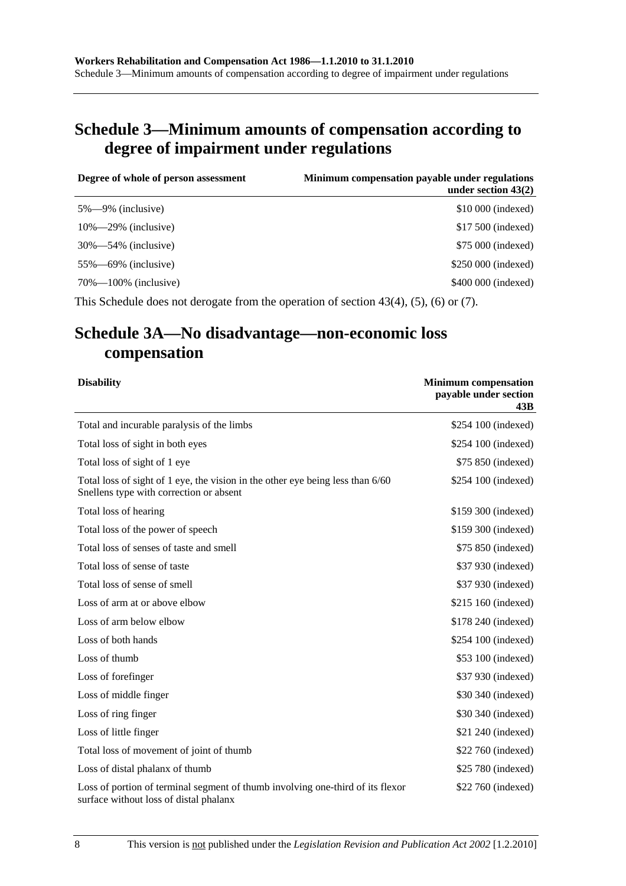# **Schedule 3—Minimum amounts of compensation according to degree of impairment under regulations**

| Degree of whole of person assessment | Minimum compensation payable under regulations<br>under section $43(2)$ |
|--------------------------------------|-------------------------------------------------------------------------|
| $5\% - 9\%$ (inclusive)              | \$10,000 (indexed)                                                      |
| $10\% - 29\%$ (inclusive)            | \$17,500 (indexed)                                                      |
| $30\% - 54\%$ (inclusive)            | \$75 000 (indexed)                                                      |
| $55\% - 69\%$ (inclusive)            | \$250 000 (indexed)                                                     |
| $70\% - 100\%$ (inclusive)           | \$400 000 (indexed)                                                     |
|                                      |                                                                         |

This Schedule does not derogate from the operation of section 43(4), (5), (6) or (7).

# **Schedule 3A—No disadvantage—non-economic loss compensation**

| <b>Disability</b>                                                                                                         | <b>Minimum</b> compensation<br>payable under section<br>43B |
|---------------------------------------------------------------------------------------------------------------------------|-------------------------------------------------------------|
| Total and incurable paralysis of the limbs                                                                                | \$254 100 (indexed)                                         |
| Total loss of sight in both eyes                                                                                          | \$254 100 (indexed)                                         |
| Total loss of sight of 1 eye                                                                                              | \$75 850 (indexed)                                          |
| Total loss of sight of 1 eye, the vision in the other eye being less than 6/60<br>Snellens type with correction or absent | \$254 100 (indexed)                                         |
| Total loss of hearing                                                                                                     | \$159 300 (indexed)                                         |
| Total loss of the power of speech                                                                                         | \$159 300 (indexed)                                         |
| Total loss of senses of taste and smell                                                                                   | \$75 850 (indexed)                                          |
| Total loss of sense of taste                                                                                              | \$37 930 (indexed)                                          |
| Total loss of sense of smell                                                                                              | \$37 930 (indexed)                                          |
| Loss of arm at or above elbow                                                                                             | \$215 160 (indexed)                                         |
| Loss of arm below elbow                                                                                                   | \$178 240 (indexed)                                         |
| Loss of both hands                                                                                                        | \$254 100 (indexed)                                         |
| Loss of thumb                                                                                                             | \$53 100 (indexed)                                          |
| Loss of forefinger                                                                                                        | \$37 930 (indexed)                                          |
| Loss of middle finger                                                                                                     | \$30 340 (indexed)                                          |
| Loss of ring finger                                                                                                       | \$30 340 (indexed)                                          |
| Loss of little finger                                                                                                     | \$21 240 (indexed)                                          |
| Total loss of movement of joint of thumb                                                                                  | \$22 760 (indexed)                                          |
| Loss of distal phalanx of thumb                                                                                           | \$25 780 (indexed)                                          |
| Loss of portion of terminal segment of thumb involving one-third of its flexor<br>surface without loss of distal phalanx  | \$22 760 (indexed)                                          |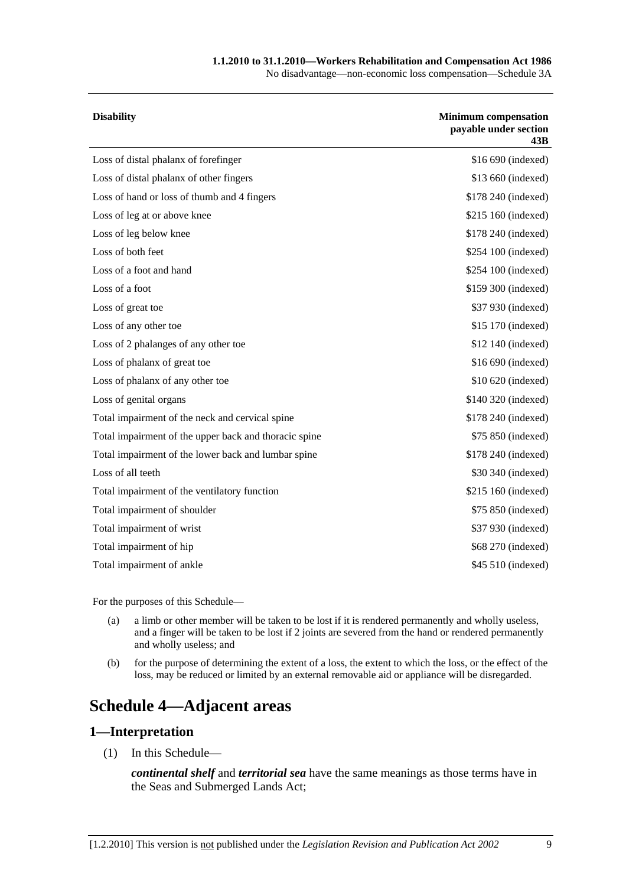#### **1.1.2010 to 31.1.2010—Workers Rehabilitation and Compensation Act 1986**

No disadvantage—non-economic loss compensation—Schedule 3A

| <b>Disability</b>                                     | <b>Minimum</b> compensation<br>payable under section<br>43B |
|-------------------------------------------------------|-------------------------------------------------------------|
| Loss of distal phalanx of forefinger                  | \$16 690 (indexed)                                          |
| Loss of distal phalanx of other fingers               | \$13 660 (indexed)                                          |
| Loss of hand or loss of thumb and 4 fingers           | \$178 240 (indexed)                                         |
| Loss of leg at or above knee                          | \$215 160 (indexed)                                         |
| Loss of leg below knee                                | \$178 240 (indexed)                                         |
| Loss of both feet                                     | \$254 100 (indexed)                                         |
| Loss of a foot and hand                               | \$254 100 (indexed)                                         |
| Loss of a foot                                        | \$159 300 (indexed)                                         |
| Loss of great toe                                     | \$37 930 (indexed)                                          |
| Loss of any other toe                                 | \$15 170 (indexed)                                          |
| Loss of 2 phalanges of any other toe                  | \$12 140 (indexed)                                          |
| Loss of phalanx of great toe                          | \$16 690 (indexed)                                          |
| Loss of phalanx of any other toe                      | \$10 620 (indexed)                                          |
| Loss of genital organs                                | \$140 320 (indexed)                                         |
| Total impairment of the neck and cervical spine       | \$178 240 (indexed)                                         |
| Total impairment of the upper back and thoracic spine | \$75 850 (indexed)                                          |
| Total impairment of the lower back and lumbar spine   | \$178 240 (indexed)                                         |
| Loss of all teeth                                     | \$30 340 (indexed)                                          |
| Total impairment of the ventilatory function          | \$215 160 (indexed)                                         |
| Total impairment of shoulder                          | \$75 850 (indexed)                                          |
| Total impairment of wrist                             | \$37 930 (indexed)                                          |
| Total impairment of hip                               | \$68 270 (indexed)                                          |
| Total impairment of ankle                             | \$45 510 (indexed)                                          |
|                                                       |                                                             |

For the purposes of this Schedule—

- (a) a limb or other member will be taken to be lost if it is rendered permanently and wholly useless, and a finger will be taken to be lost if 2 joints are severed from the hand or rendered permanently and wholly useless; and
- (b) for the purpose of determining the extent of a loss, the extent to which the loss, or the effect of the loss, may be reduced or limited by an external removable aid or appliance will be disregarded.

# **Schedule 4—Adjacent areas**

### **1—Interpretation**

(1) In this Schedule—

*continental shelf* and *territorial sea* have the same meanings as those terms have in the Seas and Submerged Lands Act;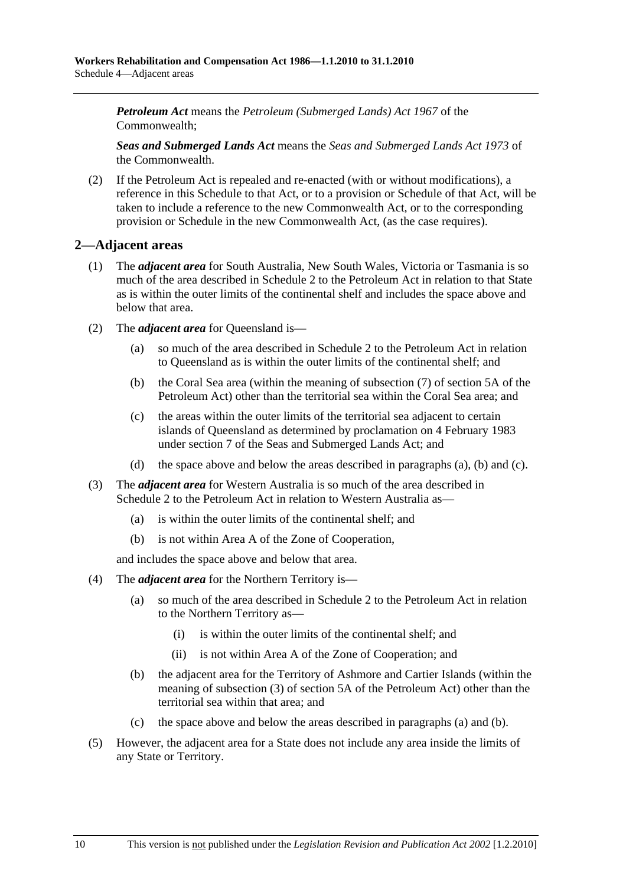*Petroleum Act* means the *Petroleum (Submerged Lands) Act 1967* of the Commonwealth;

*Seas and Submerged Lands Act* means the *Seas and Submerged Lands Act 1973* of the Commonwealth.

 (2) If the Petroleum Act is repealed and re-enacted (with or without modifications), a reference in this Schedule to that Act, or to a provision or Schedule of that Act, will be taken to include a reference to the new Commonwealth Act, or to the corresponding provision or Schedule in the new Commonwealth Act, (as the case requires).

## **2—Adjacent areas**

- (1) The *adjacent area* for South Australia, New South Wales, Victoria or Tasmania is so much of the area described in Schedule 2 to the Petroleum Act in relation to that State as is within the outer limits of the continental shelf and includes the space above and below that area.
- (2) The *adjacent area* for Queensland is—
	- (a) so much of the area described in Schedule 2 to the Petroleum Act in relation to Queensland as is within the outer limits of the continental shelf; and
	- (b) the Coral Sea area (within the meaning of subsection (7) of section 5A of the Petroleum Act) other than the territorial sea within the Coral Sea area; and
	- (c) the areas within the outer limits of the territorial sea adjacent to certain islands of Queensland as determined by proclamation on 4 February 1983 under section 7 of the Seas and Submerged Lands Act; and
	- (d) the space above and below the areas described in paragraphs (a), (b) and (c).
- (3) The *adjacent area* for Western Australia is so much of the area described in Schedule 2 to the Petroleum Act in relation to Western Australia as—
	- (a) is within the outer limits of the continental shelf; and
	- (b) is not within Area A of the Zone of Cooperation,

and includes the space above and below that area.

- (4) The *adjacent area* for the Northern Territory is—
	- (a) so much of the area described in Schedule 2 to the Petroleum Act in relation to the Northern Territory as—
		- (i) is within the outer limits of the continental shelf; and
		- (ii) is not within Area A of the Zone of Cooperation; and
	- (b) the adjacent area for the Territory of Ashmore and Cartier Islands (within the meaning of subsection (3) of section 5A of the Petroleum Act) other than the territorial sea within that area; and
	- (c) the space above and below the areas described in paragraphs (a) and (b).
- (5) However, the adjacent area for a State does not include any area inside the limits of any State or Territory.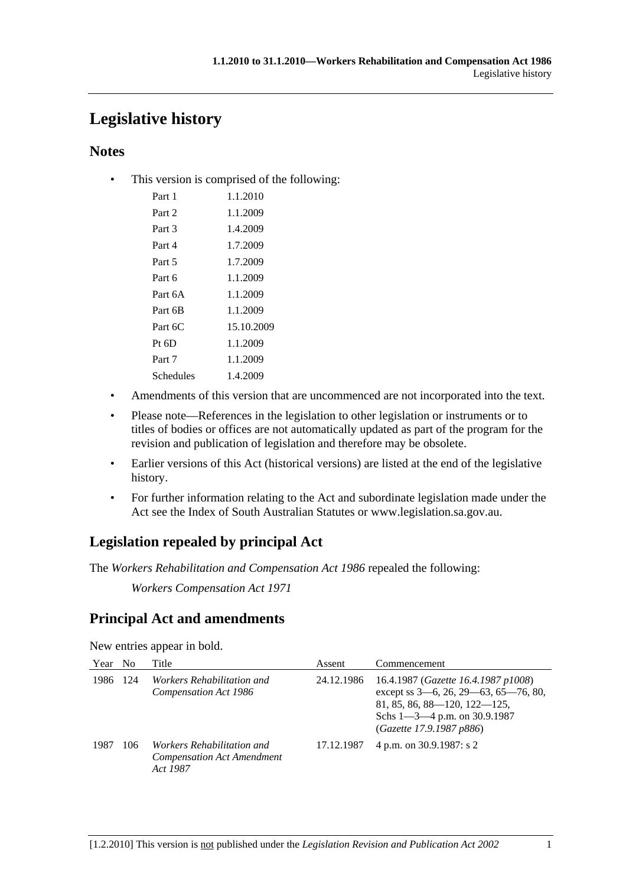# **Legislative history**

# **Notes**

• This version is comprised of the following:

| Part 1    | 1.1.2010   |
|-----------|------------|
| Part 2    | 1.1.2009   |
| Part 3    | 1.4.2009   |
| Part 4    | 1.7.2009   |
| Part 5    | 1.7.2009   |
| Part 6    | 1.1.2009   |
| Part 6A   | 1.1.2009   |
| Part 6B   | 1.1.2009   |
| Part $6C$ | 15.10.2009 |
| $Pt\;6D$  | 1.1.2009   |
| Part 7    | 1.1.2009   |
| Schedules | 1.4.2009   |

- Amendments of this version that are uncommenced are not incorporated into the text.
- Please note—References in the legislation to other legislation or instruments or to titles of bodies or offices are not automatically updated as part of the program for the revision and publication of legislation and therefore may be obsolete.
- Earlier versions of this Act (historical versions) are listed at the end of the legislative history.
- For further information relating to the Act and subordinate legislation made under the Act see the Index of South Australian Statutes or www.legislation.sa.gov.au.

# **Legislation repealed by principal Act**

The *Workers Rehabilitation and Compensation Act 1986* repealed the following:

*Workers Compensation Act 1971*

# **Principal Act and amendments**

New entries appear in bold.

| Year | N <sub>0</sub> | Title                                                                       | Assent     | Commencement                                                                                                                                                                        |
|------|----------------|-----------------------------------------------------------------------------|------------|-------------------------------------------------------------------------------------------------------------------------------------------------------------------------------------|
| 1986 | 124            | <i>Workers Rehabilitation and</i><br>Compensation Act 1986                  | 24.12.1986 | 16.4.1987 (Gazette 16.4.1987 p1008)<br>except ss 3-6, 26, 29-63, 65-76, 80,<br>$81, 85, 86, 88 - 120, 122 - 125,$<br>Schs $1 - 3 - 4$ p.m. on 30.9.1987<br>(Gazette 17.9.1987 p886) |
| 1987 | 106            | Workers Rehabilitation and<br><b>Compensation Act Amendment</b><br>Act 1987 | 17.12.1987 | 4 p.m. on 30.9.1987: s 2                                                                                                                                                            |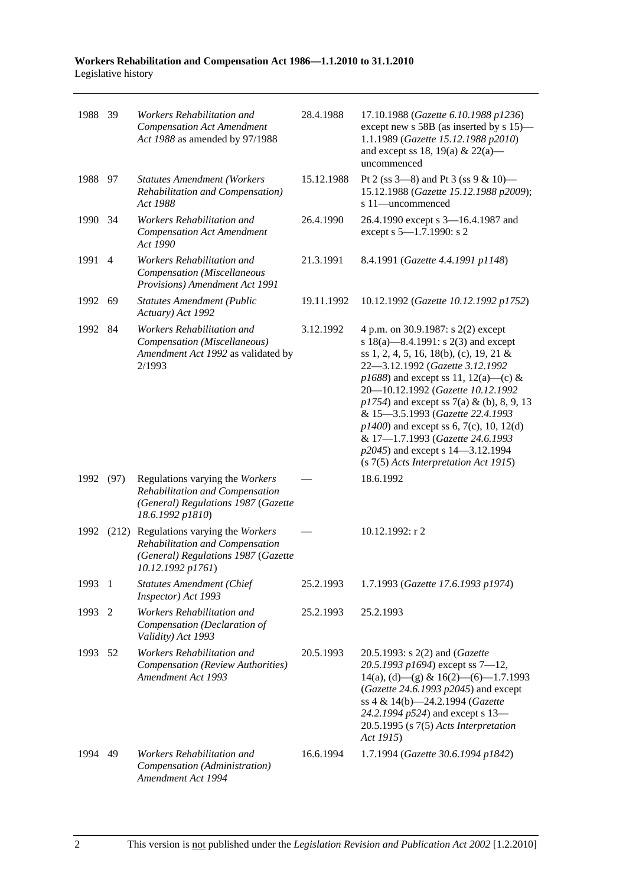| 1988 39 |                | Workers Rehabilitation and<br><b>Compensation Act Amendment</b><br>Act 1988 as amended by 97/1988                              | 28.4.1988  | 17.10.1988 (Gazette 6.10.1988 p1236)<br>except new s 58B (as inserted by s 15)-<br>1.1.1989 (Gazette 15.12.1988 p2010)<br>and except ss 18, 19(a) & 22(a)—<br>uncommenced                                                                                                                                                                                                                                                                                                                    |
|---------|----------------|--------------------------------------------------------------------------------------------------------------------------------|------------|----------------------------------------------------------------------------------------------------------------------------------------------------------------------------------------------------------------------------------------------------------------------------------------------------------------------------------------------------------------------------------------------------------------------------------------------------------------------------------------------|
| 1988 97 |                | <b>Statutes Amendment (Workers</b><br>Rehabilitation and Compensation)<br>Act 1988                                             | 15.12.1988 | Pt 2 (ss 3-8) and Pt 3 (ss 9 & 10)-<br>15.12.1988 (Gazette 15.12.1988 p2009);<br>s 11-uncommenced                                                                                                                                                                                                                                                                                                                                                                                            |
| 1990    | 34             | Workers Rehabilitation and<br><b>Compensation Act Amendment</b><br>Act 1990                                                    | 26.4.1990  | 26.4.1990 except s 3-16.4.1987 and<br>except s 5-1.7.1990: s 2                                                                                                                                                                                                                                                                                                                                                                                                                               |
| 1991    | $\overline{4}$ | Workers Rehabilitation and<br>Compensation (Miscellaneous<br>Provisions) Amendment Act 1991                                    | 21.3.1991  | 8.4.1991 (Gazette 4.4.1991 p1148)                                                                                                                                                                                                                                                                                                                                                                                                                                                            |
| 1992    | 69             | <b>Statutes Amendment (Public</b><br>Actuary) Act 1992                                                                         | 19.11.1992 | 10.12.1992 (Gazette 10.12.1992 p1752)                                                                                                                                                                                                                                                                                                                                                                                                                                                        |
| 1992 84 |                | Workers Rehabilitation and<br>Compensation (Miscellaneous)<br>Amendment Act 1992 as validated by<br>2/1993                     | 3.12.1992  | 4 p.m. on 30.9.1987: s 2(2) except<br>s 18(a)—8.4.1991: s 2(3) and except<br>ss 1, 2, 4, 5, 16, 18(b), (c), 19, 21 &<br>22-3.12.1992 (Gazette 3.12.1992<br>$p1688$ ) and except ss 11, 12(a)—(c) &<br>20-10.12.1992 (Gazette 10.12.1992<br>$p1754$ ) and except ss 7(a) & (b), 8, 9, 13<br>& 15-3.5.1993 (Gazette 22.4.1993<br>$p1400$ ) and except ss 6, 7(c), 10, 12(d)<br>& 17-1.7.1993 (Gazette 24.6.1993<br>p2045) and except s 14–3.12.1994<br>$(s 7(5)$ Acts Interpretation Act 1915) |
| 1992    | (97)           | Regulations varying the Workers<br>Rehabilitation and Compensation<br>(General) Regulations 1987 (Gazette<br>18.6.1992 p1810)  |            | 18.6.1992                                                                                                                                                                                                                                                                                                                                                                                                                                                                                    |
| 1992    | (212)          | Regulations varying the Workers<br>Rehabilitation and Compensation<br>(General) Regulations 1987 (Gazette<br>10.12.1992 p1761) |            | $10.12.1992:$ r 2                                                                                                                                                                                                                                                                                                                                                                                                                                                                            |
| 1993 1  |                | <b>Statutes Amendment (Chief</b><br>Inspector) Act 1993                                                                        | 25.2.1993  | 1.7.1993 (Gazette 17.6.1993 p1974)                                                                                                                                                                                                                                                                                                                                                                                                                                                           |
| 1993    | -2             | Workers Rehabilitation and<br>Compensation (Declaration of<br>Validity) Act 1993                                               | 25.2.1993  | 25.2.1993                                                                                                                                                                                                                                                                                                                                                                                                                                                                                    |
| 1993    | - 52           | Workers Rehabilitation and<br><b>Compensation (Review Authorities)</b><br>Amendment Act 1993                                   | 20.5.1993  | 20.5.1993: s 2(2) and (Gazette<br>20.5.1993 p1694) except ss 7-12,<br>$14(a)$ , (d) - (g) & $16(2)$ - (6) - 1.7.1993<br>(Gazette 24.6.1993 p2045) and except<br>ss 4 & 14(b)-24.2.1994 (Gazette<br>24.2.1994 p524) and except s 13-<br>$20.5.1995$ (s $7(5)$ Acts Interpretation<br>Act 1915)                                                                                                                                                                                                |
| 1994    | 49             | Workers Rehabilitation and<br>Compensation (Administration)<br>Amendment Act 1994                                              | 16.6.1994  | 1.7.1994 (Gazette 30.6.1994 p1842)                                                                                                                                                                                                                                                                                                                                                                                                                                                           |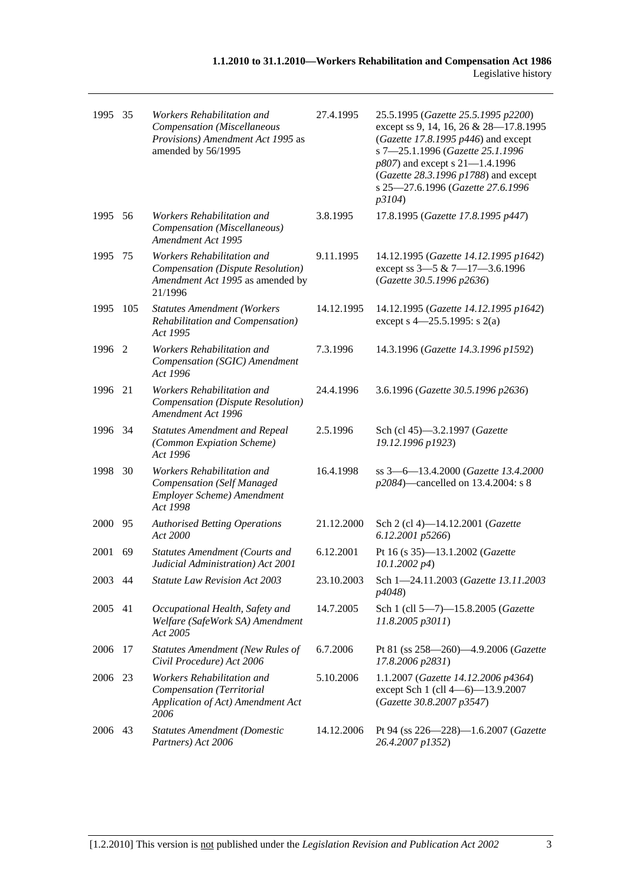| 1995    | 35   | Workers Rehabilitation and<br>Compensation (Miscellaneous<br>Provisions) Amendment Act 1995 as<br>amended by 56/1995 | 27.4.1995  | 25.5.1995 (Gazette 25.5.1995 p2200)<br>except ss 9, 14, 16, 26 & 28-17.8.1995<br>(Gazette 17.8.1995 $p446$ ) and except<br>s 7-25.1.1996 (Gazette 25.1.1996<br>p807) and except s 21-1.4.1996<br>(Gazette 28.3.1996 p1788) and except<br>s 25-27.6.1996 (Gazette 27.6.1996<br>p3104) |
|---------|------|----------------------------------------------------------------------------------------------------------------------|------------|--------------------------------------------------------------------------------------------------------------------------------------------------------------------------------------------------------------------------------------------------------------------------------------|
| 1995    | - 56 | Workers Rehabilitation and<br>Compensation (Miscellaneous)<br>Amendment Act 1995                                     | 3.8.1995   | 17.8.1995 (Gazette 17.8.1995 p447)                                                                                                                                                                                                                                                   |
| 1995    | 75   | Workers Rehabilitation and<br>Compensation (Dispute Resolution)<br>Amendment Act 1995 as amended by<br>21/1996       | 9.11.1995  | 14.12.1995 (Gazette 14.12.1995 p1642)<br>except ss 3-5 & 7-17-3.6.1996<br>(Gazette 30.5.1996 p2636)                                                                                                                                                                                  |
| 1995    | 105  | <b>Statutes Amendment (Workers</b><br>Rehabilitation and Compensation)<br>Act 1995                                   | 14.12.1995 | 14.12.1995 (Gazette 14.12.1995 p1642)<br>except s $4 - 25.5.1995$ : s 2(a)                                                                                                                                                                                                           |
| 1996 2  |      | Workers Rehabilitation and<br>Compensation (SGIC) Amendment<br>Act 1996                                              | 7.3.1996   | 14.3.1996 (Gazette 14.3.1996 p1592)                                                                                                                                                                                                                                                  |
| 1996    | 21   | Workers Rehabilitation and<br>Compensation (Dispute Resolution)<br>Amendment Act 1996                                | 24.4.1996  | 3.6.1996 (Gazette 30.5.1996 p2636)                                                                                                                                                                                                                                                   |
| 1996 34 |      | <b>Statutes Amendment and Repeal</b><br>(Common Expiation Scheme)<br>Act 1996                                        | 2.5.1996   | Sch (cl 45)-3.2.1997 (Gazette<br>19.12.1996 p1923)                                                                                                                                                                                                                                   |
| 1998    | 30   | Workers Rehabilitation and<br><b>Compensation (Self Managed</b><br>Employer Scheme) Amendment<br>Act 1998            | 16.4.1998  | ss 3-6-13.4.2000 (Gazette 13.4.2000<br>p2084)—cancelled on 13.4.2004: s 8                                                                                                                                                                                                            |
| 2000    | 95   | <b>Authorised Betting Operations</b><br>Act 2000                                                                     | 21.12.2000 | Sch 2 (cl 4)-14.12.2001 (Gazette<br>6.12.2001 p5266)                                                                                                                                                                                                                                 |
| 2001    | 69   | <b>Statutes Amendment (Courts and</b><br>Judicial Administration) Act 2001                                           | 6.12.2001  | Pt 16 (s 35)-13.1.2002 (Gazette<br>$10.1.2002\ p4$                                                                                                                                                                                                                                   |
| 2003 44 |      | Statute Law Revision Act 2003                                                                                        | 23.10.2003 | Sch 1-24.11.2003 (Gazette 13.11.2003<br>p4048)                                                                                                                                                                                                                                       |
| 2005    | 41   | Occupational Health, Safety and<br>Welfare (SafeWork SA) Amendment<br>Act 2005                                       | 14.7.2005  | Sch 1 (cll 5-7)-15.8.2005 (Gazette<br>11.8.2005 p3011)                                                                                                                                                                                                                               |
| 2006    | 17   | <b>Statutes Amendment (New Rules of</b><br>Civil Procedure) Act 2006                                                 | 6.7.2006   | Pt 81 (ss 258-260)-4.9.2006 (Gazette<br>17.8.2006 p2831)                                                                                                                                                                                                                             |
| 2006 23 |      | Workers Rehabilitation and<br>Compensation (Territorial<br>Application of Act) Amendment Act<br>2006                 | 5.10.2006  | 1.1.2007 (Gazette 14.12.2006 p4364)<br>except Sch 1 (cll 4-6)-13.9.2007<br>(Gazette 30.8.2007 p3547)                                                                                                                                                                                 |
| 2006 43 |      | <b>Statutes Amendment (Domestic</b><br>Partners) Act 2006                                                            | 14.12.2006 | Pt 94 (ss 226-228)-1.6.2007 (Gazette<br>26.4.2007 p1352)                                                                                                                                                                                                                             |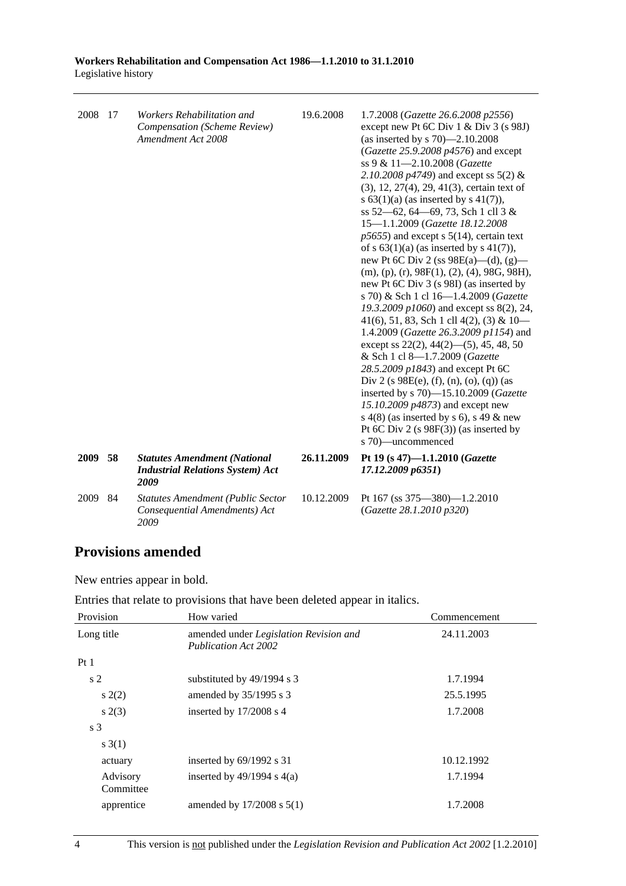| 2008 | 17 | Workers Rehabilitation and<br>Compensation (Scheme Review)<br>Amendment Act 2008       | 19.6.2008  | 1.7.2008 (Gazette 26.6.2008 p2556)<br>except new Pt 6C Div $1 \&$ Div $3 \times 98J$<br>(as inserted by s $70$ )-2.10.2008<br>(Gazette 25.9.2008 $p4576$ ) and except<br>ss 9 & 11-2.10.2008 (Gazette<br>2.10.2008 $p4749$ ) and except ss 5(2) &<br>$(3)$ , 12, 27(4), 29, 41(3), certain text of<br>s $63(1)(a)$ (as inserted by s $41(7)$ ),<br>ss 52–62, 64–69, 73, Sch 1 cll 3 &<br>15-1.1.2009 (Gazette 18.12.2008<br>$p5655$ ) and except s $5(14)$ , certain text<br>of s $63(1)(a)$ (as inserted by s $41(7)$ ),<br>new Pt 6C Div 2 (ss $98E(a)$ —(d), (g)—<br>$(m), (p), (r), 98F(1), (2), (4), 98G, 98H),$<br>new Pt 6C Div 3 (s 98I) (as inserted by<br>s 70) & Sch 1 cl 16-1.4.2009 (Gazette<br>19.3.2009 $p1060$ ) and except ss 8(2), 24,<br>41(6), 51, 83, Sch 1 cll 4(2), (3) & $10-$<br>1.4.2009 (Gazette 26.3.2009 p1154) and<br>except ss $22(2)$ , $44(2)$ — $(5)$ , $45$ , $48$ , $50$<br>& Sch 1 cl 8-1.7.2009 (Gazette<br>28.5.2009 p1843) and except Pt 6C<br>Div 2 (s $98E(e)$ , (f), (n), (o), (q)) (as<br>inserted by s 70)-15.10.2009 (Gazette<br>15.10.2009 p4873) and except new<br>s $4(8)$ (as inserted by s 6), s 49 & new<br>Pt 6C Div 2 (s 98F(3)) (as inserted by<br>s 70)—uncommenced |
|------|----|----------------------------------------------------------------------------------------|------------|-----------------------------------------------------------------------------------------------------------------------------------------------------------------------------------------------------------------------------------------------------------------------------------------------------------------------------------------------------------------------------------------------------------------------------------------------------------------------------------------------------------------------------------------------------------------------------------------------------------------------------------------------------------------------------------------------------------------------------------------------------------------------------------------------------------------------------------------------------------------------------------------------------------------------------------------------------------------------------------------------------------------------------------------------------------------------------------------------------------------------------------------------------------------------------------------------------------------------------|
| 2009 | 58 | <b>Statutes Amendment (National</b><br><b>Industrial Relations System) Act</b><br>2009 | 26.11.2009 | Pt 19 (s 47)-1.1.2010 (Gazette<br>17.12.2009 p6351)                                                                                                                                                                                                                                                                                                                                                                                                                                                                                                                                                                                                                                                                                                                                                                                                                                                                                                                                                                                                                                                                                                                                                                         |
| 2009 | 84 | <b>Statutes Amendment (Public Sector</b><br>Consequential Amendments) Act<br>2009      | 10.12.2009 | Pt 167 (ss 375-380)-1.2.2010<br>(Gazette 28.1.2010 p320)                                                                                                                                                                                                                                                                                                                                                                                                                                                                                                                                                                                                                                                                                                                                                                                                                                                                                                                                                                                                                                                                                                                                                                    |

# **Provisions amended**

New entries appear in bold.

Entries that relate to provisions that have been deleted appear in italics.

| Provision             | How varied                                                            | Commencement |
|-----------------------|-----------------------------------------------------------------------|--------------|
| Long title            | amended under Legislation Revision and<br><b>Publication Act 2002</b> | 24.11.2003   |
| Pt1                   |                                                                       |              |
| s <sub>2</sub>        | substituted by 49/1994 s 3                                            | 1.7.1994     |
| s(2)                  | amended by $35/1995$ s 3                                              | 25.5.1995    |
| s(2(3))               | inserted by 17/2008 s 4                                               | 1.7.2008     |
| s <sub>3</sub>        |                                                                       |              |
| s(3(1))               |                                                                       |              |
| actuary               | inserted by $69/1992$ s 31                                            | 10.12.1992   |
| Advisory<br>Committee | inserted by $49/1994$ s $4(a)$                                        | 1.7.1994     |
| apprentice            | amended by $17/2008$ s $5(1)$                                         | 1.7.2008     |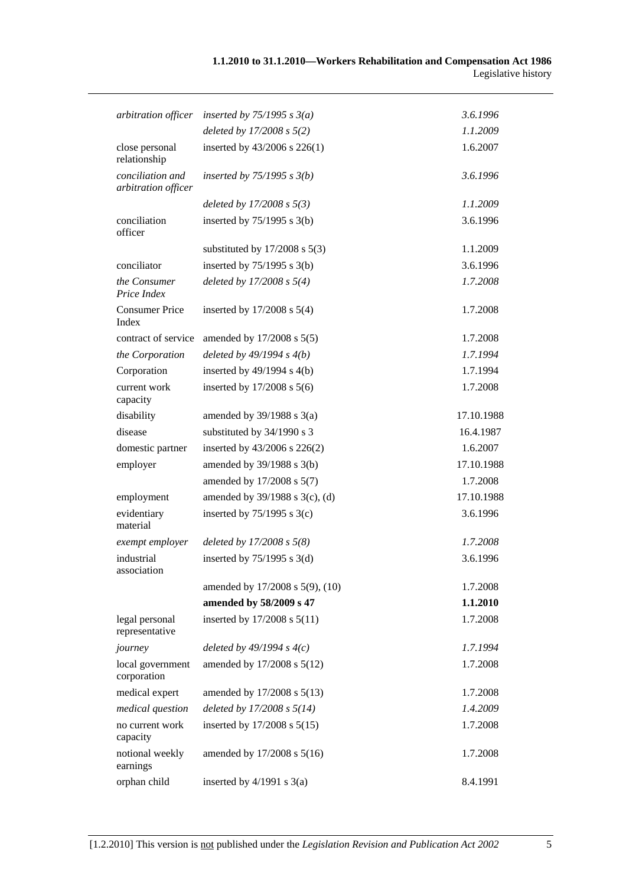| arbitration officer                     | inserted by $75/1995$ s $3(a)$    | 3.6.1996   |
|-----------------------------------------|-----------------------------------|------------|
|                                         | deleted by $17/2008 s 5(2)$       | 1.1.2009   |
| close personal<br>relationship          | inserted by 43/2006 s 226(1)      | 1.6.2007   |
| conciliation and<br>arbitration officer | inserted by $75/1995$ s $3(b)$    | 3.6.1996   |
|                                         | deleted by $17/2008 s 5(3)$       | 1.1.2009   |
| conciliation<br>officer                 | inserted by $75/1995$ s 3(b)      | 3.6.1996   |
|                                         | substituted by $17/2008$ s $5(3)$ | 1.1.2009   |
| conciliator                             | inserted by $75/1995$ s 3(b)      | 3.6.1996   |
| the Consumer<br>Price Index             | deleted by $17/2008 s 5(4)$       | 1.7.2008   |
| <b>Consumer Price</b><br>Index          | inserted by $17/2008$ s $5(4)$    | 1.7.2008   |
| contract of service                     | amended by 17/2008 s 5(5)         | 1.7.2008   |
| the Corporation                         | deleted by $49/1994 s 4(b)$       | 1.7.1994   |
| Corporation                             | inserted by $49/1994$ s $4(b)$    | 1.7.1994   |
| current work<br>capacity                | inserted by 17/2008 s 5(6)        | 1.7.2008   |
| disability                              | amended by $39/1988$ s $3(a)$     | 17.10.1988 |
| disease                                 | substituted by 34/1990 s 3        | 16.4.1987  |
| domestic partner                        | inserted by $43/2006$ s $226(2)$  | 1.6.2007   |
| employer                                | amended by 39/1988 s 3(b)         | 17.10.1988 |
|                                         | amended by 17/2008 s 5(7)         | 1.7.2008   |
| employment                              | amended by 39/1988 s 3(c), (d)    | 17.10.1988 |
| evidentiary<br>material                 | inserted by $75/1995$ s 3(c)      | 3.6.1996   |
| exempt employer                         | deleted by $17/2008 s 5(8)$       | 1.7.2008   |
| industrial<br>association               | inserted by $75/1995$ s 3(d)      | 3.6.1996   |
|                                         | amended by 17/2008 s 5(9), (10)   | 1.7.2008   |
|                                         | amended by 58/2009 s 47           | 1.1.2010   |
| legal personal<br>representative        | inserted by 17/2008 s 5(11)       | 1.7.2008   |
| journey                                 | deleted by $49/1994 s 4(c)$       | 1.7.1994   |
| local government<br>corporation         | amended by 17/2008 s 5(12)        | 1.7.2008   |
| medical expert                          | amended by 17/2008 s 5(13)        | 1.7.2008   |
| medical question                        | deleted by $17/2008 s 5(14)$      | 1.4.2009   |
| no current work<br>capacity             | inserted by 17/2008 s 5(15)       | 1.7.2008   |
| notional weekly<br>earnings             | amended by 17/2008 s 5(16)        | 1.7.2008   |
| orphan child                            | inserted by $4/1991$ s $3(a)$     | 8.4.1991   |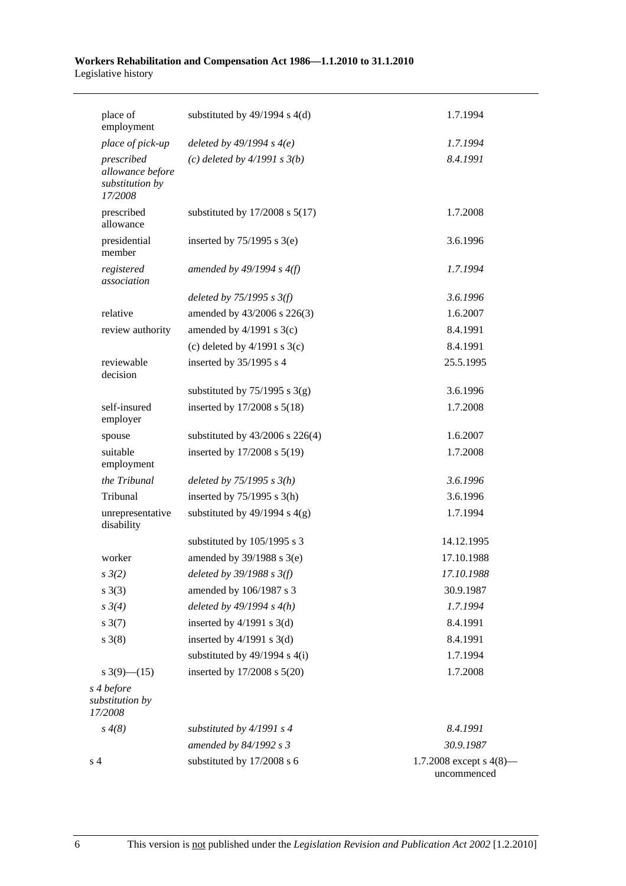| place of<br>employment                                       | substituted by $49/1994$ s $4(d)$   | 1.7.1994                                  |
|--------------------------------------------------------------|-------------------------------------|-------------------------------------------|
| place of pick-up                                             | deleted by $49/1994 s 4(e)$         | 1.7.1994                                  |
| prescribed<br>allowance before<br>substitution by<br>17/2008 | (c) deleted by $4/1991 s 3(b)$      | 8.4.1991                                  |
| prescribed<br>allowance                                      | substituted by $17/2008$ s $5(17)$  | 1.7.2008                                  |
| presidential<br>member                                       | inserted by $75/1995$ s 3(e)        | 3.6.1996                                  |
| registered<br>association                                    | amended by $49/1994 s 4(f)$         | 1.7.1994                                  |
|                                                              | deleted by $75/1995$ s $3(f)$       | 3.6.1996                                  |
| relative                                                     | amended by 43/2006 s 226(3)         | 1.6.2007                                  |
| review authority                                             | amended by $4/1991$ s $3(c)$        | 8.4.1991                                  |
|                                                              | (c) deleted by $4/1991$ s $3(c)$    | 8.4.1991                                  |
| reviewable<br>decision                                       | inserted by 35/1995 s 4             | 25.5.1995                                 |
|                                                              | substituted by $75/1995$ s 3(g)     | 3.6.1996                                  |
| self-insured<br>employer                                     | inserted by 17/2008 s 5(18)         | 1.7.2008                                  |
| spouse                                                       | substituted by $43/2006$ s $226(4)$ | 1.6.2007                                  |
| suitable<br>employment                                       | inserted by 17/2008 s 5(19)         | 1.7.2008                                  |
| the Tribunal                                                 | deleted by $75/1995$ s $3(h)$       | 3.6.1996                                  |
| Tribunal                                                     | inserted by $75/1995$ s 3(h)        | 3.6.1996                                  |
| unrepresentative<br>disability                               | substituted by $49/1994$ s $4(g)$   | 1.7.1994                                  |
|                                                              | substituted by 105/1995 s 3         | 14.12.1995                                |
| worker                                                       | amended by 39/1988 s 3(e)           | 17.10.1988                                |
| $s \frac{3}{2}$                                              | deleted by 39/1988 s 3(f)           | 17.10.1988                                |
| $s \; 3(3)$                                                  | amended by 106/1987 s 3             | 30.9.1987                                 |
| $s \frac{3}{4}$                                              | deleted by $49/1994 s 4(h)$         | 1.7.1994                                  |
| $s \frac{3(7)}{2}$                                           | inserted by $4/1991$ s 3(d)         | 8.4.1991                                  |
| $s \; 3(8)$                                                  | inserted by $4/1991$ s 3(d)         | 8.4.1991                                  |
|                                                              | substituted by $49/1994$ s $4(i)$   | 1.7.1994                                  |
| s $3(9)$ (15)                                                | inserted by 17/2008 s 5(20)         | 1.7.2008                                  |
| s 4 before<br>substitution by<br>17/2008                     |                                     |                                           |
| $s \, 4(8)$                                                  | substituted by $4/1991 s 4$         | 8.4.1991                                  |
|                                                              | amended by 84/1992 s 3              | 30.9.1987                                 |
| s <sub>4</sub>                                               | substituted by 17/2008 s 6          | 1.7.2008 except s $4(8)$ —<br>uncommenced |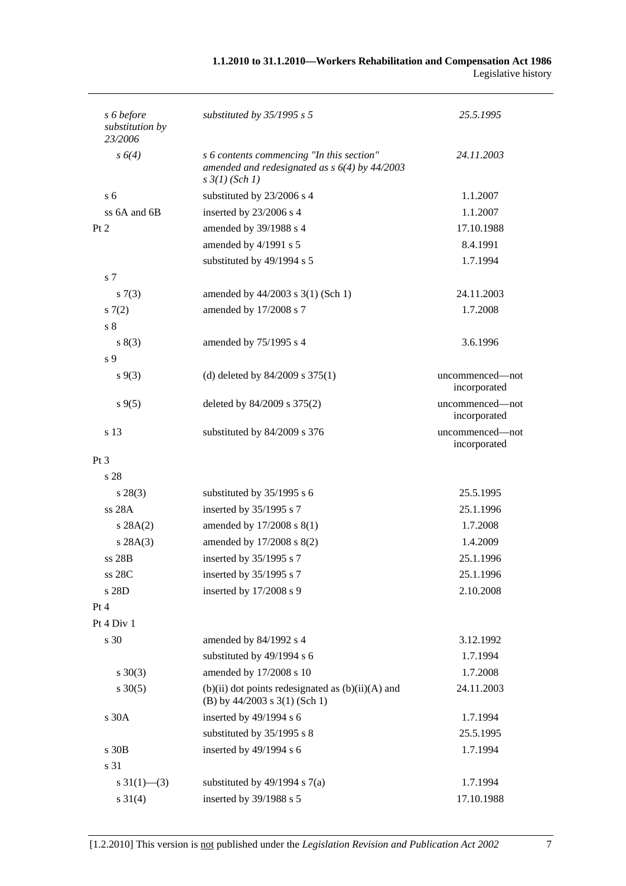| 1.1.2010 to 31.1.2010—Workers Rehabilitation and Compensation Act 1986 |                     |
|------------------------------------------------------------------------|---------------------|
|                                                                        | Legislative history |

| s 6 before                 | substituted by $35/1995$ s 5                                                                                            | 25.5.1995                       |
|----------------------------|-------------------------------------------------------------------------------------------------------------------------|---------------------------------|
| substitution by<br>23/2006 |                                                                                                                         |                                 |
| $s\ 6(4)$                  | s 6 contents commencing "In this section"<br>amended and redesignated as $s$ 6(4) by 44/2003<br>$s \frac{3}{1}$ (Sch 1) | 24.11.2003                      |
| s <sub>6</sub>             | substituted by 23/2006 s 4                                                                                              | 1.1.2007                        |
| ss $6A$ and $6B$           | inserted by 23/2006 s 4                                                                                                 | 1.1.2007                        |
| Pt 2                       | amended by 39/1988 s 4                                                                                                  | 17.10.1988                      |
|                            | amended by 4/1991 s 5                                                                                                   | 8.4.1991                        |
|                            | substituted by 49/1994 s 5                                                                                              | 1.7.1994                        |
| s <sub>7</sub>             |                                                                                                                         |                                 |
| s(7(3))                    | amended by $44/2003$ s $3(1)$ (Sch 1)                                                                                   | 24.11.2003                      |
| 57(2)                      | amended by 17/2008 s 7                                                                                                  | 1.7.2008                        |
| s <sub>8</sub>             |                                                                                                                         |                                 |
| s(3)                       | amended by 75/1995 s 4                                                                                                  | 3.6.1996                        |
| s <sub>9</sub>             |                                                                                                                         |                                 |
| $s \, 9(3)$                | (d) deleted by $84/2009$ s $375(1)$                                                                                     | uncommenced-not<br>incorporated |
| $s\,9(5)$                  | deleted by $84/2009$ s $375(2)$                                                                                         | uncommenced—not<br>incorporated |
| s 13                       | substituted by 84/2009 s 376                                                                                            | uncommenced—not<br>incorporated |
| $Pt\,3$                    |                                                                                                                         |                                 |
| s 28                       |                                                                                                                         |                                 |
| $s\,28(3)$                 | substituted by 35/1995 s 6                                                                                              | 25.5.1995                       |
| ss 28A                     | inserted by 35/1995 s 7                                                                                                 | 25.1.1996                       |
| s 28A(2)                   | amended by 17/2008 s 8(1)                                                                                               | 1.7.2008                        |
| s 28A(3)                   | amended by 17/2008 s 8(2)                                                                                               | 1.4.2009                        |
| ss 28B                     | inserted by 35/1995 s 7                                                                                                 | 25.1.1996                       |
| ss 28C                     | inserted by 35/1995 s 7                                                                                                 | 25.1.1996                       |
| s 28D                      | inserted by 17/2008 s 9                                                                                                 | 2.10.2008                       |
| Pt 4                       |                                                                                                                         |                                 |
| Pt 4 Div 1                 |                                                                                                                         |                                 |
| s 30                       | amended by 84/1992 s 4                                                                                                  | 3.12.1992                       |
|                            | substituted by 49/1994 s 6                                                                                              | 1.7.1994                        |
| $s \ 30(3)$                | amended by 17/2008 s 10                                                                                                 | 1.7.2008                        |
| $s \, 30(5)$               | $(b)(ii)$ dot points redesignated as $(b)(ii)(A)$ and<br>(B) by $44/2003$ s $3(1)$ (Sch 1)                              | 24.11.2003                      |
| s 30A                      | inserted by 49/1994 s 6                                                                                                 | 1.7.1994                        |
|                            | substituted by 35/1995 s 8                                                                                              | 25.5.1995                       |
| s 30B                      | inserted by 49/1994 s 6                                                                                                 | 1.7.1994                        |
| s 31                       |                                                                                                                         |                                 |
| s $31(1)$ —(3)             | substituted by $49/1994$ s $7(a)$                                                                                       | 1.7.1994                        |
| $s \ 31(4)$                | inserted by 39/1988 s 5                                                                                                 | 17.10.1988                      |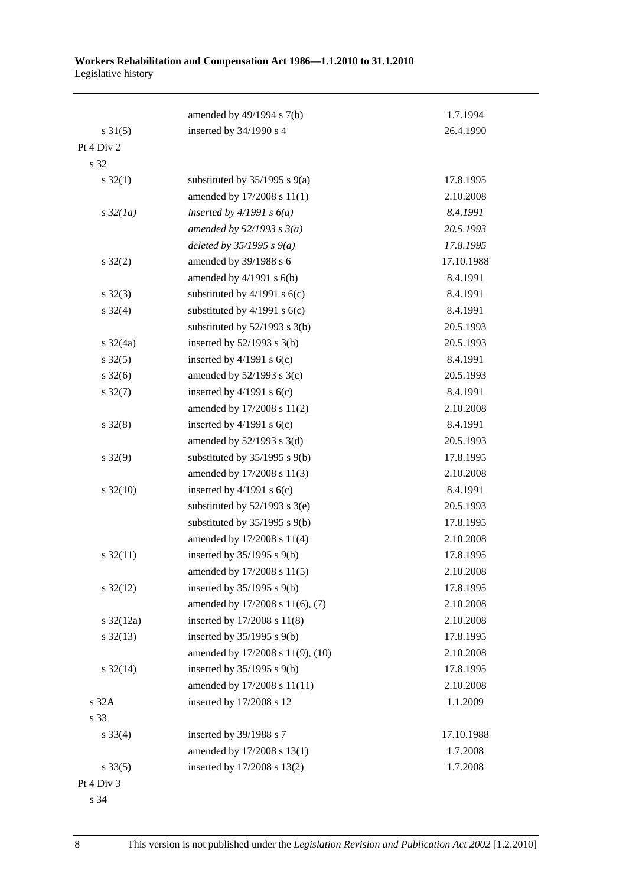|                       | amended by 49/1994 s 7(b)         | 1.7.1994   |
|-----------------------|-----------------------------------|------------|
| $s \, 31(5)$          | inserted by 34/1990 s 4           | 26.4.1990  |
| Pt 4 Div 2            |                                   |            |
| s 32                  |                                   |            |
| $s \, 32(1)$          | substituted by $35/1995$ s $9(a)$ | 17.8.1995  |
|                       | amended by 17/2008 s 11(1)        | 2.10.2008  |
| $s\,32(1a)$           | inserted by $4/1991 s 6(a)$       | 8.4.1991   |
|                       | amended by $52/1993$ s $3(a)$     | 20.5.1993  |
|                       | deleted by $35/1995 s 9(a)$       | 17.8.1995  |
| $s \, 32(2)$          | amended by 39/1988 s 6            | 17.10.1988 |
|                       | amended by $4/1991$ s $6(b)$      | 8.4.1991   |
| $s \, 32(3)$          | substituted by $4/1991$ s $6(c)$  | 8.4.1991   |
| $s \, 32(4)$          | substituted by $4/1991$ s $6(c)$  | 8.4.1991   |
|                       | substituted by $52/1993$ s 3(b)   | 20.5.1993  |
| $s \frac{32}{4a}$     | inserted by $52/1993$ s $3(b)$    | 20.5.1993  |
| $s \, 32(5)$          | inserted by $4/1991$ s $6(c)$     | 8.4.1991   |
| $s \frac{32(6)}{2}$   | amended by $52/1993$ s $3(c)$     | 20.5.1993  |
| $s \, 32(7)$          | inserted by $4/1991$ s $6(c)$     | 8.4.1991   |
|                       | amended by 17/2008 s 11(2)        | 2.10.2008  |
| $s \, 32(8)$          | inserted by $4/1991$ s $6(c)$     | 8.4.1991   |
|                       | amended by $52/1993$ s $3(d)$     | 20.5.1993  |
| $s \, 32(9)$          | substituted by $35/1995$ s $9(b)$ | 17.8.1995  |
|                       | amended by 17/2008 s 11(3)        | 2.10.2008  |
| $s \frac{32(10)}{2}$  | inserted by $4/1991$ s $6(c)$     | 8.4.1991   |
|                       | substituted by $52/1993$ s $3(e)$ | 20.5.1993  |
|                       | substituted by $35/1995$ s $9(b)$ | 17.8.1995  |
|                       | amended by 17/2008 s 11(4)        | 2.10.2008  |
| $s \frac{32(11)}{2}$  | inserted by $35/1995$ s $9(b)$    | 17.8.1995  |
|                       | amended by 17/2008 s 11(5)        | 2.10.2008  |
| $s \frac{32(12)}{2}$  | inserted by $35/1995$ s $9(b)$    | 17.8.1995  |
|                       | amended by 17/2008 s 11(6), (7)   | 2.10.2008  |
| $s \frac{32(12a)}{2}$ | inserted by 17/2008 s 11(8)       | 2.10.2008  |
| $s \frac{32(13)}{2}$  | inserted by $35/1995$ s $9(b)$    | 17.8.1995  |
|                       | amended by 17/2008 s 11(9), (10)  | 2.10.2008  |
| $s \frac{32(14)}{2}$  | inserted by $35/1995$ s $9(b)$    | 17.8.1995  |
|                       | amended by 17/2008 s 11(11)       | 2.10.2008  |
| s 32A                 | inserted by 17/2008 s 12          | 1.1.2009   |
| s 33                  |                                   |            |
| $s \, 33(4)$          | inserted by 39/1988 s 7           | 17.10.1988 |
|                       | amended by 17/2008 s 13(1)        | 1.7.2008   |
| $s \, 33(5)$          | inserted by 17/2008 s 13(2)       | 1.7.2008   |
| Pt 4 Div 3            |                                   |            |

s 34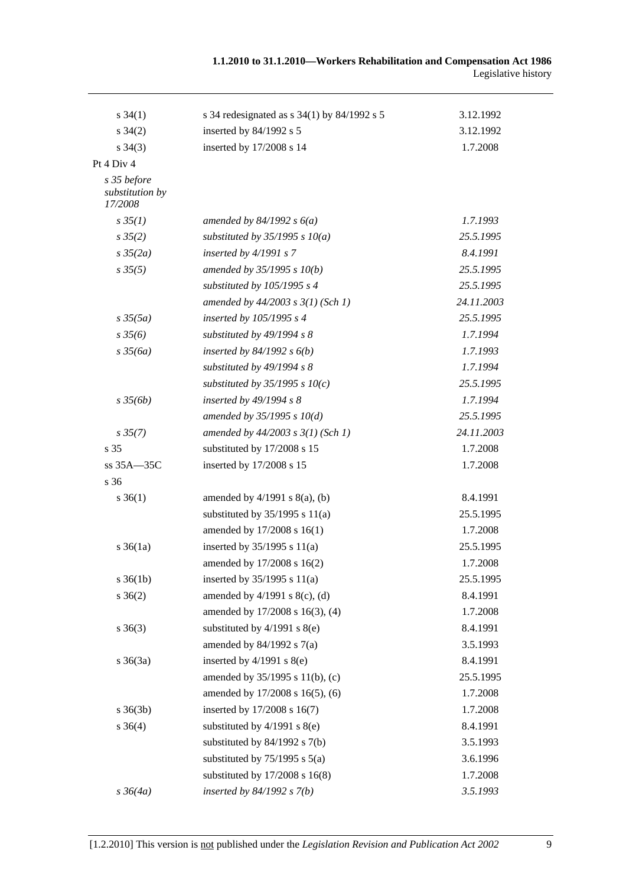| $s \, 34(1)$                              | s 34 redesignated as $s$ 34(1) by 84/1992 s 5 | 3.12.1992  |
|-------------------------------------------|-----------------------------------------------|------------|
| $s \, 34(2)$                              | inserted by 84/1992 s 5                       | 3.12.1992  |
| $s \, 34(3)$                              | inserted by 17/2008 s 14                      | 1.7.2008   |
| Pt 4 Div 4                                |                                               |            |
| s 35 before<br>substitution by<br>17/2008 |                                               |            |
| $s \, 35(1)$                              | amended by $84/1992 s 6(a)$                   | 1.7.1993   |
| $s \frac{35(2)}{2}$                       | substituted by $35/1995 s 10(a)$              | 25.5.1995  |
| $s \frac{35}{2a}$                         | inserted by $4/1991 s 7$                      | 8.4.1991   |
| $s \, 35(5)$                              | amended by $35/1995 s 10(b)$                  | 25.5.1995  |
|                                           | substituted by 105/1995 s 4                   | 25.5.1995  |
|                                           | amended by $44/2003$ s $3(1)$ (Sch 1)         | 24.11.2003 |
| $s\,35(5a)$                               | inserted by 105/1995 s 4                      | 25.5.1995  |
| $s \frac{35}{6}$                          | substituted by 49/1994 s 8                    | 1.7.1994   |
| $s \frac{35}{6a}$                         | inserted by $84/1992$ s $6(b)$                | 1.7.1993   |
|                                           | substituted by 49/1994 s 8                    | 1.7.1994   |
|                                           | substituted by $35/1995$ s $10(c)$            | 25.5.1995  |
| $s \frac{35}{6b}$                         | inserted by $49/1994 s 8$                     | 1.7.1994   |
|                                           | amended by $35/1995 s 10(d)$                  | 25.5.1995  |
| $s \, 35(7)$                              | amended by $44/2003$ s $3(1)$ (Sch 1)         | 24.11.2003 |
| s <sub>35</sub>                           | substituted by 17/2008 s 15                   | 1.7.2008   |
| $ss 35A - 35C$                            | inserted by 17/2008 s 15                      | 1.7.2008   |
| s 36                                      |                                               |            |
| $s \; 36(1)$                              | amended by $4/1991$ s $8(a)$ , (b)            | 8.4.1991   |
|                                           | substituted by $35/1995$ s $11(a)$            | 25.5.1995  |
|                                           | amended by 17/2008 s 16(1)                    | 1.7.2008   |
| $s \, 36(1a)$                             | inserted by $35/1995$ s $11(a)$               | 25.5.1995  |
|                                           | amended by 17/2008 s 16(2)                    | 1.7.2008   |
| $s \, 36(1b)$                             | inserted by $35/1995$ s $11(a)$               | 25.5.1995  |
| $s \; 36(2)$                              | amended by $4/1991$ s $8(c)$ , (d)            | 8.4.1991   |
|                                           | amended by 17/2008 s 16(3), (4)               | 1.7.2008   |
| $s \; 36(3)$                              | substituted by $4/1991$ s $8(e)$              | 8.4.1991   |
|                                           | amended by $84/1992$ s $7(a)$                 | 3.5.1993   |
| $s \; 36(3a)$                             | inserted by $4/1991$ s $8(e)$                 | 8.4.1991   |
|                                           | amended by 35/1995 s 11(b), (c)               | 25.5.1995  |
|                                           | amended by 17/2008 s 16(5), (6)               | 1.7.2008   |
| $s \; 36(3b)$                             | inserted by 17/2008 s 16(7)                   | 1.7.2008   |
| $s \; 36(4)$                              | substituted by $4/1991$ s $8(e)$              | 8.4.1991   |
|                                           | substituted by $84/1992$ s $7(b)$             | 3.5.1993   |
|                                           | substituted by $75/1995$ s $5(a)$             | 3.6.1996   |
|                                           | substituted by $17/2008$ s $16(8)$            | 1.7.2008   |
| $s \frac{36}{4a}$                         | inserted by $84/1992 s 7(b)$                  | 3.5.1993   |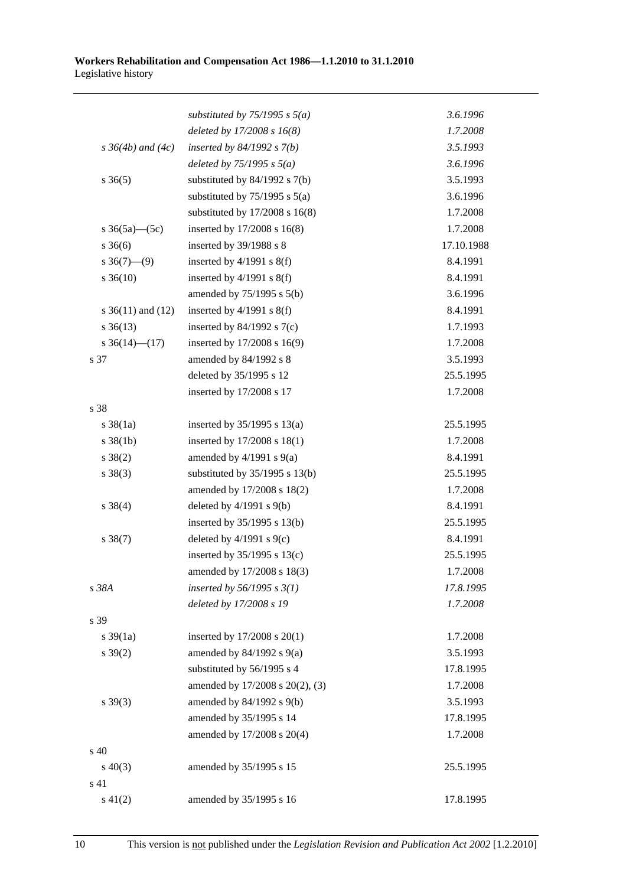|                          | substituted by $75/1995$ s $5(a)$  | 3.6.1996   |
|--------------------------|------------------------------------|------------|
|                          | deleted by $17/2008 s 16(8)$       | 1.7.2008   |
| $s \, 36(4b)$ and $(4c)$ | inserted by $84/1992 s 7(b)$       | 3.5.1993   |
|                          | deleted by $75/1995$ s $5(a)$      | 3.6.1996   |
| $s \; 36(5)$             | substituted by $84/1992$ s $7(b)$  | 3.5.1993   |
|                          | substituted by $75/1995$ s $5(a)$  | 3.6.1996   |
|                          | substituted by $17/2008$ s $16(8)$ | 1.7.2008   |
| s $36(5a)$ (5c)          | inserted by 17/2008 s 16(8)        | 1.7.2008   |
| $s \; 36(6)$             | inserted by 39/1988 s 8            | 17.10.1988 |
| $s \ 36(7)$ —(9)         | inserted by $4/1991$ s $8(f)$      | 8.4.1991   |
| $s \, 36(10)$            | inserted by $4/1991$ s $8(f)$      | 8.4.1991   |
|                          | amended by 75/1995 s 5(b)          | 3.6.1996   |
| s $36(11)$ and $(12)$    | inserted by $4/1991$ s $8(f)$      | 8.4.1991   |
| $s \, 36(13)$            | inserted by $84/1992$ s $7(c)$     | 1.7.1993   |
| s $36(14)$ (17)          | inserted by 17/2008 s 16(9)        | 1.7.2008   |
| s 37                     | amended by 84/1992 s 8             | 3.5.1993   |
|                          | deleted by 35/1995 s 12            | 25.5.1995  |
|                          | inserted by 17/2008 s 17           | 1.7.2008   |
| s 38                     |                                    |            |
| $s \, 38(1a)$            | inserted by $35/1995$ s $13(a)$    | 25.5.1995  |
| $s \, 38(1b)$            | inserted by 17/2008 s 18(1)        | 1.7.2008   |
| $s \ 38(2)$              | amended by $4/1991$ s $9(a)$       | 8.4.1991   |
| $s \ 38(3)$              | substituted by $35/1995$ s $13(b)$ | 25.5.1995  |
|                          | amended by 17/2008 s 18(2)         | 1.7.2008   |
| $s \ 38(4)$              | deleted by $4/1991$ s $9(b)$       | 8.4.1991   |
|                          | inserted by 35/1995 s 13(b)        | 25.5.1995  |
| $s \ 38(7)$              | deleted by $4/1991$ s $9(c)$       | 8.4.1991   |
|                          | inserted by $35/1995$ s $13(c)$    | 25.5.1995  |
|                          | amended by 17/2008 s 18(3)         | 1.7.2008   |
| s 38A                    | inserted by $56/1995$ s $3(1)$     | 17.8.1995  |
|                          | deleted by 17/2008 s 19            | 1.7.2008   |
| s 39                     |                                    |            |
| $s \frac{39}{1a}$        | inserted by 17/2008 s 20(1)        | 1.7.2008   |
| $s \, 39(2)$             | amended by $84/1992$ s $9(a)$      | 3.5.1993   |
|                          | substituted by 56/1995 s 4         | 17.8.1995  |
|                          | amended by 17/2008 s 20(2), (3)    | 1.7.2008   |
| $s \; 39(3)$             | amended by 84/1992 s 9(b)          | 3.5.1993   |
|                          | amended by 35/1995 s 14            | 17.8.1995  |
|                          | amended by 17/2008 s 20(4)         | 1.7.2008   |
| s 40                     |                                    |            |
| $s\ 40(3)$               | amended by 35/1995 s 15            | 25.5.1995  |
| s 41                     |                                    |            |
| $s\ 41(2)$               | amended by 35/1995 s 16            | 17.8.1995  |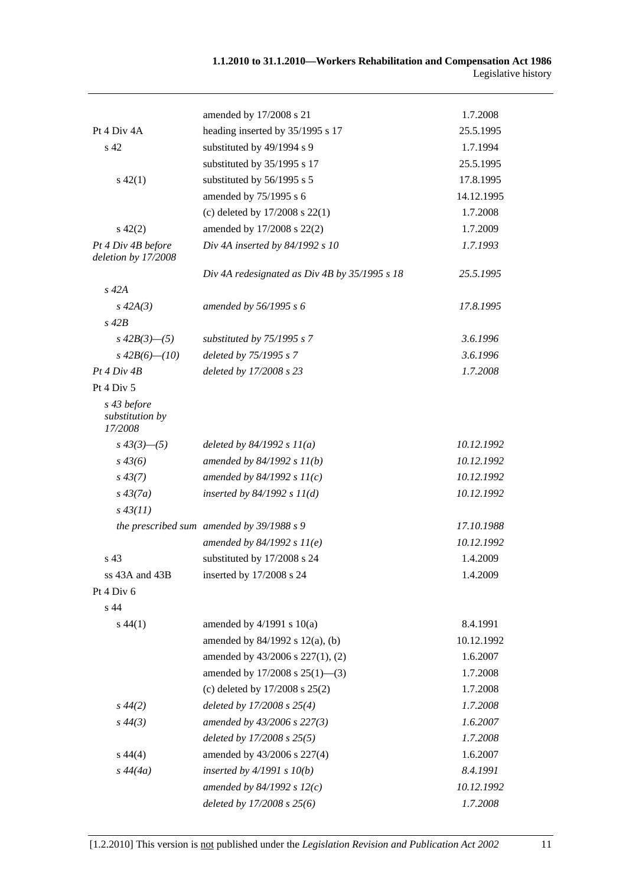|                                           | amended by 17/2008 s 21                       | 1.7.2008   |
|-------------------------------------------|-----------------------------------------------|------------|
| Pt 4 Div 4A                               | heading inserted by 35/1995 s 17              | 25.5.1995  |
| s 42                                      | substituted by 49/1994 s 9                    | 1.7.1994   |
|                                           | substituted by 35/1995 s 17                   | 25.5.1995  |
| $s\ 42(1)$                                | substituted by 56/1995 s 5                    | 17.8.1995  |
|                                           | amended by 75/1995 s 6                        | 14.12.1995 |
|                                           | (c) deleted by $17/2008$ s $22(1)$            | 1.7.2008   |
| $s\ 42(2)$                                | amended by 17/2008 s 22(2)                    | 1.7.2009   |
| Pt 4 Div 4B before<br>deletion by 17/2008 | Div 4A inserted by 84/1992 s 10               | 1.7.1993   |
|                                           | Div 4A redesignated as Div 4B by 35/1995 s 18 | 25.5.1995  |
| $s$ 42 $A$                                |                                               |            |
| $s\,42A(3)$                               | amended by 56/1995 s 6                        | 17.8.1995  |
| $s$ 42 $B$                                |                                               |            |
| $s\,42B(3)$ —(5)                          | substituted by 75/1995 s 7                    | 3.6.1996   |
| $s\,42B(6)$ — $(10)$                      | deleted by 75/1995 s 7                        | 3.6.1996   |
| Pt 4 Div 4B                               | deleted by 17/2008 s 23                       | 1.7.2008   |
| Pt 4 Div 5                                |                                               |            |
| s 43 before<br>substitution by<br>17/2008 |                                               |            |
| $s\,43(3)$ —(5)                           | deleted by $84/1992 s 11(a)$                  | 10.12.1992 |
| $s\,43(6)$                                | amended by $84/1992 s 11(b)$                  | 10.12.1992 |
| $s\,43(7)$                                | amended by $84/1992 s 11(c)$                  | 10.12.1992 |
| $s\,43(7a)$                               | inserted by $84/1992 s 11(d)$                 | 10.12.1992 |
| $s\,43(11)$                               |                                               |            |
|                                           | the prescribed sum amended by 39/1988 s 9     | 17.10.1988 |
|                                           | amended by $84/1992 s 11(e)$                  | 10.12.1992 |
| s 43                                      | substituted by 17/2008 s 24                   | 1.4.2009   |
| ss 43A and 43B                            | inserted by 17/2008 s 24                      | 1.4.2009   |
| Pt 4 Div 6                                |                                               |            |
| s 44                                      |                                               |            |
| $s\,44(1)$                                | amended by $4/1991$ s $10(a)$                 | 8.4.1991   |
|                                           | amended by 84/1992 s 12(a), (b)               | 10.12.1992 |
|                                           | amended by 43/2006 s 227(1), (2)              | 1.6.2007   |
|                                           | amended by 17/2008 s 25(1)-(3)                | 1.7.2008   |
|                                           | (c) deleted by $17/2008$ s $25(2)$            | 1.7.2008   |
| $s\,44(2)$                                | deleted by $17/2008$ s $25(4)$                | 1.7.2008   |
| $s\,44(3)$                                | amended by 43/2006 s 227(3)                   | 1.6.2007   |
|                                           | deleted by $17/2008$ s $25(5)$                | 1.7.2008   |
| $s\,44(4)$                                | amended by 43/2006 s 227(4)                   | 1.6.2007   |
| $s\,44(4a)$                               | inserted by $4/1991 s 10(b)$                  | 8.4.1991   |
|                                           | amended by 84/1992 s $12(c)$                  | 10.12.1992 |
|                                           | deleted by 17/2008 s 25(6)                    | 1.7.2008   |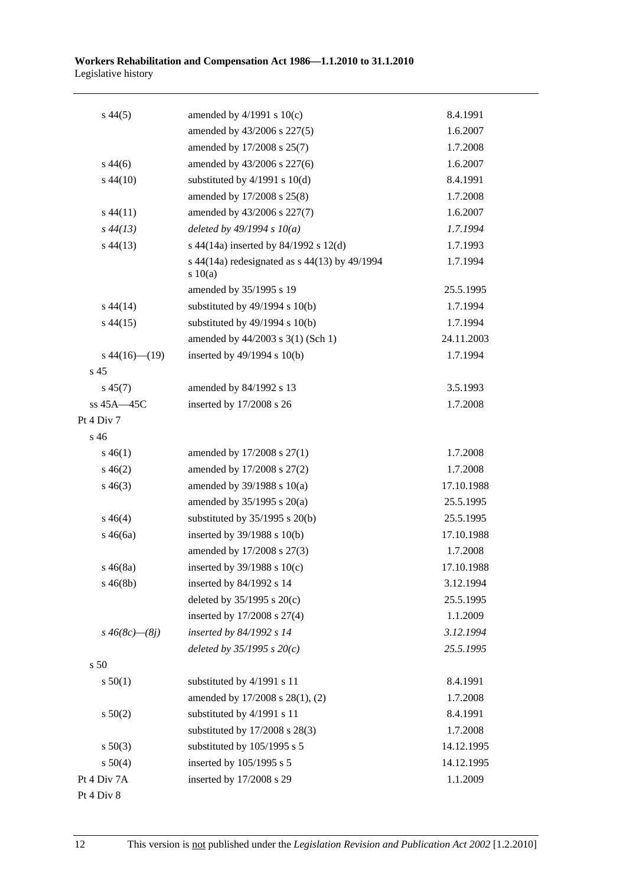| $s\,44(5)$           | amended by $4/1991$ s $10(c)$                          | 8.4.1991   |
|----------------------|--------------------------------------------------------|------------|
|                      | amended by 43/2006 s 227(5)                            | 1.6.2007   |
|                      | amended by 17/2008 s 25(7)                             | 1.7.2008   |
| $s\,44(6)$           | amended by 43/2006 s 227(6)                            | 1.6.2007   |
| $s\,44(10)$          | substituted by $4/1991$ s $10(d)$                      | 8.4.1991   |
|                      | amended by 17/2008 s 25(8)                             | 1.7.2008   |
| $s\,44(11)$          | amended by 43/2006 s 227(7)                            | 1.6.2007   |
| $s\,44(13)$          | deleted by $49/1994 s 10(a)$                           | 1.7.1994   |
| $s\,44(13)$          | s 44(14a) inserted by 84/1992 s 12(d)                  | 1.7.1993   |
|                      | s 44(14a) redesignated as s 44(13) by 49/1994<br>10(a) | 1.7.1994   |
|                      | amended by 35/1995 s 19                                | 25.5.1995  |
| $s\,44(14)$          | substituted by $49/1994$ s $10(b)$                     | 1.7.1994   |
| $s\,44(15)$          | substituted by $49/1994$ s $10(b)$                     | 1.7.1994   |
|                      | amended by 44/2003 s 3(1) (Sch 1)                      | 24.11.2003 |
| $s\,44(16)$ (19)     | inserted by 49/1994 s 10(b)                            | 1.7.1994   |
| s 45                 |                                                        |            |
| $s\,45(7)$           | amended by 84/1992 s 13                                | 3.5.1993   |
| ss 45A-45C           | inserted by 17/2008 s 26                               | 1.7.2008   |
| Pt 4 Div 7           |                                                        |            |
| $s\,46$              |                                                        |            |
| $s\,46(1)$           | amended by 17/2008 s 27(1)                             | 1.7.2008   |
| $s\,46(2)$           | amended by 17/2008 s 27(2)                             | 1.7.2008   |
| $s\,46(3)$           | amended by 39/1988 s 10(a)                             | 17.10.1988 |
|                      | amended by $35/1995$ s $20(a)$                         | 25.5.1995  |
| $s\,46(4)$           | substituted by $35/1995$ s $20(b)$                     | 25.5.1995  |
| $s\,46(6a)$          | inserted by $39/1988$ s $10(b)$                        | 17.10.1988 |
|                      | amended by 17/2008 s 27(3)                             | 1.7.2008   |
| $s\,46(8a)$          | inserted by $39/1988$ s $10(c)$                        | 17.10.1988 |
| $s\,46(8b)$          | inserted by 84/1992 s 14                               | 3.12.1994  |
|                      | deleted by $35/1995$ s $20(c)$                         | 25.5.1995  |
|                      | inserted by 17/2008 s 27(4)                            | 1.1.2009   |
| $s\,46(8c)$ — $(8j)$ | inserted by 84/1992 s 14                               | 3.12.1994  |
|                      | deleted by $35/1995 s 20(c)$                           | 25.5.1995  |
| s 50                 |                                                        |            |
| s 50(1)              | substituted by 4/1991 s 11                             | 8.4.1991   |
|                      | amended by 17/2008 s 28(1), (2)                        | 1.7.2008   |
| s 50(2)              | substituted by 4/1991 s 11                             | 8.4.1991   |
|                      | substituted by 17/2008 s 28(3)                         | 1.7.2008   |
| $s\ 50(3)$           | substituted by 105/1995 s 5                            | 14.12.1995 |
| s 50(4)              | inserted by 105/1995 s 5                               | 14.12.1995 |
| Pt 4 Div 7A          | inserted by 17/2008 s 29                               | 1.1.2009   |
| Pt 4 Div 8           |                                                        |            |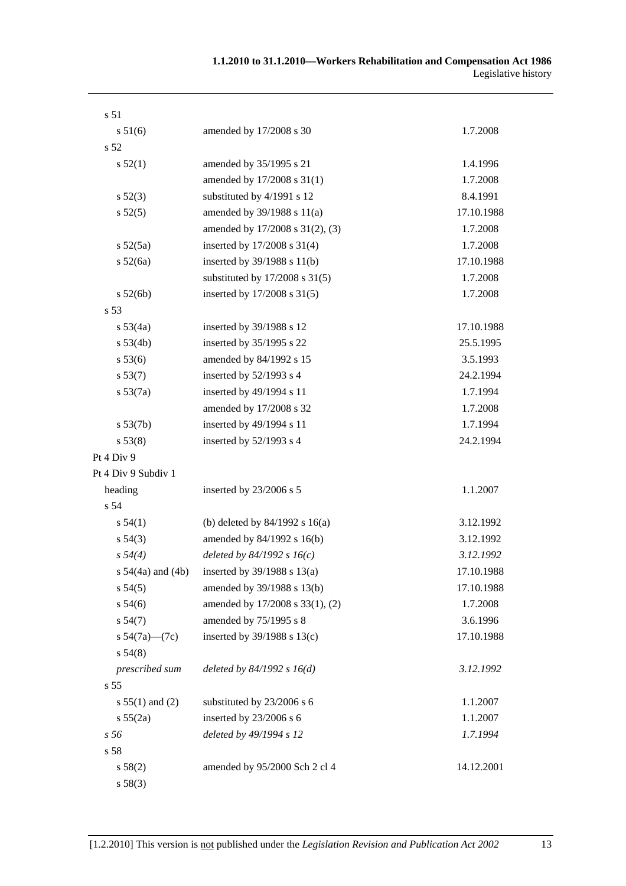| s 51                  |                                    |            |
|-----------------------|------------------------------------|------------|
| s 51(6)               | amended by 17/2008 s 30            | 1.7.2008   |
| s 52                  |                                    |            |
| s 52(1)               | amended by 35/1995 s 21            | 1.4.1996   |
|                       | amended by 17/2008 s 31(1)         | 1.7.2008   |
| s 52(3)               | substituted by 4/1991 s 12         | 8.4.1991   |
| s 52(5)               | amended by 39/1988 s 11(a)         | 17.10.1988 |
|                       | amended by 17/2008 s 31(2), (3)    | 1.7.2008   |
| s 52(5a)              | inserted by 17/2008 s 31(4)        | 1.7.2008   |
| s 52(6a)              | inserted by 39/1988 s 11(b)        | 17.10.1988 |
|                       | substituted by $17/2008$ s $31(5)$ | 1.7.2008   |
| s 52(6b)              | inserted by 17/2008 s 31(5)        | 1.7.2008   |
| s 53                  |                                    |            |
| s 53(4a)              | inserted by 39/1988 s 12           | 17.10.1988 |
| s 53(4b)              | inserted by 35/1995 s 22           | 25.5.1995  |
| s 53(6)               | amended by 84/1992 s 15            | 3.5.1993   |
| s 53(7)               | inserted by $52/1993$ s 4          | 24.2.1994  |
| $s\,53(7a)$           | inserted by 49/1994 s 11           | 1.7.1994   |
|                       | amended by 17/2008 s 32            | 1.7.2008   |
| s 53(7b)              | inserted by 49/1994 s 11           | 1.7.1994   |
| s 53(8)               | inserted by $52/1993$ s 4          | 24.2.1994  |
| Pt 4 Div 9            |                                    |            |
| Pt 4 Div 9 Subdiv 1   |                                    |            |
| heading               | inserted by 23/2006 s 5            | 1.1.2007   |
| s 54                  |                                    |            |
| s 54(1)               | (b) deleted by $84/1992$ s $16(a)$ | 3.12.1992  |
| $s\,54(3)$            | amended by 84/1992 s 16(b)         | 3.12.1992  |
| $s\,54(4)$            | deleted by $84/1992 s 16(c)$       | 3.12.1992  |
| s $54(4a)$ and $(4b)$ | inserted by $39/1988$ s $13(a)$    | 17.10.1988 |
| s 54(5)               | amended by 39/1988 s 13(b)         | 17.10.1988 |
| s 54(6)               | amended by 17/2008 s 33(1), (2)    | 1.7.2008   |
| s 54(7)               | amended by 75/1995 s 8             | 3.6.1996   |
| s $54(7a)$ — $(7c)$   | inserted by $39/1988$ s $13(c)$    | 17.10.1988 |
| s 54(8)               |                                    |            |
| prescribed sum        | deleted by $84/1992 s 16(d)$       | 3.12.1992  |
| s <sub>55</sub>       |                                    |            |
| $s 55(1)$ and (2)     | substituted by 23/2006 s 6         | 1.1.2007   |
| s 55(2a)              | inserted by 23/2006 s 6            | 1.1.2007   |
| s 56                  | deleted by 49/1994 s 12            | 1.7.1994   |
| s 58                  |                                    |            |
| s 58(2)               | amended by 95/2000 Sch 2 cl 4      | 14.12.2001 |
| s 58(3)               |                                    |            |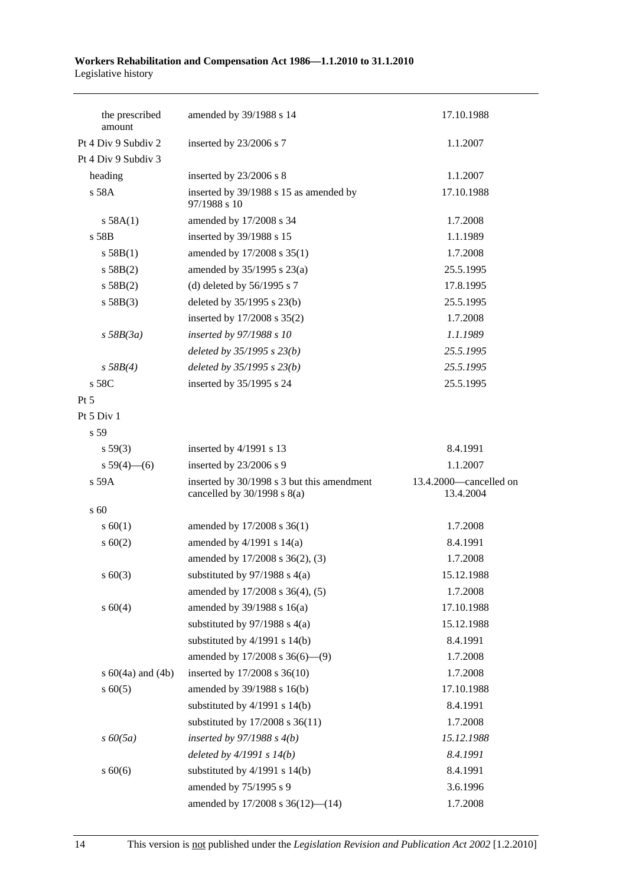| the prescribed<br>amount | amended by 39/1988 s 14                                                       | 17.10.1988                          |
|--------------------------|-------------------------------------------------------------------------------|-------------------------------------|
| Pt 4 Div 9 Subdiv 2      | inserted by 23/2006 s 7                                                       | 1.1.2007                            |
| Pt 4 Div 9 Subdiv 3      |                                                                               |                                     |
| heading                  | inserted by 23/2006 s 8                                                       | 1.1.2007                            |
| s 58A                    | inserted by 39/1988 s 15 as amended by<br>97/1988 s 10                        | 17.10.1988                          |
| s 58A(1)                 | amended by 17/2008 s 34                                                       | 1.7.2008                            |
| s 58B                    | inserted by 39/1988 s 15                                                      | 1.1.1989                            |
| s 58B(1)                 | amended by 17/2008 s 35(1)                                                    | 1.7.2008                            |
| s 58B(2)                 | amended by $35/1995$ s $23(a)$                                                | 25.5.1995                           |
| s 58B(2)                 | (d) deleted by $56/1995$ s 7                                                  | 17.8.1995                           |
| s 58B(3)                 | deleted by 35/1995 s 23(b)                                                    | 25.5.1995                           |
|                          | inserted by 17/2008 s 35(2)                                                   | 1.7.2008                            |
| $s$ 58B(3a)              | inserted by 97/1988 s 10                                                      | 1.1.1989                            |
|                          | deleted by $35/1995$ s $23(b)$                                                | 25.5.1995                           |
| s 58B(4)                 | deleted by 35/1995 s 23(b)                                                    | 25.5.1995                           |
| s 58C                    | inserted by 35/1995 s 24                                                      | 25.5.1995                           |
| Pt 5                     |                                                                               |                                     |
| Pt 5 Div 1               |                                                                               |                                     |
| s 59                     |                                                                               |                                     |
| s 59(3)                  | inserted by 4/1991 s 13                                                       | 8.4.1991                            |
| s $59(4)$ (6)            | inserted by 23/2006 s 9                                                       | 1.1.2007                            |
| s 59A                    | inserted by 30/1998 s 3 but this amendment<br>cancelled by $30/1998$ s $8(a)$ | 13.4.2000-cancelled on<br>13.4.2004 |
| s 60                     |                                                                               |                                     |
| s 60(1)                  | amended by 17/2008 s 36(1)                                                    | 1.7.2008                            |
| $s \ 60(2)$              | amended by $4/1991$ s $14(a)$                                                 | 8.4.1991                            |
|                          | amended by 17/2008 s 36(2), (3)                                               | 1.7.2008                            |
| $s \ 60(3)$              | substituted by $97/1988$ s $4(a)$                                             | 15.12.1988                          |
|                          | amended by 17/2008 s 36(4), (5)                                               | 1.7.2008                            |
| s 60(4)                  | amended by 39/1988 s 16(a)                                                    | 17.10.1988                          |
|                          | substituted by $97/1988$ s 4(a)                                               | 15.12.1988                          |
|                          | substituted by $4/1991$ s $14(b)$                                             | 8.4.1991                            |
|                          | amended by $17/2008$ s $36(6)$ — $(9)$                                        | 1.7.2008                            |
| s $60(4a)$ and $(4b)$    | inserted by 17/2008 s 36(10)                                                  | 1.7.2008                            |
| $s \ 60(5)$              | amended by 39/1988 s 16(b)                                                    | 17.10.1988                          |
|                          | substituted by $4/1991$ s $14(b)$                                             | 8.4.1991                            |
|                          | substituted by 17/2008 s 36(11)                                               | 1.7.2008                            |
| $s\,60(5a)$              | inserted by $97/1988$ s $4(b)$                                                | 15.12.1988                          |
|                          | deleted by $4/1991 s 14(b)$                                                   | 8.4.1991                            |
| $s\ 60(6)$               | substituted by $4/1991$ s $14(b)$                                             | 8.4.1991                            |
|                          | amended by 75/1995 s 9                                                        | 3.6.1996                            |
|                          | amended by 17/2008 s 36(12)-(14)                                              | 1.7.2008                            |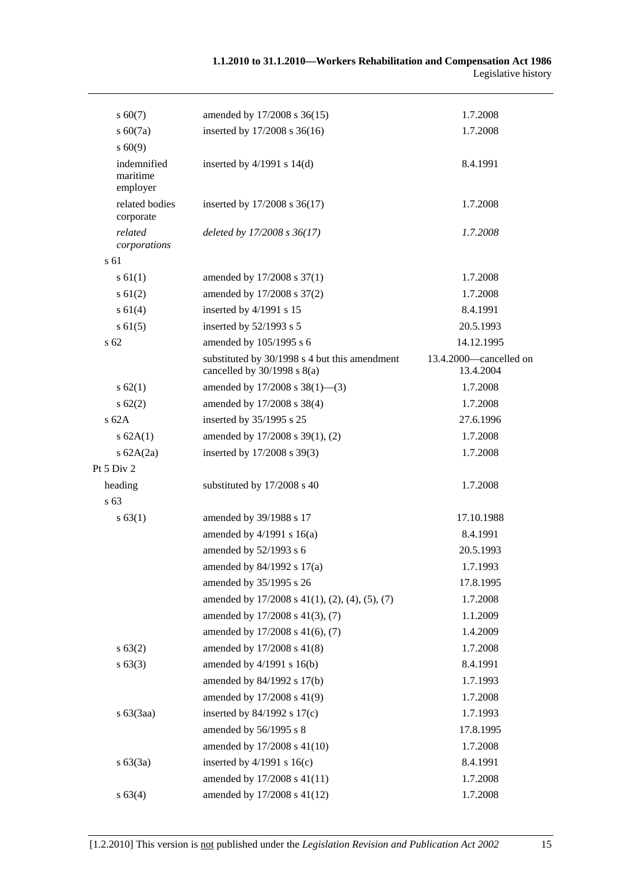| $s\ 60(7)$                          | amended by 17/2008 s 36(15)                                                      | 1.7.2008                            |
|-------------------------------------|----------------------------------------------------------------------------------|-------------------------------------|
| $s\ 60(7a)$                         | inserted by 17/2008 s 36(16)                                                     | 1.7.2008                            |
| $s\ 60(9)$                          |                                                                                  |                                     |
| indemnified<br>maritime<br>employer | inserted by $4/1991$ s $14(d)$                                                   | 8.4.1991                            |
| related bodies<br>corporate         | inserted by 17/2008 s 36(17)                                                     | 1.7.2008                            |
| related<br>corporations             | deleted by 17/2008 s 36(17)                                                      | 1.7.2008                            |
| s 61                                |                                                                                  |                                     |
| $s \, 61(1)$                        | amended by 17/2008 s 37(1)                                                       | 1.7.2008                            |
| $s \ 61(2)$                         | amended by 17/2008 s 37(2)                                                       | 1.7.2008                            |
| s 61(4)                             | inserted by 4/1991 s 15                                                          | 8.4.1991                            |
| $s \, 61(5)$                        | inserted by 52/1993 s 5                                                          | 20.5.1993                           |
| s 62                                | amended by 105/1995 s 6                                                          | 14.12.1995                          |
|                                     | substituted by 30/1998 s 4 but this amendment<br>cancelled by $30/1998$ s $8(a)$ | 13.4.2000-cancelled on<br>13.4.2004 |
| s 62(1)                             | amended by 17/2008 s 38(1)-(3)                                                   | 1.7.2008                            |
| $s \, 62(2)$                        | amended by 17/2008 s 38(4)                                                       | 1.7.2008                            |
| $s$ 62A                             | inserted by 35/1995 s 25                                                         | 27.6.1996                           |
| s 62A(1)                            | amended by 17/2008 s 39(1), (2)                                                  | 1.7.2008                            |
| s $62A(2a)$                         | inserted by 17/2008 s 39(3)                                                      | 1.7.2008                            |
| Pt 5 Div 2                          |                                                                                  |                                     |
| heading                             | substituted by 17/2008 s 40                                                      | 1.7.2008                            |
| s 63                                |                                                                                  |                                     |
| s 63(1)                             | amended by 39/1988 s 17                                                          | 17.10.1988                          |
|                                     | amended by $4/1991$ s $16(a)$                                                    | 8.4.1991                            |
|                                     | amended by 52/1993 s 6                                                           | 20.5.1993                           |
|                                     | amended by 84/1992 s 17(a)                                                       | 1.7.1993                            |
|                                     | amended by 35/1995 s 26                                                          | 17.8.1995                           |
|                                     | amended by $17/2008$ s $41(1)$ , $(2)$ , $(4)$ , $(5)$ , $(7)$                   | 1.7.2008                            |
|                                     | amended by 17/2008 s 41(3), (7)                                                  | 1.1.2009                            |
|                                     | amended by 17/2008 s 41(6), (7)                                                  | 1.4.2009                            |
| s 63(2)                             | amended by 17/2008 s 41(8)                                                       | 1.7.2008                            |
| $s\,63(3)$                          | amended by 4/1991 s 16(b)                                                        | 8.4.1991                            |
|                                     | amended by 84/1992 s 17(b)                                                       | 1.7.1993                            |
|                                     | amended by 17/2008 s 41(9)                                                       | 1.7.2008                            |
| $s\ 63(3aa)$                        | inserted by 84/1992 s 17(c)                                                      | 1.7.1993                            |
|                                     | amended by 56/1995 s 8                                                           | 17.8.1995                           |
|                                     | amended by 17/2008 s 41(10)                                                      | 1.7.2008                            |
| s 63(3a)                            | inserted by $4/1991$ s $16(c)$                                                   | 8.4.1991                            |
|                                     | amended by 17/2008 s 41(11)                                                      | 1.7.2008                            |
| s 63(4)                             | amended by 17/2008 s 41(12)                                                      | 1.7.2008                            |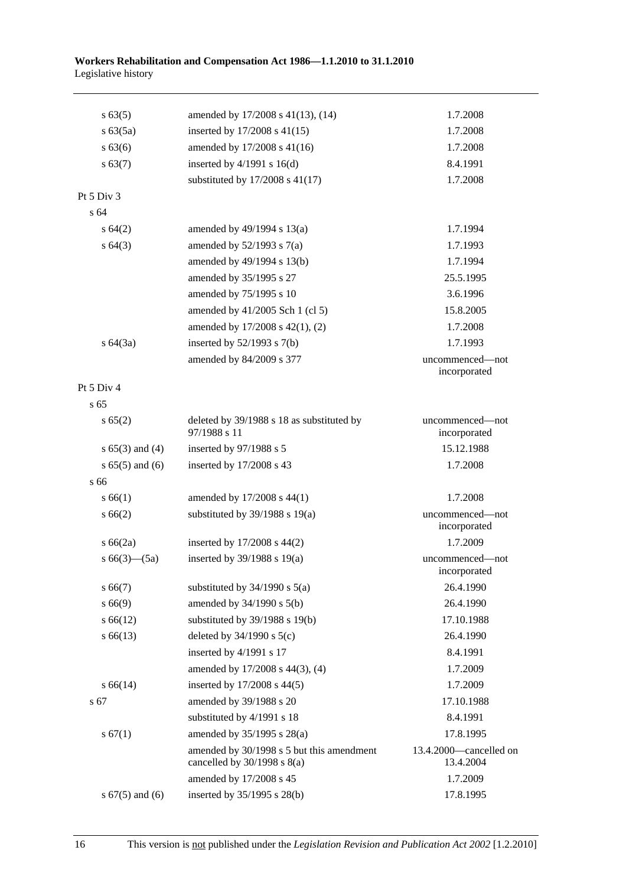| s 63(5)             | amended by 17/2008 s 41(13), (14)                                            | 1.7.2008                            |
|---------------------|------------------------------------------------------------------------------|-------------------------------------|
| s 63(5a)            | inserted by $17/2008$ s $41(15)$                                             | 1.7.2008                            |
| $s\,63(6)$          | amended by 17/2008 s 41(16)                                                  | 1.7.2008                            |
| s 63(7)             | inserted by $4/1991$ s $16(d)$                                               | 8.4.1991                            |
|                     | substituted by 17/2008 s 41(17)                                              | 1.7.2008                            |
| Pt 5 Div 3          |                                                                              |                                     |
| s 64                |                                                                              |                                     |
| $s \, 64(2)$        | amended by $49/1994$ s $13(a)$                                               | 1.7.1994                            |
| $s \, 64(3)$        | amended by $52/1993$ s $7(a)$                                                | 1.7.1993                            |
|                     | amended by 49/1994 s 13(b)                                                   | 1.7.1994                            |
|                     | amended by 35/1995 s 27                                                      | 25.5.1995                           |
|                     | amended by 75/1995 s 10                                                      | 3.6.1996                            |
|                     | amended by 41/2005 Sch 1 (cl 5)                                              | 15.8.2005                           |
|                     | amended by 17/2008 s 42(1), (2)                                              | 1.7.2008                            |
| s 64(3a)            | inserted by $52/1993$ s $7(b)$                                               | 1.7.1993                            |
|                     | amended by 84/2009 s 377                                                     | uncommenced—not<br>incorporated     |
| Pt 5 Div 4          |                                                                              |                                     |
| s 65                |                                                                              |                                     |
| s 65(2)             | deleted by 39/1988 s 18 as substituted by<br>97/1988 s 11                    | uncommenced—not<br>incorporated     |
| $s 65(3)$ and (4)   | inserted by 97/1988 s 5                                                      | 15.12.1988                          |
| $s 65(5)$ and (6)   | inserted by 17/2008 s 43                                                     | 1.7.2008                            |
| s 66                |                                                                              |                                     |
| s 66(1)             | amended by 17/2008 s 44(1)                                                   | 1.7.2008                            |
| s 66(2)             | substituted by $39/1988$ s $19(a)$                                           | uncommenced-not<br>incorporated     |
| s 66(2a)            | inserted by $17/2008$ s $44(2)$                                              | 1.7.2009                            |
| s $66(3)$ — $(5a)$  | inserted by $39/1988$ s $19(a)$                                              | uncommenced—not<br>incorporated     |
| $s\,66(7)$          | substituted by $34/1990$ s $5(a)$                                            | 26.4.1990                           |
| s 66(9)             | amended by 34/1990 s 5(b)                                                    | 26.4.1990                           |
| $s\,66(12)$         | substituted by $39/1988$ s $19(b)$                                           | 17.10.1988                          |
| $s\,66(13)$         | deleted by $34/1990$ s $5(c)$                                                | 26.4.1990                           |
|                     | inserted by 4/1991 s 17                                                      | 8.4.1991                            |
|                     | amended by 17/2008 s 44(3), (4)                                              | 1.7.2009                            |
| $s\,66(14)$         | inserted by $17/2008$ s $44(5)$                                              | 1.7.2009                            |
| s 67                | amended by 39/1988 s 20                                                      | 17.10.1988                          |
|                     | substituted by 4/1991 s 18                                                   | 8.4.1991                            |
| s 67(1)             | amended by 35/1995 s 28(a)                                                   | 17.8.1995                           |
|                     | amended by 30/1998 s 5 but this amendment<br>cancelled by $30/1998$ s $8(a)$ | 13.4.2000-cancelled on<br>13.4.2004 |
|                     | amended by 17/2008 s 45                                                      | 1.7.2009                            |
| s $67(5)$ and $(6)$ | inserted by $35/1995$ s $28(b)$                                              | 17.8.1995                           |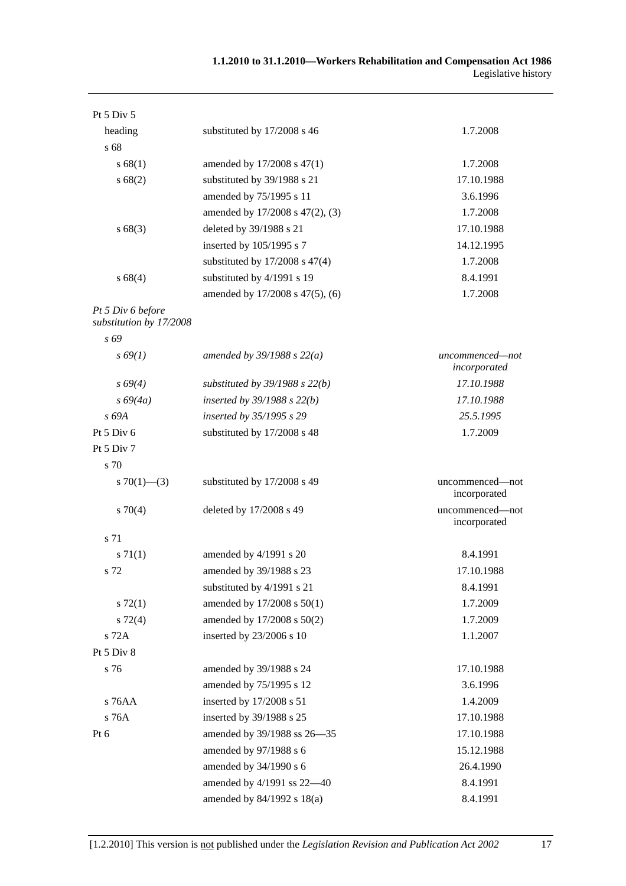| Pt 5 Div 5                                   |                                    |                                 |
|----------------------------------------------|------------------------------------|---------------------------------|
| heading                                      | substituted by 17/2008 s 46        | 1.7.2008                        |
| s 68                                         |                                    |                                 |
| s 68(1)                                      | amended by 17/2008 s 47(1)         | 1.7.2008                        |
| s 68(2)                                      | substituted by 39/1988 s 21        | 17.10.1988                      |
|                                              | amended by 75/1995 s 11            | 3.6.1996                        |
|                                              | amended by 17/2008 s 47(2), (3)    | 1.7.2008                        |
| s68(3)                                       | deleted by 39/1988 s 21            | 17.10.1988                      |
|                                              | inserted by 105/1995 s 7           | 14.12.1995                      |
|                                              | substituted by $17/2008$ s $47(4)$ | 1.7.2008                        |
| s68(4)                                       | substituted by 4/1991 s 19         | 8.4.1991                        |
|                                              | amended by 17/2008 s 47(5), (6)    | 1.7.2008                        |
| Pt 5 Div 6 before<br>substitution by 17/2008 |                                    |                                 |
| s 69                                         |                                    |                                 |
| $s\,69(1)$                                   | amended by $39/1988 s 22(a)$       | uncommenced-not<br>incorporated |
| $s\,69(4)$                                   | substituted by $39/1988$ s $22(b)$ | 17.10.1988                      |
| $s\,69(4a)$                                  | inserted by $39/1988$ s $22(b)$    | 17.10.1988                      |
| s 69A                                        | inserted by 35/1995 s 29           | 25.5.1995                       |
| Pt 5 Div 6                                   | substituted by 17/2008 s 48        | 1.7.2009                        |
| Pt 5 Div 7                                   |                                    |                                 |
| s 70                                         |                                    |                                 |
| s $70(1)$ — $(3)$                            | substituted by 17/2008 s 49        | uncommenced—not<br>incorporated |
| $s \, 70(4)$                                 | deleted by 17/2008 s 49            | uncommenced—not<br>incorporated |
| s 71                                         |                                    |                                 |
| $s \, 71(1)$                                 | amended by 4/1991 s 20             | 8.4.1991                        |
| s 72                                         | amended by 39/1988 s 23            | 17.10.1988                      |
|                                              | substituted by 4/1991 s 21         | 8.4.1991                        |
| $s \, 72(1)$                                 | amended by 17/2008 s 50(1)         | 1.7.2009                        |
| $s\,72(4)$                                   | amended by 17/2008 s 50(2)         | 1.7.2009                        |
| s 72A                                        | inserted by 23/2006 s 10           | 1.1.2007                        |
| Pt 5 Div 8                                   |                                    |                                 |
| s 76                                         | amended by 39/1988 s 24            | 17.10.1988                      |
|                                              | amended by 75/1995 s 12            | 3.6.1996                        |
| s 76AA                                       | inserted by 17/2008 s 51           | 1.4.2009                        |
| s 76A                                        | inserted by 39/1988 s 25           | 17.10.1988                      |
| Pt 6                                         | amended by 39/1988 ss 26-35        | 17.10.1988                      |
|                                              | amended by 97/1988 s 6             | 15.12.1988                      |
|                                              | amended by 34/1990 s 6             | 26.4.1990                       |
|                                              | amended by 4/1991 ss 22-40         | 8.4.1991                        |
|                                              | amended by 84/1992 s 18(a)         | 8.4.1991                        |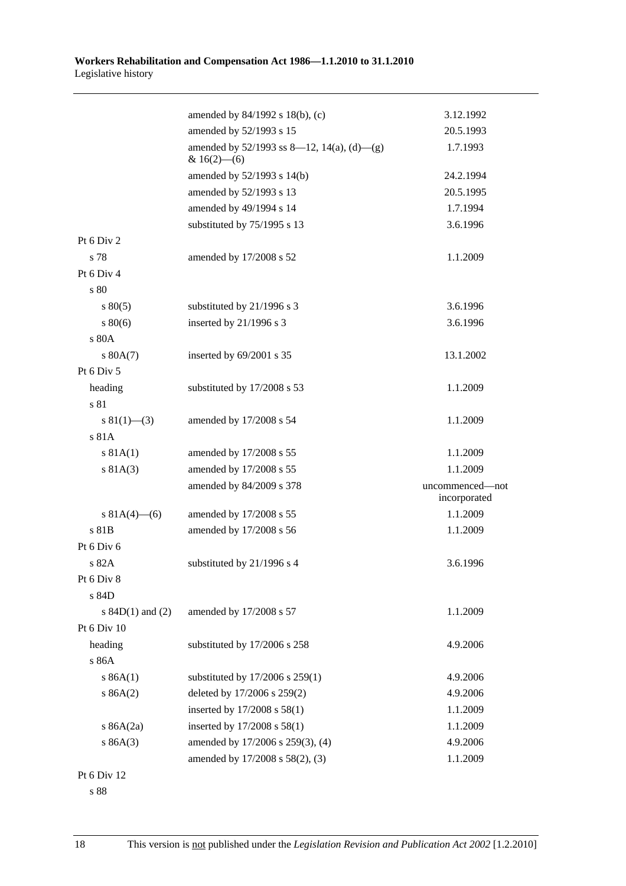|                      | amended by 84/1992 s 18(b), (c)                                 | 3.12.1992       |
|----------------------|-----------------------------------------------------------------|-----------------|
|                      | amended by 52/1993 s 15                                         | 20.5.1993       |
|                      | amended by $52/1993$ ss 8—12, 14(a), (d)—(g)<br>& $16(2)$ - (6) | 1.7.1993        |
|                      | amended by 52/1993 s 14(b)                                      | 24.2.1994       |
|                      | amended by 52/1993 s 13                                         | 20.5.1995       |
|                      | amended by 49/1994 s 14                                         | 1.7.1994        |
|                      | substituted by 75/1995 s 13                                     | 3.6.1996        |
| Pt 6 Div 2           |                                                                 |                 |
| s 78                 | amended by 17/2008 s 52                                         | 1.1.2009        |
| Pt 6 Div 4           |                                                                 |                 |
| s 80                 |                                                                 |                 |
| $s\,80(5)$           | substituted by 21/1996 s 3                                      | 3.6.1996        |
| $s\,80(6)$           | inserted by 21/1996 s 3                                         | 3.6.1996        |
| s 80A                |                                                                 |                 |
| s 80A(7)             | inserted by 69/2001 s 35                                        | 13.1.2002       |
| Pt 6 Div 5           |                                                                 |                 |
| heading              | substituted by 17/2008 s 53                                     | 1.1.2009        |
| s 81                 |                                                                 |                 |
| $s \ 81(1)$ (3)      | amended by 17/2008 s 54                                         | 1.1.2009        |
| s 81A                |                                                                 |                 |
| s 81A(1)             | amended by 17/2008 s 55                                         | 1.1.2009        |
| s 81A(3)             | amended by 17/2008 s 55                                         | 1.1.2009        |
|                      | amended by 84/2009 s 378                                        | uncommenced-not |
|                      |                                                                 | incorporated    |
| s $81A(4)$ – (6)     | amended by 17/2008 s 55                                         | 1.1.2009        |
| s 81B                | amended by 17/2008 s 56                                         | 1.1.2009        |
| Pt 6 Div 6           |                                                                 |                 |
| s 82A                | substituted by 21/1996 s 4                                      | 3.6.1996        |
| Pt 6 Div 8           |                                                                 |                 |
| s 84D                |                                                                 |                 |
| s $84D(1)$ and $(2)$ | amended by 17/2008 s 57                                         | 1.1.2009        |
| Pt 6 Div 10          |                                                                 |                 |
| heading              | substituted by 17/2006 s 258                                    | 4.9.2006        |
| s 86A                |                                                                 |                 |
| s 86A(1)             | substituted by 17/2006 s 259(1)                                 | 4.9.2006        |
| s 86A(2)             | deleted by 17/2006 s 259(2)                                     | 4.9.2006        |
|                      | inserted by 17/2008 s 58(1)                                     | 1.1.2009        |
| s $86A(2a)$          | inserted by 17/2008 s 58(1)                                     | 1.1.2009        |
| s 86A(3)             | amended by 17/2006 s 259(3), (4)                                | 4.9.2006        |
|                      | amended by 17/2008 s 58(2), (3)                                 | 1.1.2009        |
| Pt 6 Div 12          |                                                                 |                 |

s 88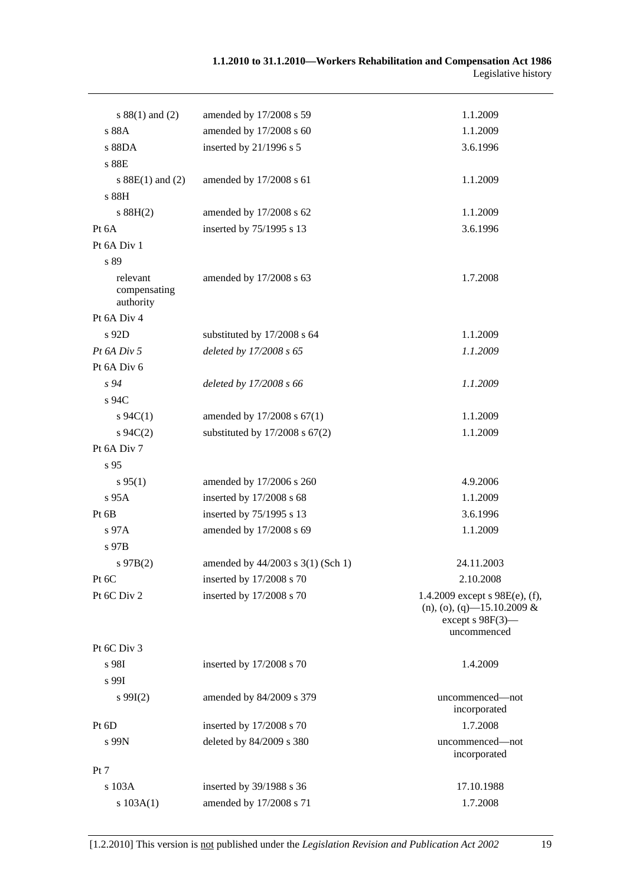| $s 88(1)$ and (2)                     | amended by 17/2008 s 59            | 1.1.2009                                                                                               |
|---------------------------------------|------------------------------------|--------------------------------------------------------------------------------------------------------|
| s 88A                                 | amended by 17/2008 s 60            | 1.1.2009                                                                                               |
| s 88DA                                | inserted by 21/1996 s 5            | 3.6.1996                                                                                               |
| s 88E                                 |                                    |                                                                                                        |
| s $88E(1)$ and (2)                    | amended by 17/2008 s 61            | 1.1.2009                                                                                               |
| s 88H                                 |                                    |                                                                                                        |
| s 88H(2)                              | amended by 17/2008 s 62            | 1.1.2009                                                                                               |
| Pt 6A                                 | inserted by 75/1995 s 13           | 3.6.1996                                                                                               |
| Pt 6A Div 1                           |                                    |                                                                                                        |
| s 89                                  |                                    |                                                                                                        |
| relevant<br>compensating<br>authority | amended by 17/2008 s 63            | 1.7.2008                                                                                               |
| Pt 6A Div 4                           |                                    |                                                                                                        |
| s 92D                                 | substituted by 17/2008 s 64        | 1.1.2009                                                                                               |
| Pt 6A Div 5                           | deleted by 17/2008 s 65            | 1.1.2009                                                                                               |
| Pt 6A Div 6                           |                                    |                                                                                                        |
| $s\,94$                               | deleted by 17/2008 s 66            | 1.1.2009                                                                                               |
| s 94C                                 |                                    |                                                                                                        |
| $s \, 94C(1)$                         | amended by 17/2008 s 67(1)         | 1.1.2009                                                                                               |
| $s \, 94C(2)$                         | substituted by $17/2008$ s $67(2)$ | 1.1.2009                                                                                               |
| Pt 6A Div 7                           |                                    |                                                                                                        |
| s 95                                  |                                    |                                                                                                        |
| $s\,95(1)$                            | amended by 17/2006 s 260           | 4.9.2006                                                                                               |
| s 95A                                 | inserted by 17/2008 s 68           | 1.1.2009                                                                                               |
| Pt 6B                                 | inserted by 75/1995 s 13           | 3.6.1996                                                                                               |
| $s\,97A$                              | amended by 17/2008 s 69            | 1.1.2009                                                                                               |
| s 97B                                 |                                    |                                                                                                        |
| $s\,97B(2)$                           | amended by 44/2003 s 3(1) (Sch 1)  | 24.11.2003                                                                                             |
| Pt 6C                                 | inserted by 17/2008 s 70           | 2.10.2008                                                                                              |
| Pt 6C Div 2                           | inserted by 17/2008 s 70           | 1.4.2009 except $s$ 98E(e), (f),<br>$(n), (o), (q)$ —15.10.2009 &<br>except $s$ 98F(3)–<br>uncommenced |
| Pt 6C Div 3                           |                                    |                                                                                                        |
| s 98I                                 | inserted by 17/2008 s 70           | 1.4.2009                                                                                               |
| s 99I                                 |                                    |                                                                                                        |
| $s\ 99I(2)$                           | amended by 84/2009 s 379           | uncommenced—not<br>incorporated                                                                        |
| Pt 6D                                 | inserted by 17/2008 s 70           | 1.7.2008                                                                                               |
| s 99N                                 | deleted by 84/2009 s 380           | uncommenced—not<br>incorporated                                                                        |
| Pt 7                                  |                                    |                                                                                                        |
| s 103A                                | inserted by 39/1988 s 36           | 17.10.1988                                                                                             |
| s 103A(1)                             | amended by 17/2008 s 71            | 1.7.2008                                                                                               |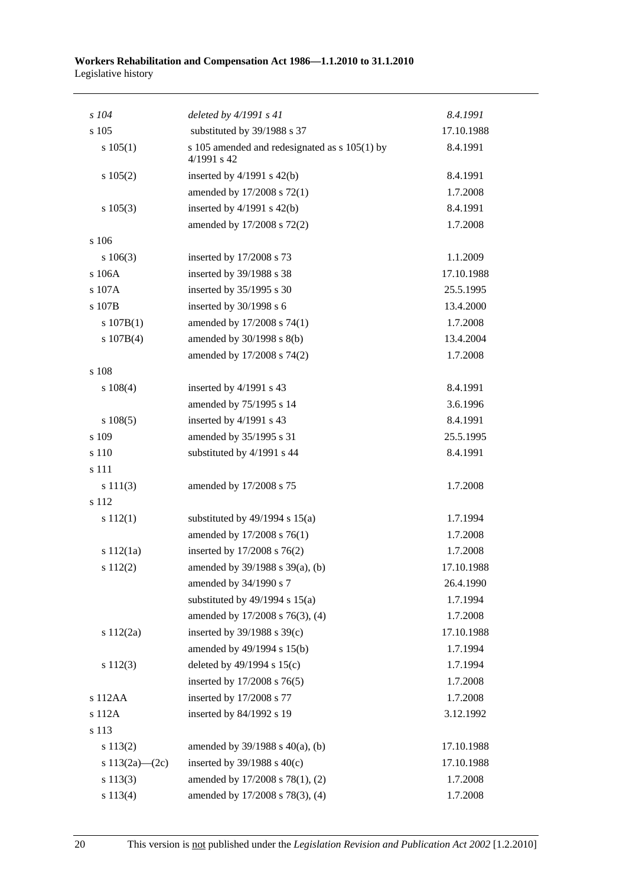| $s$ 104            | deleted by $4/1991 s 41$                                       | 8.4.1991   |
|--------------------|----------------------------------------------------------------|------------|
| s 105              | substituted by 39/1988 s 37                                    | 17.10.1988 |
| s 105(1)           | s 105 amended and redesignated as $s$ 105(1) by<br>4/1991 s 42 | 8.4.1991   |
| s 105(2)           | inserted by $4/1991$ s $42(b)$                                 | 8.4.1991   |
|                    | amended by 17/2008 s 72(1)                                     | 1.7.2008   |
| s 105(3)           | inserted by $4/1991$ s $42(b)$                                 | 8.4.1991   |
|                    | amended by 17/2008 s 72(2)                                     | 1.7.2008   |
| s 106              |                                                                |            |
| 106(3)             | inserted by 17/2008 s 73                                       | 1.1.2009   |
| s 106A             | inserted by 39/1988 s 38                                       | 17.10.1988 |
| s 107A             | inserted by 35/1995 s 30                                       | 25.5.1995  |
| s 107B             | inserted by 30/1998 s 6                                        | 13.4.2000  |
| s 107B(1)          | amended by 17/2008 s 74(1)                                     | 1.7.2008   |
| s 107B(4)          | amended by 30/1998 s 8(b)                                      | 13.4.2004  |
|                    | amended by 17/2008 s 74(2)                                     | 1.7.2008   |
| s 108              |                                                                |            |
| $s\ 108(4)$        | inserted by 4/1991 s 43                                        | 8.4.1991   |
|                    | amended by 75/1995 s 14                                        | 3.6.1996   |
| $s\ 108(5)$        | inserted by 4/1991 s 43                                        | 8.4.1991   |
| s 109              | amended by 35/1995 s 31                                        | 25.5.1995  |
| s 110              | substituted by 4/1991 s 44                                     | 8.4.1991   |
| s 111              |                                                                |            |
| s 111(3)           | amended by 17/2008 s 75                                        | 1.7.2008   |
| s 112              |                                                                |            |
| s 112(1)           | substituted by $49/1994$ s $15(a)$                             | 1.7.1994   |
|                    | amended by 17/2008 s 76(1)                                     | 1.7.2008   |
| s 112(1a)          | inserted by 17/2008 s 76(2)                                    | 1.7.2008   |
| s 112(2)           | amended by 39/1988 s 39(a), (b)                                | 17.10.1988 |
|                    | amended by 34/1990 s 7                                         | 26.4.1990  |
|                    | substituted by $49/1994$ s $15(a)$                             | 1.7.1994   |
|                    | amended by 17/2008 s 76(3), (4)                                | 1.7.2008   |
| s 112(2a)          | inserted by 39/1988 s 39(c)                                    | 17.10.1988 |
|                    | amended by 49/1994 s 15(b)                                     | 1.7.1994   |
| s 112(3)           | deleted by $49/1994$ s $15(c)$                                 | 1.7.1994   |
|                    | inserted by 17/2008 s 76(5)                                    | 1.7.2008   |
| s 112AA            | inserted by 17/2008 s 77                                       | 1.7.2008   |
| s 112A             | inserted by 84/1992 s 19                                       | 3.12.1992  |
| s 113              |                                                                |            |
| s 113(2)           | amended by $39/1988$ s $40(a)$ , (b)                           | 17.10.1988 |
| s $113(2a) - (2c)$ | inserted by $39/1988$ s $40(c)$                                | 17.10.1988 |
| s 113(3)           | amended by 17/2008 s 78(1), (2)                                | 1.7.2008   |
| s 113(4)           | amended by 17/2008 s 78(3), (4)                                | 1.7.2008   |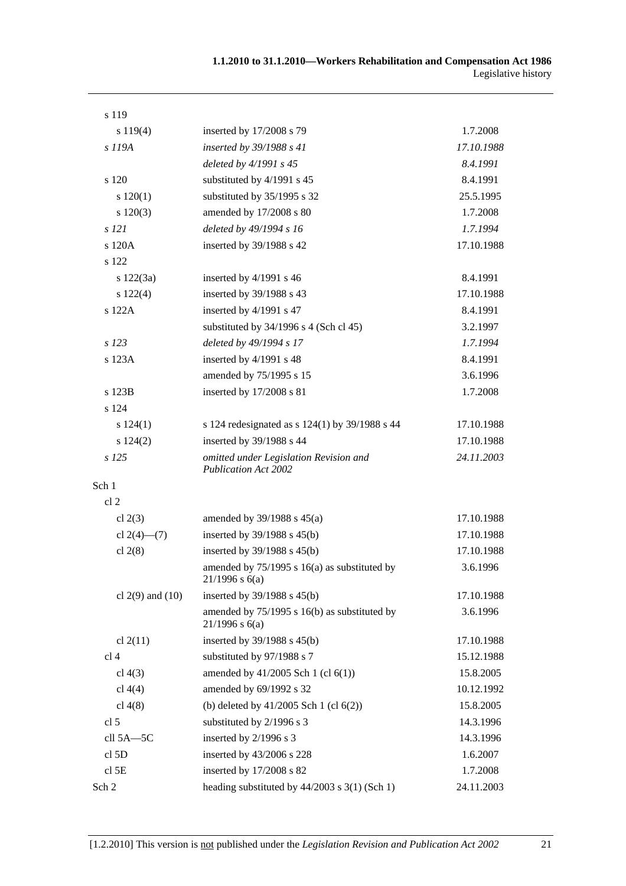| s 119                |                                                                       |            |
|----------------------|-----------------------------------------------------------------------|------------|
| s 119(4)             | inserted by 17/2008 s 79                                              | 1.7.2008   |
| s 119A               | inserted by 39/1988 s 41                                              | 17.10.1988 |
|                      | deleted by 4/1991 s 45                                                | 8.4.1991   |
| s 120                | substituted by 4/1991 s 45                                            | 8.4.1991   |
| s 120(1)             | substituted by 35/1995 s 32                                           | 25.5.1995  |
| $s\ 120(3)$          | amended by 17/2008 s 80                                               | 1.7.2008   |
| s 121                | deleted by 49/1994 s 16                                               | 1.7.1994   |
| s 120A               | inserted by 39/1988 s 42                                              | 17.10.1988 |
| s 122                |                                                                       |            |
| $s\ 122(3a)$         | inserted by $4/1991$ s 46                                             | 8.4.1991   |
| s 122(4)             | inserted by 39/1988 s 43                                              | 17.10.1988 |
| s 122A               | inserted by 4/1991 s 47                                               | 8.4.1991   |
|                      | substituted by $34/1996$ s 4 (Sch cl 45)                              | 3.2.1997   |
| $s$ 123              | deleted by 49/1994 s 17                                               | 1.7.1994   |
| s 123A               | inserted by 4/1991 s 48                                               | 8.4.1991   |
|                      | amended by 75/1995 s 15                                               | 3.6.1996   |
| s 123B               | inserted by 17/2008 s 81                                              | 1.7.2008   |
| s 124                |                                                                       |            |
| s 124(1)             | s 124 redesignated as s 124(1) by 39/1988 s 44                        | 17.10.1988 |
| s 124(2)             | inserted by 39/1988 s 44                                              | 17.10.1988 |
| s 125                | omitted under Legislation Revision and<br><b>Publication Act 2002</b> | 24.11.2003 |
| Sch 1                |                                                                       |            |
| cl <sub>2</sub>      |                                                                       |            |
| cl $2(3)$            | amended by $39/1988$ s $45(a)$                                        | 17.10.1988 |
| cl $2(4)$ — $(7)$    | inserted by 39/1988 s 45(b)                                           | 17.10.1988 |
| cl $2(8)$            | inserted by $39/1988$ s $45(b)$                                       | 17.10.1988 |
|                      | amended by 75/1995 s 16(a) as substituted by<br>$21/1996$ s 6(a)      | 3.6.1996   |
| cl $2(9)$ and $(10)$ | inserted by $39/1988$ s $45(b)$                                       | 17.10.1988 |
|                      | amended by 75/1995 s 16(b) as substituted by<br>$21/1996$ s $6(a)$    | 3.6.1996   |
| cl $2(11)$           | inserted by 39/1988 s 45(b)                                           | 17.10.1988 |
| cl <sub>4</sub>      | substituted by 97/1988 s 7                                            | 15.12.1988 |
| cl $4(3)$            | amended by 41/2005 Sch 1 (cl 6(1))                                    | 15.8.2005  |
| cl $4(4)$            | amended by 69/1992 s 32                                               | 10.12.1992 |
| cl $4(8)$            | (b) deleted by $41/2005$ Sch 1 (cl $6(2)$ )                           | 15.8.2005  |
| cl 5                 | substituted by 2/1996 s 3                                             | 14.3.1996  |
| cll 5A-5C            | inserted by 2/1996 s 3                                                | 14.3.1996  |
| cl <sub>5D</sub>     | inserted by 43/2006 s 228                                             | 1.6.2007   |
| cl <sub>5E</sub>     | inserted by 17/2008 s 82                                              | 1.7.2008   |
| Sch 2                | heading substituted by $44/2003$ s $3(1)$ (Sch 1)                     | 24.11.2003 |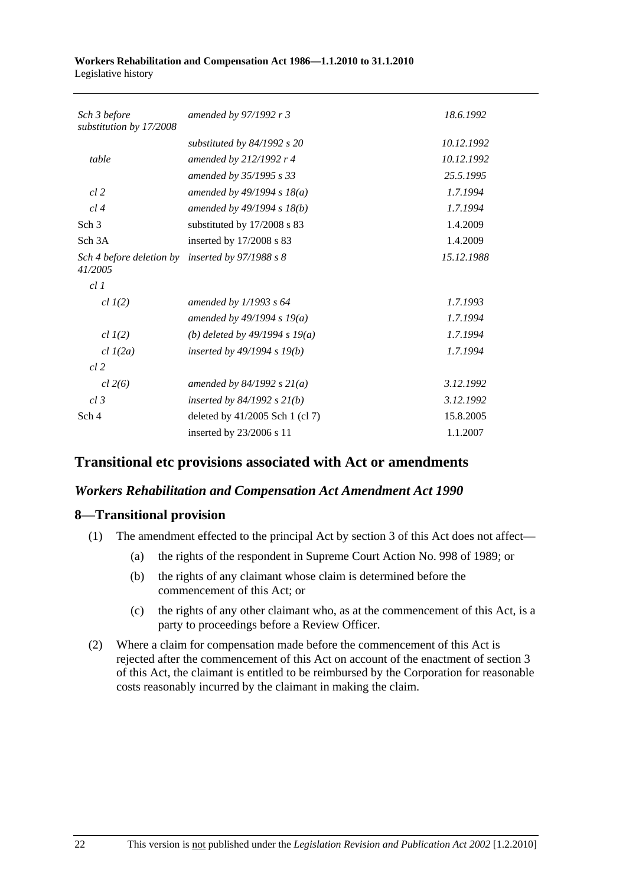| Sch 3 before<br>substitution by 17/2008 | amended by 97/1992 r 3           | 18.6.1992  |
|-----------------------------------------|----------------------------------|------------|
|                                         | substituted by $84/1992$ s 20    | 10.12.1992 |
| table                                   | amended by 212/1992 r 4          | 10.12.1992 |
|                                         | amended by 35/1995 s 33          | 25.5.1995  |
| $cl$ 2                                  | amended by 49/1994 s $18(a)$     | 1.7.1994   |
| cl4                                     | amended by $49/1994 s 18(b)$     | 1.7.1994   |
| Sch <sub>3</sub>                        | substituted by 17/2008 s 83      | 1.4.2009   |
| Sch 3A                                  | inserted by 17/2008 s 83         | 1.4.2009   |
| Sch 4 before deletion by<br>41/2005     | inserted by $97/1988 s 8$        | 15.12.1988 |
| cl.1                                    |                                  |            |
| $cl$ $I(2)$                             | amended by 1/1993 s 64           | 1.7.1993   |
|                                         | amended by 49/1994 s 19(a)       | 1.7.1994   |
| $cl$ $I(2)$                             | (b) deleted by $49/1994 s 19(a)$ | 1.7.1994   |
| $cl$ $I(2a)$                            | inserted by $49/1994 s 19(b)$    | 1.7.1994   |
| cl.2                                    |                                  |            |
| cl 2(6)                                 | amended by $84/1992 s 21(a)$     | 3.12.1992  |
| cl.3                                    | inserted by $84/1992$ s $21(b)$  | 3.12.1992  |
| Sch 4                                   | deleted by 41/2005 Sch 1 (cl 7)  | 15.8.2005  |
|                                         | inserted by 23/2006 s 11         | 1.1.2007   |

# **Transitional etc provisions associated with Act or amendments**

# *Workers Rehabilitation and Compensation Act Amendment Act 1990*

# **8—Transitional provision**

- (1) The amendment effected to the principal Act by section 3 of this Act does not affect—
	- (a) the rights of the respondent in Supreme Court Action No. 998 of 1989; or
	- (b) the rights of any claimant whose claim is determined before the commencement of this Act; or
	- (c) the rights of any other claimant who, as at the commencement of this Act, is a party to proceedings before a Review Officer.
- (2) Where a claim for compensation made before the commencement of this Act is rejected after the commencement of this Act on account of the enactment of section 3 of this Act, the claimant is entitled to be reimbursed by the Corporation for reasonable costs reasonably incurred by the claimant in making the claim.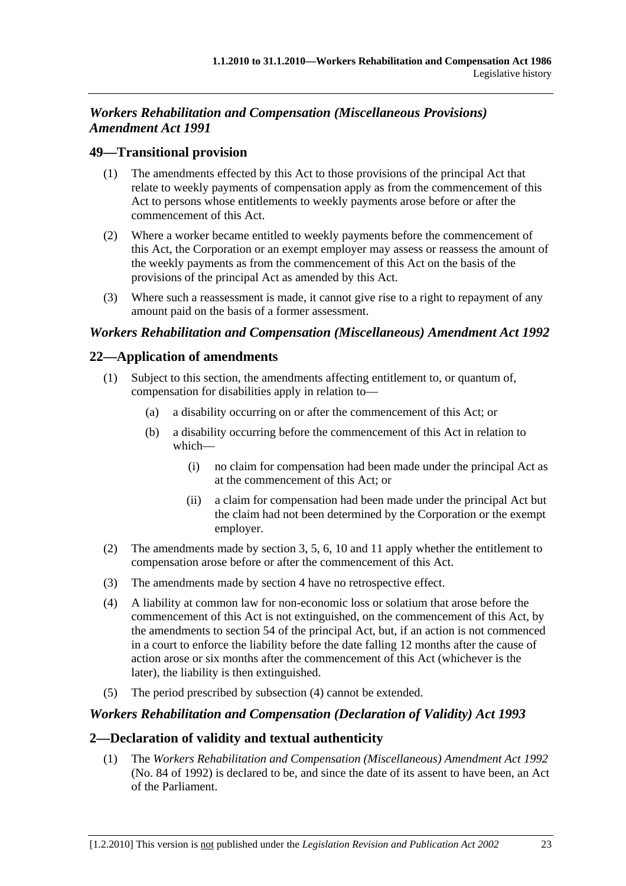# *Workers Rehabilitation and Compensation (Miscellaneous Provisions) Amendment Act 1991*

# **49—Transitional provision**

- (1) The amendments effected by this Act to those provisions of the principal Act that relate to weekly payments of compensation apply as from the commencement of this Act to persons whose entitlements to weekly payments arose before or after the commencement of this Act.
- (2) Where a worker became entitled to weekly payments before the commencement of this Act, the Corporation or an exempt employer may assess or reassess the amount of the weekly payments as from the commencement of this Act on the basis of the provisions of the principal Act as amended by this Act.
- (3) Where such a reassessment is made, it cannot give rise to a right to repayment of any amount paid on the basis of a former assessment.

# *Workers Rehabilitation and Compensation (Miscellaneous) Amendment Act 1992*

# **22—Application of amendments**

- (1) Subject to this section, the amendments affecting entitlement to, or quantum of, compensation for disabilities apply in relation to—
	- (a) a disability occurring on or after the commencement of this Act; or
	- (b) a disability occurring before the commencement of this Act in relation to which—
		- (i) no claim for compensation had been made under the principal Act as at the commencement of this Act; or
		- (ii) a claim for compensation had been made under the principal Act but the claim had not been determined by the Corporation or the exempt employer.
- (2) The amendments made by section 3, 5, 6, 10 and 11 apply whether the entitlement to compensation arose before or after the commencement of this Act.
- (3) The amendments made by section 4 have no retrospective effect.
- (4) A liability at common law for non-economic loss or solatium that arose before the commencement of this Act is not extinguished, on the commencement of this Act, by the amendments to section 54 of the principal Act, but, if an action is not commenced in a court to enforce the liability before the date falling 12 months after the cause of action arose or six months after the commencement of this Act (whichever is the later), the liability is then extinguished.
- (5) The period prescribed by subsection (4) cannot be extended.

## *Workers Rehabilitation and Compensation (Declaration of Validity) Act 1993*

# **2—Declaration of validity and textual authenticity**

 (1) The *Workers Rehabilitation and Compensation (Miscellaneous) Amendment Act 1992* (No. 84 of 1992) is declared to be, and since the date of its assent to have been, an Act of the Parliament.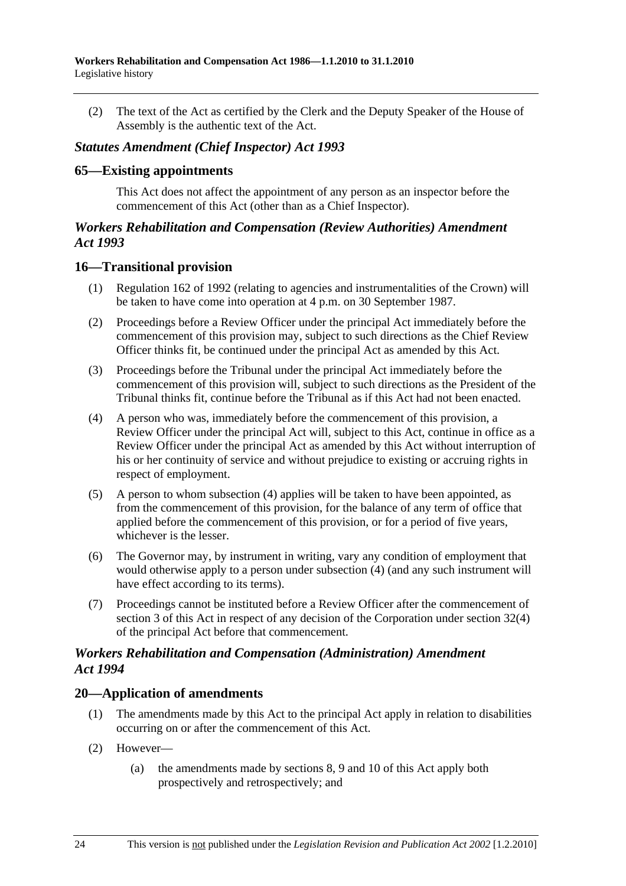(2) The text of the Act as certified by the Clerk and the Deputy Speaker of the House of Assembly is the authentic text of the Act.

### *Statutes Amendment (Chief Inspector) Act 1993*

#### **65—Existing appointments**

This Act does not affect the appointment of any person as an inspector before the commencement of this Act (other than as a Chief Inspector).

### *Workers Rehabilitation and Compensation (Review Authorities) Amendment Act 1993*

### **16—Transitional provision**

- (1) Regulation 162 of 1992 (relating to agencies and instrumentalities of the Crown) will be taken to have come into operation at 4 p.m. on 30 September 1987.
- (2) Proceedings before a Review Officer under the principal Act immediately before the commencement of this provision may, subject to such directions as the Chief Review Officer thinks fit, be continued under the principal Act as amended by this Act.
- (3) Proceedings before the Tribunal under the principal Act immediately before the commencement of this provision will, subject to such directions as the President of the Tribunal thinks fit, continue before the Tribunal as if this Act had not been enacted.
- (4) A person who was, immediately before the commencement of this provision, a Review Officer under the principal Act will, subject to this Act, continue in office as a Review Officer under the principal Act as amended by this Act without interruption of his or her continuity of service and without prejudice to existing or accruing rights in respect of employment.
- (5) A person to whom subsection (4) applies will be taken to have been appointed, as from the commencement of this provision, for the balance of any term of office that applied before the commencement of this provision, or for a period of five years, whichever is the lesser.
- (6) The Governor may, by instrument in writing, vary any condition of employment that would otherwise apply to a person under subsection (4) (and any such instrument will have effect according to its terms).
- (7) Proceedings cannot be instituted before a Review Officer after the commencement of section 3 of this Act in respect of any decision of the Corporation under section 32(4) of the principal Act before that commencement.

### *Workers Rehabilitation and Compensation (Administration) Amendment Act 1994*

## **20—Application of amendments**

- (1) The amendments made by this Act to the principal Act apply in relation to disabilities occurring on or after the commencement of this Act.
- (2) However—
	- (a) the amendments made by sections 8, 9 and 10 of this Act apply both prospectively and retrospectively; and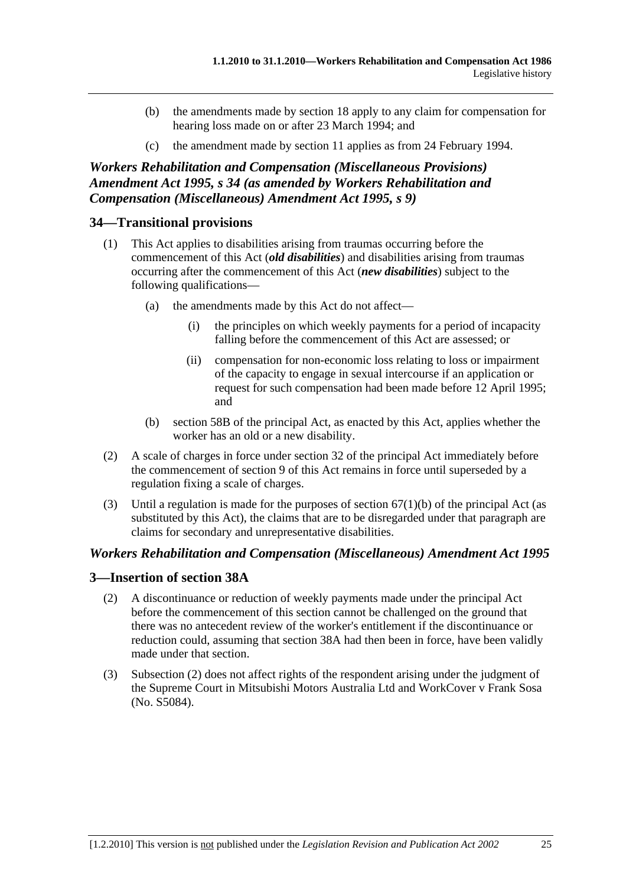- (b) the amendments made by section 18 apply to any claim for compensation for hearing loss made on or after 23 March 1994; and
- (c) the amendment made by section 11 applies as from 24 February 1994.

*Workers Rehabilitation and Compensation (Miscellaneous Provisions) Amendment Act 1995, s 34 (as amended by Workers Rehabilitation and Compensation (Miscellaneous) Amendment Act 1995, s 9)* 

# **34—Transitional provisions**

- (1) This Act applies to disabilities arising from traumas occurring before the commencement of this Act (*old disabilities*) and disabilities arising from traumas occurring after the commencement of this Act (*new disabilities*) subject to the following qualifications—
	- (a) the amendments made by this Act do not affect—
		- (i) the principles on which weekly payments for a period of incapacity falling before the commencement of this Act are assessed; or
		- (ii) compensation for non-economic loss relating to loss or impairment of the capacity to engage in sexual intercourse if an application or request for such compensation had been made before 12 April 1995; and
	- (b) section 58B of the principal Act, as enacted by this Act, applies whether the worker has an old or a new disability.
- (2) A scale of charges in force under section 32 of the principal Act immediately before the commencement of section 9 of this Act remains in force until superseded by a regulation fixing a scale of charges.
- (3) Until a regulation is made for the purposes of section  $67(1)(b)$  of the principal Act (as substituted by this Act), the claims that are to be disregarded under that paragraph are claims for secondary and unrepresentative disabilities.

## *Workers Rehabilitation and Compensation (Miscellaneous) Amendment Act 1995*

## **3—Insertion of section 38A**

- (2) A discontinuance or reduction of weekly payments made under the principal Act before the commencement of this section cannot be challenged on the ground that there was no antecedent review of the worker's entitlement if the discontinuance or reduction could, assuming that section 38A had then been in force, have been validly made under that section.
- (3) Subsection (2) does not affect rights of the respondent arising under the judgment of the Supreme Court in Mitsubishi Motors Australia Ltd and WorkCover v Frank Sosa (No. S5084).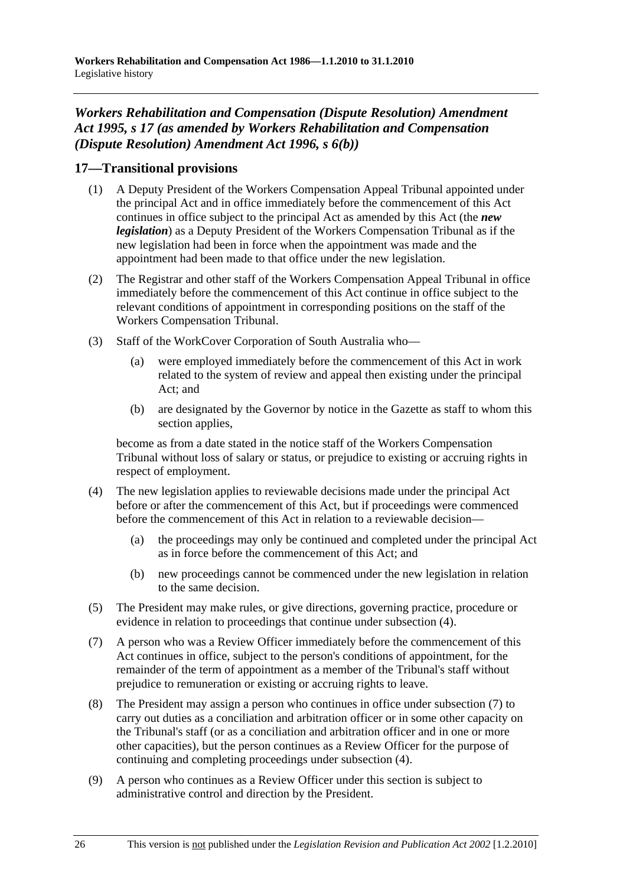# *Workers Rehabilitation and Compensation (Dispute Resolution) Amendment Act 1995, s 17 (as amended by Workers Rehabilitation and Compensation (Dispute Resolution) Amendment Act 1996, s 6(b))*

# **17—Transitional provisions**

- (1) A Deputy President of the Workers Compensation Appeal Tribunal appointed under the principal Act and in office immediately before the commencement of this Act continues in office subject to the principal Act as amended by this Act (the *new legislation*) as a Deputy President of the Workers Compensation Tribunal as if the new legislation had been in force when the appointment was made and the appointment had been made to that office under the new legislation.
- (2) The Registrar and other staff of the Workers Compensation Appeal Tribunal in office immediately before the commencement of this Act continue in office subject to the relevant conditions of appointment in corresponding positions on the staff of the Workers Compensation Tribunal.
- (3) Staff of the WorkCover Corporation of South Australia who—
	- (a) were employed immediately before the commencement of this Act in work related to the system of review and appeal then existing under the principal Act; and
	- (b) are designated by the Governor by notice in the Gazette as staff to whom this section applies,

become as from a date stated in the notice staff of the Workers Compensation Tribunal without loss of salary or status, or prejudice to existing or accruing rights in respect of employment.

- (4) The new legislation applies to reviewable decisions made under the principal Act before or after the commencement of this Act, but if proceedings were commenced before the commencement of this Act in relation to a reviewable decision—
	- (a) the proceedings may only be continued and completed under the principal Act as in force before the commencement of this Act; and
	- (b) new proceedings cannot be commenced under the new legislation in relation to the same decision.
- (5) The President may make rules, or give directions, governing practice, procedure or evidence in relation to proceedings that continue under subsection (4).
- (7) A person who was a Review Officer immediately before the commencement of this Act continues in office, subject to the person's conditions of appointment, for the remainder of the term of appointment as a member of the Tribunal's staff without prejudice to remuneration or existing or accruing rights to leave.
- (8) The President may assign a person who continues in office under subsection (7) to carry out duties as a conciliation and arbitration officer or in some other capacity on the Tribunal's staff (or as a conciliation and arbitration officer and in one or more other capacities), but the person continues as a Review Officer for the purpose of continuing and completing proceedings under subsection (4).
- (9) A person who continues as a Review Officer under this section is subject to administrative control and direction by the President.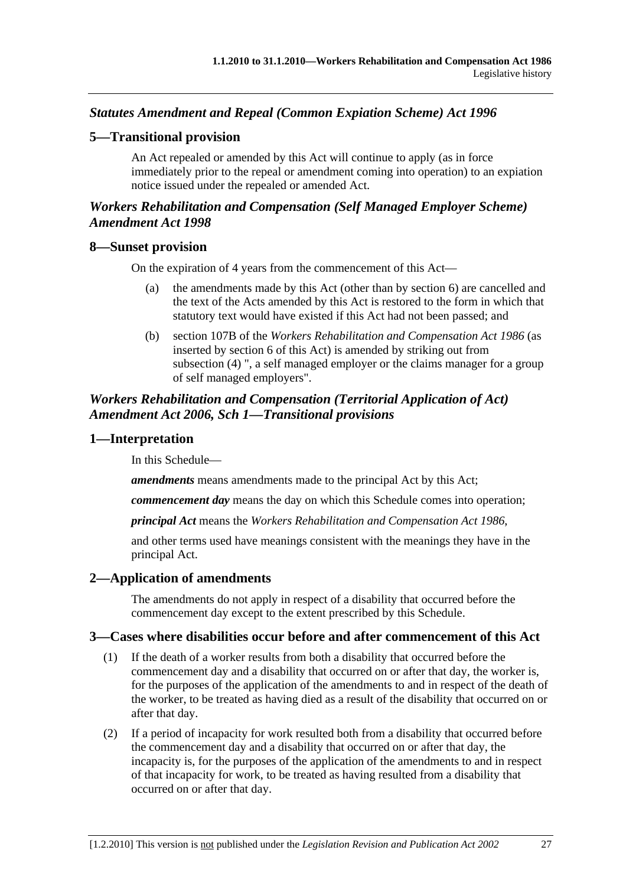# *Statutes Amendment and Repeal (Common Expiation Scheme) Act 1996*

## **5—Transitional provision**

An Act repealed or amended by this Act will continue to apply (as in force immediately prior to the repeal or amendment coming into operation) to an expiation notice issued under the repealed or amended Act.

# *Workers Rehabilitation and Compensation (Self Managed Employer Scheme) Amendment Act 1998*

#### **8—Sunset provision**

On the expiration of 4 years from the commencement of this Act—

- (a) the amendments made by this Act (other than by section 6) are cancelled and the text of the Acts amended by this Act is restored to the form in which that statutory text would have existed if this Act had not been passed; and
- (b) section 107B of the *Workers Rehabilitation and Compensation Act 1986* (as inserted by section 6 of this Act) is amended by striking out from subsection (4) ", a self managed employer or the claims manager for a group of self managed employers".

## *Workers Rehabilitation and Compensation (Territorial Application of Act) Amendment Act 2006, Sch 1—Transitional provisions*

### **1—Interpretation**

In this Schedule—

*amendments* means amendments made to the principal Act by this Act;

*commencement day* means the day on which this Schedule comes into operation;

*principal Act* means the *Workers Rehabilitation and Compensation Act 1986*,

and other terms used have meanings consistent with the meanings they have in the principal Act.

## **2—Application of amendments**

The amendments do not apply in respect of a disability that occurred before the commencement day except to the extent prescribed by this Schedule.

## **3—Cases where disabilities occur before and after commencement of this Act**

- (1) If the death of a worker results from both a disability that occurred before the commencement day and a disability that occurred on or after that day, the worker is, for the purposes of the application of the amendments to and in respect of the death of the worker, to be treated as having died as a result of the disability that occurred on or after that day.
- (2) If a period of incapacity for work resulted both from a disability that occurred before the commencement day and a disability that occurred on or after that day, the incapacity is, for the purposes of the application of the amendments to and in respect of that incapacity for work, to be treated as having resulted from a disability that occurred on or after that day.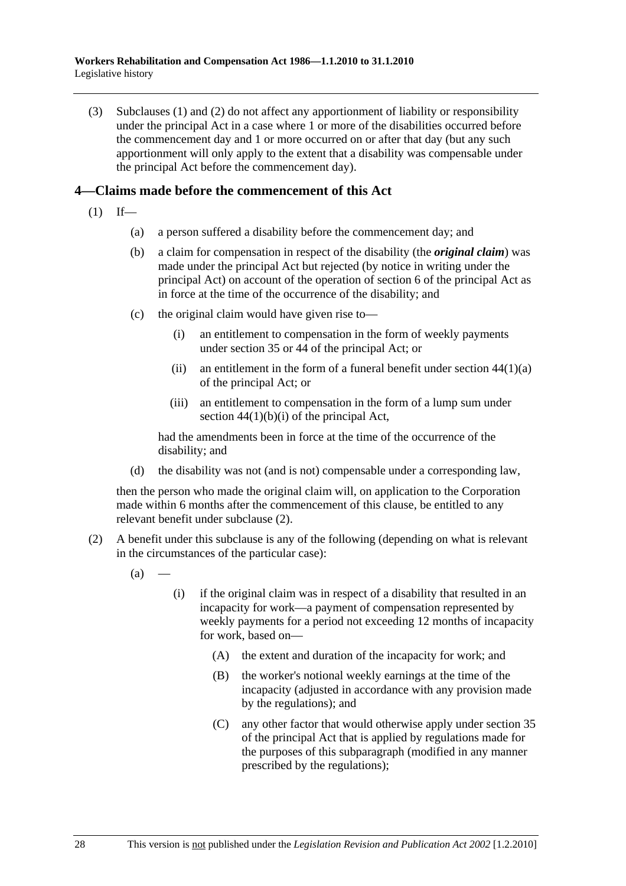(3) Subclauses (1) and (2) do not affect any apportionment of liability or responsibility under the principal Act in a case where 1 or more of the disabilities occurred before the commencement day and 1 or more occurred on or after that day (but any such apportionment will only apply to the extent that a disability was compensable under the principal Act before the commencement day).

## **4—Claims made before the commencement of this Act**

- $(1)$  If—
	- (a) a person suffered a disability before the commencement day; and
	- (b) a claim for compensation in respect of the disability (the *original claim*) was made under the principal Act but rejected (by notice in writing under the principal Act) on account of the operation of section 6 of the principal Act as in force at the time of the occurrence of the disability; and
	- (c) the original claim would have given rise to—
		- (i) an entitlement to compensation in the form of weekly payments under section 35 or 44 of the principal Act; or
		- (ii) an entitlement in the form of a funeral benefit under section  $44(1)(a)$ of the principal Act; or
		- (iii) an entitlement to compensation in the form of a lump sum under section  $44(1)(b)(i)$  of the principal Act,

had the amendments been in force at the time of the occurrence of the disability; and

(d) the disability was not (and is not) compensable under a corresponding law,

then the person who made the original claim will, on application to the Corporation made within 6 months after the commencement of this clause, be entitled to any relevant benefit under subclause (2).

- (2) A benefit under this subclause is any of the following (depending on what is relevant in the circumstances of the particular case):
	- $(a)$
- (i) if the original claim was in respect of a disability that resulted in an incapacity for work—a payment of compensation represented by weekly payments for a period not exceeding 12 months of incapacity for work, based on—
	- (A) the extent and duration of the incapacity for work; and
	- (B) the worker's notional weekly earnings at the time of the incapacity (adjusted in accordance with any provision made by the regulations); and
	- (C) any other factor that would otherwise apply under section 35 of the principal Act that is applied by regulations made for the purposes of this subparagraph (modified in any manner prescribed by the regulations);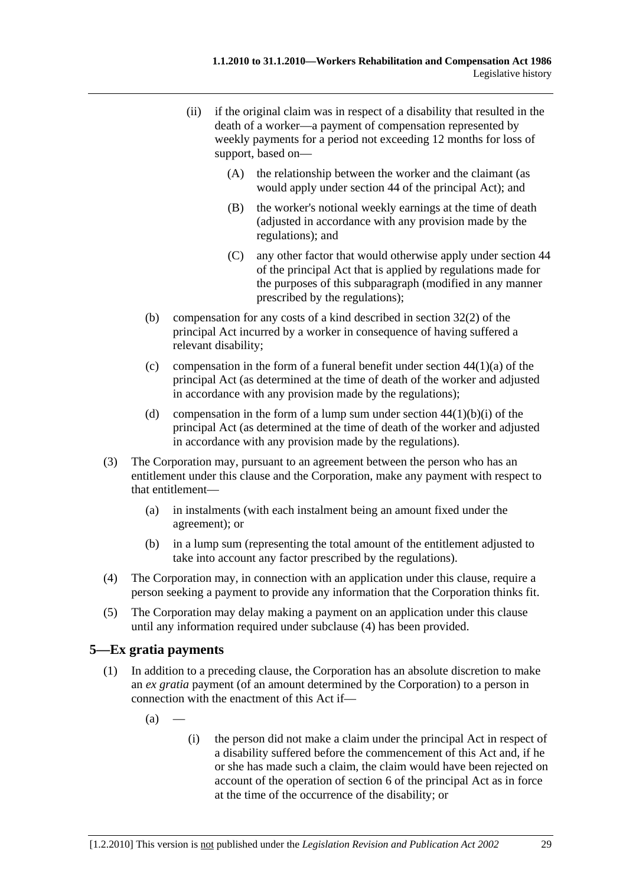- (ii) if the original claim was in respect of a disability that resulted in the death of a worker—a payment of compensation represented by weekly payments for a period not exceeding 12 months for loss of support, based on—
	- (A) the relationship between the worker and the claimant (as would apply under section 44 of the principal Act); and
	- (B) the worker's notional weekly earnings at the time of death (adjusted in accordance with any provision made by the regulations); and
	- (C) any other factor that would otherwise apply under section 44 of the principal Act that is applied by regulations made for the purposes of this subparagraph (modified in any manner prescribed by the regulations);
- (b) compensation for any costs of a kind described in section 32(2) of the principal Act incurred by a worker in consequence of having suffered a relevant disability;
- (c) compensation in the form of a funeral benefit under section  $44(1)(a)$  of the principal Act (as determined at the time of death of the worker and adjusted in accordance with any provision made by the regulations);
- (d) compensation in the form of a lump sum under section  $44(1)(b)(i)$  of the principal Act (as determined at the time of death of the worker and adjusted in accordance with any provision made by the regulations).
- (3) The Corporation may, pursuant to an agreement between the person who has an entitlement under this clause and the Corporation, make any payment with respect to that entitlement—
	- (a) in instalments (with each instalment being an amount fixed under the agreement); or
	- (b) in a lump sum (representing the total amount of the entitlement adjusted to take into account any factor prescribed by the regulations).
- (4) The Corporation may, in connection with an application under this clause, require a person seeking a payment to provide any information that the Corporation thinks fit.
- (5) The Corporation may delay making a payment on an application under this clause until any information required under subclause (4) has been provided.

# **5—Ex gratia payments**

- (1) In addition to a preceding clause, the Corporation has an absolute discretion to make an *ex gratia* payment (of an amount determined by the Corporation) to a person in connection with the enactment of this Act if—
	- $(a)$
- (i) the person did not make a claim under the principal Act in respect of a disability suffered before the commencement of this Act and, if he or she has made such a claim, the claim would have been rejected on account of the operation of section 6 of the principal Act as in force at the time of the occurrence of the disability; or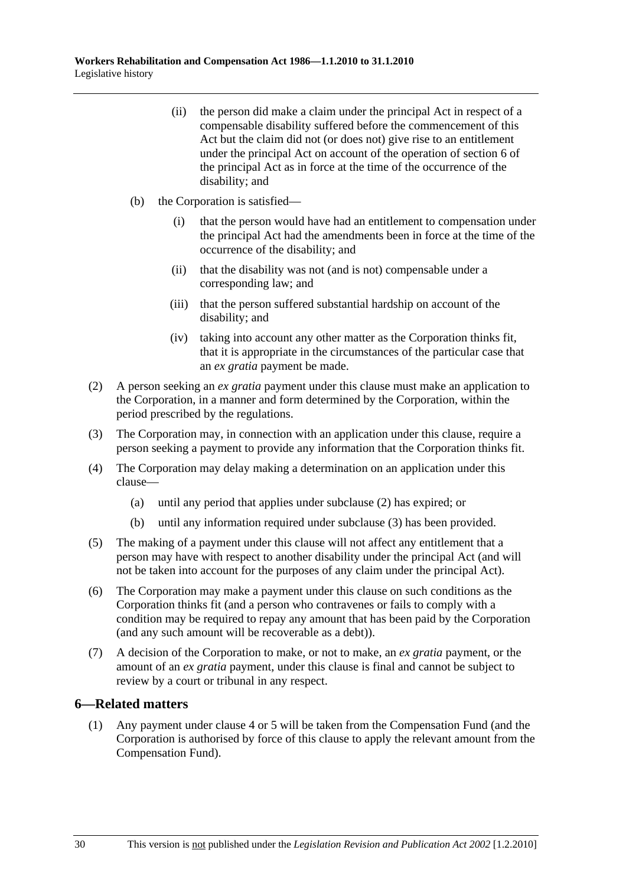- (ii) the person did make a claim under the principal Act in respect of a compensable disability suffered before the commencement of this Act but the claim did not (or does not) give rise to an entitlement under the principal Act on account of the operation of section 6 of the principal Act as in force at the time of the occurrence of the disability; and
- (b) the Corporation is satisfied—
	- (i) that the person would have had an entitlement to compensation under the principal Act had the amendments been in force at the time of the occurrence of the disability; and
	- (ii) that the disability was not (and is not) compensable under a corresponding law; and
	- (iii) that the person suffered substantial hardship on account of the disability; and
	- (iv) taking into account any other matter as the Corporation thinks fit, that it is appropriate in the circumstances of the particular case that an *ex gratia* payment be made.
- (2) A person seeking an *ex gratia* payment under this clause must make an application to the Corporation, in a manner and form determined by the Corporation, within the period prescribed by the regulations.
- (3) The Corporation may, in connection with an application under this clause, require a person seeking a payment to provide any information that the Corporation thinks fit.
- (4) The Corporation may delay making a determination on an application under this clause—
	- (a) until any period that applies under subclause (2) has expired; or
	- (b) until any information required under subclause (3) has been provided.
- (5) The making of a payment under this clause will not affect any entitlement that a person may have with respect to another disability under the principal Act (and will not be taken into account for the purposes of any claim under the principal Act).
- (6) The Corporation may make a payment under this clause on such conditions as the Corporation thinks fit (and a person who contravenes or fails to comply with a condition may be required to repay any amount that has been paid by the Corporation (and any such amount will be recoverable as a debt)).
- (7) A decision of the Corporation to make, or not to make, an *ex gratia* payment, or the amount of an *ex gratia* payment, under this clause is final and cannot be subject to review by a court or tribunal in any respect.

#### **6—Related matters**

 (1) Any payment under clause 4 or 5 will be taken from the Compensation Fund (and the Corporation is authorised by force of this clause to apply the relevant amount from the Compensation Fund).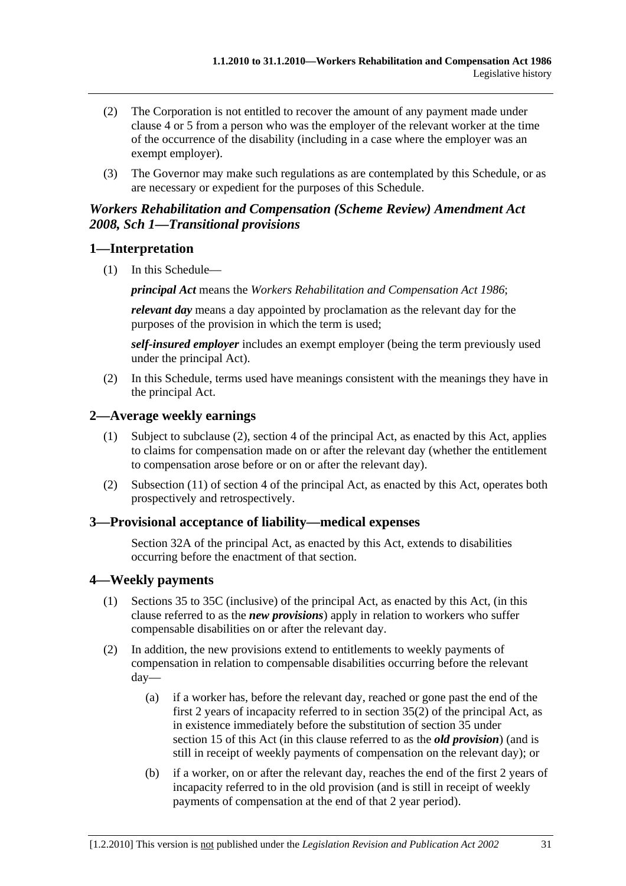- (2) The Corporation is not entitled to recover the amount of any payment made under clause 4 or 5 from a person who was the employer of the relevant worker at the time of the occurrence of the disability (including in a case where the employer was an exempt employer).
- (3) The Governor may make such regulations as are contemplated by this Schedule, or as are necessary or expedient for the purposes of this Schedule.

## *Workers Rehabilitation and Compensation (Scheme Review) Amendment Act 2008, Sch 1—Transitional provisions*

## **1—Interpretation**

(1) In this Schedule—

*principal Act* means the *Workers Rehabilitation and Compensation Act 1986*;

*relevant day* means a day appointed by proclamation as the relevant day for the purposes of the provision in which the term is used;

*self-insured employer* includes an exempt employer (being the term previously used under the principal Act).

 (2) In this Schedule, terms used have meanings consistent with the meanings they have in the principal Act.

## **2—Average weekly earnings**

- (1) Subject to subclause (2), section 4 of the principal Act, as enacted by this Act, applies to claims for compensation made on or after the relevant day (whether the entitlement to compensation arose before or on or after the relevant day).
- (2) Subsection (11) of section 4 of the principal Act, as enacted by this Act, operates both prospectively and retrospectively.

## **3—Provisional acceptance of liability—medical expenses**

Section 32A of the principal Act, as enacted by this Act, extends to disabilities occurring before the enactment of that section.

## **4—Weekly payments**

- (1) Sections 35 to 35C (inclusive) of the principal Act, as enacted by this Act, (in this clause referred to as the *new provisions*) apply in relation to workers who suffer compensable disabilities on or after the relevant day.
- (2) In addition, the new provisions extend to entitlements to weekly payments of compensation in relation to compensable disabilities occurring before the relevant day—
	- (a) if a worker has, before the relevant day, reached or gone past the end of the first 2 years of incapacity referred to in section  $35(2)$  of the principal Act, as in existence immediately before the substitution of section 35 under section 15 of this Act (in this clause referred to as the *old provision*) (and is still in receipt of weekly payments of compensation on the relevant day); or
	- (b) if a worker, on or after the relevant day, reaches the end of the first 2 years of incapacity referred to in the old provision (and is still in receipt of weekly payments of compensation at the end of that 2 year period).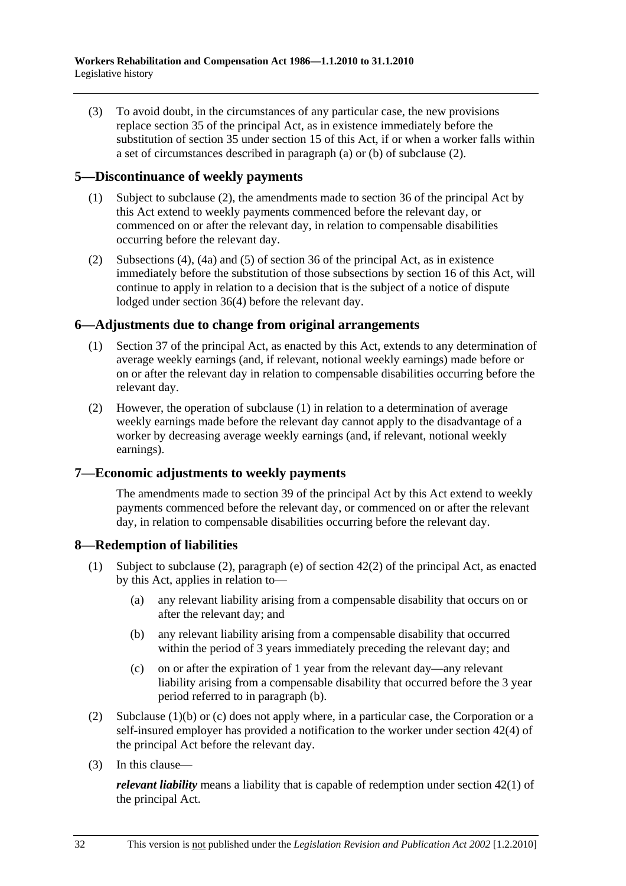(3) To avoid doubt, in the circumstances of any particular case, the new provisions replace section 35 of the principal Act, as in existence immediately before the substitution of section 35 under section 15 of this Act, if or when a worker falls within a set of circumstances described in paragraph (a) or (b) of subclause (2).

## **5—Discontinuance of weekly payments**

- (1) Subject to subclause (2), the amendments made to section 36 of the principal Act by this Act extend to weekly payments commenced before the relevant day, or commenced on or after the relevant day, in relation to compensable disabilities occurring before the relevant day.
- (2) Subsections (4), (4a) and (5) of section 36 of the principal Act, as in existence immediately before the substitution of those subsections by section 16 of this Act, will continue to apply in relation to a decision that is the subject of a notice of dispute lodged under section 36(4) before the relevant day.

# **6—Adjustments due to change from original arrangements**

- (1) Section 37 of the principal Act, as enacted by this Act, extends to any determination of average weekly earnings (and, if relevant, notional weekly earnings) made before or on or after the relevant day in relation to compensable disabilities occurring before the relevant day.
- (2) However, the operation of subclause (1) in relation to a determination of average weekly earnings made before the relevant day cannot apply to the disadvantage of a worker by decreasing average weekly earnings (and, if relevant, notional weekly earnings).

# **7—Economic adjustments to weekly payments**

The amendments made to section 39 of the principal Act by this Act extend to weekly payments commenced before the relevant day, or commenced on or after the relevant day, in relation to compensable disabilities occurring before the relevant day.

## **8—Redemption of liabilities**

- (1) Subject to subclause (2), paragraph (e) of section 42(2) of the principal Act, as enacted by this Act, applies in relation to—
	- (a) any relevant liability arising from a compensable disability that occurs on or after the relevant day; and
	- (b) any relevant liability arising from a compensable disability that occurred within the period of 3 years immediately preceding the relevant day; and
	- (c) on or after the expiration of 1 year from the relevant day—any relevant liability arising from a compensable disability that occurred before the 3 year period referred to in paragraph (b).
- (2) Subclause (1)(b) or (c) does not apply where, in a particular case, the Corporation or a self-insured employer has provided a notification to the worker under section 42(4) of the principal Act before the relevant day.
- (3) In this clause—

*relevant liability* means a liability that is capable of redemption under section 42(1) of the principal Act.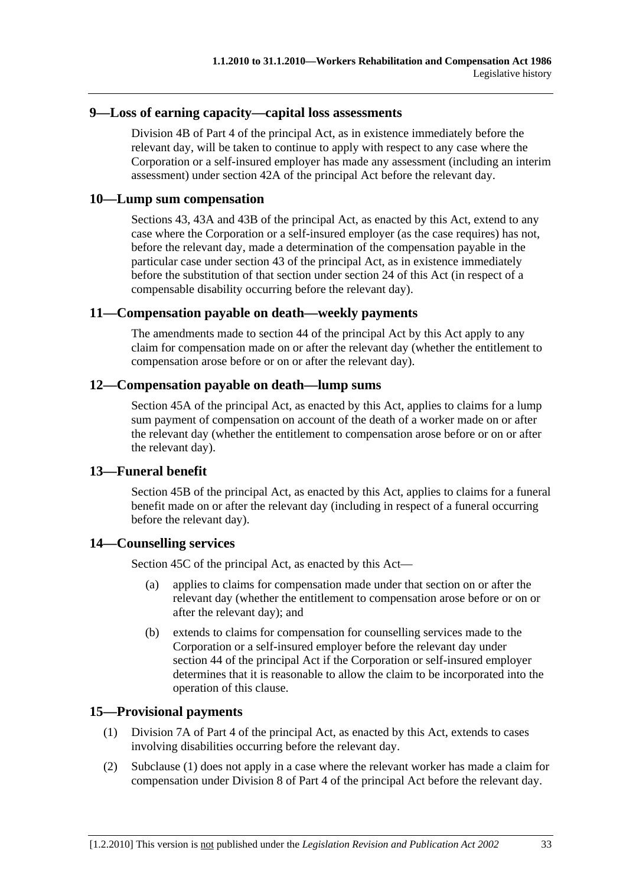#### **9—Loss of earning capacity—capital loss assessments**

Division 4B of Part 4 of the principal Act, as in existence immediately before the relevant day, will be taken to continue to apply with respect to any case where the Corporation or a self-insured employer has made any assessment (including an interim assessment) under section 42A of the principal Act before the relevant day.

### **10—Lump sum compensation**

Sections 43, 43A and 43B of the principal Act, as enacted by this Act, extend to any case where the Corporation or a self-insured employer (as the case requires) has not, before the relevant day, made a determination of the compensation payable in the particular case under section 43 of the principal Act, as in existence immediately before the substitution of that section under section 24 of this Act (in respect of a compensable disability occurring before the relevant day).

#### **11—Compensation payable on death—weekly payments**

The amendments made to section 44 of the principal Act by this Act apply to any claim for compensation made on or after the relevant day (whether the entitlement to compensation arose before or on or after the relevant day).

### **12—Compensation payable on death—lump sums**

Section 45A of the principal Act, as enacted by this Act, applies to claims for a lump sum payment of compensation on account of the death of a worker made on or after the relevant day (whether the entitlement to compensation arose before or on or after the relevant day).

## **13—Funeral benefit**

Section 45B of the principal Act, as enacted by this Act, applies to claims for a funeral benefit made on or after the relevant day (including in respect of a funeral occurring before the relevant day).

## **14—Counselling services**

Section 45C of the principal Act, as enacted by this Act—

- (a) applies to claims for compensation made under that section on or after the relevant day (whether the entitlement to compensation arose before or on or after the relevant day); and
- (b) extends to claims for compensation for counselling services made to the Corporation or a self-insured employer before the relevant day under section 44 of the principal Act if the Corporation or self-insured employer determines that it is reasonable to allow the claim to be incorporated into the operation of this clause.

#### **15—Provisional payments**

- (1) Division 7A of Part 4 of the principal Act, as enacted by this Act, extends to cases involving disabilities occurring before the relevant day.
- (2) Subclause (1) does not apply in a case where the relevant worker has made a claim for compensation under Division 8 of Part 4 of the principal Act before the relevant day.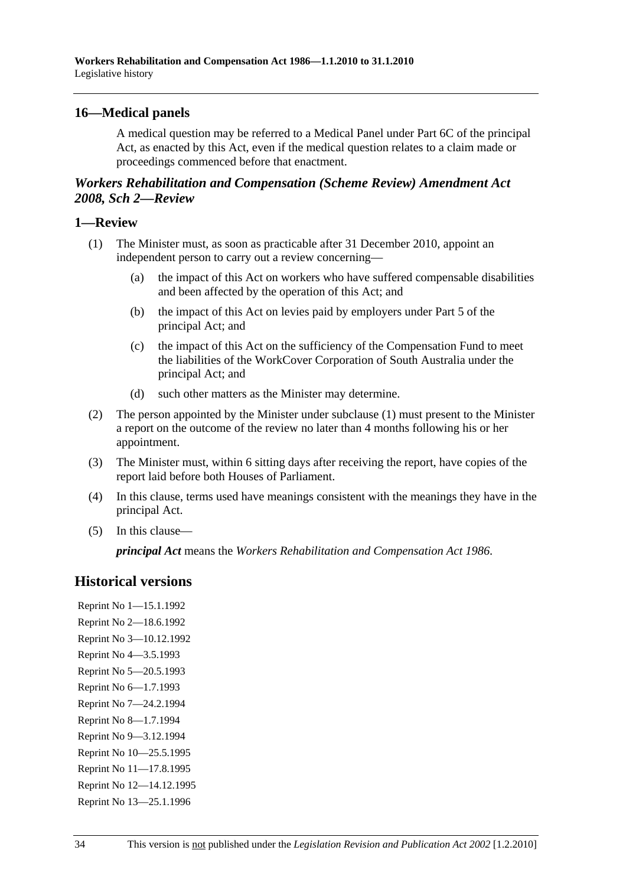## **16—Medical panels**

A medical question may be referred to a Medical Panel under Part 6C of the principal Act, as enacted by this Act, even if the medical question relates to a claim made or proceedings commenced before that enactment.

# *Workers Rehabilitation and Compensation (Scheme Review) Amendment Act 2008, Sch 2—Review*

### **1—Review**

- (1) The Minister must, as soon as practicable after 31 December 2010, appoint an independent person to carry out a review concerning—
	- (a) the impact of this Act on workers who have suffered compensable disabilities and been affected by the operation of this Act; and
	- (b) the impact of this Act on levies paid by employers under Part 5 of the principal Act; and
	- (c) the impact of this Act on the sufficiency of the Compensation Fund to meet the liabilities of the WorkCover Corporation of South Australia under the principal Act; and
	- (d) such other matters as the Minister may determine.
- (2) The person appointed by the Minister under subclause (1) must present to the Minister a report on the outcome of the review no later than 4 months following his or her appointment.
- (3) The Minister must, within 6 sitting days after receiving the report, have copies of the report laid before both Houses of Parliament.
- (4) In this clause, terms used have meanings consistent with the meanings they have in the principal Act.
- (5) In this clause—

*principal Act* means the *Workers Rehabilitation and Compensation Act 1986*.

# **Historical versions**

Reprint No 1—15.1.1992 Reprint No 2—18.6.1992 Reprint No 3—10.12.1992 Reprint No 4—3.5.1993 Reprint No 5—20.5.1993 Reprint No 6—1.7.1993 Reprint No 7—24.2.1994 Reprint No 8—1.7.1994 Reprint No 9—3.12.1994 Reprint No 10—25.5.1995 Reprint No 11—17.8.1995 Reprint No 12—14.12.1995 Reprint No 13—25.1.1996